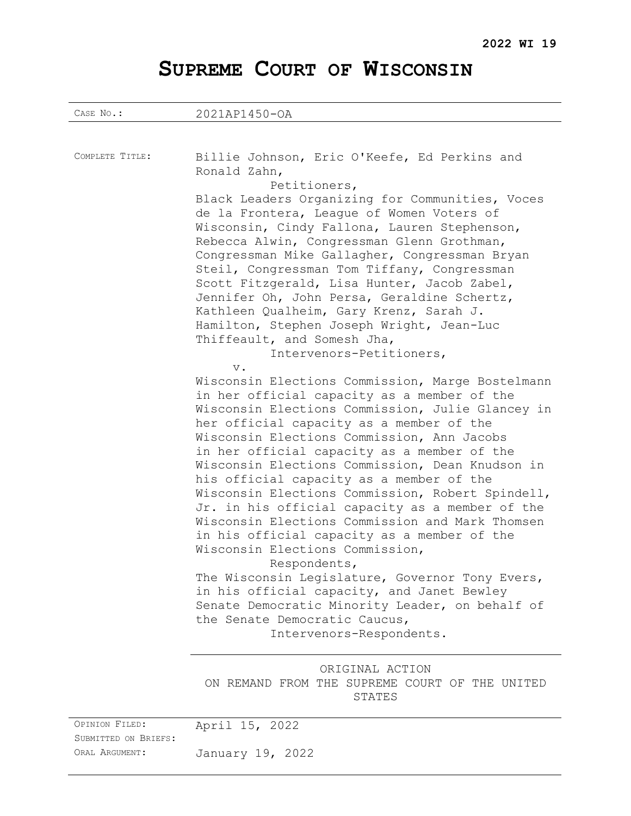# **SUPREME COURT OF WISCONSIN**

| CASE No.:                                                | 2021AP1450-OA                                                                                                                                                                                                                                                                                                                                                                                                                                                                                                                                                                                                                                                                                                                                                                                                                                                                     |
|----------------------------------------------------------|-----------------------------------------------------------------------------------------------------------------------------------------------------------------------------------------------------------------------------------------------------------------------------------------------------------------------------------------------------------------------------------------------------------------------------------------------------------------------------------------------------------------------------------------------------------------------------------------------------------------------------------------------------------------------------------------------------------------------------------------------------------------------------------------------------------------------------------------------------------------------------------|
|                                                          |                                                                                                                                                                                                                                                                                                                                                                                                                                                                                                                                                                                                                                                                                                                                                                                                                                                                                   |
| COMPLETE TITLE:                                          | Billie Johnson, Eric O'Keefe, Ed Perkins and<br>Ronald Zahn,<br>Petitioners,<br>Black Leaders Organizing for Communities, Voces<br>de la Frontera, League of Women Voters of<br>Wisconsin, Cindy Fallona, Lauren Stephenson,<br>Rebecca Alwin, Congressman Glenn Grothman,<br>Congressman Mike Gallagher, Congressman Bryan<br>Steil, Congressman Tom Tiffany, Congressman<br>Scott Fitzgerald, Lisa Hunter, Jacob Zabel,<br>Jennifer Oh, John Persa, Geraldine Schertz,<br>Kathleen Qualheim, Gary Krenz, Sarah J.<br>Hamilton, Stephen Joseph Wright, Jean-Luc<br>Thiffeault, and Somesh Jha,<br>Intervenors-Petitioners,                                                                                                                                                                                                                                                       |
|                                                          | $V$ .<br>Wisconsin Elections Commission, Marge Bostelmann<br>in her official capacity as a member of the<br>Wisconsin Elections Commission, Julie Glancey in<br>her official capacity as a member of the<br>Wisconsin Elections Commission, Ann Jacobs<br>in her official capacity as a member of the<br>Wisconsin Elections Commission, Dean Knudson in<br>his official capacity as a member of the<br>Wisconsin Elections Commission, Robert Spindell,<br>Jr. in his official capacity as a member of the<br>Wisconsin Elections Commission and Mark Thomsen<br>in his official capacity as a member of the<br>Wisconsin Elections Commission,<br>Respondents,<br>The Wisconsin Legislature, Governor Tony Evers,<br>in his official capacity, and Janet Bewley<br>Senate Democratic Minority Leader, on behalf of<br>the Senate Democratic Caucus,<br>Intervenors-Respondents. |
|                                                          | ORIGINAL ACTION<br>ON REMAND FROM THE SUPREME COURT OF THE UNITED<br>STATES                                                                                                                                                                                                                                                                                                                                                                                                                                                                                                                                                                                                                                                                                                                                                                                                       |
| OPINION FILED:<br>SUBMITTED ON BRIEFS:<br>ORAL ARGUMENT: | April 15, 2022<br>January 19, 2022                                                                                                                                                                                                                                                                                                                                                                                                                                                                                                                                                                                                                                                                                                                                                                                                                                                |
|                                                          |                                                                                                                                                                                                                                                                                                                                                                                                                                                                                                                                                                                                                                                                                                                                                                                                                                                                                   |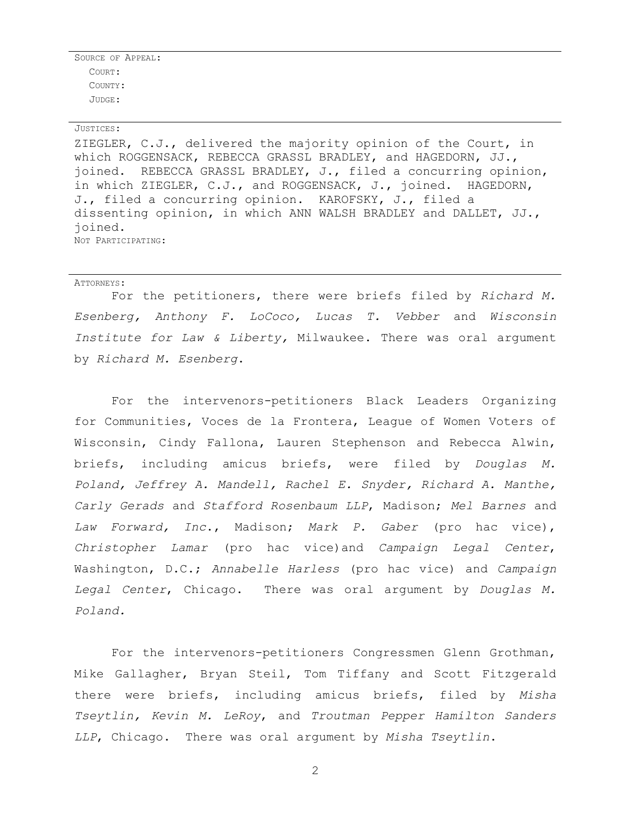SOURCE OF APPEAL: COURT: COUNTY: JUDGE:

#### JUSTICES:

ZIEGLER, C.J., delivered the majority opinion of the Court, in which ROGGENSACK, REBECCA GRASSL BRADLEY, and HAGEDORN, JJ., joined. REBECCA GRASSL BRADLEY, J., filed a concurring opinion, in which ZIEGLER, C.J., and ROGGENSACK, J., joined. HAGEDORN, J., filed a concurring opinion. KAROFSKY, J., filed a dissenting opinion, in which ANN WALSH BRADLEY and DALLET, JJ., joined. NOT PARTICIPATING:

#### ATTORNEYS:

For the petitioners, there were briefs filed by *Richard M. Esenberg, Anthony F. LoCoco, Lucas T. Vebber* and *Wisconsin Institute for Law & Liberty,* Milwaukee. There was oral argument by *Richard M. Esenberg*.

For the intervenors-petitioners Black Leaders Organizing for Communities, Voces de la Frontera, League of Women Voters of Wisconsin, Cindy Fallona, Lauren Stephenson and Rebecca Alwin, briefs, including amicus briefs, were filed by *Douglas M. Poland, Jeffrey A. Mandell, Rachel E. Snyder, Richard A. Manthe, Carly Gerads* and *Stafford Rosenbaum LLP*, Madison; *Mel Barnes* and *Law Forward, Inc*., Madison; *Mark P. Gaber* (pro hac vice), *Christopher Lamar* (pro hac vice)and *Campaign Legal Center*, Washington, D.C.; *Annabelle Harless* (pro hac vice) and *Campaign Legal Center*, Chicago. There was oral argument by *Douglas M. Poland.*

For the intervenors-petitioners Congressmen Glenn Grothman, Mike Gallagher, Bryan Steil, Tom Tiffany and Scott Fitzgerald there were briefs, including amicus briefs, filed by *Misha Tseytlin, Kevin M. LeRoy*, and *Troutman Pepper Hamilton Sanders LLP*, Chicago. There was oral argument by *Misha Tseytlin*.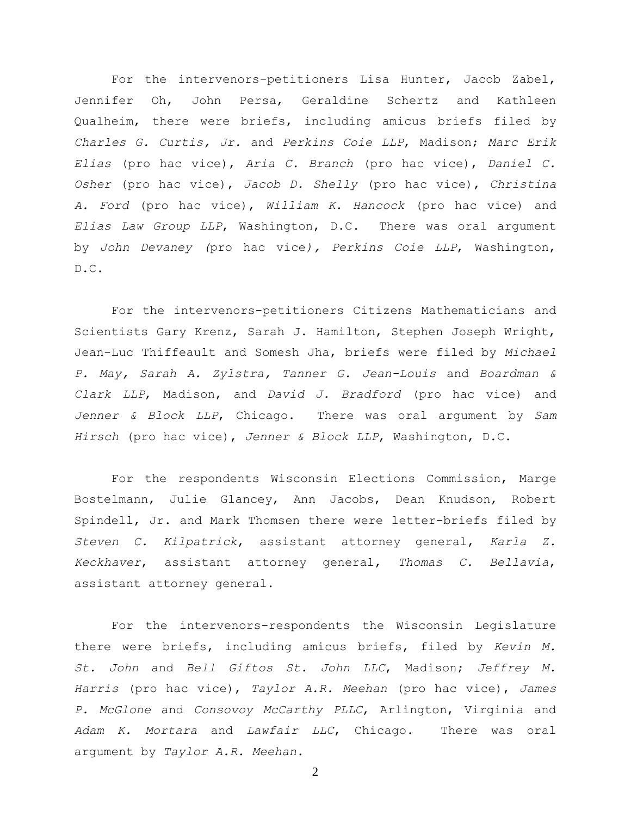For the intervenors-petitioners Lisa Hunter, Jacob Zabel, Jennifer Oh, John Persa, Geraldine Schertz and Kathleen Qualheim, there were briefs, including amicus briefs filed by *Charles G. Curtis, Jr.* and *Perkins Coie LLP*, Madison; *Marc Erik Elias* (pro hac vice), *Aria C. Branch* (pro hac vice), *Daniel C. Osher* (pro hac vice), *Jacob D. Shelly* (pro hac vice), *Christina A. Ford* (pro hac vice), *William K. Hancock* (pro hac vice) and *Elias Law Group LLP*, Washington, D.C. There was oral argument by *John Devaney (*pro hac vice*), Perkins Coie LLP*, Washington, D.C.

For the intervenors-petitioners Citizens Mathematicians and Scientists Gary Krenz, Sarah J. Hamilton, Stephen Joseph Wright, Jean-Luc Thiffeault and Somesh Jha, briefs were filed by *Michael P. May, Sarah A. Zylstra, Tanner G. Jean-Louis* and *Boardman & Clark LLP*, Madison, and *David J. Bradford* (pro hac vice) and *Jenner & Block LLP*, Chicago. There was oral argument by *Sam Hirsch* (pro hac vice), *Jenner & Block LLP*, Washington, D.C.

For the respondents Wisconsin Elections Commission, Marge Bostelmann, Julie Glancey, Ann Jacobs, Dean Knudson, Robert Spindell, Jr. and Mark Thomsen there were letter-briefs filed by *Steven C. Kilpatrick*, assistant attorney general, *Karla Z. Keckhaver*, assistant attorney general, *Thomas C. Bellavia*, assistant attorney general.

For the intervenors-respondents the Wisconsin Legislature there were briefs, including amicus briefs, filed by *Kevin M. St. John* and *Bell Giftos St. John LLC*, Madison; *Jeffrey M. Harris* (pro hac vice), *Taylor A.R. Meehan* (pro hac vice), *James P. McGlone* and *Consovoy McCarthy PLLC*, Arlington, Virginia and *Adam K. Mortara* and *Lawfair LLC*, Chicago. There was oral argument by *Taylor A.R. Meehan*.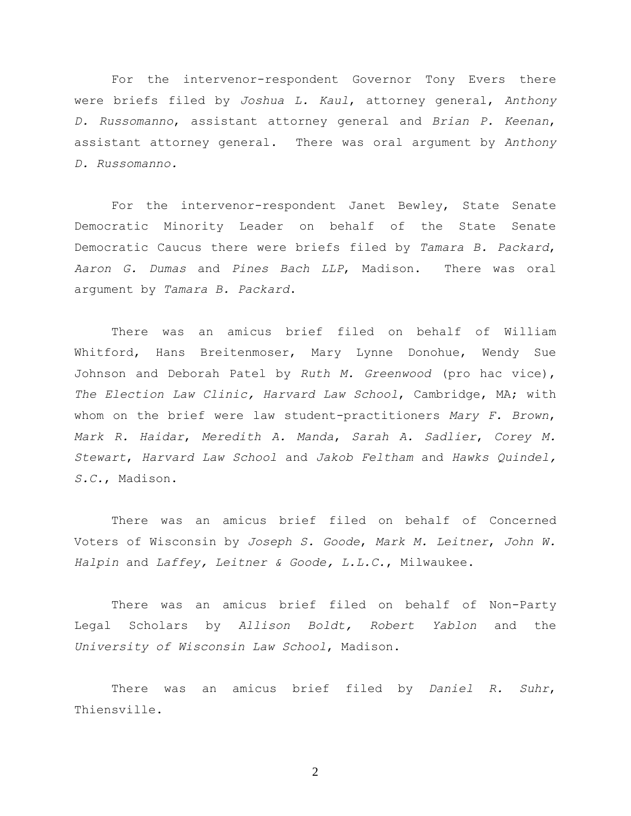For the intervenor-respondent Governor Tony Evers there were briefs filed by *Joshua L. Kaul*, attorney general, *Anthony D. Russomanno*, assistant attorney general and *Brian P. Keenan*, assistant attorney general. There was oral argument by *Anthony D. Russomanno.*

For the intervenor-respondent Janet Bewley, State Senate Democratic Minority Leader on behalf of the State Senate Democratic Caucus there were briefs filed by *Tamara B. Packard*, *Aaron G. Dumas* and *Pines Bach LLP*, Madison. There was oral argument by *Tamara B. Packard*.

There was an amicus brief filed on behalf of William Whitford, Hans Breitenmoser, Mary Lynne Donohue, Wendy Sue Johnson and Deborah Patel by *Ruth M. Greenwood* (pro hac vice), *The Election Law Clinic, Harvard Law School*, Cambridge, MA; with whom on the brief were law student-practitioners *Mary F. Brown*, *Mark R. Haidar*, *Meredith A. Manda*, *Sarah A. Sadlier*, *Corey M. Stewart*, *Harvard Law School* and *Jakob Feltham* and *Hawks Quindel, S.C.*, Madison.

There was an amicus brief filed on behalf of Concerned Voters of Wisconsin by *Joseph S. Goode*, *Mark M. Leitner*, *John W. Halpin* and *Laffey, Leitner & Goode, L.L.C.*, Milwaukee.

There was an amicus brief filed on behalf of Non-Party Legal Scholars by *Allison Boldt, Robert Yablon* and the *University of Wisconsin Law School*, Madison.

There was an amicus brief filed by *Daniel R. Suhr*, Thiensville.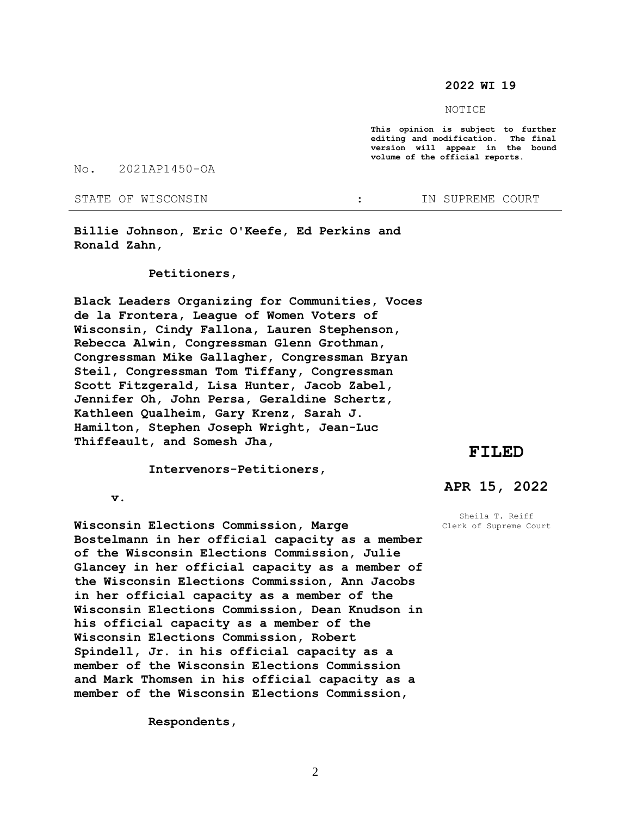## **2022 WI 19**

#### NOTICE

**This opinion is subject to further editing and modification. The final version will appear in the bound volume of the official reports.** 

No. 2021AP1450-OA

STATE OF WISCONSIN **1999** : IN SUPREME COURT

**Billie Johnson, Eric O'Keefe, Ed Perkins and Ronald Zahn,**

## **Petitioners,**

**Black Leaders Organizing for Communities, Voces de la Frontera, League of Women Voters of Wisconsin, Cindy Fallona, Lauren Stephenson, Rebecca Alwin, Congressman Glenn Grothman, Congressman Mike Gallagher, Congressman Bryan Steil, Congressman Tom Tiffany, Congressman Scott Fitzgerald, Lisa Hunter, Jacob Zabel, Jennifer Oh, John Persa, Geraldine Schertz, Kathleen Qualheim, Gary Krenz, Sarah J. Hamilton, Stephen Joseph Wright, Jean-Luc Thiffeault, and Somesh Jha,** 

## **FILED**

 **Intervenors-Petitioners,**

 **v.**

**Wisconsin Elections Commission, Marge Bostelmann in her official capacity as a member of the Wisconsin Elections Commission, Julie Glancey in her official capacity as a member of the Wisconsin Elections Commission, Ann Jacobs in her official capacity as a member of the Wisconsin Elections Commission, Dean Knudson in his official capacity as a member of the Wisconsin Elections Commission, Robert Spindell, Jr. in his official capacity as a member of the Wisconsin Elections Commission and Mark Thomsen in his official capacity as a member of the Wisconsin Elections Commission,**

 **Respondents,**

# **APR 15, 2022**

Sheila T. Reiff Clerk of Supreme Court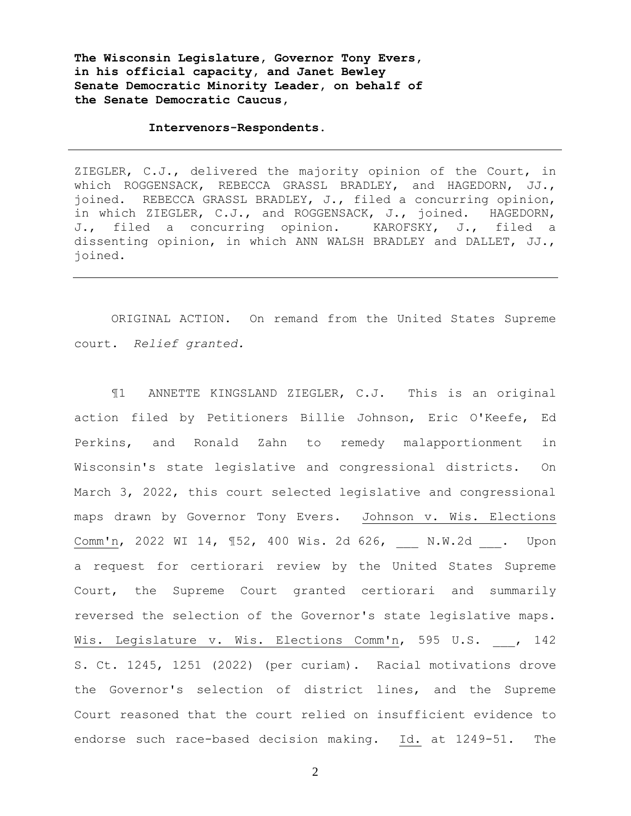**The Wisconsin Legislature, Governor Tony Evers, in his official capacity, and Janet Bewley Senate Democratic Minority Leader, on behalf of the Senate Democratic Caucus,**

## **Intervenors-Respondents.**

ZIEGLER, C.J., delivered the majority opinion of the Court, in which ROGGENSACK, REBECCA GRASSL BRADLEY, and HAGEDORN, JJ., joined. REBECCA GRASSL BRADLEY, J., filed a concurring opinion, in which ZIEGLER, C.J., and ROGGENSACK, J., joined. HAGEDORN, J., filed a concurring opinion. KAROFSKY, J., filed a dissenting opinion, in which ANN WALSH BRADLEY and DALLET, JJ., joined.

ORIGINAL ACTION. On remand from the United States Supreme court. *Relief granted.*

¶1 ANNETTE KINGSLAND ZIEGLER, C.J. This is an original action filed by Petitioners Billie Johnson, Eric O'Keefe, Ed Perkins, and Ronald Zahn to remedy malapportionment in Wisconsin's state legislative and congressional districts. On March 3, 2022, this court selected legislative and congressional maps drawn by Governor Tony Evers. Johnson v. Wis. Elections Comm'n, 2022 WI 14, 152, 400 Wis. 2d 626, N.W.2d . Upon a request for certiorari review by the United States Supreme Court, the Supreme Court granted certiorari and summarily reversed the selection of the Governor's state legislative maps. Wis. Legislature v. Wis. Elections Comm'n, 595 U.S. , 142 S. Ct. 1245, 1251 (2022) (per curiam). Racial motivations drove the Governor's selection of district lines, and the Supreme Court reasoned that the court relied on insufficient evidence to endorse such race-based decision making. Id. at 1249-51. The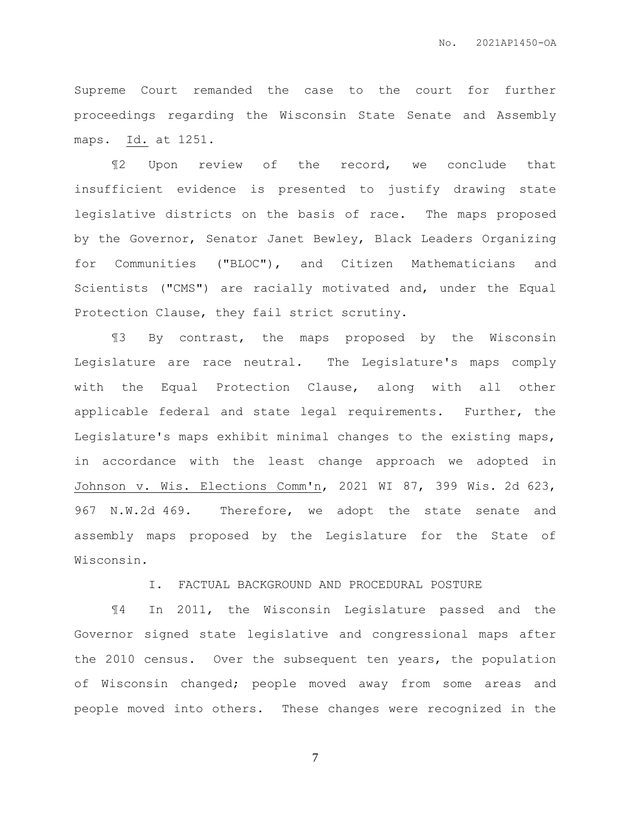Supreme Court remanded the case to the court for further proceedings regarding the Wisconsin State Senate and Assembly maps. Id. at 1251.

¶2 Upon review of the record, we conclude that insufficient evidence is presented to justify drawing state legislative districts on the basis of race. The maps proposed by the Governor, Senator Janet Bewley, Black Leaders Organizing for Communities ("BLOC"), and Citizen Mathematicians and Scientists ("CMS") are racially motivated and, under the Equal Protection Clause, they fail strict scrutiny.

¶3 By contrast, the maps proposed by the Wisconsin Legislature are race neutral. The Legislature's maps comply with the Equal Protection Clause, along with all other applicable federal and state legal requirements. Further, the Legislature's maps exhibit minimal changes to the existing maps, in accordance with the least change approach we adopted in Johnson v. Wis. Elections Comm'n, 2021 WI 87, 399 Wis. 2d 623, 967 N.W.2d 469. Therefore, we adopt the state senate and assembly maps proposed by the Legislature for the State of Wisconsin.

I. FACTUAL BACKGROUND AND PROCEDURAL POSTURE

¶4 In 2011, the Wisconsin Legislature passed and the Governor signed state legislative and congressional maps after the 2010 census. Over the subsequent ten years, the population of Wisconsin changed; people moved away from some areas and people moved into others. These changes were recognized in the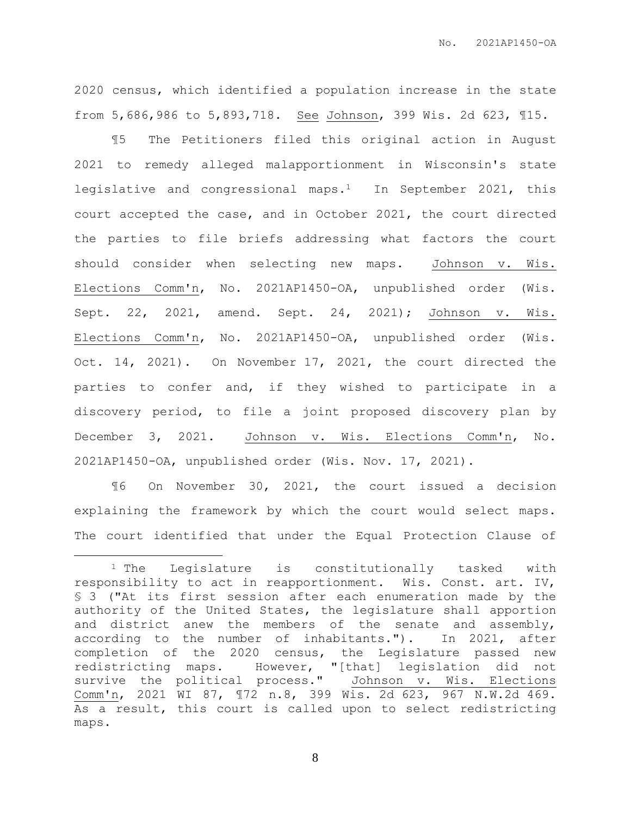2020 census, which identified a population increase in the state from 5,686,986 to 5,893,718. See Johnson, 399 Wis. 2d 623, ¶15.

¶5 The Petitioners filed this original action in August 2021 to remedy alleged malapportionment in Wisconsin's state legislative and congressional maps.1 In September 2021, this court accepted the case, and in October 2021, the court directed the parties to file briefs addressing what factors the court should consider when selecting new maps. Johnson v. Wis. Elections Comm'n, No. 2021AP1450-OA, unpublished order (Wis. Sept. 22, 2021, amend. Sept. 24, 2021); Johnson v. Wis. Elections Comm'n, No. 2021AP1450-OA, unpublished order (Wis. Oct. 14, 2021). On November 17, 2021, the court directed the parties to confer and, if they wished to participate in a discovery period, to file a joint proposed discovery plan by December 3, 2021. Johnson v. Wis. Elections Comm'n, No. 2021AP1450-OA, unpublished order (Wis. Nov. 17, 2021).

¶6 On November 30, 2021, the court issued a decision explaining the framework by which the court would select maps. The court identified that under the Equal Protection Clause of

 $\overline{a}$ 

<sup>1</sup> The Legislature is constitutionally tasked with responsibility to act in reapportionment. Wis. Const. art. IV, § 3 ("At its first session after each enumeration made by the authority of the United States, the legislature shall apportion and district anew the members of the senate and assembly, according to the number of inhabitants."). In 2021, after completion of the 2020 census, the Legislature passed new redistricting maps. However, "[that] legislation did not survive the political process." Johnson v. Wis. Elections Comm'n, 2021 WI 87, ¶72 n.8, 399 Wis. 2d 623, 967 N.W.2d 469. As a result, this court is called upon to select redistricting maps.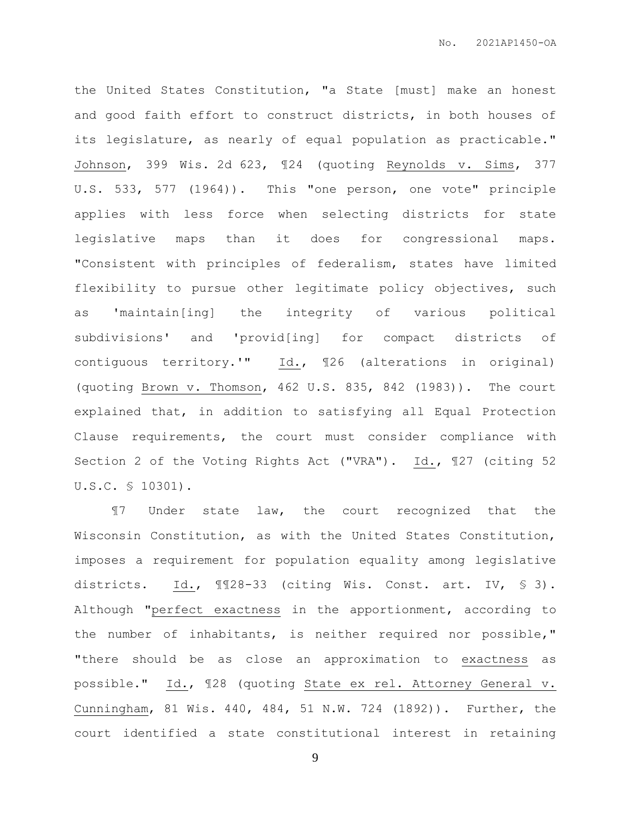the United States Constitution, "a State [must] make an honest and good faith effort to construct districts, in both houses of its legislature, as nearly of equal population as practicable." Johnson, 399 Wis. 2d 623, ¶24 (quoting Reynolds v. Sims, 377 U.S. 533, 577 (1964)). This "one person, one vote" principle applies with less force when selecting districts for state legislative maps than it does for congressional maps. "Consistent with principles of federalism, states have limited flexibility to pursue other legitimate policy objectives, such as 'maintain[ing] the integrity of various political subdivisions' and 'provid[ing] for compact districts of contiguous territory.'" Id., ¶26 (alterations in original) (quoting Brown v. Thomson, 462 U.S. 835, 842 (1983)). The court explained that, in addition to satisfying all Equal Protection Clause requirements, the court must consider compliance with Section 2 of the Voting Rights Act ("VRA"). Id., ¶27 (citing 52 U.S.C. § 10301).

¶7 Under state law, the court recognized that the Wisconsin Constitution, as with the United States Constitution, imposes a requirement for population equality among legislative districts. Id., ¶¶28-33 (citing Wis. Const. art. IV, § 3). Although "perfect exactness in the apportionment, according to the number of inhabitants, is neither required nor possible," "there should be as close an approximation to exactness as possible." Id., ¶28 (quoting State ex rel. Attorney General v. Cunningham, 81 Wis. 440, 484, 51 N.W. 724 (1892)). Further, the court identified a state constitutional interest in retaining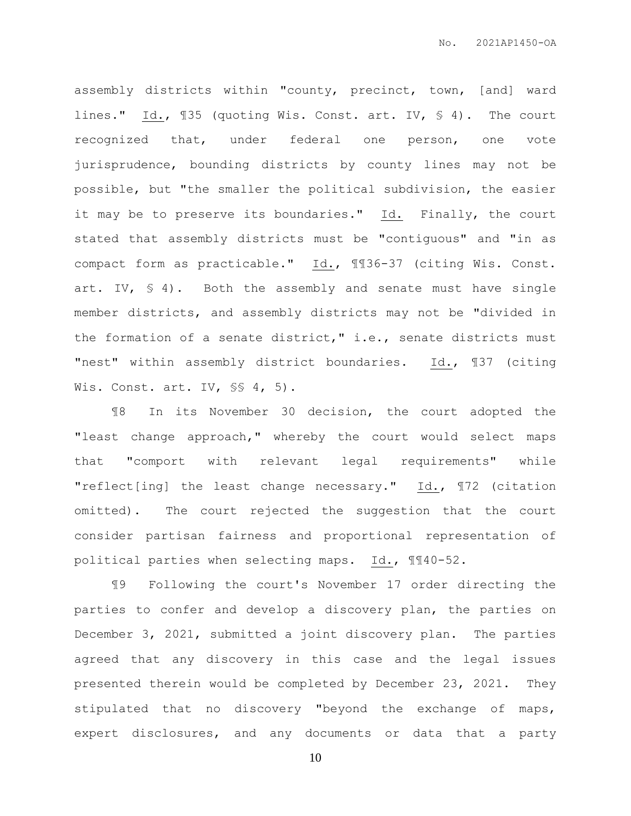assembly districts within "county, precinct, town, [and] ward lines." Id., ¶35 (quoting Wis. Const. art. IV, § 4). The court recognized that, under federal one person, one vote jurisprudence, bounding districts by county lines may not be possible, but "the smaller the political subdivision, the easier it may be to preserve its boundaries." Id. Finally, the court stated that assembly districts must be "contiguous" and "in as compact form as practicable." Id., ¶¶36-37 (citing Wis. Const. art. IV, § 4). Both the assembly and senate must have single member districts, and assembly districts may not be "divided in the formation of a senate district," i.e., senate districts must "nest" within assembly district boundaries. Id., 137 (citing Wis. Const. art. IV, SS 4, 5).

¶8 In its November 30 decision, the court adopted the "least change approach," whereby the court would select maps that "comport with relevant legal requirements" while "reflect[ing] the least change necessary." Id., ¶72 (citation omitted). The court rejected the suggestion that the court consider partisan fairness and proportional representation of political parties when selecting maps. Id., ¶¶40-52.

¶9 Following the court's November 17 order directing the parties to confer and develop a discovery plan, the parties on December 3, 2021, submitted a joint discovery plan. The parties agreed that any discovery in this case and the legal issues presented therein would be completed by December 23, 2021. They stipulated that no discovery "beyond the exchange of maps, expert disclosures, and any documents or data that a party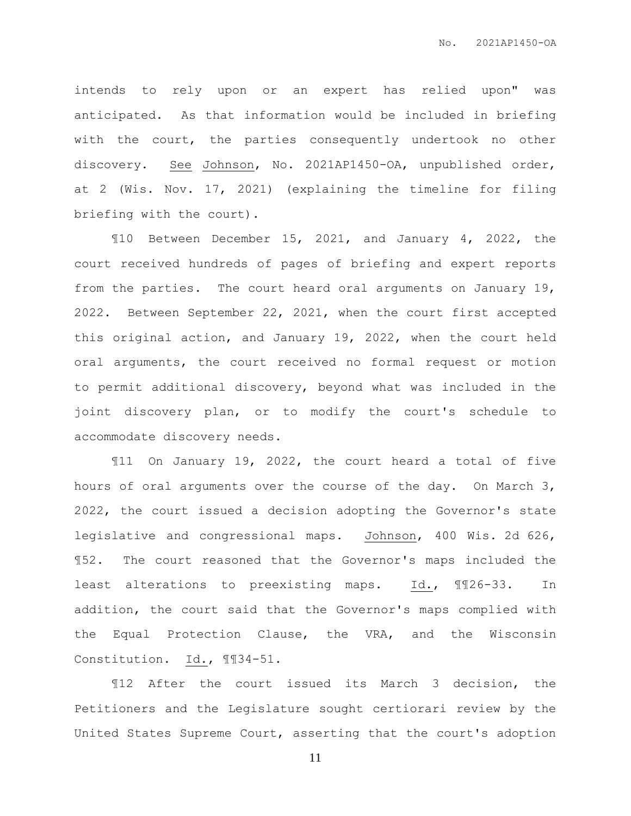intends to rely upon or an expert has relied upon" was anticipated. As that information would be included in briefing with the court, the parties consequently undertook no other discovery. See Johnson, No. 2021AP1450-OA, unpublished order, at 2 (Wis. Nov. 17, 2021) (explaining the timeline for filing briefing with the court).

¶10 Between December 15, 2021, and January 4, 2022, the court received hundreds of pages of briefing and expert reports from the parties. The court heard oral arguments on January 19, 2022. Between September 22, 2021, when the court first accepted this original action, and January 19, 2022, when the court held oral arguments, the court received no formal request or motion to permit additional discovery, beyond what was included in the joint discovery plan, or to modify the court's schedule to accommodate discovery needs.

¶11 On January 19, 2022, the court heard a total of five hours of oral arguments over the course of the day. On March 3, 2022, the court issued a decision adopting the Governor's state legislative and congressional maps. Johnson, 400 Wis. 2d 626, ¶52. The court reasoned that the Governor's maps included the least alterations to preexisting maps. Id., ¶¶26-33. In addition, the court said that the Governor's maps complied with the Equal Protection Clause, the VRA, and the Wisconsin Constitution. Id., ¶¶34-51.

¶12 After the court issued its March 3 decision, the Petitioners and the Legislature sought certiorari review by the United States Supreme Court, asserting that the court's adoption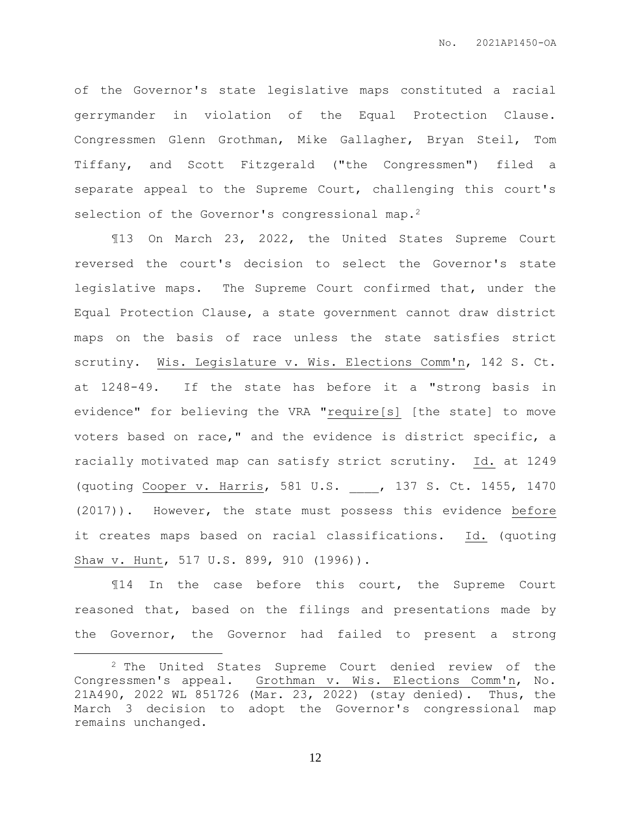of the Governor's state legislative maps constituted a racial gerrymander in violation of the Equal Protection Clause. Congressmen Glenn Grothman, Mike Gallagher, Bryan Steil, Tom Tiffany, and Scott Fitzgerald ("the Congressmen") filed a separate appeal to the Supreme Court, challenging this court's selection of the Governor's congressional map.<sup>2</sup>

¶13 On March 23, 2022, the United States Supreme Court reversed the court's decision to select the Governor's state legislative maps. The Supreme Court confirmed that, under the Equal Protection Clause, a state government cannot draw district maps on the basis of race unless the state satisfies strict scrutiny. Wis. Legislature v. Wis. Elections Comm'n, 142 S. Ct. at 1248-49. If the state has before it a "strong basis in evidence" for believing the VRA "require[s] [the state] to move voters based on race," and the evidence is district specific, a racially motivated map can satisfy strict scrutiny. Id. at 1249 (quoting Cooper v. Harris, 581 U.S. \_\_\_\_, 137 S. Ct. 1455, 1470 (2017)). However, the state must possess this evidence before it creates maps based on racial classifications. Id. (quoting Shaw v. Hunt, 517 U.S. 899, 910 (1996)).

¶14 In the case before this court, the Supreme Court reasoned that, based on the filings and presentations made by the Governor, the Governor had failed to present a strong

 $\overline{a}$ 

<sup>2</sup> The United States Supreme Court denied review of the Congressmen's appeal. Grothman v. Wis. Elections Comm'n, No. 21A490, 2022 WL 851726 (Mar. 23, 2022) (stay denied). Thus, the March 3 decision to adopt the Governor's congressional map remains unchanged.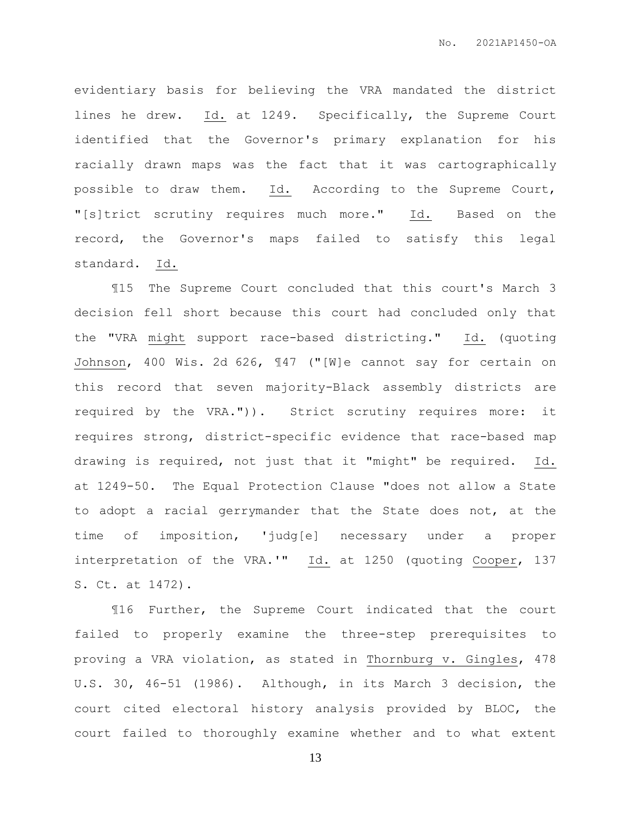evidentiary basis for believing the VRA mandated the district lines he drew. Id. at 1249. Specifically, the Supreme Court identified that the Governor's primary explanation for his racially drawn maps was the fact that it was cartographically possible to draw them. Id. According to the Supreme Court, "[s]trict scrutiny requires much more." Id. Based on the record, the Governor's maps failed to satisfy this legal standard. Id.

¶15 The Supreme Court concluded that this court's March 3 decision fell short because this court had concluded only that the "VRA might support race-based districting." Id. (quoting Johnson, 400 Wis. 2d 626, ¶47 ("[W]e cannot say for certain on this record that seven majority-Black assembly districts are required by the VRA.")). Strict scrutiny requires more: it requires strong, district-specific evidence that race-based map drawing is required, not just that it "might" be required. Id. at 1249-50. The Equal Protection Clause "does not allow a State to adopt a racial gerrymander that the State does not, at the time of imposition, 'judg[e] necessary under a proper interpretation of the VRA.'" Id. at 1250 (quoting Cooper, 137 S. Ct. at 1472).

¶16 Further, the Supreme Court indicated that the court failed to properly examine the three-step prerequisites to proving a VRA violation, as stated in Thornburg v. Gingles, 478 U.S. 30, 46-51 (1986). Although, in its March 3 decision, the court cited electoral history analysis provided by BLOC, the court failed to thoroughly examine whether and to what extent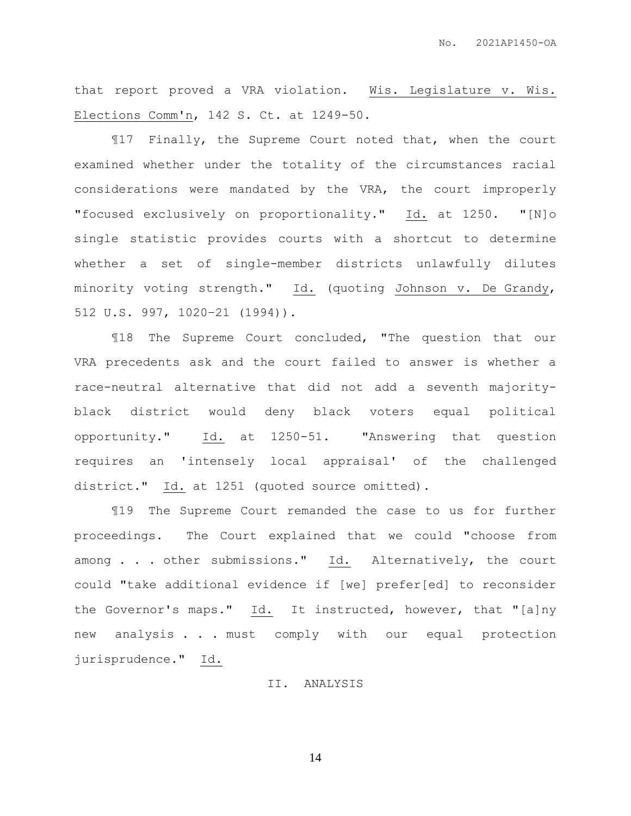that report proved a VRA violation. Wis. Legislature v. Wis. Elections Comm'n, 142 S. Ct. at 1249-50.

¶17 Finally, the Supreme Court noted that, when the court examined whether under the totality of the circumstances racial considerations were mandated by the VRA, the court improperly "focused exclusively on proportionality." Id. at 1250. "[N]o single statistic provides courts with a shortcut to determine whether a set of single-member districts unlawfully dilutes minority voting strength." Id. (quoting Johnson v. De Grandy, 512 U.S. 997, 1020–21 (1994)).

¶18 The Supreme Court concluded, "The question that our VRA precedents ask and the court failed to answer is whether a race-neutral alternative that did not add a seventh majorityblack district would deny black voters equal political opportunity." Id. at 1250-51. "Answering that question requires an 'intensely local appraisal' of the challenged district." Id. at 1251 (quoted source omitted).

¶19 The Supreme Court remanded the case to us for further proceedings. The Court explained that we could "choose from among . . . other submissions." Id. Alternatively, the court could "take additional evidence if [we] prefer[ed] to reconsider the Governor's maps." Id. It instructed, however, that "[a]ny new analysis . . . must comply with our equal protection jurisprudence." Id.

## II. ANALYSIS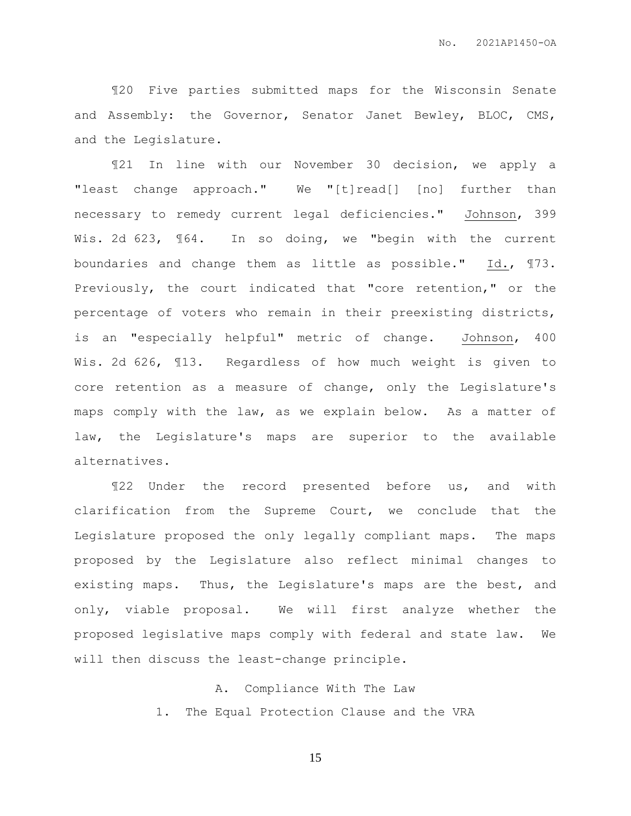¶20 Five parties submitted maps for the Wisconsin Senate and Assembly: the Governor, Senator Janet Bewley, BLOC, CMS, and the Legislature.

¶21 In line with our November 30 decision, we apply a "least change approach." We "[t]read[] [no] further than necessary to remedy current legal deficiencies." Johnson, 399 Wis. 2d 623, 164. In so doing, we "begin with the current boundaries and change them as little as possible." Id., ¶73. Previously, the court indicated that "core retention," or the percentage of voters who remain in their preexisting districts, is an "especially helpful" metric of change. Johnson, 400 Wis. 2d 626, ¶13. Regardless of how much weight is given to core retention as a measure of change, only the Legislature's maps comply with the law, as we explain below. As a matter of law, the Legislature's maps are superior to the available alternatives.

¶22 Under the record presented before us, and with clarification from the Supreme Court, we conclude that the Legislature proposed the only legally compliant maps. The maps proposed by the Legislature also reflect minimal changes to existing maps. Thus, the Legislature's maps are the best, and only, viable proposal. We will first analyze whether the proposed legislative maps comply with federal and state law. We will then discuss the least-change principle.

> A. Compliance With The Law 1. The Equal Protection Clause and the VRA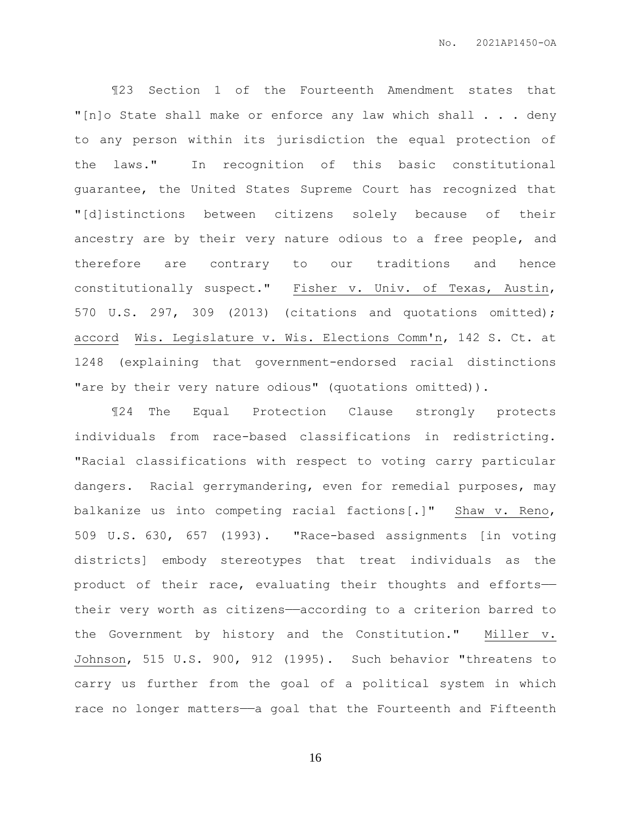¶23 Section 1 of the Fourteenth Amendment states that "[n]o State shall make or enforce any law which shall . . . deny to any person within its jurisdiction the equal protection of the laws." In recognition of this basic constitutional guarantee, the United States Supreme Court has recognized that "[d]istinctions between citizens solely because of their ancestry are by their very nature odious to a free people, and therefore are contrary to our traditions and hence constitutionally suspect." Fisher v. Univ. of Texas, Austin, 570 U.S. 297, 309 (2013) (citations and quotations omitted); accord Wis. Legislature v. Wis. Elections Comm'n, 142 S. Ct. at 1248 (explaining that government-endorsed racial distinctions "are by their very nature odious" (quotations omitted)).

¶24 The Equal Protection Clause strongly protects individuals from race-based classifications in redistricting. "Racial classifications with respect to voting carry particular dangers. Racial gerrymandering, even for remedial purposes, may balkanize us into competing racial factions[.]" Shaw v. Reno, 509 U.S. 630, 657 (1993). "Race-based assignments [in voting districts] embody stereotypes that treat individuals as the product of their race, evaluating their thoughts and efforts— their very worth as citizens——according to a criterion barred to the Government by history and the Constitution." Miller v. Johnson, 515 U.S. 900, 912 (1995). Such behavior "threatens to carry us further from the goal of a political system in which race no longer matters-a goal that the Fourteenth and Fifteenth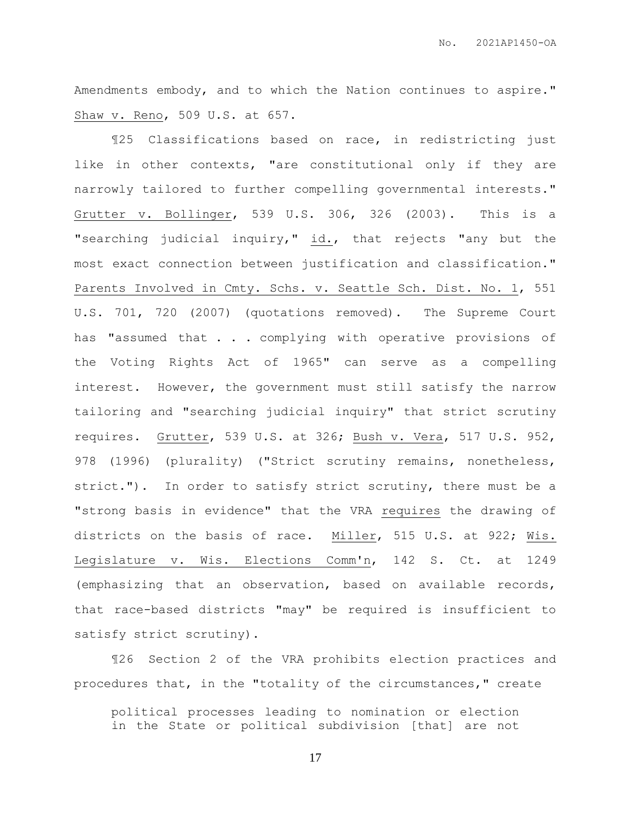Amendments embody, and to which the Nation continues to aspire." Shaw v. Reno, 509 U.S. at 657.

¶25 Classifications based on race, in redistricting just like in other contexts, "are constitutional only if they are narrowly tailored to further compelling governmental interests." Grutter v. Bollinger, 539 U.S. 306, 326 (2003). This is a "searching judicial inquiry," id., that rejects "any but the most exact connection between justification and classification." Parents Involved in Cmty. Schs. v. Seattle Sch. Dist. No. 1, 551 U.S. 701, 720 (2007) (quotations removed). The Supreme Court has "assumed that . . . complying with operative provisions of the Voting Rights Act of 1965" can serve as a compelling interest. However, the government must still satisfy the narrow tailoring and "searching judicial inquiry" that strict scrutiny requires. Grutter, 539 U.S. at 326; Bush v. Vera, 517 U.S. 952, 978 (1996) (plurality) ("Strict scrutiny remains, nonetheless, strict."). In order to satisfy strict scrutiny, there must be a "strong basis in evidence" that the VRA requires the drawing of districts on the basis of race. Miller, 515 U.S. at 922; Wis. Legislature v. Wis. Elections Comm'n, 142 S. Ct. at 1249 (emphasizing that an observation, based on available records, that race-based districts "may" be required is insufficient to satisfy strict scrutiny).

¶26 Section 2 of the VRA prohibits election practices and procedures that, in the "totality of the circumstances," create

political processes leading to nomination or election in the State or political subdivision [that] are not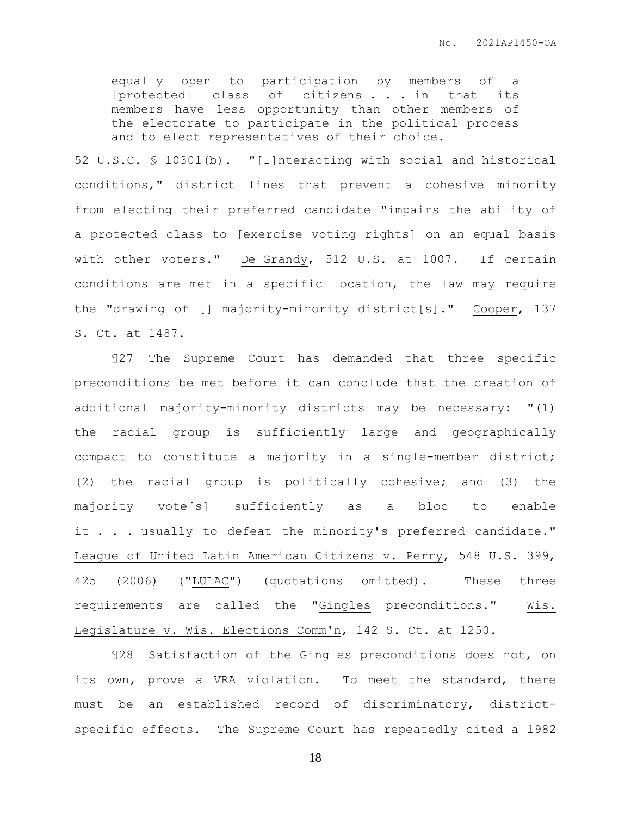equally open to participation by members of a [protected] class of citizens . . . in that its members have less opportunity than other members of the electorate to participate in the political process and to elect representatives of their choice.

52 U.S.C. § 10301(b). "[I]nteracting with social and historical conditions," district lines that prevent a cohesive minority from electing their preferred candidate "impairs the ability of a protected class to [exercise voting rights] on an equal basis with other voters." De Grandy, 512 U.S. at 1007. If certain conditions are met in a specific location, the law may require the "drawing of [] majority-minority district[s]." Cooper, 137 S. Ct. at 1487.

¶27 The Supreme Court has demanded that three specific preconditions be met before it can conclude that the creation of additional majority-minority districts may be necessary: "(1) the racial group is sufficiently large and geographically compact to constitute a majority in a single-member district; (2) the racial group is politically cohesive; and (3) the majority vote[s] sufficiently as a bloc to enable it . . . usually to defeat the minority's preferred candidate." League of United Latin American Citizens v. Perry, 548 U.S. 399, 425 (2006) ("LULAC") (quotations omitted). These three requirements are called the "Gingles preconditions." Wis. Legislature v. Wis. Elections Comm'n, 142 S. Ct. at 1250.

¶28 Satisfaction of the Gingles preconditions does not, on its own, prove a VRA violation. To meet the standard, there must be an established record of discriminatory, districtspecific effects. The Supreme Court has repeatedly cited a 1982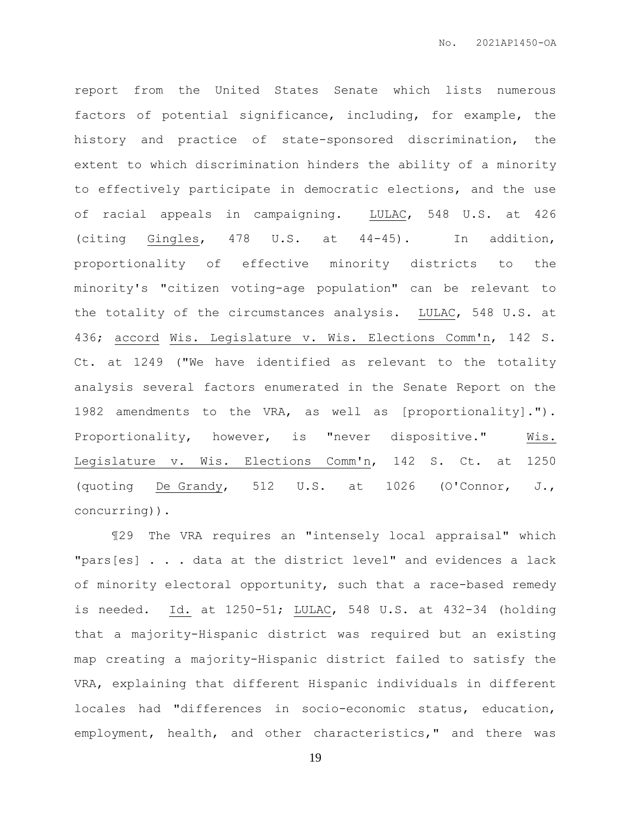report from the United States Senate which lists numerous factors of potential significance, including, for example, the history and practice of state-sponsored discrimination, the extent to which discrimination hinders the ability of a minority to effectively participate in democratic elections, and the use of racial appeals in campaigning. LULAC, 548 U.S. at 426 (citing Gingles, 478 U.S. at 44-45). In addition, proportionality of effective minority districts to the minority's "citizen voting-age population" can be relevant to the totality of the circumstances analysis. LULAC, 548 U.S. at 436; accord Wis. Legislature v. Wis. Elections Comm'n, 142 S. Ct. at 1249 ("We have identified as relevant to the totality analysis several factors enumerated in the Senate Report on the 1982 amendments to the VRA, as well as [proportionality]."). Proportionality, however, is "never dispositive." Wis. Legislature v. Wis. Elections Comm'n, 142 S. Ct. at 1250 (quoting De Grandy, 512 U.S. at 1026 (O'Connor, J., concurring)).

¶29 The VRA requires an "intensely local appraisal" which "pars[es] . . . data at the district level" and evidences a lack of minority electoral opportunity, such that a race-based remedy is needed. Id. at 1250-51; LULAC, 548 U.S. at 432-34 (holding that a majority-Hispanic district was required but an existing map creating a majority-Hispanic district failed to satisfy the VRA, explaining that different Hispanic individuals in different locales had "differences in socio-economic status, education, employment, health, and other characteristics," and there was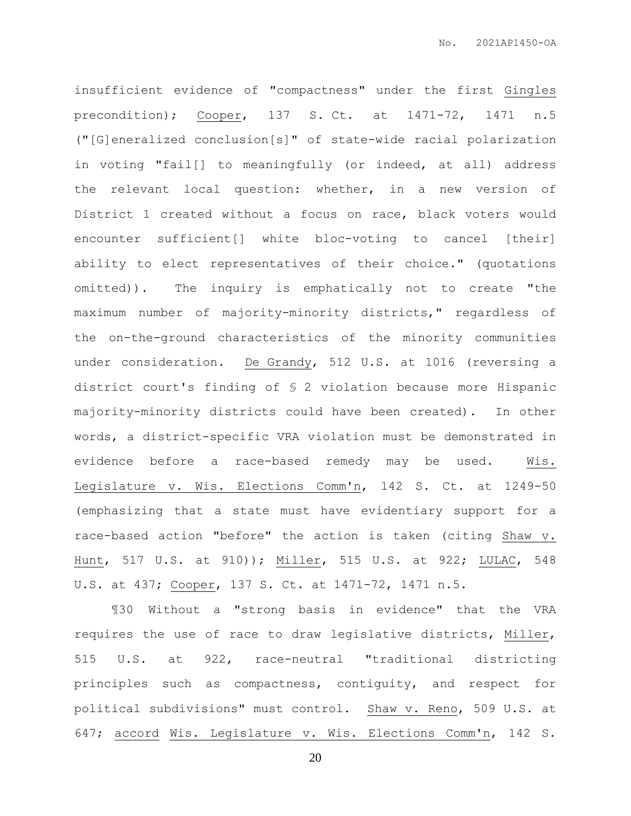insufficient evidence of "compactness" under the first Gingles precondition); Cooper, 137 S. Ct. at 1471-72, 1471 n.5 ("[G]eneralized conclusion[s]" of state-wide racial polarization in voting "fail[] to meaningfully (or indeed, at all) address the relevant local question: whether, in a new version of District 1 created without a focus on race, black voters would encounter sufficient[] white bloc-voting to cancel [their] ability to elect representatives of their choice." (quotations omitted)). The inquiry is emphatically not to create "the maximum number of majority-minority districts," regardless of the on-the-ground characteristics of the minority communities under consideration. De Grandy, 512 U.S. at 1016 (reversing a district court's finding of § 2 violation because more Hispanic majority-minority districts could have been created). In other words, a district-specific VRA violation must be demonstrated in evidence before a race-based remedy may be used. Wis. Legislature v. Wis. Elections Comm'n, 142 S. Ct. at 1249-50 (emphasizing that a state must have evidentiary support for a race-based action "before" the action is taken (citing Shaw v. Hunt, 517 U.S. at 910)); Miller, 515 U.S. at 922; LULAC, 548 U.S. at 437; Cooper, 137 S. Ct. at 1471-72, 1471 n.5.

¶30 Without a "strong basis in evidence" that the VRA requires the use of race to draw legislative districts, Miller, 515 U.S. at 922, race-neutral "traditional districting principles such as compactness, contiguity, and respect for political subdivisions" must control. Shaw v. Reno, 509 U.S. at 647; accord Wis. Legislature v. Wis. Elections Comm'n, 142 S.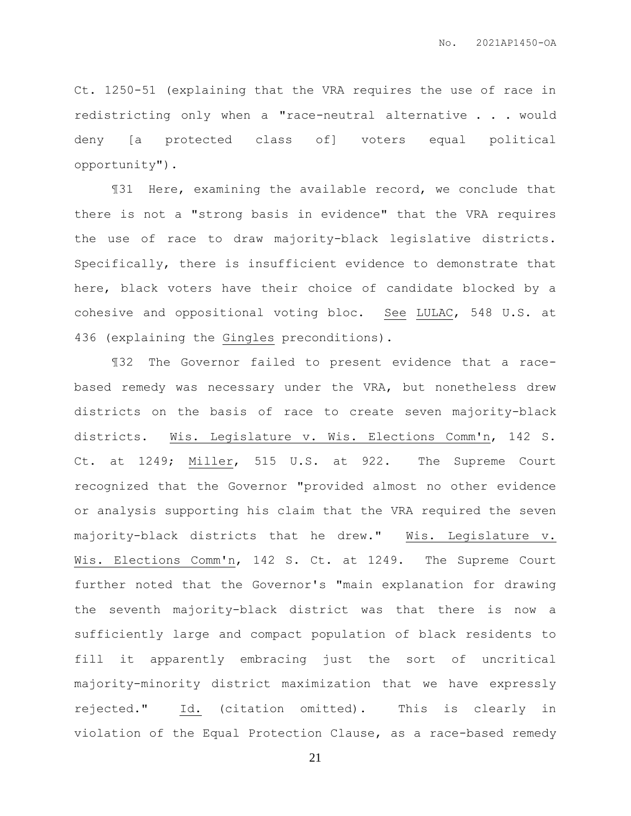Ct. 1250-51 (explaining that the VRA requires the use of race in redistricting only when a "race-neutral alternative . . . would deny [a protected class of] voters equal political opportunity").

¶31 Here, examining the available record, we conclude that there is not a "strong basis in evidence" that the VRA requires the use of race to draw majority-black legislative districts. Specifically, there is insufficient evidence to demonstrate that here, black voters have their choice of candidate blocked by a cohesive and oppositional voting bloc. See LULAC, 548 U.S. at 436 (explaining the Gingles preconditions).

¶32 The Governor failed to present evidence that a racebased remedy was necessary under the VRA, but nonetheless drew districts on the basis of race to create seven majority-black districts. Wis. Legislature v. Wis. Elections Comm'n, 142 S. Ct. at 1249; Miller, 515 U.S. at 922. The Supreme Court recognized that the Governor "provided almost no other evidence or analysis supporting his claim that the VRA required the seven majority-black districts that he drew." Wis. Legislature v. Wis. Elections Comm'n, 142 S. Ct. at 1249. The Supreme Court further noted that the Governor's "main explanation for drawing the seventh majority-black district was that there is now a sufficiently large and compact population of black residents to fill it apparently embracing just the sort of uncritical majority-minority district maximization that we have expressly rejected." Id. (citation omitted). This is clearly in violation of the Equal Protection Clause, as a race-based remedy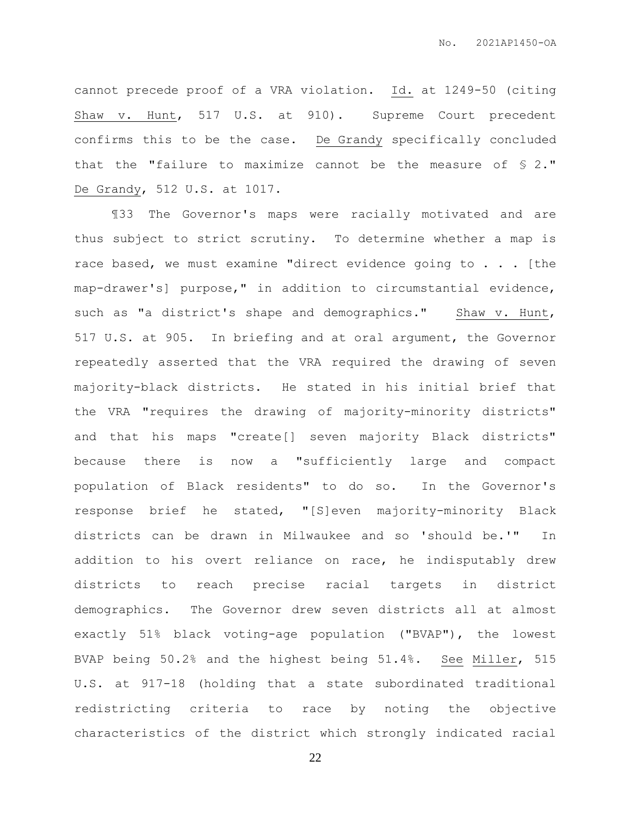cannot precede proof of a VRA violation. Id. at 1249-50 (citing Shaw v. Hunt, 517 U.S. at 910). Supreme Court precedent confirms this to be the case. De Grandy specifically concluded that the "failure to maximize cannot be the measure of § 2." De Grandy, 512 U.S. at 1017.

¶33 The Governor's maps were racially motivated and are thus subject to strict scrutiny. To determine whether a map is race based, we must examine "direct evidence going to . . . [the map-drawer's] purpose," in addition to circumstantial evidence, such as "a district's shape and demographics." Shaw v. Hunt, 517 U.S. at 905. In briefing and at oral argument, the Governor repeatedly asserted that the VRA required the drawing of seven majority-black districts. He stated in his initial brief that the VRA "requires the drawing of majority-minority districts" and that his maps "create[] seven majority Black districts" because there is now a "sufficiently large and compact population of Black residents" to do so. In the Governor's response brief he stated, "[S]even majority-minority Black districts can be drawn in Milwaukee and so 'should be.'" In addition to his overt reliance on race, he indisputably drew districts to reach precise racial targets in district demographics. The Governor drew seven districts all at almost exactly 51% black voting-age population ("BVAP"), the lowest BVAP being 50.2% and the highest being 51.4%. See Miller, 515 U.S. at 917-18 (holding that a state subordinated traditional redistricting criteria to race by noting the objective characteristics of the district which strongly indicated racial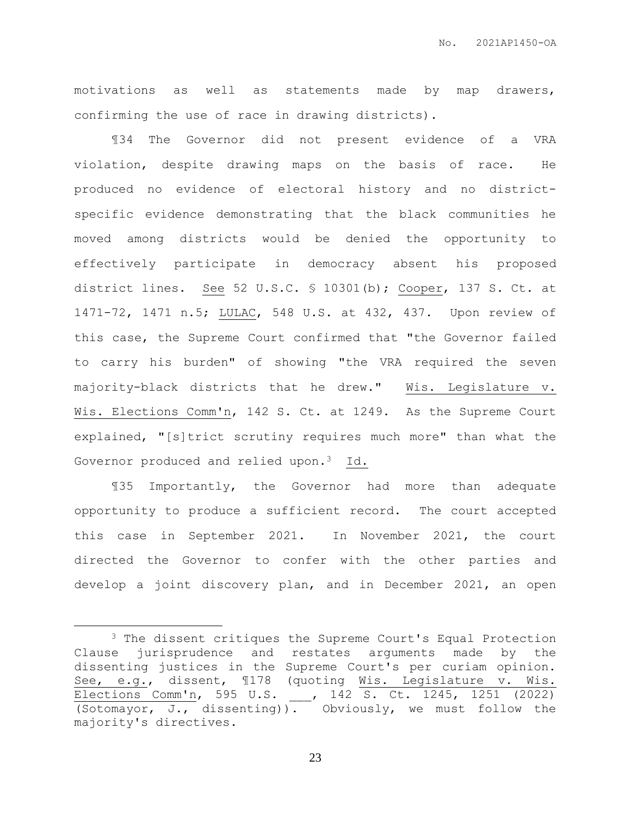motivations as well as statements made by map drawers, confirming the use of race in drawing districts).

¶34 The Governor did not present evidence of a VRA violation, despite drawing maps on the basis of race. He produced no evidence of electoral history and no districtspecific evidence demonstrating that the black communities he moved among districts would be denied the opportunity to effectively participate in democracy absent his proposed district lines. See 52 U.S.C. § 10301(b); Cooper, 137 S. Ct. at 1471-72, 1471 n.5; LULAC, 548 U.S. at 432, 437. Upon review of this case, the Supreme Court confirmed that "the Governor failed to carry his burden" of showing "the VRA required the seven majority-black districts that he drew." Wis. Legislature v. Wis. Elections Comm'n, 142 S. Ct. at 1249. As the Supreme Court explained, "[s]trict scrutiny requires much more" than what the Governor produced and relied upon.<sup>3</sup> Id.

¶35 Importantly, the Governor had more than adequate opportunity to produce a sufficient record. The court accepted this case in September 2021. In November 2021, the court directed the Governor to confer with the other parties and develop a joint discovery plan, and in December 2021, an open

 $\overline{a}$ 

<sup>&</sup>lt;sup>3</sup> The dissent critiques the Supreme Court's Equal Protection Clause jurisprudence and restates arguments made by the dissenting justices in the Supreme Court's per curiam opinion. See, e.g., dissent, ¶178 (quoting Wis. Legislature v. Wis. Elections Comm'n, 595 U.S. \_\_\_, 142 S. Ct. 1245, 1251 (2022) (Sotomayor, J., dissenting)). Obviously, we must follow the majority's directives.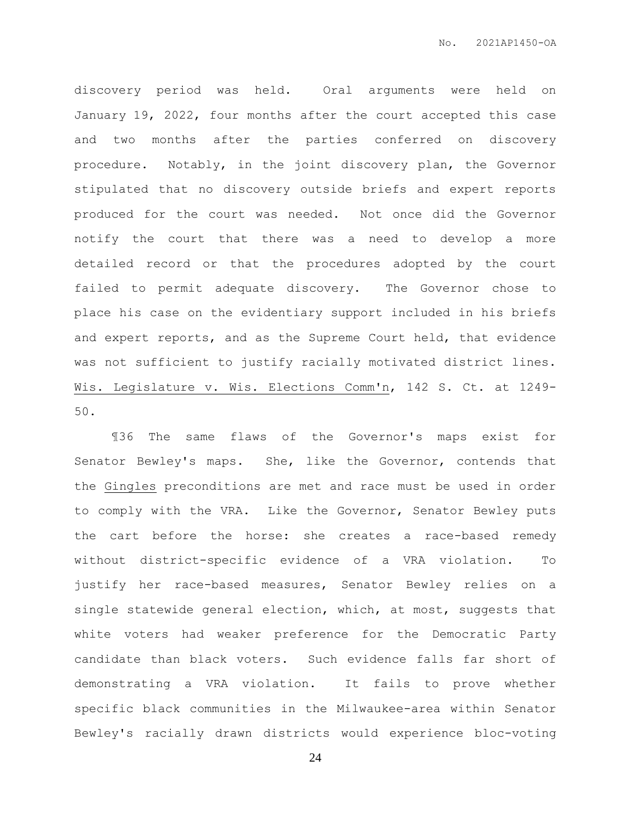discovery period was held. Oral arguments were held on January 19, 2022, four months after the court accepted this case and two months after the parties conferred on discovery procedure. Notably, in the joint discovery plan, the Governor stipulated that no discovery outside briefs and expert reports produced for the court was needed. Not once did the Governor notify the court that there was a need to develop a more detailed record or that the procedures adopted by the court failed to permit adequate discovery. The Governor chose to place his case on the evidentiary support included in his briefs and expert reports, and as the Supreme Court held, that evidence was not sufficient to justify racially motivated district lines. Wis. Legislature v. Wis. Elections Comm'n, 142 S. Ct. at 1249- 50.

¶36 The same flaws of the Governor's maps exist for Senator Bewley's maps. She, like the Governor, contends that the Gingles preconditions are met and race must be used in order to comply with the VRA. Like the Governor, Senator Bewley puts the cart before the horse: she creates a race-based remedy without district-specific evidence of a VRA violation. To justify her race-based measures, Senator Bewley relies on a single statewide general election, which, at most, suggests that white voters had weaker preference for the Democratic Party candidate than black voters. Such evidence falls far short of demonstrating a VRA violation. It fails to prove whether specific black communities in the Milwaukee-area within Senator Bewley's racially drawn districts would experience bloc-voting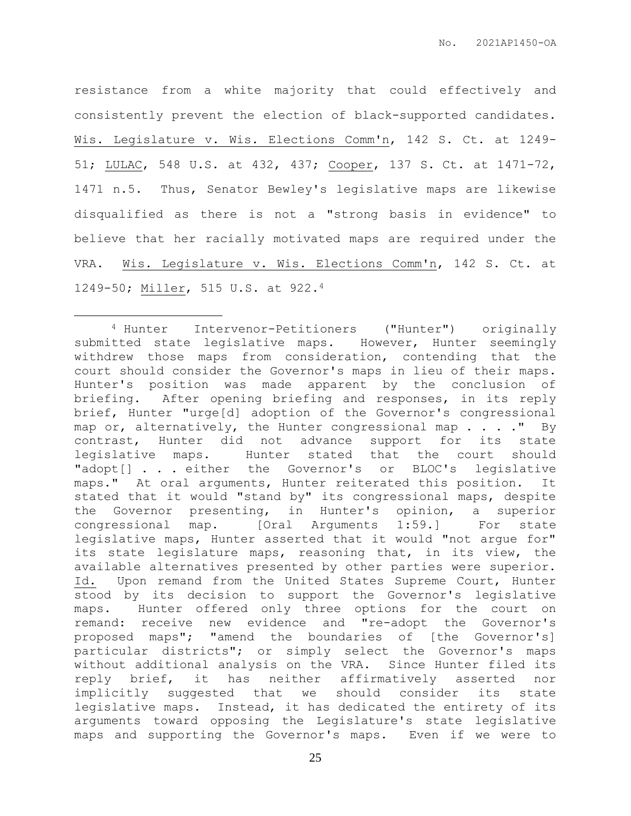resistance from a white majority that could effectively and consistently prevent the election of black-supported candidates. Wis. Legislature v. Wis. Elections Comm'n, 142 S. Ct. at 1249- 51; LULAC, 548 U.S. at 432, 437; Cooper, 137 S. Ct. at 1471-72, 1471 n.5. Thus, Senator Bewley's legislative maps are likewise disqualified as there is not a "strong basis in evidence" to believe that her racially motivated maps are required under the VRA. Wis. Legislature v. Wis. Elections Comm'n, 142 S. Ct. at 1249-50; Miller, 515 U.S. at 922.<sup>4</sup>

 $\overline{a}$ 

<sup>4</sup> Hunter Intervenor-Petitioners ("Hunter") originally submitted state legislative maps. However, Hunter seemingly withdrew those maps from consideration, contending that the court should consider the Governor's maps in lieu of their maps. Hunter's position was made apparent by the conclusion of briefing. After opening briefing and responses, in its reply brief, Hunter "urge[d] adoption of the Governor's congressional map or, alternatively, the Hunter congressional map  $\ldots$ ." By contrast, Hunter did not advance support for its state legislative maps. Hunter stated that the court should "adopt[] . . . either the Governor's or BLOC's legislative maps." At oral arguments, Hunter reiterated this position. It stated that it would "stand by" its congressional maps, despite the Governor presenting, in Hunter's opinion, a superior congressional map. [Oral Arguments 1:59.] For state legislative maps, Hunter asserted that it would "not argue for" its state legislature maps, reasoning that, in its view, the available alternatives presented by other parties were superior. Id. Upon remand from the United States Supreme Court, Hunter stood by its decision to support the Governor's legislative maps. Hunter offered only three options for the court on remand: receive new evidence and "re-adopt the Governor's proposed maps"; "amend the boundaries of [the Governor's] particular districts"; or simply select the Governor's maps without additional analysis on the VRA. Since Hunter filed its reply brief, it has neither affirmatively asserted nor implicitly suggested that we should consider its state legislative maps. Instead, it has dedicated the entirety of its arguments toward opposing the Legislature's state legislative maps and supporting the Governor's maps. Even if we were to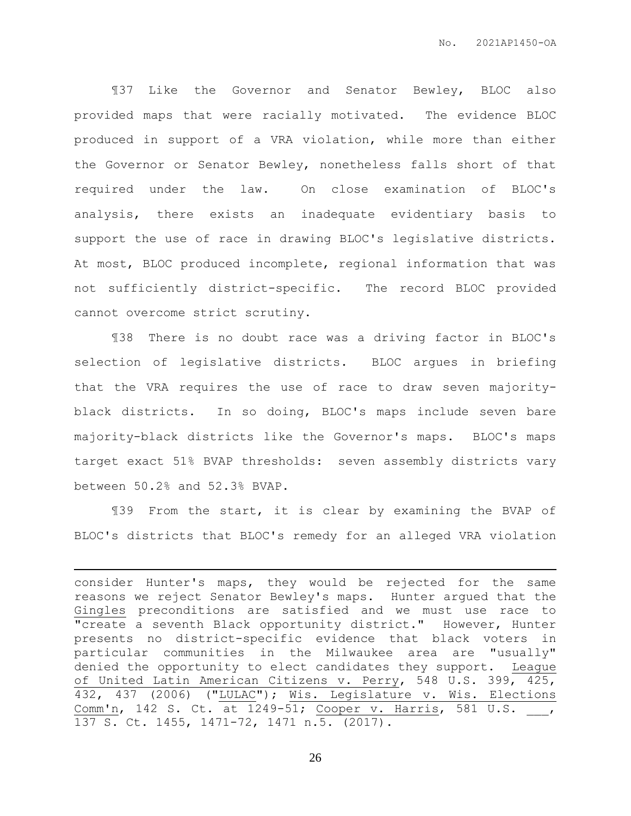¶37 Like the Governor and Senator Bewley, BLOC also provided maps that were racially motivated. The evidence BLOC produced in support of a VRA violation, while more than either the Governor or Senator Bewley, nonetheless falls short of that required under the law. On close examination of BLOC's analysis, there exists an inadequate evidentiary basis to support the use of race in drawing BLOC's legislative districts. At most, BLOC produced incomplete, regional information that was not sufficiently district-specific. The record BLOC provided cannot overcome strict scrutiny.

¶38 There is no doubt race was a driving factor in BLOC's selection of legislative districts. BLOC argues in briefing that the VRA requires the use of race to draw seven majorityblack districts. In so doing, BLOC's maps include seven bare majority-black districts like the Governor's maps. BLOC's maps target exact 51% BVAP thresholds: seven assembly districts vary between 50.2% and 52.3% BVAP.

¶39 From the start, it is clear by examining the BVAP of BLOC's districts that BLOC's remedy for an alleged VRA violation

 $\overline{a}$ 

consider Hunter's maps, they would be rejected for the same reasons we reject Senator Bewley's maps. Hunter argued that the Gingles preconditions are satisfied and we must use race to "create a seventh Black opportunity district." However, Hunter presents no district-specific evidence that black voters in particular communities in the Milwaukee area are "usually" denied the opportunity to elect candidates they support. League of United Latin American Citizens v. Perry, 548 U.S. 399, 425, 432, 437 (2006) ("LULAC"); Wis. Legislature v. Wis. Elections Comm'n, 142 S. Ct. at 1249-51; Cooper v. Harris, 581 U.S. \_\_\_, 137 S. Ct. 1455, 1471-72, 1471 n.5. (2017).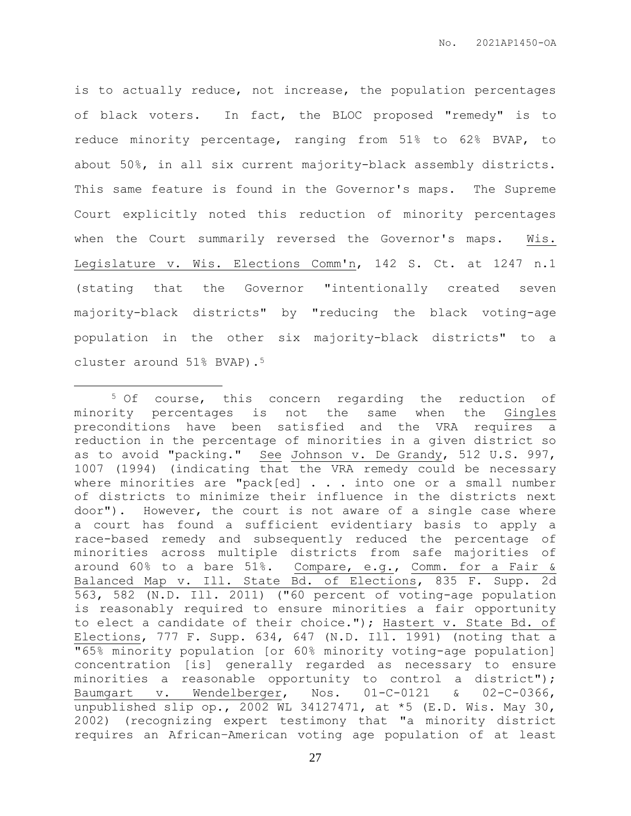is to actually reduce, not increase, the population percentages of black voters. In fact, the BLOC proposed "remedy" is to reduce minority percentage, ranging from 51% to 62% BVAP, to about 50%, in all six current majority-black assembly districts. This same feature is found in the Governor's maps. The Supreme Court explicitly noted this reduction of minority percentages when the Court summarily reversed the Governor's maps. Wis. Legislature v. Wis. Elections Comm'n, 142 S. Ct. at 1247 n.1 (stating that the Governor "intentionally created seven majority-black districts" by "reducing the black voting-age population in the other six majority-black districts" to a cluster around 51% BVAP).<sup>5</sup>

 $\overline{a}$ 

<sup>5</sup> Of course, this concern regarding the reduction of minority percentages is not the same when the Gingles preconditions have been satisfied and the VRA requires a reduction in the percentage of minorities in a given district so as to avoid "packing." See Johnson v. De Grandy, 512 U.S. 997, 1007 (1994) (indicating that the VRA remedy could be necessary where minorities are "pack[ed] . . . into one or a small number of districts to minimize their influence in the districts next door"). However, the court is not aware of a single case where a court has found a sufficient evidentiary basis to apply a race-based remedy and subsequently reduced the percentage of minorities across multiple districts from safe majorities of around 60% to a bare 51%. Compare, e.g., Comm. for a Fair & Balanced Map v. Ill. State Bd. of Elections, 835 F. Supp. 2d 563, 582 (N.D. Ill. 2011) ("60 percent of voting-age population is reasonably required to ensure minorities a fair opportunity to elect a candidate of their choice."); Hastert v. State Bd. of Elections, 777 F. Supp. 634, 647 (N.D. Ill. 1991) (noting that a "65% minority population [or 60% minority voting-age population] concentration [is] generally regarded as necessary to ensure minorities a reasonable opportunity to control a district"); Baumgart v. Wendelberger, Nos. 01-C-0121 & 02-C-0366, unpublished slip op., 2002 WL 34127471, at \*5 (E.D. Wis. May 30, 2002) (recognizing expert testimony that "a minority district requires an African–American voting age population of at least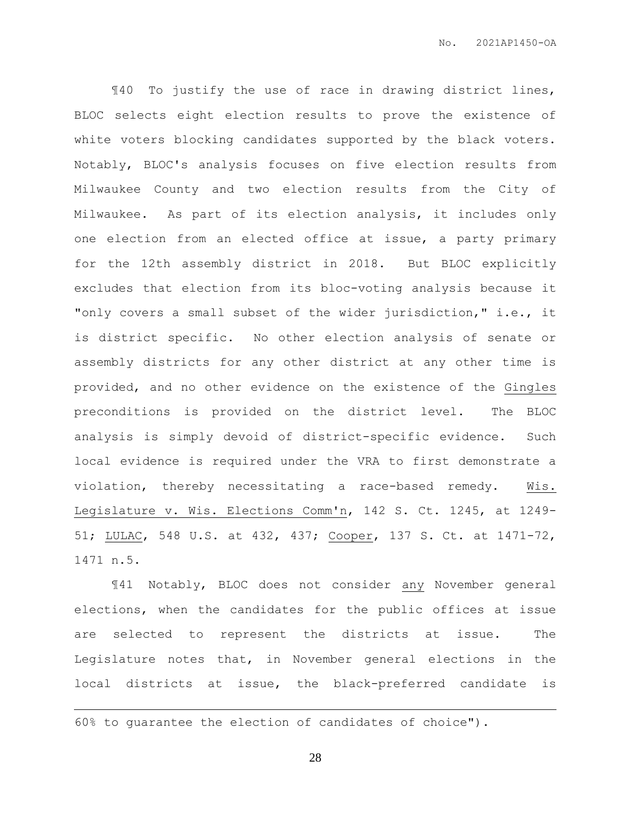¶40 To justify the use of race in drawing district lines, BLOC selects eight election results to prove the existence of white voters blocking candidates supported by the black voters. Notably, BLOC's analysis focuses on five election results from Milwaukee County and two election results from the City of Milwaukee. As part of its election analysis, it includes only one election from an elected office at issue, a party primary for the 12th assembly district in 2018. But BLOC explicitly excludes that election from its bloc-voting analysis because it "only covers a small subset of the wider jurisdiction," i.e., it is district specific. No other election analysis of senate or assembly districts for any other district at any other time is provided, and no other evidence on the existence of the Gingles preconditions is provided on the district level. The BLOC analysis is simply devoid of district-specific evidence. Such local evidence is required under the VRA to first demonstrate a violation, thereby necessitating a race-based remedy. Wis. Legislature v. Wis. Elections Comm'n, 142 S. Ct. 1245, at 1249- 51; LULAC, 548 U.S. at 432, 437; Cooper, 137 S. Ct. at 1471-72, 1471 n.5.

¶41 Notably, BLOC does not consider any November general elections, when the candidates for the public offices at issue are selected to represent the districts at issue. The Legislature notes that, in November general elections in the local districts at issue, the black-preferred candidate is

60% to guarantee the election of candidates of choice").

 $\overline{a}$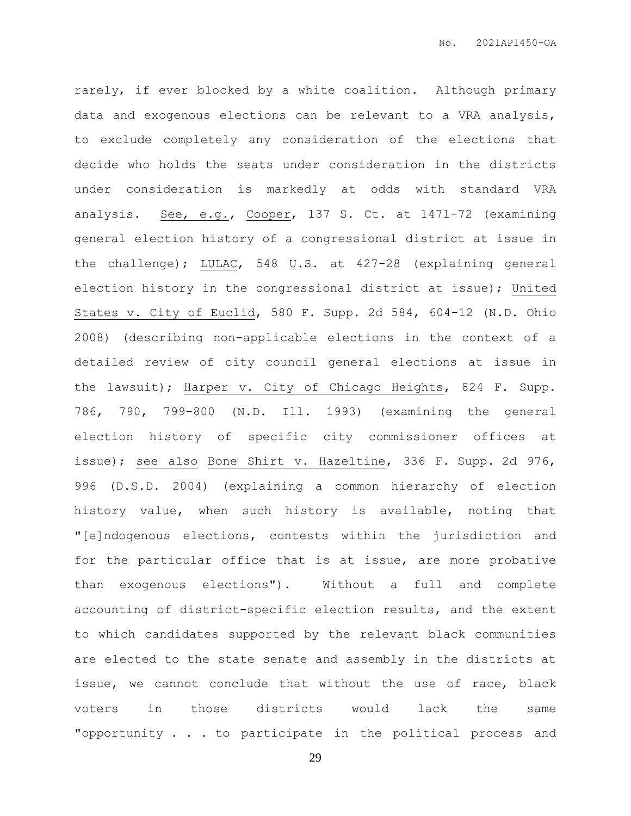rarely, if ever blocked by a white coalition. Although primary data and exogenous elections can be relevant to a VRA analysis, to exclude completely any consideration of the elections that decide who holds the seats under consideration in the districts under consideration is markedly at odds with standard VRA analysis. See, e.g., Cooper, 137 S. Ct. at 1471-72 (examining general election history of a congressional district at issue in the challenge); LULAC, 548 U.S. at 427-28 (explaining general election history in the congressional district at issue); United States v. City of Euclid, 580 F. Supp. 2d 584, 604-12 (N.D. Ohio 2008) (describing non-applicable elections in the context of a detailed review of city council general elections at issue in the lawsuit); Harper v. City of Chicago Heights, 824 F. Supp. 786, 790, 799-800 (N.D. Ill. 1993) (examining the general election history of specific city commissioner offices at issue); see also Bone Shirt v. Hazeltine, 336 F. Supp. 2d 976, 996 (D.S.D. 2004) (explaining a common hierarchy of election history value, when such history is available, noting that "[e]ndogenous elections, contests within the jurisdiction and for the particular office that is at issue, are more probative than exogenous elections"). Without a full and complete accounting of district-specific election results, and the extent to which candidates supported by the relevant black communities are elected to the state senate and assembly in the districts at issue, we cannot conclude that without the use of race, black voters in those districts would lack the same "opportunity . . . to participate in the political process and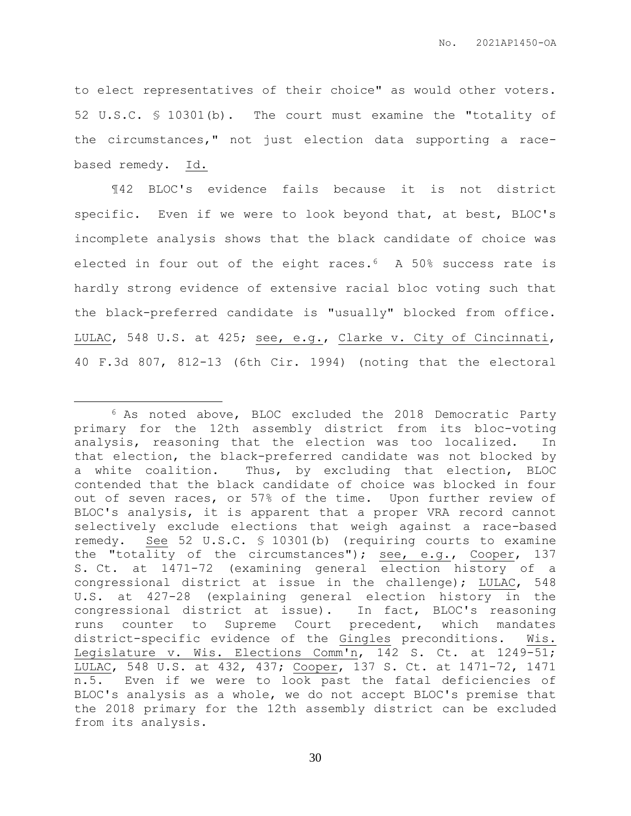to elect representatives of their choice" as would other voters. 52 U.S.C. § 10301(b). The court must examine the "totality of the circumstances," not just election data supporting a racebased remedy. Id.

¶42 BLOC's evidence fails because it is not district specific. Even if we were to look beyond that, at best, BLOC's incomplete analysis shows that the black candidate of choice was elected in four out of the eight races.6 A 50% success rate is hardly strong evidence of extensive racial bloc voting such that the black-preferred candidate is "usually" blocked from office. LULAC, 548 U.S. at 425; see, e.g., Clarke v. City of Cincinnati, 40 F.3d 807, 812-13 (6th Cir. 1994) (noting that the electoral

 $\overline{a}$ 

<sup>6</sup> As noted above, BLOC excluded the 2018 Democratic Party primary for the 12th assembly district from its bloc-voting analysis, reasoning that the election was too localized. In that election, the black-preferred candidate was not blocked by a white coalition. Thus, by excluding that election, BLOC contended that the black candidate of choice was blocked in four out of seven races, or 57% of the time. Upon further review of BLOC's analysis, it is apparent that a proper VRA record cannot selectively exclude elections that weigh against a race-based remedy. See 52 U.S.C. § 10301(b) (requiring courts to examine the "totality of the circumstances"); see, e.g., Cooper, 137 S. Ct. at 1471-72 (examining general election history of a congressional district at issue in the challenge); LULAC, 548 U.S. at 427-28 (explaining general election history in the congressional district at issue). In fact, BLOC's reasoning runs counter to Supreme Court precedent, which mandates district-specific evidence of the Gingles preconditions. Wis. Legislature v. Wis. Elections Comm'n, 142 S. Ct. at 1249-51; LULAC, 548 U.S. at 432, 437; Cooper, 137 S. Ct. at 1471-72, 1471 n.5. Even if we were to look past the fatal deficiencies of BLOC's analysis as a whole, we do not accept BLOC's premise that the 2018 primary for the 12th assembly district can be excluded from its analysis.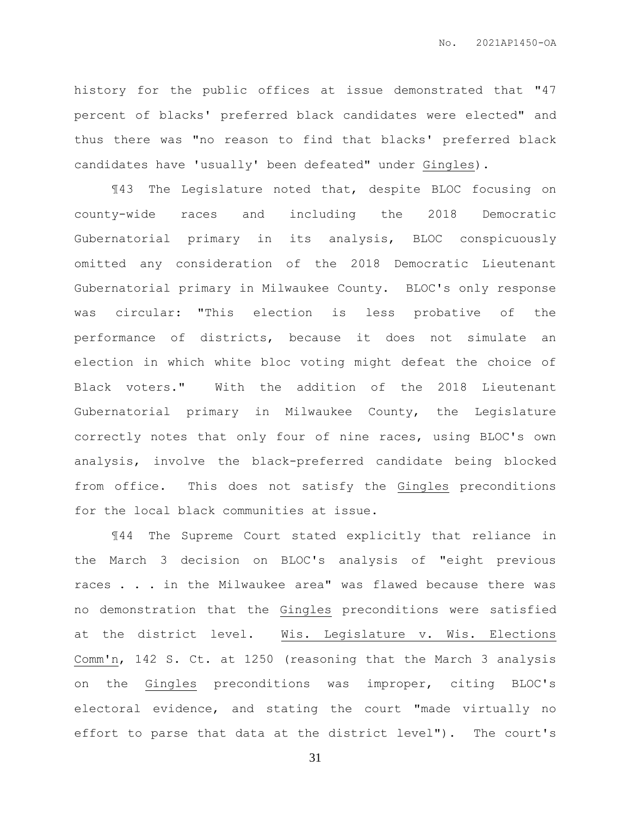history for the public offices at issue demonstrated that "47 percent of blacks' preferred black candidates were elected" and thus there was "no reason to find that blacks' preferred black candidates have 'usually' been defeated" under Gingles).

¶43 The Legislature noted that, despite BLOC focusing on county-wide races and including the 2018 Democratic Gubernatorial primary in its analysis, BLOC conspicuously omitted any consideration of the 2018 Democratic Lieutenant Gubernatorial primary in Milwaukee County. BLOC's only response was circular: "This election is less probative of the performance of districts, because it does not simulate an election in which white bloc voting might defeat the choice of Black voters." With the addition of the 2018 Lieutenant Gubernatorial primary in Milwaukee County, the Legislature correctly notes that only four of nine races, using BLOC's own analysis, involve the black-preferred candidate being blocked from office. This does not satisfy the Gingles preconditions for the local black communities at issue.

¶44 The Supreme Court stated explicitly that reliance in the March 3 decision on BLOC's analysis of "eight previous races . . . in the Milwaukee area" was flawed because there was no demonstration that the Gingles preconditions were satisfied at the district level. Wis. Legislature v. Wis. Elections Comm'n, 142 S. Ct. at 1250 (reasoning that the March 3 analysis on the Gingles preconditions was improper, citing BLOC's electoral evidence, and stating the court "made virtually no effort to parse that data at the district level"). The court's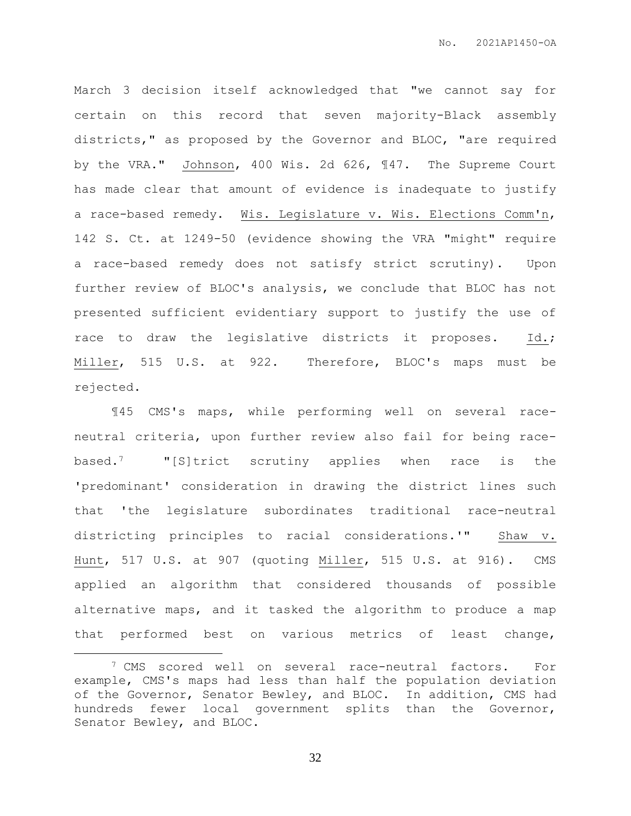March 3 decision itself acknowledged that "we cannot say for certain on this record that seven majority-Black assembly districts," as proposed by the Governor and BLOC, "are required by the VRA." Johnson, 400 Wis. 2d 626, ¶47. The Supreme Court has made clear that amount of evidence is inadequate to justify a race-based remedy. Wis. Legislature v. Wis. Elections Comm'n, 142 S. Ct. at 1249-50 (evidence showing the VRA "might" require a race-based remedy does not satisfy strict scrutiny). Upon further review of BLOC's analysis, we conclude that BLOC has not presented sufficient evidentiary support to justify the use of race to draw the legislative districts it proposes. Id.; Miller, 515 U.S. at 922. Therefore, BLOC's maps must be rejected.

¶45 CMS's maps, while performing well on several raceneutral criteria, upon further review also fail for being racebased.7 "[S]trict scrutiny applies when race is the 'predominant' consideration in drawing the district lines such that 'the legislature subordinates traditional race-neutral districting principles to racial considerations.'" Shaw v. Hunt, 517 U.S. at 907 (quoting Miller, 515 U.S. at 916). CMS applied an algorithm that considered thousands of possible alternative maps, and it tasked the algorithm to produce a map that performed best on various metrics of least change,

 $\overline{a}$ 

<sup>7</sup> CMS scored well on several race-neutral factors. For example, CMS's maps had less than half the population deviation of the Governor, Senator Bewley, and BLOC. In addition, CMS had hundreds fewer local government splits than the Governor, Senator Bewley, and BLOC.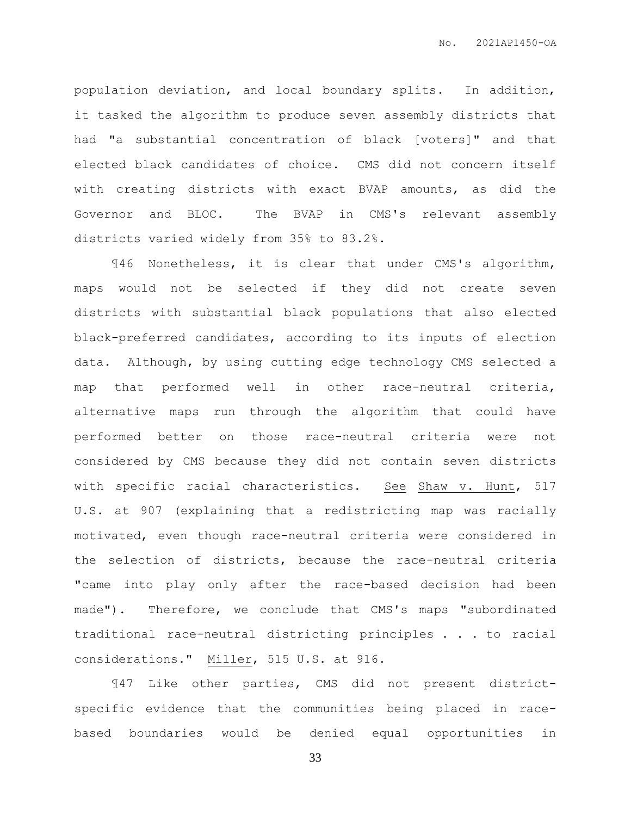population deviation, and local boundary splits. In addition, it tasked the algorithm to produce seven assembly districts that had "a substantial concentration of black [voters]" and that elected black candidates of choice. CMS did not concern itself with creating districts with exact BVAP amounts, as did the Governor and BLOC. The BVAP in CMS's relevant assembly districts varied widely from 35% to 83.2%.

¶46 Nonetheless, it is clear that under CMS's algorithm, maps would not be selected if they did not create seven districts with substantial black populations that also elected black-preferred candidates, according to its inputs of election data. Although, by using cutting edge technology CMS selected a map that performed well in other race-neutral criteria, alternative maps run through the algorithm that could have performed better on those race-neutral criteria were not considered by CMS because they did not contain seven districts with specific racial characteristics. See Shaw v. Hunt, 517 U.S. at 907 (explaining that a redistricting map was racially motivated, even though race-neutral criteria were considered in the selection of districts, because the race-neutral criteria "came into play only after the race-based decision had been made"). Therefore, we conclude that CMS's maps "subordinated traditional race-neutral districting principles . . . to racial considerations." Miller, 515 U.S. at 916.

¶47 Like other parties, CMS did not present districtspecific evidence that the communities being placed in racebased boundaries would be denied equal opportunities in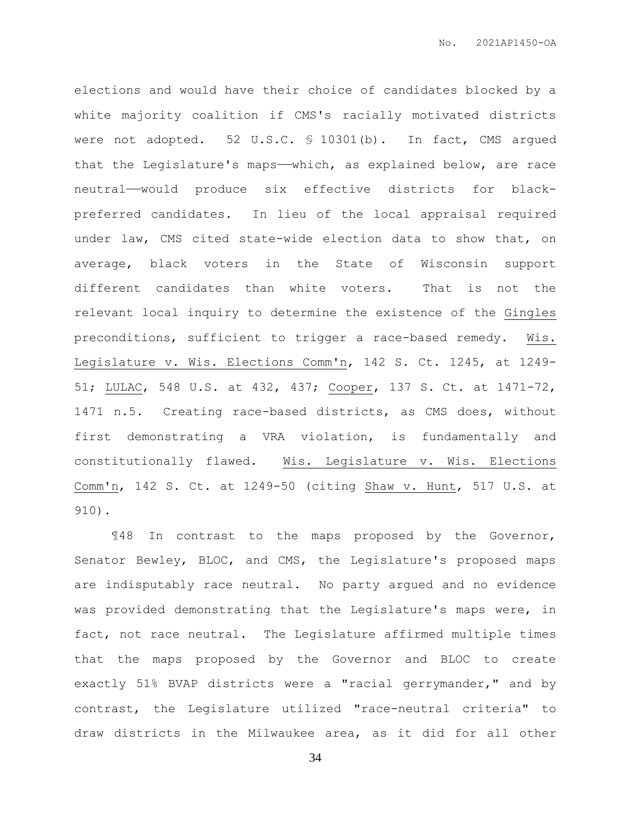elections and would have their choice of candidates blocked by a white majority coalition if CMS's racially motivated districts were not adopted. 52 U.S.C. § 10301(b). In fact, CMS argued that the Legislature's maps——which, as explained below, are race neutral——would produce six effective districts for blackpreferred candidates. In lieu of the local appraisal required under law, CMS cited state-wide election data to show that, on average, black voters in the State of Wisconsin support different candidates than white voters. That is not the relevant local inquiry to determine the existence of the Gingles preconditions, sufficient to trigger a race-based remedy. Wis. Legislature v. Wis. Elections Comm'n, 142 S. Ct. 1245, at 1249- 51; LULAC, 548 U.S. at 432, 437; Cooper, 137 S. Ct. at 1471-72, 1471 n.5. Creating race-based districts, as CMS does, without first demonstrating a VRA violation, is fundamentally and constitutionally flawed. Wis. Legislature v. Wis. Elections Comm'n, 142 S. Ct. at 1249-50 (citing Shaw v. Hunt, 517 U.S. at 910).

¶48 In contrast to the maps proposed by the Governor, Senator Bewley, BLOC, and CMS, the Legislature's proposed maps are indisputably race neutral. No party argued and no evidence was provided demonstrating that the Legislature's maps were, in fact, not race neutral. The Legislature affirmed multiple times that the maps proposed by the Governor and BLOC to create exactly 51% BVAP districts were a "racial gerrymander," and by contrast, the Legislature utilized "race-neutral criteria" to draw districts in the Milwaukee area, as it did for all other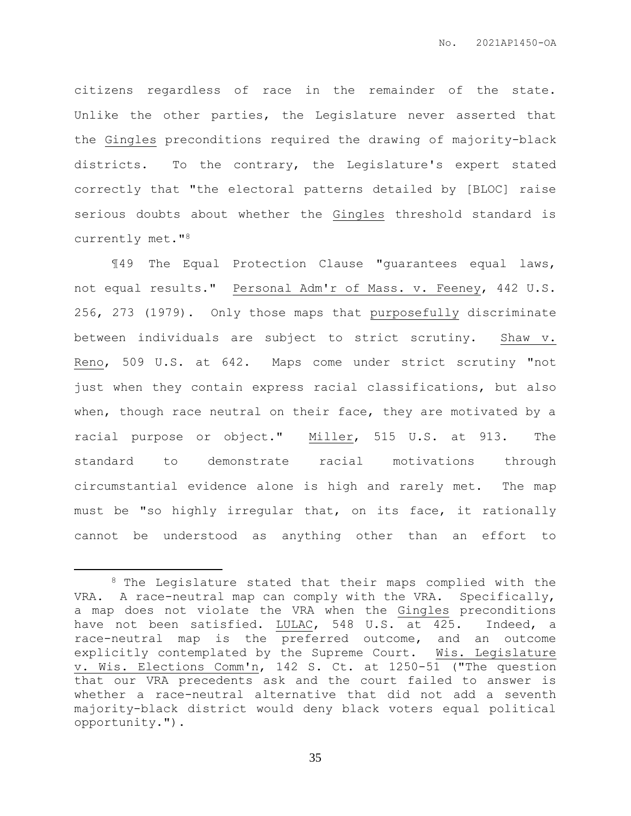citizens regardless of race in the remainder of the state. Unlike the other parties, the Legislature never asserted that the Gingles preconditions required the drawing of majority-black districts. To the contrary, the Legislature's expert stated correctly that "the electoral patterns detailed by [BLOC] raise serious doubts about whether the Gingles threshold standard is currently met."<sup>8</sup>

¶49 The Equal Protection Clause "guarantees equal laws, not equal results." Personal Adm'r of Mass. v. Feeney, 442 U.S. 256, 273 (1979). Only those maps that purposefully discriminate between individuals are subject to strict scrutiny. Shaw v. Reno, 509 U.S. at 642. Maps come under strict scrutiny "not just when they contain express racial classifications, but also when, though race neutral on their face, they are motivated by a racial purpose or object." Miller, 515 U.S. at 913. The standard to demonstrate racial motivations through circumstantial evidence alone is high and rarely met. The map must be "so highly irregular that, on its face, it rationally cannot be understood as anything other than an effort to

 $\overline{a}$ 

<sup>8</sup> The Legislature stated that their maps complied with the VRA. A race-neutral map can comply with the VRA. Specifically, a map does not violate the VRA when the Gingles preconditions have not been satisfied. LULAC, 548 U.S. at 425. Indeed, a race-neutral map is the preferred outcome, and an outcome explicitly contemplated by the Supreme Court. Wis. Legislature v. Wis. Elections Comm'n, 142 S. Ct. at 1250-51 ("The question that our VRA precedents ask and the court failed to answer is whether a race-neutral alternative that did not add a seventh majority-black district would deny black voters equal political opportunity.").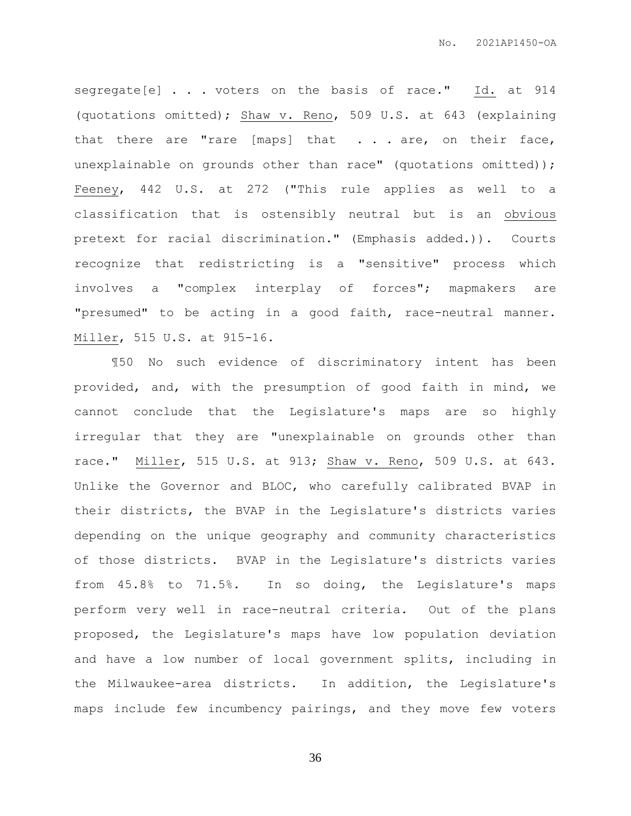segregate[e] . . . voters on the basis of race." Id. at 914 (quotations omitted); Shaw v. Reno, 509 U.S. at 643 (explaining that there are "rare [maps] that . . . are, on their face, unexplainable on grounds other than race" (quotations omitted)); Feeney, 442 U.S. at 272 ("This rule applies as well to a classification that is ostensibly neutral but is an obvious pretext for racial discrimination." (Emphasis added.)). Courts recognize that redistricting is a "sensitive" process which involves a "complex interplay of forces"; mapmakers are "presumed" to be acting in a good faith, race-neutral manner. Miller, 515 U.S. at 915-16.

¶50 No such evidence of discriminatory intent has been provided, and, with the presumption of good faith in mind, we cannot conclude that the Legislature's maps are so highly irregular that they are "unexplainable on grounds other than race." Miller, 515 U.S. at 913; Shaw v. Reno, 509 U.S. at 643. Unlike the Governor and BLOC, who carefully calibrated BVAP in their districts, the BVAP in the Legislature's districts varies depending on the unique geography and community characteristics of those districts. BVAP in the Legislature's districts varies from 45.8% to 71.5%. In so doing, the Legislature's maps perform very well in race-neutral criteria. Out of the plans proposed, the Legislature's maps have low population deviation and have a low number of local government splits, including in the Milwaukee-area districts. In addition, the Legislature's maps include few incumbency pairings, and they move few voters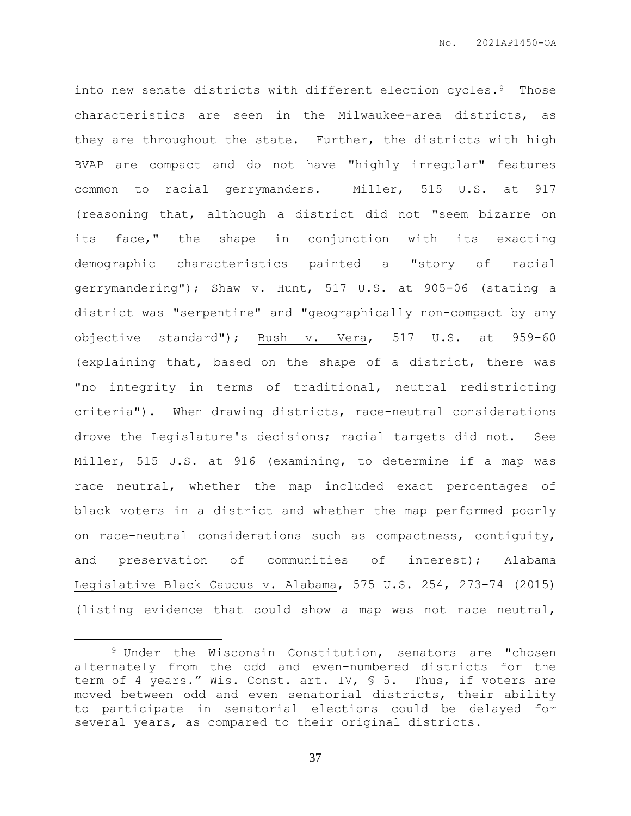into new senate districts with different election cycles.<sup>9</sup> Those characteristics are seen in the Milwaukee-area districts, as they are throughout the state. Further, the districts with high BVAP are compact and do not have "highly irregular" features common to racial gerrymanders. Miller, 515 U.S. at 917 (reasoning that, although a district did not "seem bizarre on its face," the shape in conjunction with its exacting demographic characteristics painted a "story of racial gerrymandering"); Shaw v. Hunt, 517 U.S. at 905-06 (stating a district was "serpentine" and "geographically non-compact by any objective standard"); Bush v. Vera, 517 U.S. at 959-60 (explaining that, based on the shape of a district, there was "no integrity in terms of traditional, neutral redistricting criteria"). When drawing districts, race-neutral considerations drove the Legislature's decisions; racial targets did not. See Miller, 515 U.S. at 916 (examining, to determine if a map was race neutral, whether the map included exact percentages of black voters in a district and whether the map performed poorly on race-neutral considerations such as compactness, contiguity, and preservation of communities of interest); Alabama Legislative Black Caucus v. Alabama, 575 U.S. 254, 273-74 (2015) (listing evidence that could show a map was not race neutral,

 $\overline{a}$ 

<sup>9</sup> Under the Wisconsin Constitution, senators are "chosen alternately from the odd and even-numbered districts for the term of 4 years." Wis. Const. art. IV, § 5. Thus, if voters are moved between odd and even senatorial districts, their ability to participate in senatorial elections could be delayed for several years, as compared to their original districts.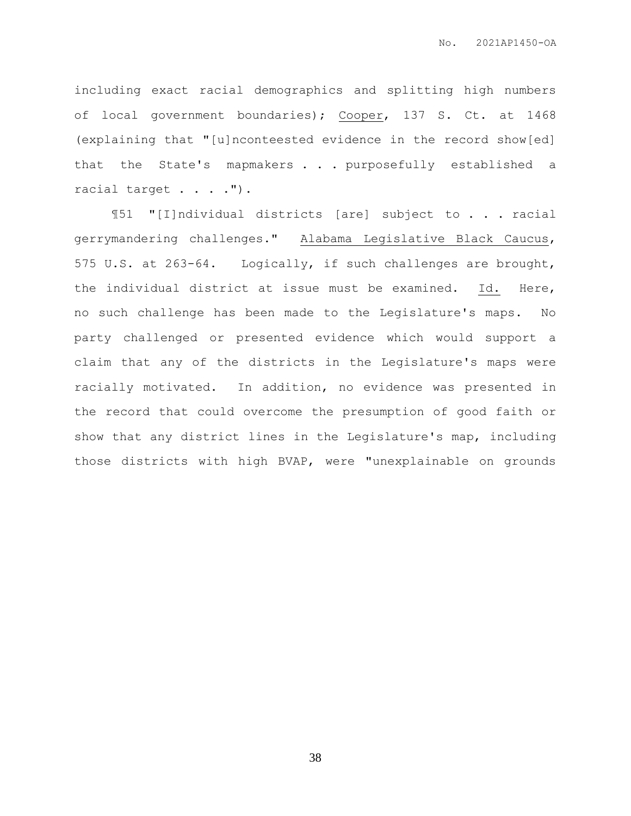including exact racial demographics and splitting high numbers of local government boundaries); Cooper, 137 S. Ct. at 1468 (explaining that "[u]nconteested evidence in the record show[ed] that the State's mapmakers . . . purposefully established a racial target . . . .").

¶51 "[I]ndividual districts [are] subject to . . . racial gerrymandering challenges." Alabama Legislative Black Caucus, 575 U.S. at 263-64. Logically, if such challenges are brought, the individual district at issue must be examined. Id. Here, no such challenge has been made to the Legislature's maps. No party challenged or presented evidence which would support a claim that any of the districts in the Legislature's maps were racially motivated. In addition, no evidence was presented in the record that could overcome the presumption of good faith or show that any district lines in the Legislature's map, including those districts with high BVAP, were "unexplainable on grounds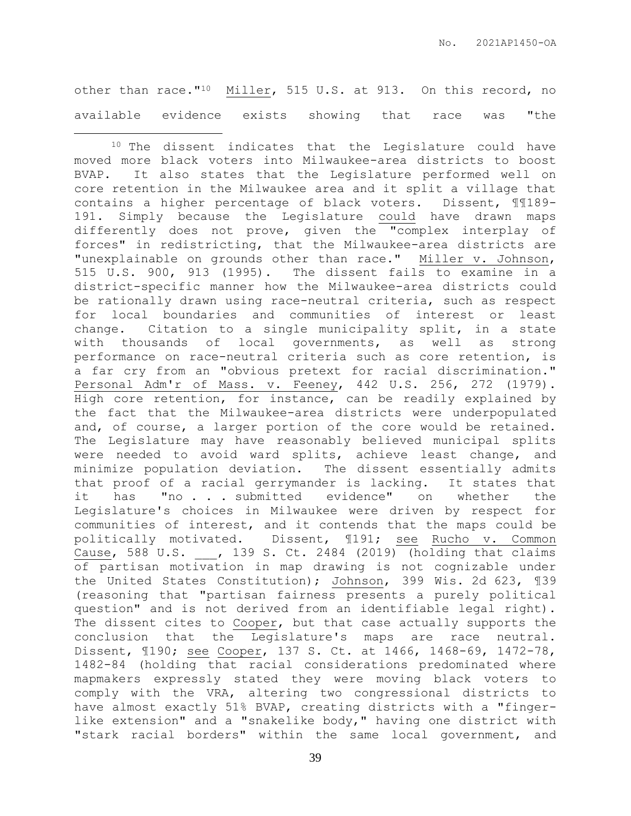other than race."10 Miller, 515 U.S. at 913. On this record, no available evidence exists showing that race was "the

 $\overline{a}$ 

<sup>10</sup> The dissent indicates that the Legislature could have moved more black voters into Milwaukee-area districts to boost BVAP. It also states that the Legislature performed well on core retention in the Milwaukee area and it split a village that contains a higher percentage of black voters. Dissent, ¶¶189- 191. Simply because the Legislature could have drawn maps differently does not prove, given the "complex interplay of forces" in redistricting, that the Milwaukee-area districts are "unexplainable on grounds other than race." Miller v. Johnson, 515 U.S. 900, 913 (1995). The dissent fails to examine in a district-specific manner how the Milwaukee-area districts could be rationally drawn using race-neutral criteria, such as respect for local boundaries and communities of interest or least change. Citation to a single municipality split, in a state with thousands of local governments, as well as strong performance on race-neutral criteria such as core retention, is a far cry from an "obvious pretext for racial discrimination." Personal Adm'r of Mass. v. Feeney, 442 U.S. 256, 272 (1979). High core retention, for instance, can be readily explained by the fact that the Milwaukee-area districts were underpopulated and, of course, a larger portion of the core would be retained. The Legislature may have reasonably believed municipal splits were needed to avoid ward splits, achieve least change, and minimize population deviation. The dissent essentially admits that proof of a racial gerrymander is lacking. It states that it has "no . . . submitted evidence" on whether the Legislature's choices in Milwaukee were driven by respect for communities of interest, and it contends that the maps could be politically motivated. Dissent, ¶191; see Rucho v. Common Cause, 588 U.S. \_\_\_, 139 S. Ct. 2484 (2019) (holding that claims of partisan motivation in map drawing is not cognizable under the United States Constitution); Johnson, 399 Wis. 2d 623, ¶39 (reasoning that "partisan fairness presents a purely political question" and is not derived from an identifiable legal right). The dissent cites to Cooper, but that case actually supports the conclusion that the Legislature's maps are race neutral. Dissent, ¶190; see Cooper, 137 S. Ct. at 1466, 1468-69, 1472-78, 1482-84 (holding that racial considerations predominated where mapmakers expressly stated they were moving black voters to comply with the VRA, altering two congressional districts to have almost exactly 51% BVAP, creating districts with a "fingerlike extension" and a "snakelike body," having one district with "stark racial borders" within the same local government, and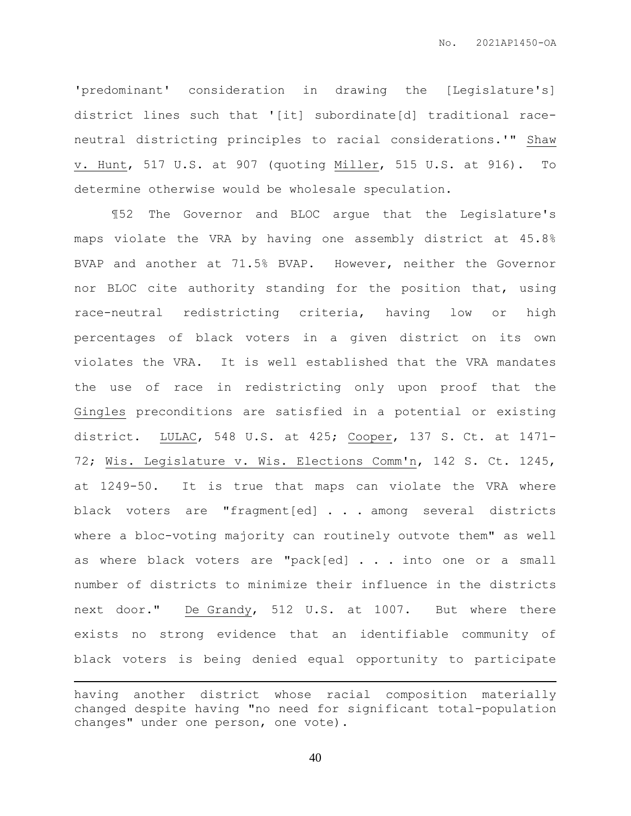'predominant' consideration in drawing the [Legislature's] district lines such that '[it] subordinate[d] traditional raceneutral districting principles to racial considerations.'" Shaw v. Hunt, 517 U.S. at 907 (quoting Miller, 515 U.S. at 916). To determine otherwise would be wholesale speculation.

¶52 The Governor and BLOC argue that the Legislature's maps violate the VRA by having one assembly district at 45.8% BVAP and another at 71.5% BVAP. However, neither the Governor nor BLOC cite authority standing for the position that, using race-neutral redistricting criteria, having low or high percentages of black voters in a given district on its own violates the VRA. It is well established that the VRA mandates the use of race in redistricting only upon proof that the Gingles preconditions are satisfied in a potential or existing district. LULAC, 548 U.S. at 425; Cooper, 137 S. Ct. at 1471- 72; Wis. Legislature v. Wis. Elections Comm'n, 142 S. Ct. 1245, at 1249-50. It is true that maps can violate the VRA where black voters are "fragment[ed] . . . among several districts where a bloc-voting majority can routinely outvote them" as well as where black voters are "pack[ed] . . . into one or a small number of districts to minimize their influence in the districts next door." De Grandy, 512 U.S. at 1007. But where there exists no strong evidence that an identifiable community of black voters is being denied equal opportunity to participate

 $\overline{a}$ 

having another district whose racial composition materially changed despite having "no need for significant total-population changes" under one person, one vote).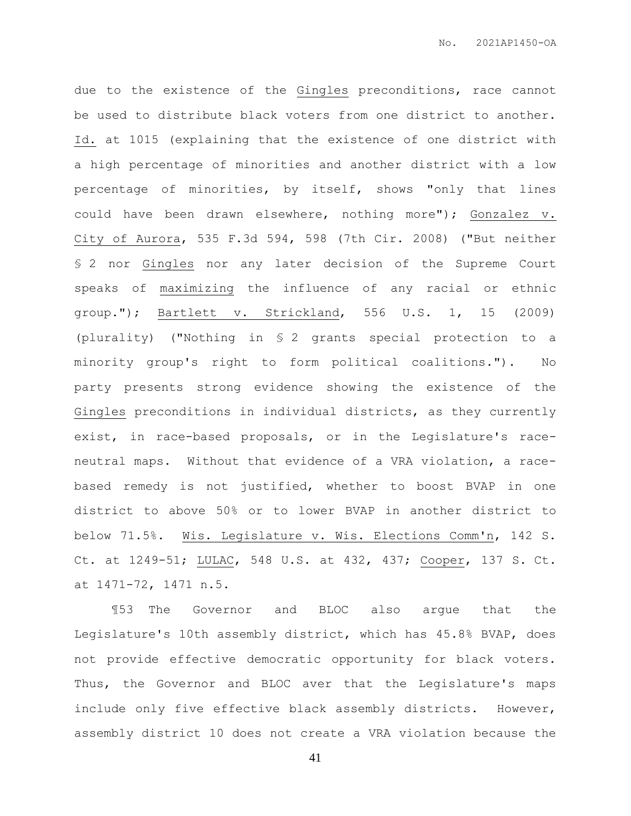due to the existence of the Gingles preconditions, race cannot be used to distribute black voters from one district to another. Id. at 1015 (explaining that the existence of one district with a high percentage of minorities and another district with a low percentage of minorities, by itself, shows "only that lines could have been drawn elsewhere, nothing more"); Gonzalez v. City of Aurora, 535 F.3d 594, 598 (7th Cir. 2008) ("But neither § 2 nor Gingles nor any later decision of the Supreme Court speaks of maximizing the influence of any racial or ethnic group."); Bartlett v. Strickland, 556 U.S. 1, 15 (2009) (plurality) ("Nothing in § 2 grants special protection to a minority group's right to form political coalitions."). No party presents strong evidence showing the existence of the Gingles preconditions in individual districts, as they currently exist, in race-based proposals, or in the Legislature's raceneutral maps. Without that evidence of a VRA violation, a racebased remedy is not justified, whether to boost BVAP in one district to above 50% or to lower BVAP in another district to below 71.5%. Wis. Legislature v. Wis. Elections Comm'n, 142 S. Ct. at 1249-51; LULAC, 548 U.S. at 432, 437; Cooper, 137 S. Ct. at 1471-72, 1471 n.5.

¶53 The Governor and BLOC also argue that the Legislature's 10th assembly district, which has 45.8% BVAP, does not provide effective democratic opportunity for black voters. Thus, the Governor and BLOC aver that the Legislature's maps include only five effective black assembly districts. However, assembly district 10 does not create a VRA violation because the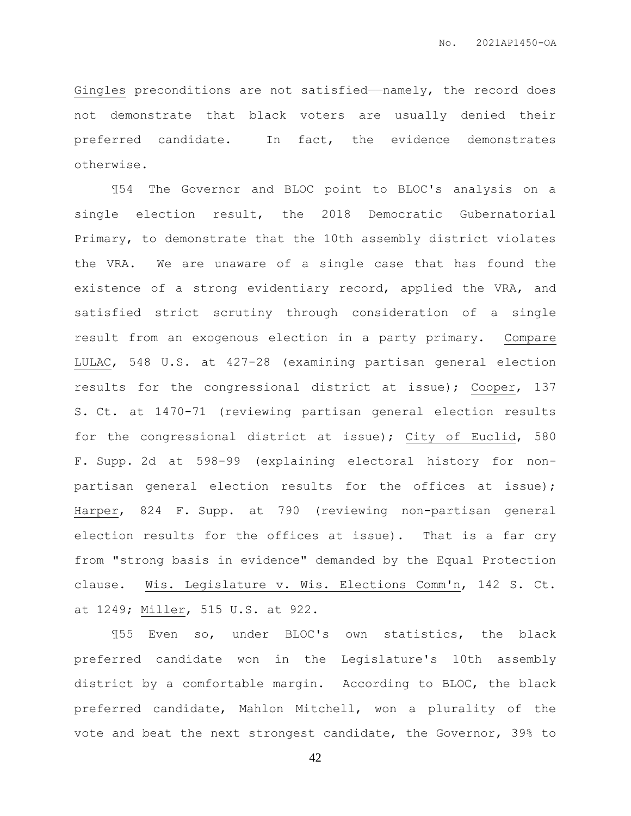Gingles preconditions are not satisfied—namely, the record does not demonstrate that black voters are usually denied their preferred candidate. In fact, the evidence demonstrates otherwise.

¶54 The Governor and BLOC point to BLOC's analysis on a single election result, the 2018 Democratic Gubernatorial Primary, to demonstrate that the 10th assembly district violates the VRA. We are unaware of a single case that has found the existence of a strong evidentiary record, applied the VRA, and satisfied strict scrutiny through consideration of a single result from an exogenous election in a party primary. Compare LULAC, 548 U.S. at 427-28 (examining partisan general election results for the congressional district at issue); Cooper, 137 S. Ct. at 1470-71 (reviewing partisan general election results for the congressional district at issue); City of Euclid, 580 F. Supp. 2d at 598-99 (explaining electoral history for nonpartisan general election results for the offices at issue); Harper, 824 F. Supp. at 790 (reviewing non-partisan general election results for the offices at issue). That is a far cry from "strong basis in evidence" demanded by the Equal Protection clause. Wis. Legislature v. Wis. Elections Comm'n, 142 S. Ct. at 1249; Miller, 515 U.S. at 922.

¶55 Even so, under BLOC's own statistics, the black preferred candidate won in the Legislature's 10th assembly district by a comfortable margin. According to BLOC, the black preferred candidate, Mahlon Mitchell, won a plurality of the vote and beat the next strongest candidate, the Governor, 39% to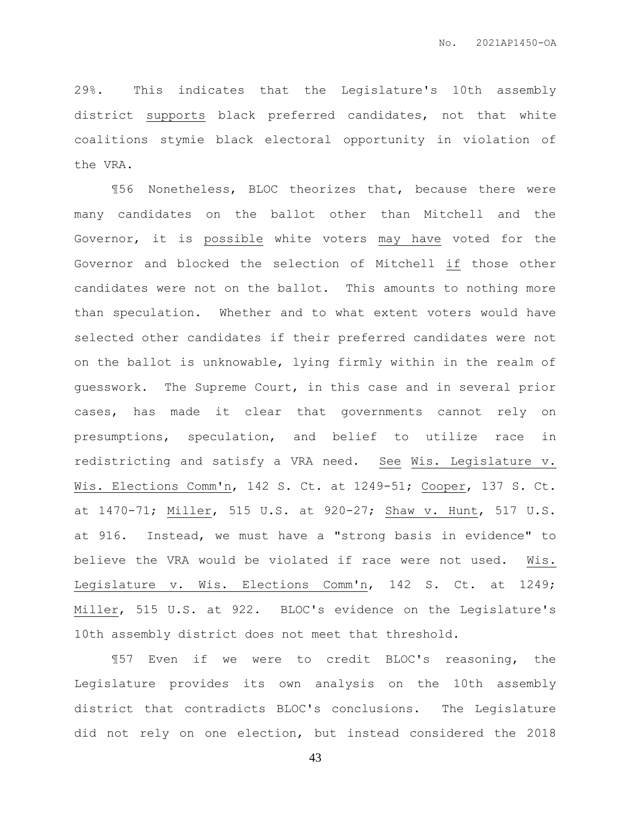29%. This indicates that the Legislature's 10th assembly district supports black preferred candidates, not that white coalitions stymie black electoral opportunity in violation of the VRA.

¶56 Nonetheless, BLOC theorizes that, because there were many candidates on the ballot other than Mitchell and the Governor, it is possible white voters may have voted for the Governor and blocked the selection of Mitchell if those other candidates were not on the ballot. This amounts to nothing more than speculation. Whether and to what extent voters would have selected other candidates if their preferred candidates were not on the ballot is unknowable, lying firmly within in the realm of guesswork. The Supreme Court, in this case and in several prior cases, has made it clear that governments cannot rely on presumptions, speculation, and belief to utilize race in redistricting and satisfy a VRA need. See Wis. Legislature v. Wis. Elections Comm'n, 142 S. Ct. at 1249-51; Cooper, 137 S. Ct. at 1470-71; Miller, 515 U.S. at 920-27; Shaw v. Hunt, 517 U.S. at 916. Instead, we must have a "strong basis in evidence" to believe the VRA would be violated if race were not used. Wis. Legislature v. Wis. Elections Comm'n, 142 S. Ct. at 1249; Miller, 515 U.S. at 922. BLOC's evidence on the Legislature's 10th assembly district does not meet that threshold.

¶57 Even if we were to credit BLOC's reasoning, the Legislature provides its own analysis on the 10th assembly district that contradicts BLOC's conclusions. The Legislature did not rely on one election, but instead considered the 2018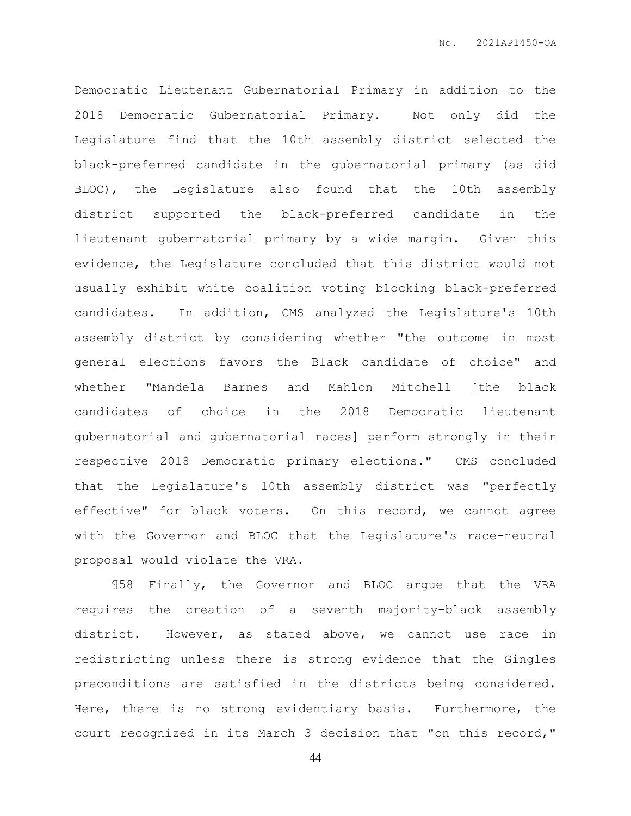Democratic Lieutenant Gubernatorial Primary in addition to the 2018 Democratic Gubernatorial Primary. Not only did the Legislature find that the 10th assembly district selected the black-preferred candidate in the gubernatorial primary (as did BLOC), the Legislature also found that the 10th assembly district supported the black-preferred candidate in the lieutenant gubernatorial primary by a wide margin. Given this evidence, the Legislature concluded that this district would not usually exhibit white coalition voting blocking black-preferred candidates. In addition, CMS analyzed the Legislature's 10th assembly district by considering whether "the outcome in most general elections favors the Black candidate of choice" and whether "Mandela Barnes and Mahlon Mitchell [the black candidates of choice in the 2018 Democratic lieutenant gubernatorial and gubernatorial races] perform strongly in their respective 2018 Democratic primary elections." CMS concluded that the Legislature's 10th assembly district was "perfectly effective" for black voters. On this record, we cannot agree with the Governor and BLOC that the Legislature's race-neutral proposal would violate the VRA.

¶58 Finally, the Governor and BLOC argue that the VRA requires the creation of a seventh majority-black assembly district. However, as stated above, we cannot use race in redistricting unless there is strong evidence that the Gingles preconditions are satisfied in the districts being considered. Here, there is no strong evidentiary basis. Furthermore, the court recognized in its March 3 decision that "on this record,"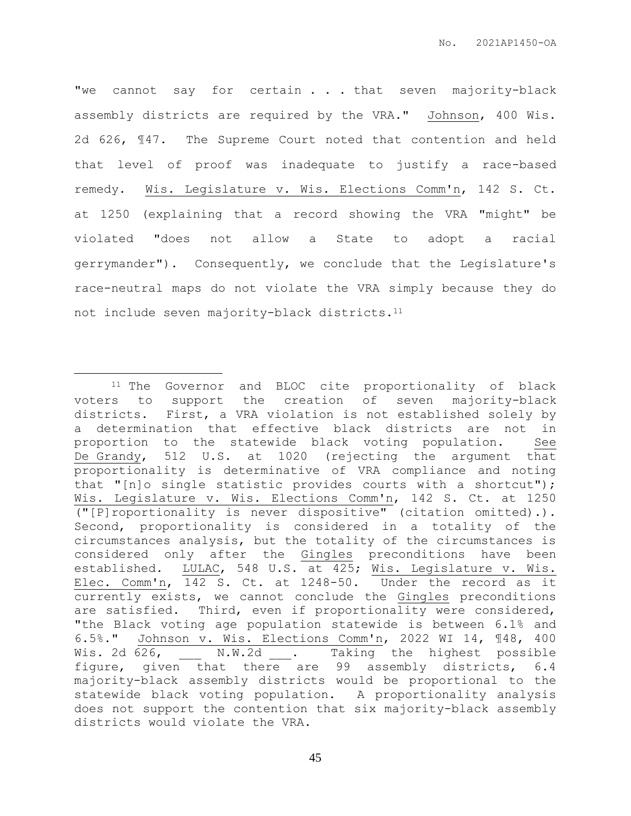"we cannot say for certain . . . that seven majority-black assembly districts are required by the VRA." Johnson, 400 Wis. 2d 626, ¶47. The Supreme Court noted that contention and held that level of proof was inadequate to justify a race-based remedy. Wis. Legislature v. Wis. Elections Comm'n, 142 S. Ct. at 1250 (explaining that a record showing the VRA "might" be violated "does not allow a State to adopt a racial gerrymander"). Consequently, we conclude that the Legislature's race-neutral maps do not violate the VRA simply because they do not include seven majority-black districts.<sup>11</sup>

 $\overline{a}$ 

<sup>11</sup> The Governor and BLOC cite proportionality of black voters to support the creation of seven majority-black districts. First, a VRA violation is not established solely by a determination that effective black districts are not in proportion to the statewide black voting population. See De Grandy, 512 U.S. at 1020 (rejecting the argument that proportionality is determinative of VRA compliance and noting that "[n]o single statistic provides courts with a shortcut"); Wis. Legislature v. Wis. Elections Comm'n, 142 S. Ct. at 1250 ("[P]roportionality is never dispositive" (citation omitted).). Second, proportionality is considered in a totality of the circumstances analysis, but the totality of the circumstances is considered only after the Gingles preconditions have been established. LULAC, 548 U.S. at 425; Wis. Legislature v. Wis. Elec. Comm'n, 142 S. Ct. at 1248-50. Under the record as it currently exists, we cannot conclude the Gingles preconditions are satisfied. Third, even if proportionality were considered, "the Black voting age population statewide is between 6.1% and 6.5%." Johnson v. Wis. Elections Comm'n, 2022 WI 14, ¶48, 400 Wis. 2d 626, M.W.2d . Taking the highest possible figure, given that there are 99 assembly districts, 6.4 majority-black assembly districts would be proportional to the statewide black voting population. A proportionality analysis does not support the contention that six majority-black assembly districts would violate the VRA.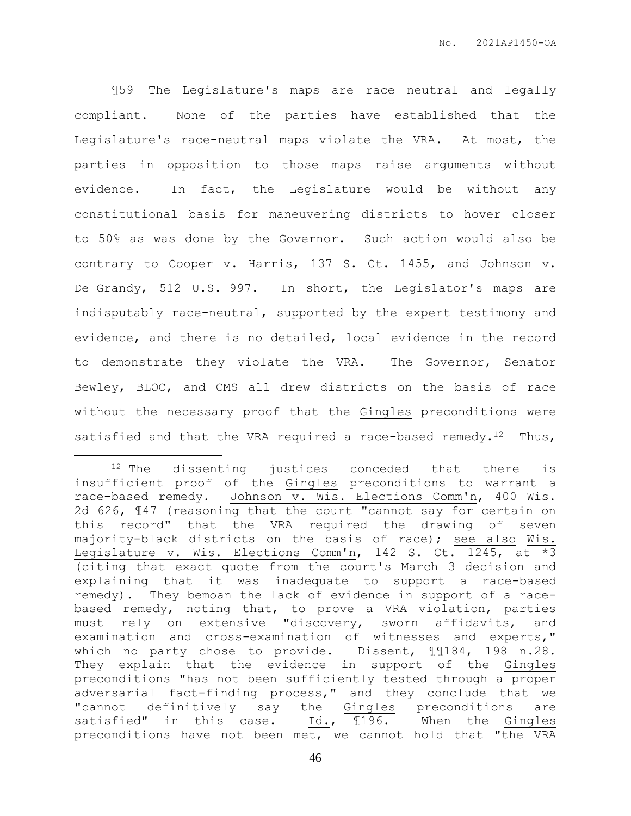¶59 The Legislature's maps are race neutral and legally compliant. None of the parties have established that the Legislature's race-neutral maps violate the VRA. At most, the parties in opposition to those maps raise arguments without evidence. In fact, the Legislature would be without any constitutional basis for maneuvering districts to hover closer to 50% as was done by the Governor. Such action would also be contrary to Cooper v. Harris, 137 S. Ct. 1455, and Johnson v. De Grandy, 512 U.S. 997. In short, the Legislator's maps are indisputably race-neutral, supported by the expert testimony and evidence, and there is no detailed, local evidence in the record to demonstrate they violate the VRA. The Governor, Senator Bewley, BLOC, and CMS all drew districts on the basis of race without the necessary proof that the Gingles preconditions were satisfied and that the VRA required a race-based remedy.<sup>12</sup> Thus,

 $\overline{a}$ 

<sup>&</sup>lt;sup>12</sup> The dissenting justices conceded that there is insufficient proof of the Gingles preconditions to warrant a race-based remedy. Johnson v. Wis. Elections Comm'n, 400 Wis. 2d 626, ¶47 (reasoning that the court "cannot say for certain on this record" that the VRA required the drawing of seven majority-black districts on the basis of race); see also Wis. Legislature v. Wis. Elections Comm'n, 142 S. Ct. 1245, at \*3 (citing that exact quote from the court's March 3 decision and explaining that it was inadequate to support a race-based remedy). They bemoan the lack of evidence in support of a racebased remedy, noting that, to prove a VRA violation, parties must rely on extensive "discovery, sworn affidavits, and examination and cross-examination of witnesses and experts," which no party chose to provide. Dissent, ¶¶184, 198 n.28. They explain that the evidence in support of the Gingles preconditions "has not been sufficiently tested through a proper adversarial fact-finding process," and they conclude that we "cannot definitively say the Gingles preconditions are satisfied" in this case. Id., ¶196. When the Gingles preconditions have not been met, we cannot hold that "the VRA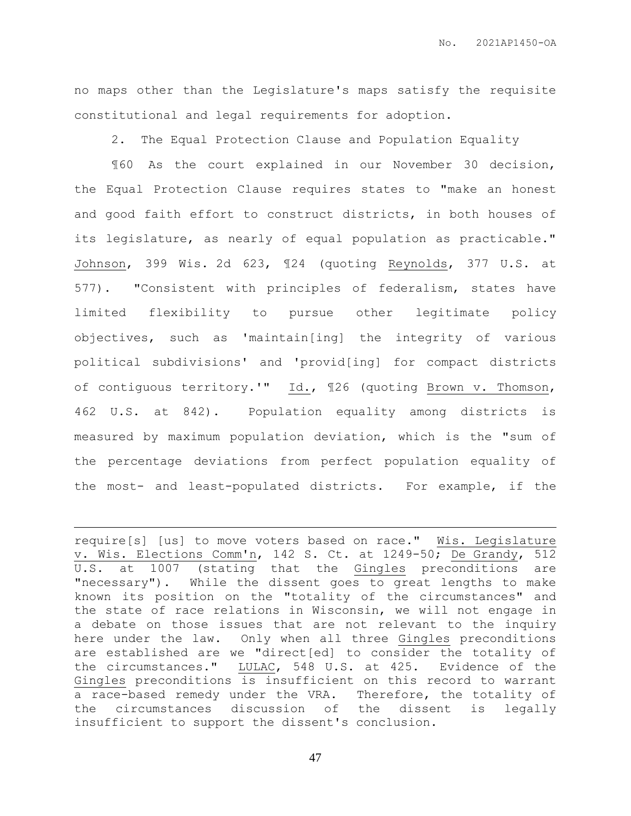no maps other than the Legislature's maps satisfy the requisite constitutional and legal requirements for adoption.

2. The Equal Protection Clause and Population Equality

¶60 As the court explained in our November 30 decision, the Equal Protection Clause requires states to "make an honest and good faith effort to construct districts, in both houses of its legislature, as nearly of equal population as practicable." Johnson, 399 Wis. 2d 623, ¶24 (quoting Reynolds, 377 U.S. at 577). "Consistent with principles of federalism, states have limited flexibility to pursue other legitimate policy objectives, such as 'maintain[ing] the integrity of various political subdivisions' and 'provid[ing] for compact districts of contiguous territory.'" Id., ¶26 (quoting Brown v. Thomson, 462 U.S. at 842). Population equality among districts is measured by maximum population deviation, which is the "sum of the percentage deviations from perfect population equality of the most- and least-populated districts. For example, if the

require[s] [us] to move voters based on race." Wis. Legislature v. Wis. Elections Comm'n, 142 S. Ct. at 1249-50; De Grandy, 512 U.S. at 1007 (stating that the Gingles preconditions are "necessary"). While the dissent goes to great lengths to make known its position on the "totality of the circumstances" and the state of race relations in Wisconsin, we will not engage in a debate on those issues that are not relevant to the inquiry here under the law. Only when all three Gingles preconditions are established are we "direct[ed] to consider the totality of the circumstances." LULAC, 548 U.S. at 425. Evidence of the Gingles preconditions is insufficient on this record to warrant a race-based remedy under the VRA. Therefore, the totality of the circumstances discussion of the dissent is legally insufficient to support the dissent's conclusion.

 $\overline{a}$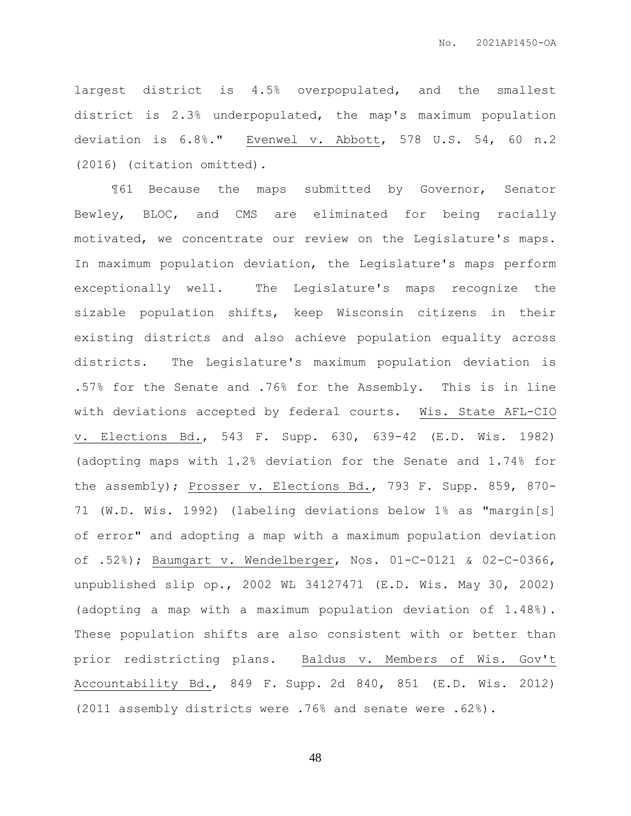largest district is 4.5% overpopulated, and the smallest district is 2.3% underpopulated, the map's maximum population deviation is 6.8%." Evenwel v. Abbott, 578 U.S. 54, 60 n.2 (2016) (citation omitted).

¶61 Because the maps submitted by Governor, Senator Bewley, BLOC, and CMS are eliminated for being racially motivated, we concentrate our review on the Legislature's maps. In maximum population deviation, the Legislature's maps perform exceptionally well. The Legislature's maps recognize the sizable population shifts, keep Wisconsin citizens in their existing districts and also achieve population equality across districts. The Legislature's maximum population deviation is .57% for the Senate and .76% for the Assembly. This is in line with deviations accepted by federal courts. Wis. State AFL-CIO v. Elections Bd., 543 F. Supp. 630, 639-42 (E.D. Wis. 1982) (adopting maps with 1.2% deviation for the Senate and 1.74% for the assembly); Prosser v. Elections Bd., 793 F. Supp. 859, 870- 71 (W.D. Wis. 1992) (labeling deviations below 1% as "margin[s] of error" and adopting a map with a maximum population deviation of .52%); Baumgart v. Wendelberger, Nos. 01-C-0121 & 02-C-0366, unpublished slip op., 2002 WL 34127471 (E.D. Wis. May 30, 2002) (adopting a map with a maximum population deviation of 1.48%). These population shifts are also consistent with or better than prior redistricting plans. Baldus v. Members of Wis. Gov't Accountability Bd., 849 F. Supp. 2d 840, 851 (E.D. Wis. 2012) (2011 assembly districts were .76% and senate were .62%).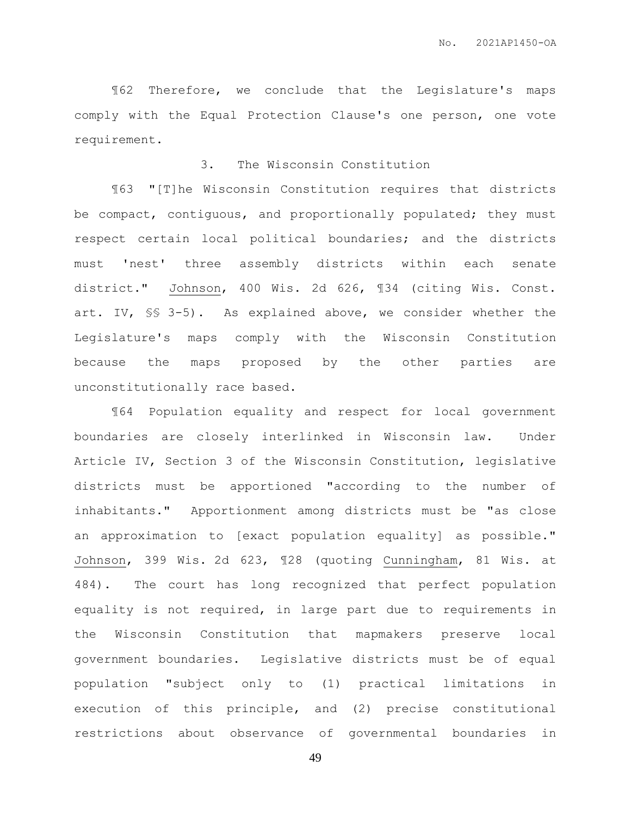¶62 Therefore, we conclude that the Legislature's maps comply with the Equal Protection Clause's one person, one vote requirement.

## 3. The Wisconsin Constitution

¶63 "[T]he Wisconsin Constitution requires that districts be compact, contiguous, and proportionally populated; they must respect certain local political boundaries; and the districts must 'nest' three assembly districts within each senate district." Johnson, 400 Wis. 2d 626, ¶34 (citing Wis. Const. art. IV, §§ 3-5). As explained above, we consider whether the Legislature's maps comply with the Wisconsin Constitution because the maps proposed by the other parties are unconstitutionally race based.

¶64 Population equality and respect for local government boundaries are closely interlinked in Wisconsin law. Under Article IV, Section 3 of the Wisconsin Constitution, legislative districts must be apportioned "according to the number of inhabitants." Apportionment among districts must be "as close an approximation to [exact population equality] as possible." Johnson, 399 Wis. 2d 623, ¶28 (quoting Cunningham, 81 Wis. at 484). The court has long recognized that perfect population equality is not required, in large part due to requirements in the Wisconsin Constitution that mapmakers preserve local government boundaries. Legislative districts must be of equal population "subject only to (1) practical limitations in execution of this principle, and (2) precise constitutional restrictions about observance of governmental boundaries in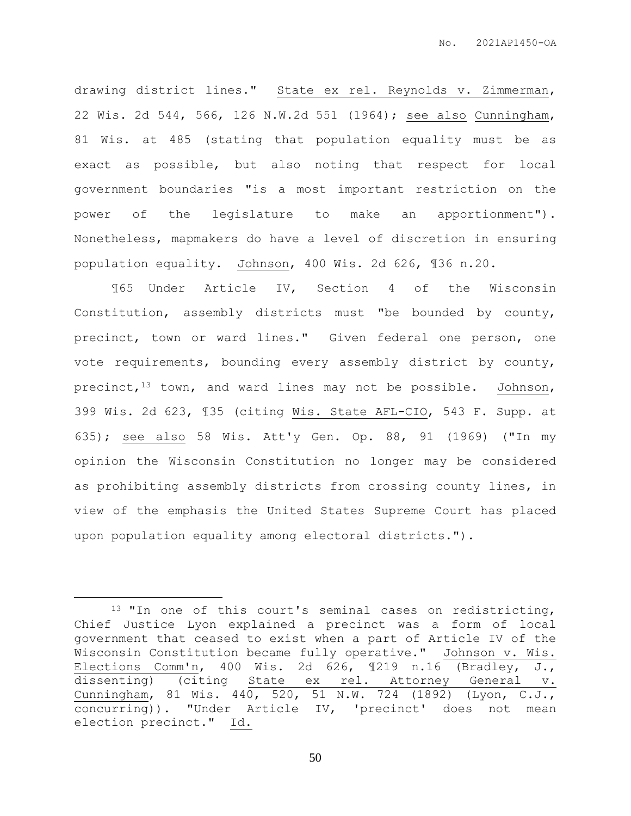drawing district lines." State ex rel. Reynolds v. Zimmerman, 22 Wis. 2d 544, 566, 126 N.W.2d 551 (1964); see also Cunningham, 81 Wis. at 485 (stating that population equality must be as exact as possible, but also noting that respect for local government boundaries "is a most important restriction on the power of the legislature to make an apportionment"). Nonetheless, mapmakers do have a level of discretion in ensuring population equality. Johnson, 400 Wis. 2d 626, ¶36 n.20.

¶65 Under Article IV, Section 4 of the Wisconsin Constitution, assembly districts must "be bounded by county, precinct, town or ward lines." Given federal one person, one vote requirements, bounding every assembly district by county, precinct,<sup>13</sup> town, and ward lines may not be possible. Johnson, 399 Wis. 2d 623, ¶35 (citing Wis. State AFL-CIO, 543 F. Supp. at 635); see also 58 Wis. Att'y Gen. Op. 88, 91 (1969) ("In my opinion the Wisconsin Constitution no longer may be considered as prohibiting assembly districts from crossing county lines, in view of the emphasis the United States Supreme Court has placed upon population equality among electoral districts.").

 $\overline{a}$ 

<sup>13</sup> "In one of this court's seminal cases on redistricting, Chief Justice Lyon explained a precinct was a form of local government that ceased to exist when a part of Article IV of the Wisconsin Constitution became fully operative." Johnson v. Wis. Elections Comm'n, 400 Wis. 2d 626, ¶219 n.16 (Bradley, J., dissenting) (citing State ex rel. Attorney General v. Cunningham, 81 Wis. 440, 520, 51 N.W. 724 (1892) (Lyon, C.J., concurring)). "Under Article IV, 'precinct' does not mean election precinct." Id.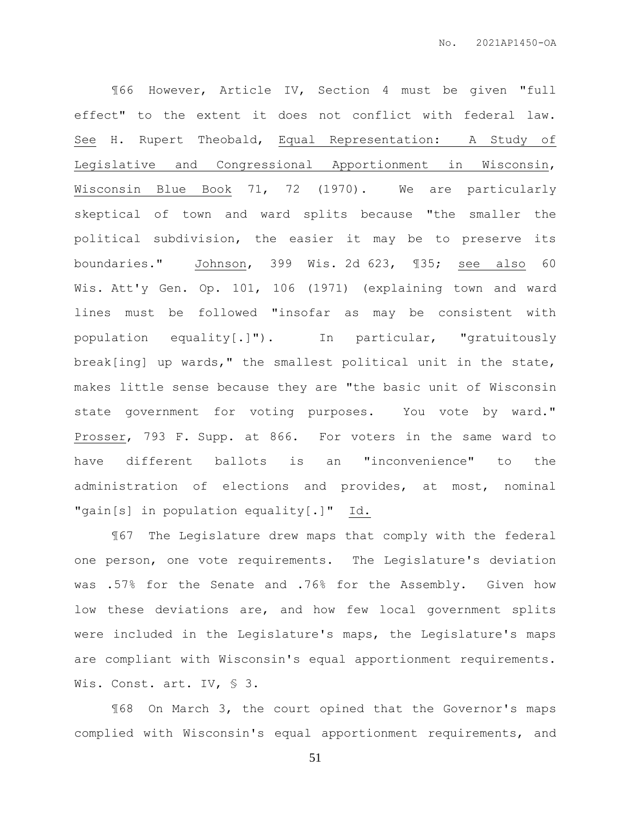¶66 However, Article IV, Section 4 must be given "full effect" to the extent it does not conflict with federal law. See H. Rupert Theobald, Equal Representation: A Study of Legislative and Congressional Apportionment in Wisconsin, Wisconsin Blue Book 71, 72 (1970). We are particularly skeptical of town and ward splits because "the smaller the political subdivision, the easier it may be to preserve its boundaries." Johnson, 399 Wis. 2d 623, ¶35; see also 60 Wis. Att'y Gen. Op. 101, 106 (1971) (explaining town and ward lines must be followed "insofar as may be consistent with population equality[.]"). In particular, "gratuitously break[ing] up wards," the smallest political unit in the state, makes little sense because they are "the basic unit of Wisconsin state government for voting purposes. You vote by ward." Prosser, 793 F. Supp. at 866. For voters in the same ward to have different ballots is an "inconvenience" to the administration of elections and provides, at most, nominal "gain[s] in population equality[.]" Id.

¶67 The Legislature drew maps that comply with the federal one person, one vote requirements. The Legislature's deviation was .57% for the Senate and .76% for the Assembly. Given how low these deviations are, and how few local government splits were included in the Legislature's maps, the Legislature's maps are compliant with Wisconsin's equal apportionment requirements. Wis. Const. art. IV, § 3.

¶68 On March 3, the court opined that the Governor's maps complied with Wisconsin's equal apportionment requirements, and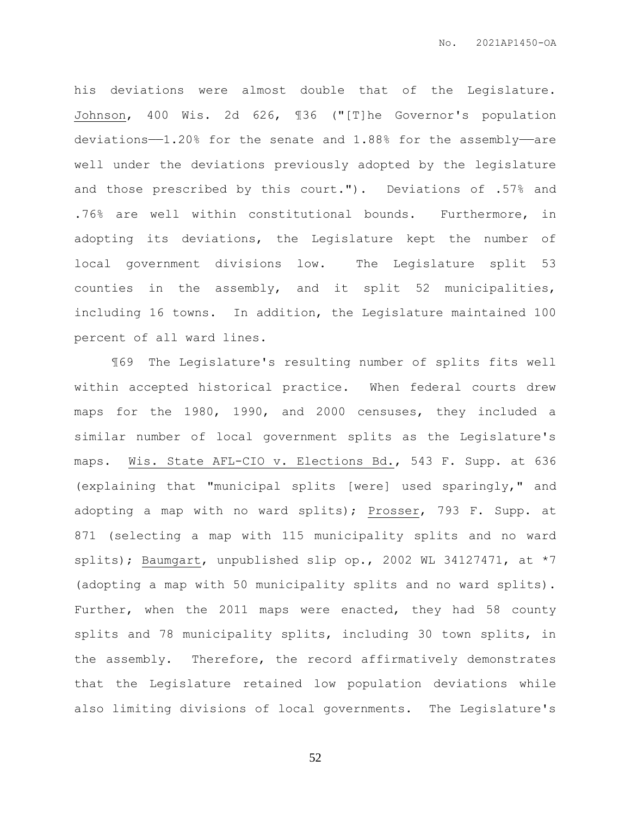his deviations were almost double that of the Legislature. Johnson, 400 Wis. 2d 626, ¶36 ("[T]he Governor's population deviations—1.20% for the senate and 1.88% for the assembly—are well under the deviations previously adopted by the legislature and those prescribed by this court."). Deviations of .57% and .76% are well within constitutional bounds. Furthermore, in adopting its deviations, the Legislature kept the number of local government divisions low. The Legislature split 53 counties in the assembly, and it split 52 municipalities, including 16 towns. In addition, the Legislature maintained 100 percent of all ward lines.

¶69 The Legislature's resulting number of splits fits well within accepted historical practice. When federal courts drew maps for the 1980, 1990, and 2000 censuses, they included a similar number of local government splits as the Legislature's maps. Wis. State AFL-CIO v. Elections Bd., 543 F. Supp. at 636 (explaining that "municipal splits [were] used sparingly," and adopting a map with no ward splits); Prosser, 793 F. Supp. at 871 (selecting a map with 115 municipality splits and no ward splits); Baumgart, unpublished slip op., 2002 WL 34127471, at \*7 (adopting a map with 50 municipality splits and no ward splits). Further, when the 2011 maps were enacted, they had 58 county splits and 78 municipality splits, including 30 town splits, in the assembly. Therefore, the record affirmatively demonstrates that the Legislature retained low population deviations while also limiting divisions of local governments. The Legislature's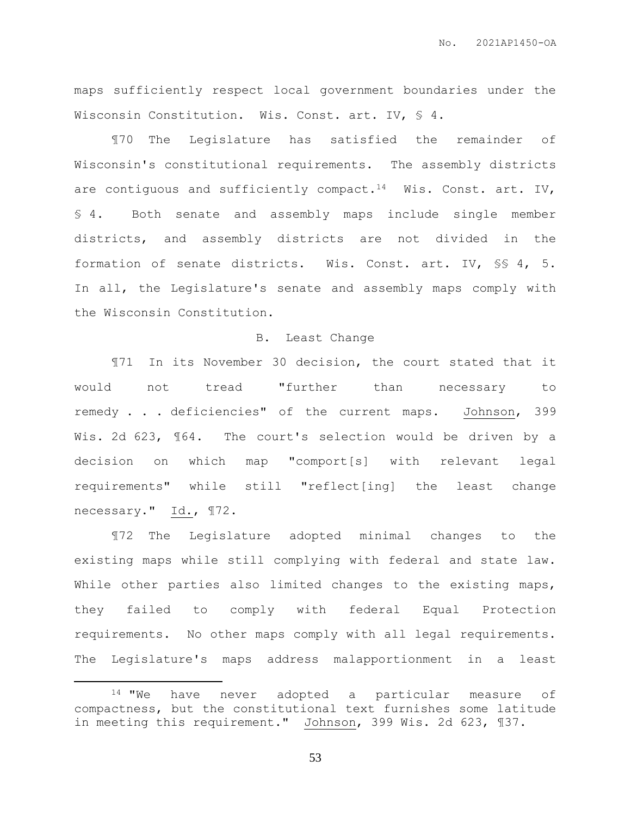maps sufficiently respect local government boundaries under the Wisconsin Constitution. Wis. Const. art. IV, § 4.

¶70 The Legislature has satisfied the remainder of Wisconsin's constitutional requirements. The assembly districts are contiguous and sufficiently compact.<sup>14</sup> Wis. Const. art. IV, § 4. Both senate and assembly maps include single member districts, and assembly districts are not divided in the formation of senate districts. Wis. Const. art. IV, §§ 4, 5. In all, the Legislature's senate and assembly maps comply with the Wisconsin Constitution.

## B. Least Change

¶71 In its November 30 decision, the court stated that it would not tread "further than necessary to remedy . . . deficiencies" of the current maps. Johnson, 399 Wis. 2d 623, 164. The court's selection would be driven by a decision on which map "comport[s] with relevant legal requirements" while still "reflect[ing] the least change necessary." Id., ¶72.

¶72 The Legislature adopted minimal changes to the existing maps while still complying with federal and state law. While other parties also limited changes to the existing maps, they failed to comply with federal Equal Protection requirements. No other maps comply with all legal requirements. The Legislature's maps address malapportionment in a least

 $\overline{a}$ 

<sup>&</sup>lt;sup>14</sup> "We have never adopted a particular measure of compactness, but the constitutional text furnishes some latitude in meeting this requirement." Johnson, 399 Wis. 2d 623, ¶37.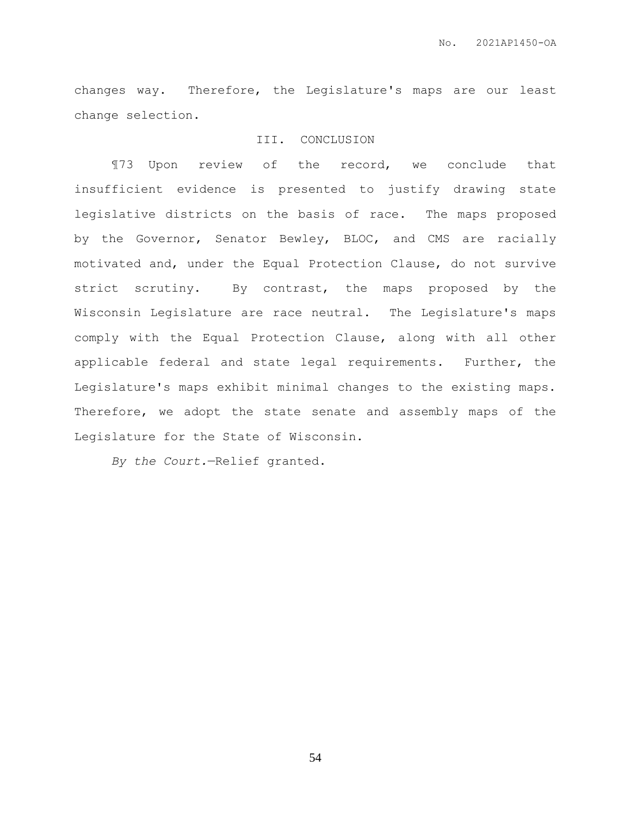changes way. Therefore, the Legislature's maps are our least change selection.

## III. CONCLUSION

¶73 Upon review of the record, we conclude that insufficient evidence is presented to justify drawing state legislative districts on the basis of race. The maps proposed by the Governor, Senator Bewley, BLOC, and CMS are racially motivated and, under the Equal Protection Clause, do not survive strict scrutiny. By contrast, the maps proposed by the Wisconsin Legislature are race neutral. The Legislature's maps comply with the Equal Protection Clause, along with all other applicable federal and state legal requirements. Further, the Legislature's maps exhibit minimal changes to the existing maps. Therefore, we adopt the state senate and assembly maps of the Legislature for the State of Wisconsin.

*By the Court.*—Relief granted.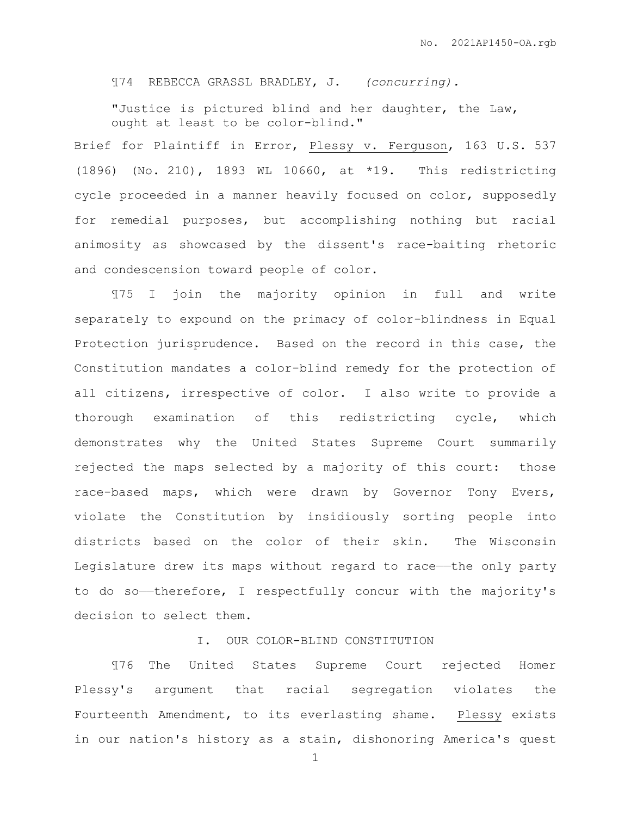¶74 REBECCA GRASSL BRADLEY, J. *(concurring).*

"Justice is pictured blind and her daughter, the Law, ought at least to be color-blind."

Brief for Plaintiff in Error, Plessy v. Ferguson, 163 U.S. 537 (1896) (No. 210), 1893 WL 10660, at \*19. This redistricting cycle proceeded in a manner heavily focused on color, supposedly for remedial purposes, but accomplishing nothing but racial animosity as showcased by the dissent's race-baiting rhetoric and condescension toward people of color.

¶75 I join the majority opinion in full and write separately to expound on the primacy of color-blindness in Equal Protection jurisprudence. Based on the record in this case, the Constitution mandates a color-blind remedy for the protection of all citizens, irrespective of color. I also write to provide a thorough examination of this redistricting cycle, which demonstrates why the United States Supreme Court summarily rejected the maps selected by a majority of this court: those race-based maps, which were drawn by Governor Tony Evers, violate the Constitution by insidiously sorting people into districts based on the color of their skin. The Wisconsin Legislature drew its maps without regard to race——the only party to do so-therefore, I respectfully concur with the majority's decision to select them.

## I. OUR COLOR-BLIND CONSTITUTION

¶76 The United States Supreme Court rejected Homer Plessy's argument that racial segregation violates the Fourteenth Amendment, to its everlasting shame. Plessy exists in our nation's history as a stain, dishonoring America's quest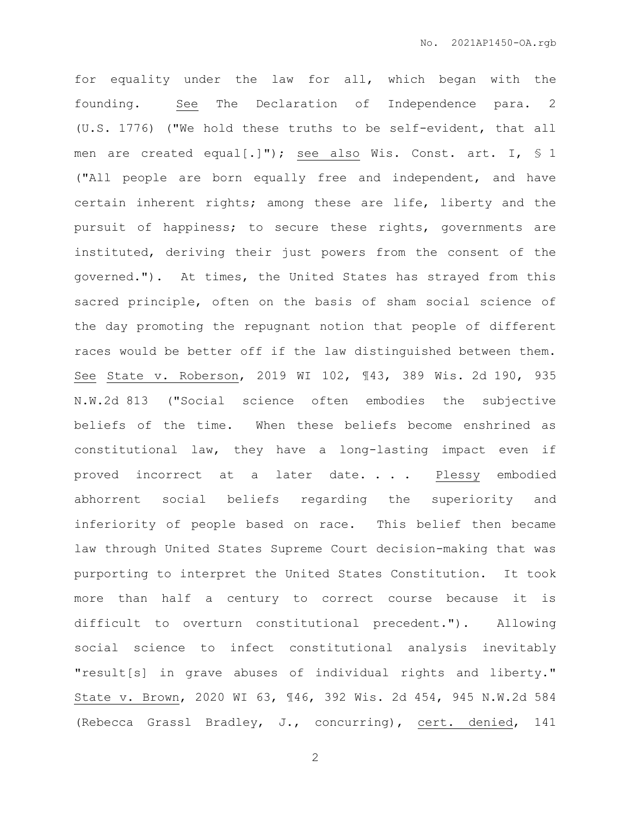for equality under the law for all, which began with the founding. See The Declaration of Independence para. 2 (U.S. 1776) ("We hold these truths to be self-evident, that all men are created equal[.]"); see also Wis. Const. art. I, § 1 ("All people are born equally free and independent, and have certain inherent rights; among these are life, liberty and the pursuit of happiness; to secure these rights, governments are instituted, deriving their just powers from the consent of the governed."). At times, the United States has strayed from this sacred principle, often on the basis of sham social science of the day promoting the repugnant notion that people of different races would be better off if the law distinguished between them. See State v. Roberson, 2019 WI 102, ¶43, 389 Wis. 2d 190, 935 N.W.2d 813 ("Social science often embodies the subjective beliefs of the time. When these beliefs become enshrined as constitutional law, they have a long-lasting impact even if proved incorrect at a later date. . . . Plessy embodied abhorrent social beliefs regarding the superiority and inferiority of people based on race. This belief then became law through United States Supreme Court decision-making that was purporting to interpret the United States Constitution. It took more than half a century to correct course because it is difficult to overturn constitutional precedent."). Allowing social science to infect constitutional analysis inevitably "result[s] in grave abuses of individual rights and liberty." State v. Brown, 2020 WI 63, ¶46, 392 Wis. 2d 454, 945 N.W.2d 584 (Rebecca Grassl Bradley, J., concurring), cert. denied, 141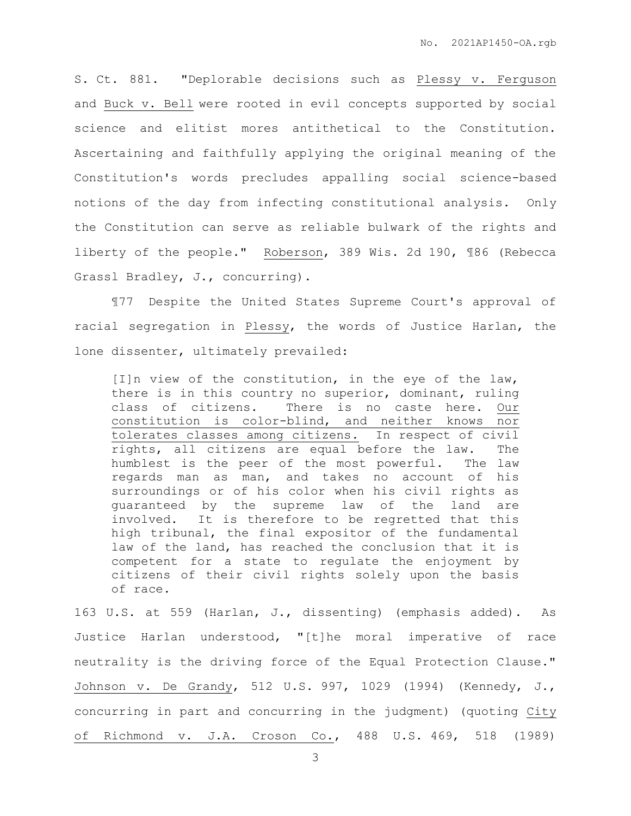S. Ct. 881. "Deplorable decisions such as Plessy v. Ferguson and Buck v. Bell were rooted in evil concepts supported by social science and elitist mores antithetical to the Constitution. Ascertaining and faithfully applying the original meaning of the Constitution's words precludes appalling social science-based notions of the day from infecting constitutional analysis. Only the Constitution can serve as reliable bulwark of the rights and liberty of the people." Roberson, 389 Wis. 2d 190, ¶86 (Rebecca Grassl Bradley, J., concurring).

¶77 Despite the United States Supreme Court's approval of racial segregation in Plessy, the words of Justice Harlan, the lone dissenter, ultimately prevailed:

[I]n view of the constitution, in the eye of the law, there is in this country no superior, dominant, ruling class of citizens. There is no caste here. Our constitution is color-blind, and neither knows nor tolerates classes among citizens. In respect of civil rights, all citizens are equal before the law. The humblest is the peer of the most powerful. The law regards man as man, and takes no account of his surroundings or of his color when his civil rights as guaranteed by the supreme law of the land are involved. It is therefore to be regretted that this high tribunal, the final expositor of the fundamental law of the land, has reached the conclusion that it is competent for a state to regulate the enjoyment by citizens of their civil rights solely upon the basis of race.

163 U.S. at 559 (Harlan, J., dissenting) (emphasis added). As Justice Harlan understood, "[t]he moral imperative of race neutrality is the driving force of the Equal Protection Clause." Johnson v. De Grandy, 512 U.S. 997, 1029 (1994) (Kennedy, J., concurring in part and concurring in the judgment) (quoting City of Richmond v. J.A. Croson Co., 488 U.S. 469, 518 (1989)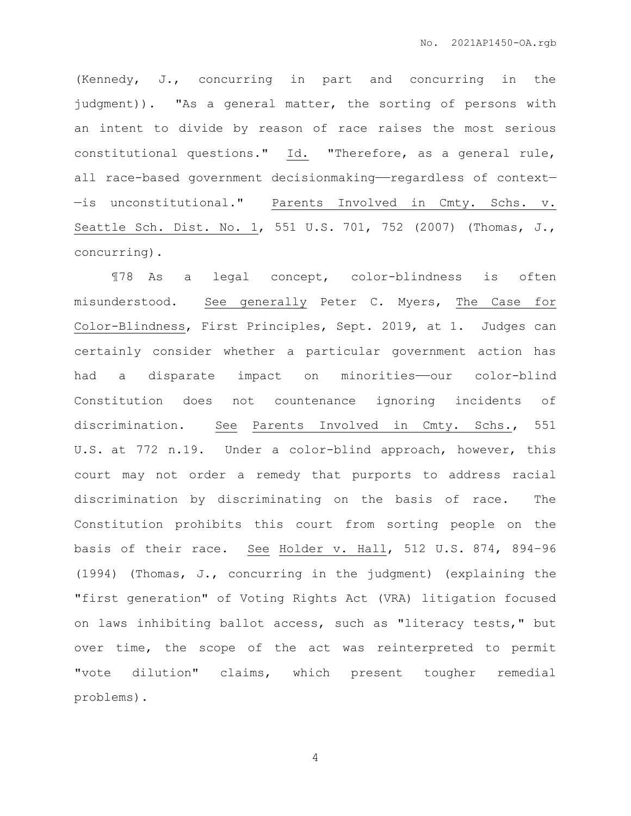(Kennedy, J., concurring in part and concurring in the judgment)). "As a general matter, the sorting of persons with an intent to divide by reason of race raises the most serious constitutional questions." Id. "Therefore, as a general rule, all race-based government decisionmaking—regardless of context-—is unconstitutional." Parents Involved in Cmty. Schs. v. Seattle Sch. Dist. No. 1, 551 U.S. 701, 752 (2007) (Thomas, J., concurring).

¶78 As a legal concept, color-blindness is often misunderstood. See generally Peter C. Myers, The Case for Color-Blindness, First Principles, Sept. 2019, at 1. Judges can certainly consider whether a particular government action has had a disparate impact on minorities-our color-blind Constitution does not countenance ignoring incidents of discrimination. See Parents Involved in Cmty. Schs., 551 U.S. at 772 n.19. Under a color-blind approach, however, this court may not order a remedy that purports to address racial discrimination by discriminating on the basis of race. The Constitution prohibits this court from sorting people on the basis of their race. See Holder v. Hall, 512 U.S. 874, 894–96 (1994) (Thomas, J., concurring in the judgment) (explaining the "first generation" of Voting Rights Act (VRA) litigation focused on laws inhibiting ballot access, such as "literacy tests," but over time, the scope of the act was reinterpreted to permit "vote dilution" claims, which present tougher remedial problems).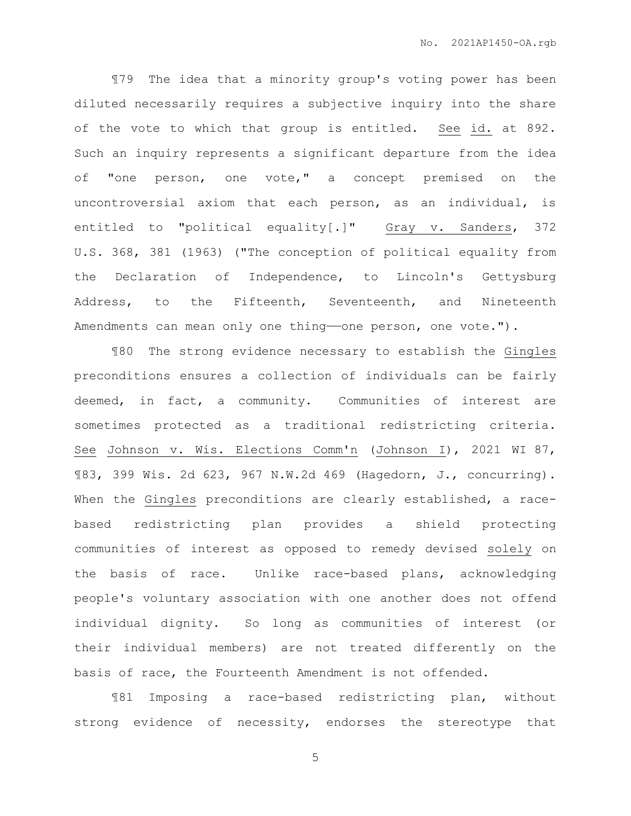¶79 The idea that a minority group's voting power has been diluted necessarily requires a subjective inquiry into the share of the vote to which that group is entitled. See id. at 892. Such an inquiry represents a significant departure from the idea of "one person, one vote," a concept premised on the uncontroversial axiom that each person, as an individual, is entitled to "political equality[.]" Gray v. Sanders, 372 U.S. 368, 381 (1963) ("The conception of political equality from the Declaration of Independence, to Lincoln's Gettysburg Address, to the Fifteenth, Seventeenth, and Nineteenth Amendments can mean only one thing-one person, one vote.").

¶80 The strong evidence necessary to establish the Gingles preconditions ensures a collection of individuals can be fairly deemed, in fact, a community. Communities of interest are sometimes protected as a traditional redistricting criteria. See Johnson v. Wis. Elections Comm'n (Johnson I), 2021 WI 87, ¶83, 399 Wis. 2d 623, 967 N.W.2d 469 (Hagedorn, J., concurring). When the Gingles preconditions are clearly established, a racebased redistricting plan provides a shield protecting communities of interest as opposed to remedy devised solely on the basis of race. Unlike race-based plans, acknowledging people's voluntary association with one another does not offend individual dignity. So long as communities of interest (or their individual members) are not treated differently on the basis of race, the Fourteenth Amendment is not offended.

¶81 Imposing a race-based redistricting plan, without strong evidence of necessity, endorses the stereotype that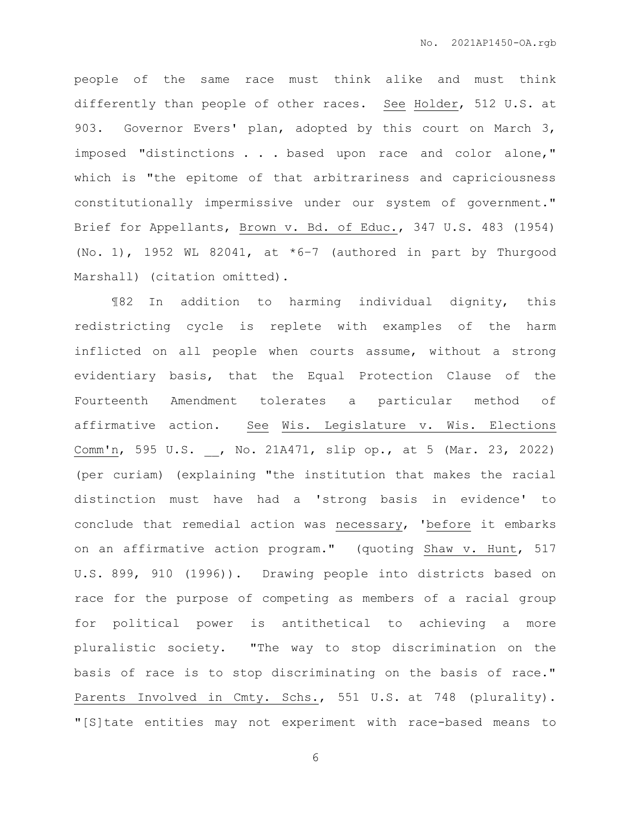people of the same race must think alike and must think differently than people of other races. See Holder, 512 U.S. at 903. Governor Evers' plan, adopted by this court on March 3, imposed "distinctions . . . based upon race and color alone," which is "the epitome of that arbitrariness and capriciousness constitutionally impermissive under our system of government." Brief for Appellants, Brown v. Bd. of Educ., 347 U.S. 483 (1954) (No. 1), 1952 WL 82041, at \*6–7 (authored in part by Thurgood Marshall) (citation omitted).

¶82 In addition to harming individual dignity, this redistricting cycle is replete with examples of the harm inflicted on all people when courts assume, without a strong evidentiary basis, that the Equal Protection Clause of the Fourteenth Amendment tolerates a particular method of affirmative action. See Wis. Legislature v. Wis. Elections Comm'n, 595 U.S. \_\_, No. 21A471, slip op., at 5 (Mar. 23, 2022) (per curiam) (explaining "the institution that makes the racial distinction must have had a 'strong basis in evidence' to conclude that remedial action was necessary, 'before it embarks on an affirmative action program." (quoting Shaw v. Hunt, 517 U.S. 899, 910 (1996)). Drawing people into districts based on race for the purpose of competing as members of a racial group for political power is antithetical to achieving a more pluralistic society. "The way to stop discrimination on the basis of race is to stop discriminating on the basis of race." Parents Involved in Cmty. Schs., 551 U.S. at 748 (plurality). "[S]tate entities may not experiment with race-based means to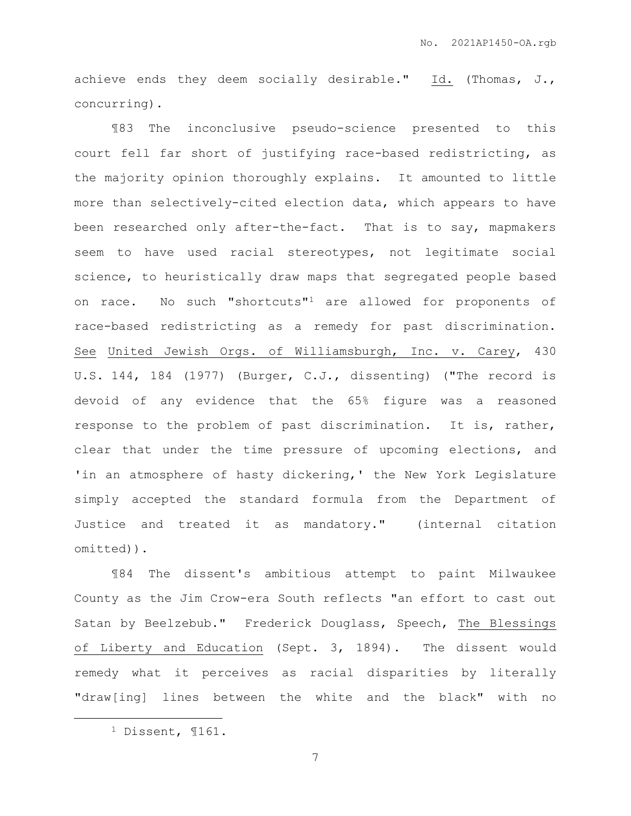achieve ends they deem socially desirable." Id. (Thomas, J., concurring).

¶83 The inconclusive pseudo-science presented to this court fell far short of justifying race-based redistricting, as the majority opinion thoroughly explains. It amounted to little more than selectively-cited election data, which appears to have been researched only after-the-fact. That is to say, mapmakers seem to have used racial stereotypes, not legitimate social science, to heuristically draw maps that segregated people based on race. No such "shortcuts"<sup>1</sup> are allowed for proponents of race-based redistricting as a remedy for past discrimination. See United Jewish Orgs. of Williamsburgh, Inc. v. Carey, 430 U.S. 144, 184 (1977) (Burger, C.J., dissenting) ("The record is devoid of any evidence that the 65% figure was a reasoned response to the problem of past discrimination. It is, rather, clear that under the time pressure of upcoming elections, and 'in an atmosphere of hasty dickering,' the New York Legislature simply accepted the standard formula from the Department of Justice and treated it as mandatory." (internal citation omitted)).

¶84 The dissent's ambitious attempt to paint Milwaukee County as the Jim Crow-era South reflects "an effort to cast out Satan by Beelzebub." Frederick Douglass, Speech, The Blessings of Liberty and Education (Sept. 3, 1894). The dissent would remedy what it perceives as racial disparities by literally "draw[ing] lines between the white and the black" with no

 $\overline{a}$ 

<sup>1</sup> Dissent, ¶161.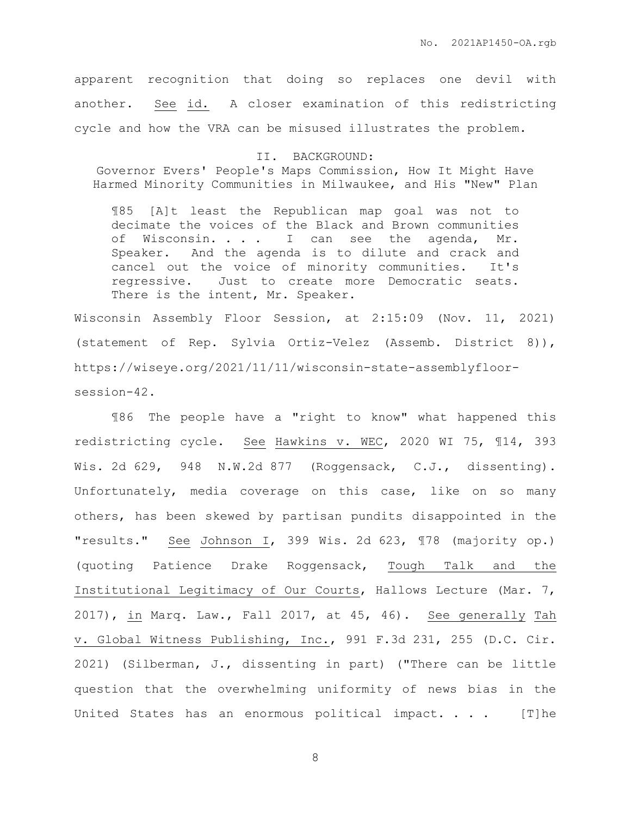apparent recognition that doing so replaces one devil with another. See id. A closer examination of this redistricting cycle and how the VRA can be misused illustrates the problem.

II. BACKGROUND: Governor Evers' People's Maps Commission, How It Might Have Harmed Minority Communities in Milwaukee, and His "New" Plan

¶85 [A]t least the Republican map goal was not to decimate the voices of the Black and Brown communities of Wisconsin. . . . I can see the agenda, Mr. Speaker. And the agenda is to dilute and crack and cancel out the voice of minority communities. It's regressive. Just to create more Democratic seats. There is the intent, Mr. Speaker.

Wisconsin Assembly Floor Session, at 2:15:09 (Nov. 11, 2021) (statement of Rep. Sylvia Ortiz-Velez (Assemb. District 8)), https://wiseye.org/2021/11/11/wisconsin-state-assemblyfloorsession-42.

¶86 The people have a "right to know" what happened this redistricting cycle. See Hawkins v. WEC, 2020 WI 75, ¶14, 393 Wis. 2d 629, 948 N.W.2d 877 (Roggensack, C.J., dissenting). Unfortunately, media coverage on this case, like on so many others, has been skewed by partisan pundits disappointed in the "results." See Johnson I, 399 Wis. 2d 623, ¶78 (majority op.) (quoting Patience Drake Roggensack, Tough Talk and the Institutional Legitimacy of Our Courts, Hallows Lecture (Mar. 7, 2017), in Marq. Law., Fall 2017, at 45, 46). See generally Tah v. Global Witness Publishing, Inc., 991 F.3d 231, 255 (D.C. Cir. 2021) (Silberman, J., dissenting in part) ("There can be little question that the overwhelming uniformity of news bias in the United States has an enormous political impact. . . . [T]he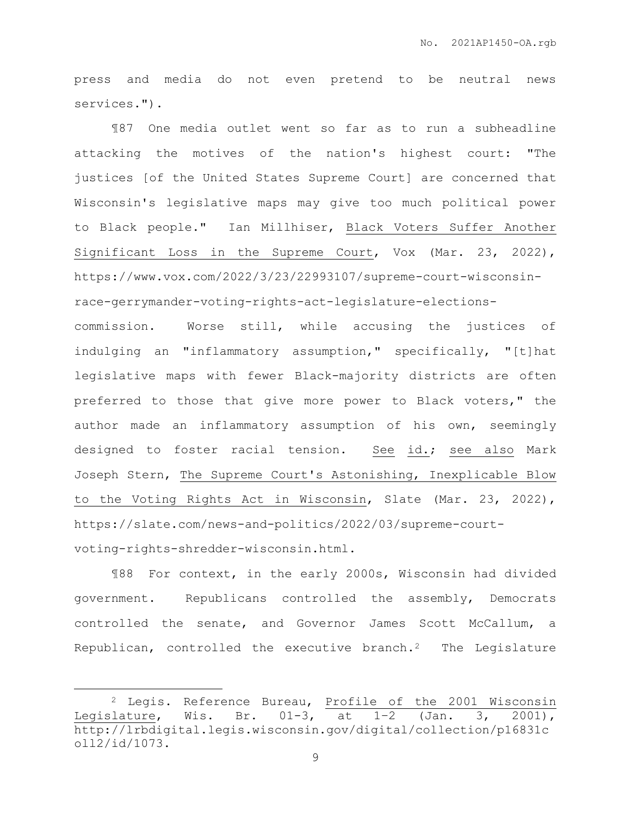press and media do not even pretend to be neutral news services.").

¶87 One media outlet went so far as to run a subheadline attacking the motives of the nation's highest court: "The justices [of the United States Supreme Court] are concerned that Wisconsin's legislative maps may give too much political power to Black people." Ian Millhiser, Black Voters Suffer Another Significant Loss in the Supreme Court, Vox (Mar. 23, 2022), https://www.vox.com/2022/3/23/22993107/supreme-court-wisconsinrace-gerrymander-voting-rights-act-legislature-elections-

commission. Worse still, while accusing the justices of indulging an "inflammatory assumption," specifically, "[t]hat legislative maps with fewer Black-majority districts are often preferred to those that give more power to Black voters," the author made an inflammatory assumption of his own, seemingly designed to foster racial tension. See id.; see also Mark Joseph Stern, The Supreme Court's Astonishing, Inexplicable Blow to the Voting Rights Act in Wisconsin, Slate (Mar. 23, 2022), https://slate.com/news-and-politics/2022/03/supreme-courtvoting-rights-shredder-wisconsin.html.

¶88 For context, in the early 2000s, Wisconsin had divided government. Republicans controlled the assembly, Democrats controlled the senate, and Governor James Scott McCallum, a Republican, controlled the executive branch.<sup>2</sup> The Legislature

 $\overline{a}$ 

<sup>2</sup> Legis. Reference Bureau, Profile of the 2001 Wisconsin Legislature, Wis. Br. 01-3, at 1–2 (Jan. 3, 2001), http://lrbdigital.legis.wisconsin.gov/digital/collection/p16831c oll2/id/1073.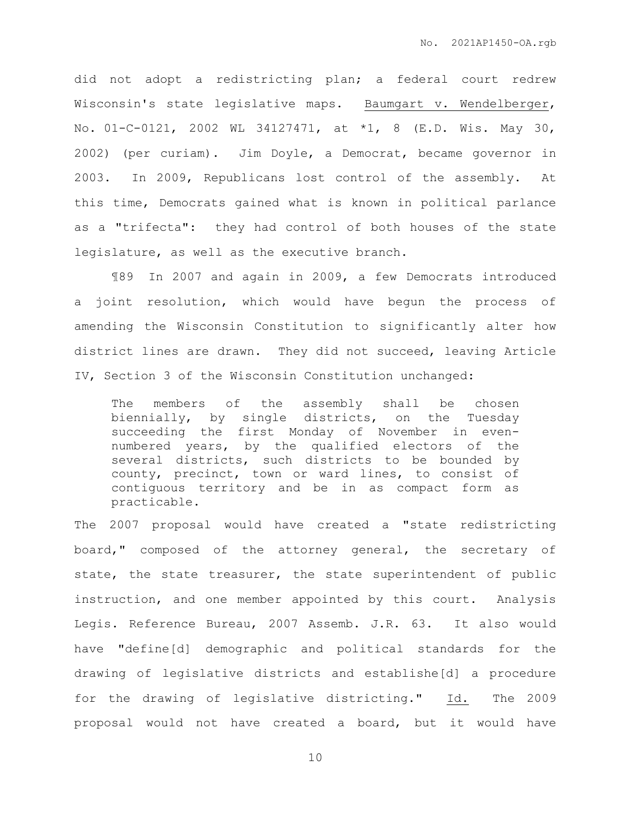did not adopt a redistricting plan; a federal court redrew Wisconsin's state legislative maps. Baumgart v. Wendelberger, No. 01-C-0121, 2002 WL 34127471, at \*1, 8 (E.D. Wis. May 30, 2002) (per curiam). Jim Doyle, a Democrat, became governor in 2003. In 2009, Republicans lost control of the assembly. At this time, Democrats gained what is known in political parlance as a "trifecta": they had control of both houses of the state legislature, as well as the executive branch.

¶89 In 2007 and again in 2009, a few Democrats introduced a joint resolution, which would have begun the process of amending the Wisconsin Constitution to significantly alter how district lines are drawn. They did not succeed, leaving Article IV, Section 3 of the Wisconsin Constitution unchanged:

The members of the assembly shall be chosen biennially, by single districts, on the Tuesday succeeding the first Monday of November in evennumbered years, by the qualified electors of the several districts, such districts to be bounded by county, precinct, town or ward lines, to consist of contiguous territory and be in as compact form as practicable.

The 2007 proposal would have created a "state redistricting board," composed of the attorney general, the secretary of state, the state treasurer, the state superintendent of public instruction, and one member appointed by this court. Analysis Legis. Reference Bureau, 2007 Assemb. J.R. 63. It also would have "define[d] demographic and political standards for the drawing of legislative districts and establishe[d] a procedure for the drawing of legislative districting." Id. The 2009 proposal would not have created a board, but it would have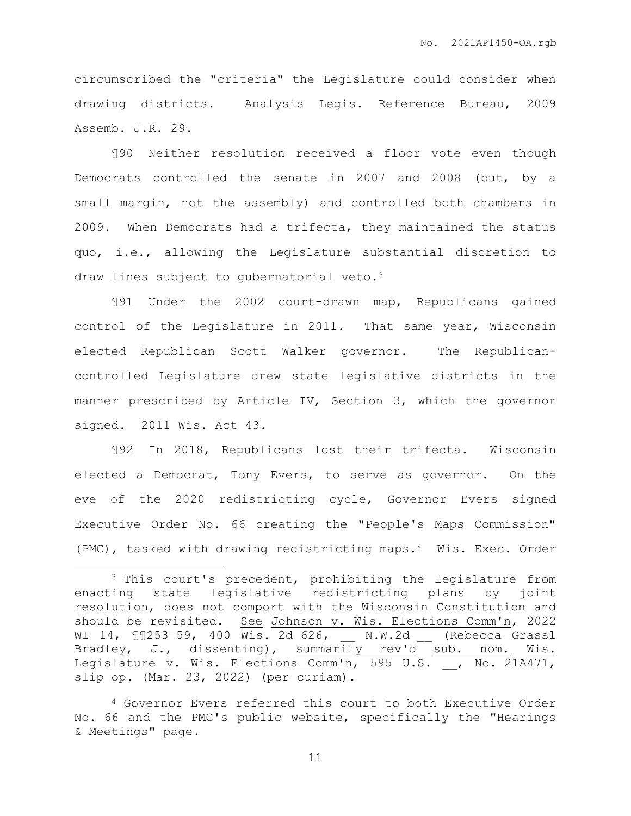circumscribed the "criteria" the Legislature could consider when drawing districts. Analysis Legis. Reference Bureau, 2009 Assemb. J.R. 29.

¶90 Neither resolution received a floor vote even though Democrats controlled the senate in 2007 and 2008 (but, by a small margin, not the assembly) and controlled both chambers in 2009. When Democrats had a trifecta, they maintained the status quo, i.e., allowing the Legislature substantial discretion to draw lines subject to gubernatorial veto.<sup>3</sup>

¶91 Under the 2002 court-drawn map, Republicans gained control of the Legislature in 2011. That same year, Wisconsin elected Republican Scott Walker governor. The Republicancontrolled Legislature drew state legislative districts in the manner prescribed by Article IV, Section 3, which the governor signed. 2011 Wis. Act 43.

¶92 In 2018, Republicans lost their trifecta. Wisconsin elected a Democrat, Tony Evers, to serve as governor. On the eve of the 2020 redistricting cycle, Governor Evers signed Executive Order No. 66 creating the "People's Maps Commission" (PMC), tasked with drawing redistricting maps.4 Wis. Exec. Order

 $\overline{a}$ 

<sup>3</sup> This court's precedent, prohibiting the Legislature from enacting state legislative redistricting plans by joint resolution, does not comport with the Wisconsin Constitution and should be revisited. See Johnson v. Wis. Elections Comm'n, 2022 WI 14, 11253-59, 400 Wis. 2d 626, \_\_ N.W.2d \_\_ (Rebecca Grassl Bradley, J., dissenting), summarily rev'd sub. nom. Wis. Legislature v. Wis. Elections Comm'n, 595 U.S. \_\_, No. 21A471, slip op. (Mar. 23, 2022) (per curiam).

<sup>4</sup> Governor Evers referred this court to both Executive Order No. 66 and the PMC's public website, specifically the "Hearings & Meetings" page.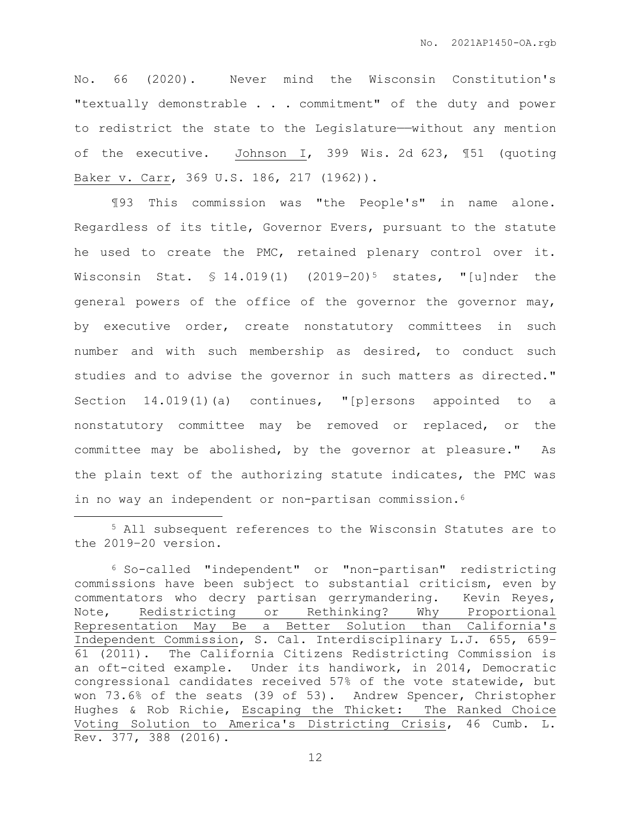No. 66 (2020). Never mind the Wisconsin Constitution's "textually demonstrable . . . commitment" of the duty and power to redistrict the state to the Legislature——without any mention of the executive. Johnson I, 399 Wis. 2d 623, ¶51 (quoting Baker v. Carr, 369 U.S. 186, 217 (1962)).

¶93 This commission was "the People's" in name alone. Regardless of its title, Governor Evers, pursuant to the statute he used to create the PMC, retained plenary control over it. Wisconsin Stat.  $$ 14.019(1)$   $(2019-20)^5$  states, "[u]nder the general powers of the office of the governor the governor may, by executive order, create nonstatutory committees in such number and with such membership as desired, to conduct such studies and to advise the governor in such matters as directed." Section 14.019(1)(a) continues, "[p]ersons appointed to a nonstatutory committee may be removed or replaced, or the committee may be abolished, by the governor at pleasure." As the plain text of the authorizing statute indicates, the PMC was in no way an independent or non-partisan commission.<sup>6</sup>

 $\overline{a}$ 

<sup>5</sup> All subsequent references to the Wisconsin Statutes are to the 2019–20 version.

<sup>6</sup> So-called "independent" or "non-partisan" redistricting commissions have been subject to substantial criticism, even by commentators who decry partisan gerrymandering. Kevin Reyes, Note, Redistricting or Rethinking? Why Proportional Representation May Be a Better Solution than California's Independent Commission, S. Cal. Interdisciplinary L.J. 655, 659– 61 (2011). The California Citizens Redistricting Commission is an oft-cited example. Under its handiwork, in 2014, Democratic congressional candidates received 57% of the vote statewide, but won 73.6% of the seats (39 of 53). Andrew Spencer, Christopher Hughes & Rob Richie, Escaping the Thicket: The Ranked Choice Voting Solution to America's Districting Crisis, 46 Cumb. L. Rev. 377, 388 (2016).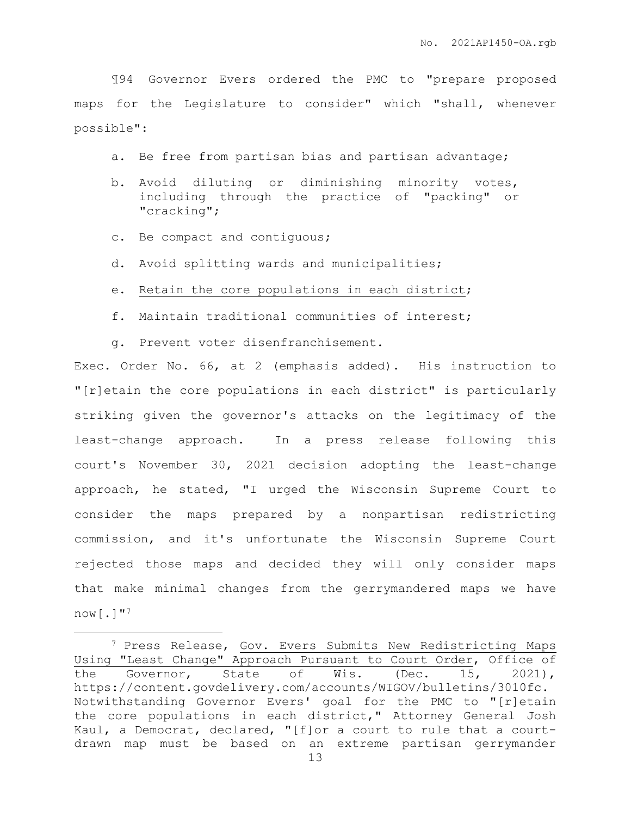¶94 Governor Evers ordered the PMC to "prepare proposed maps for the Legislature to consider" which "shall, whenever possible":

a. Be free from partisan bias and partisan advantage;

- b. Avoid diluting or diminishing minority votes, including through the practice of "packing" or "cracking";
- c. Be compact and contiguous;

 $\overline{a}$ 

- d. Avoid splitting wards and municipalities;
- e. Retain the core populations in each district;
- f. Maintain traditional communities of interest;
- g. Prevent voter disenfranchisement.

Exec. Order No. 66, at 2 (emphasis added). His instruction to "[r]etain the core populations in each district" is particularly striking given the governor's attacks on the legitimacy of the least-change approach. In a press release following this court's November 30, 2021 decision adopting the least-change approach, he stated, "I urged the Wisconsin Supreme Court to consider the maps prepared by a nonpartisan redistricting commission, and it's unfortunate the Wisconsin Supreme Court rejected those maps and decided they will only consider maps that make minimal changes from the gerrymandered maps we have  $now$ [.]"<sup>7</sup>

<sup>7</sup> Press Release, Gov. Evers Submits New Redistricting Maps Using "Least Change" Approach Pursuant to Court Order, Office of the Governor, State of Wis. (Dec. 15, 2021), https://content.govdelivery.com/accounts/WIGOV/bulletins/3010fc. Notwithstanding Governor Evers' goal for the PMC to "[r]etain the core populations in each district," Attorney General Josh Kaul, a Democrat, declared, "[f]or a court to rule that a courtdrawn map must be based on an extreme partisan gerrymander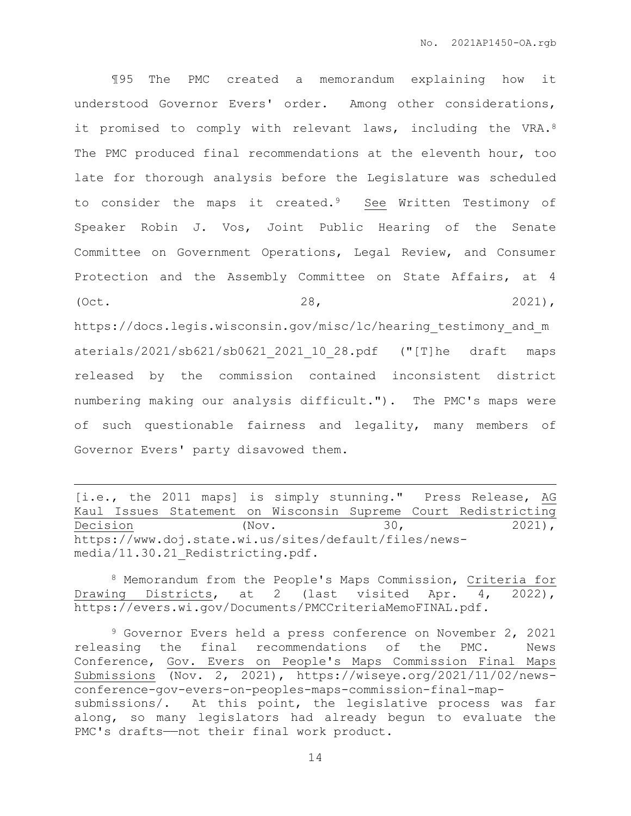¶95 The PMC created a memorandum explaining how it understood Governor Evers' order. Among other considerations, it promised to comply with relevant laws, including the VRA.<sup>8</sup> The PMC produced final recommendations at the eleventh hour, too late for thorough analysis before the Legislature was scheduled to consider the maps it created.9 See Written Testimony of Speaker Robin J. Vos, Joint Public Hearing of the Senate Committee on Government Operations, Legal Review, and Consumer Protection and the Assembly Committee on State Affairs, at 4 (Oct. 28, 2021), https://docs.legis.wisconsin.gov/misc/lc/hearing testimony and m aterials/2021/sb621/sb0621\_2021\_10\_28.pdf ("[T]he draft maps released by the commission contained inconsistent district numbering making our analysis difficult."). The PMC's maps were of such questionable fairness and legality, many members of Governor Evers' party disavowed them.

 $\overline{a}$ 

<sup>8</sup> Memorandum from the People's Maps Commission, Criteria for Drawing Districts, at 2 (last visited Apr. 4, 2022), https://evers.wi.gov/Documents/PMCCriteriaMemoFINAL.pdf.

<sup>[</sup>i.e., the 2011 maps] is simply stunning." Press Release, AG Kaul Issues Statement on Wisconsin Supreme Court Redistricting Decision (Nov. 30, 2021), https://www.doj.state.wi.us/sites/default/files/newsmedia/11.30.21\_Redistricting.pdf.

<sup>9</sup> Governor Evers held a press conference on November 2, 2021 releasing the final recommendations of the PMC. News Conference, Gov. Evers on People's Maps Commission Final Maps Submissions (Nov. 2, 2021), https://wiseye.org/2021/11/02/newsconference-gov-evers-on-peoples-maps-commission-final-mapsubmissions/. At this point, the legislative process was far along, so many legislators had already begun to evaluate the PMC's drafts-not their final work product.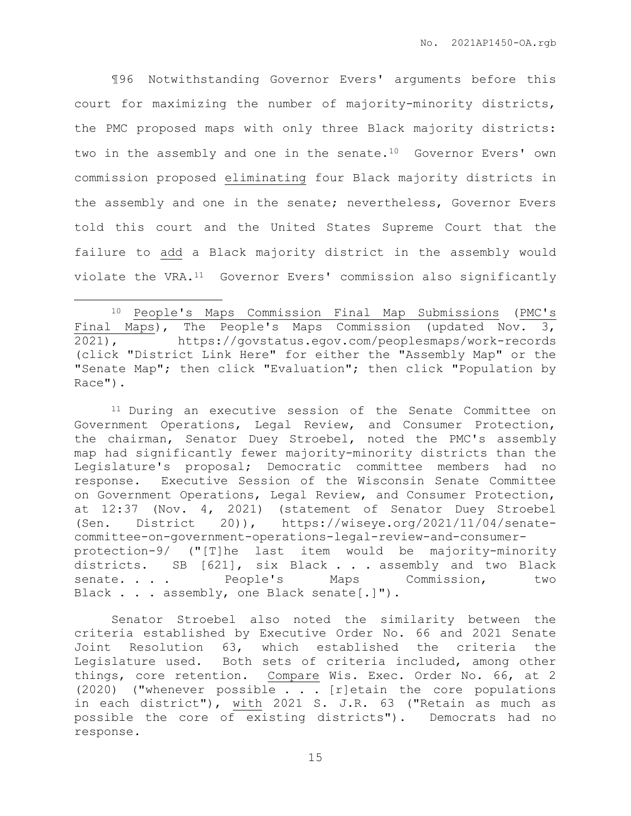¶96 Notwithstanding Governor Evers' arguments before this court for maximizing the number of majority-minority districts, the PMC proposed maps with only three Black majority districts: two in the assembly and one in the senate.10 Governor Evers' own commission proposed eliminating four Black majority districts in the assembly and one in the senate; nevertheless, Governor Evers told this court and the United States Supreme Court that the failure to add a Black majority district in the assembly would violate the VRA.11 Governor Evers' commission also significantly

 $\overline{a}$ 

<sup>11</sup> During an executive session of the Senate Committee on Government Operations, Legal Review, and Consumer Protection, the chairman, Senator Duey Stroebel, noted the PMC's assembly map had significantly fewer majority-minority districts than the Legislature's proposal; Democratic committee members had no response. Executive Session of the Wisconsin Senate Committee on Government Operations, Legal Review, and Consumer Protection, at 12:37 (Nov. 4, 2021) (statement of Senator Duey Stroebel (Sen. District 20)), https://wiseye.org/2021/11/04/senatecommittee-on-government-operations-legal-review-and-consumerprotection-9/ ("[T]he last item would be majority-minority districts. SB [621], six Black . . . assembly and two Black senate. . . . People's Maps Commission, two Black . . . assembly, one Black senate[.]").

Senator Stroebel also noted the similarity between the criteria established by Executive Order No. 66 and 2021 Senate Joint Resolution 63, which established the criteria the Legislature used. Both sets of criteria included, among other things, core retention. Compare Wis. Exec. Order No. 66, at 2 (2020) ("whenever possible . . . [r]etain the core populations in each district"), with 2021 S. J.R. 63 ("Retain as much as possible the core of existing districts"). Democrats had no response.

<sup>10</sup> People's Maps Commission Final Map Submissions (PMC's Final Maps), The People's Maps Commission (updated Nov. 3, 2021), https://govstatus.egov.com/peoplesmaps/work-records (click "District Link Here" for either the "Assembly Map" or the "Senate Map"; then click "Evaluation"; then click "Population by Race").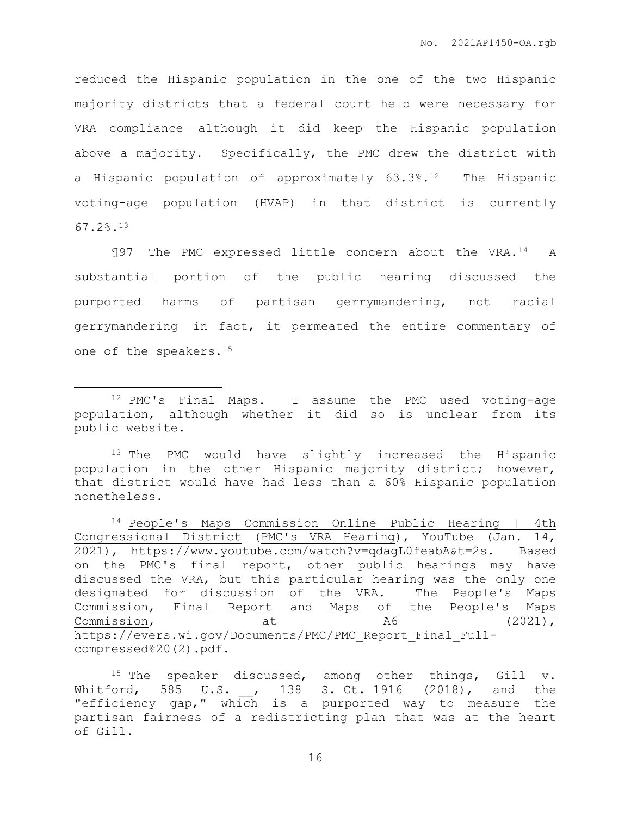reduced the Hispanic population in the one of the two Hispanic majority districts that a federal court held were necessary for VRA compliance——although it did keep the Hispanic population above a majority. Specifically, the PMC drew the district with a Hispanic population of approximately 63.3%.12 The Hispanic voting-age population (HVAP) in that district is currently 67.2%.<sup>13</sup>

¶97 The PMC expressed little concern about the VRA.14 A substantial portion of the public hearing discussed the purported harms of partisan gerrymandering, not racial gerrymandering——in fact, it permeated the entire commentary of one of the speakers.<sup>15</sup>

 $\overline{a}$ 

<sup>13</sup> The PMC would have slightly increased the Hispanic population in the other Hispanic majority district; however, that district would have had less than a 60% Hispanic population nonetheless.

<sup>14</sup> People's Maps Commission Online Public Hearing | 4th Congressional District (PMC's VRA Hearing), YouTube (Jan. 14, 2021), https://www.youtube.com/watch?v=qdagL0feabA&t=2s. Based on the PMC's final report, other public hearings may have discussed the VRA, but this particular hearing was the only one designated for discussion of the VRA. The People's Maps Commission, Final Report and Maps of the People's Maps Commission,  $at$  at  $A6$  (2021), https://evers.wi.gov/Documents/PMC/PMC\_Report\_Final\_Fullcompressed%20(2).pdf.

<sup>12</sup> PMC's Final Maps. I assume the PMC used voting-age population, although whether it did so is unclear from its public website.

<sup>&</sup>lt;sup>15</sup> The speaker discussed, among other things, Gill v. Whitford, 585 U.S. , 138 S. Ct. 1916 (2018), and the **"efficiency gap,"** which is a purported way to measure the partisan fairness of a redistricting plan that was at the heart of Gill.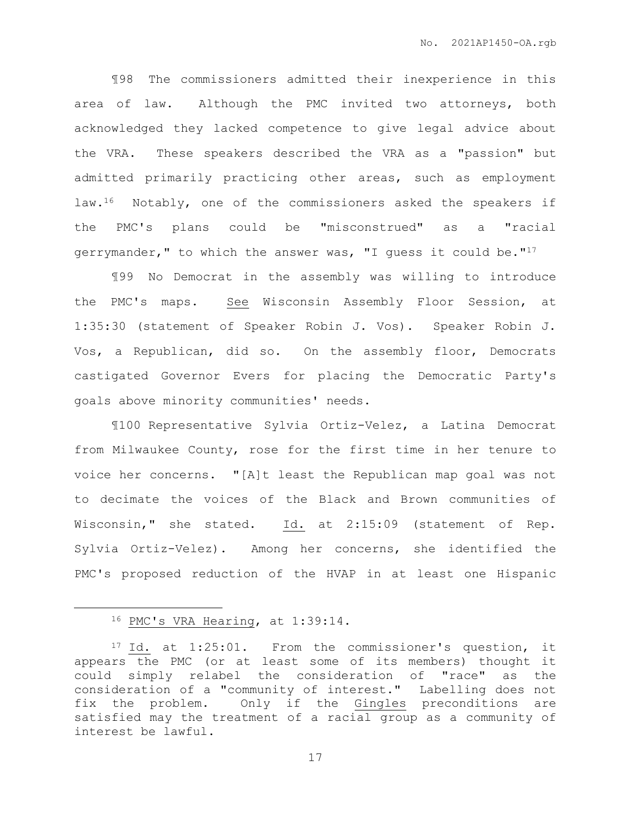¶98 The commissioners admitted their inexperience in this area of law. Although the PMC invited two attorneys, both acknowledged they lacked competence to give legal advice about the VRA. These speakers described the VRA as a "passion" but admitted primarily practicing other areas, such as employment law.16 Notably, one of the commissioners asked the speakers if the PMC's plans could be "misconstrued" as a "racial gerrymander," to which the answer was, "I quess it could be." $17$ 

¶99 No Democrat in the assembly was willing to introduce the PMC's maps. See Wisconsin Assembly Floor Session, at 1:35:30 (statement of Speaker Robin J. Vos). Speaker Robin J. Vos, a Republican, did so. On the assembly floor, Democrats castigated Governor Evers for placing the Democratic Party's goals above minority communities' needs.

¶100 Representative Sylvia Ortiz-Velez, a Latina Democrat from Milwaukee County, rose for the first time in her tenure to voice her concerns. "[A]t least the Republican map goal was not to decimate the voices of the Black and Brown communities of Wisconsin," she stated. Id. at 2:15:09 (statement of Rep. Sylvia Ortiz-Velez). Among her concerns, she identified the PMC's proposed reduction of the HVAP in at least one Hispanic

 $\overline{a}$ 

<sup>16</sup> PMC's VRA Hearing, at 1:39:14.

<sup>17</sup> Id. at 1:25:01. From the commissioner's question, it appears the PMC (or at least some of its members) thought it could simply relabel the consideration of "race" as the consideration of a "community of interest." Labelling does not fix the problem. Only if the Gingles preconditions are satisfied may the treatment of a racial group as a community of interest be lawful.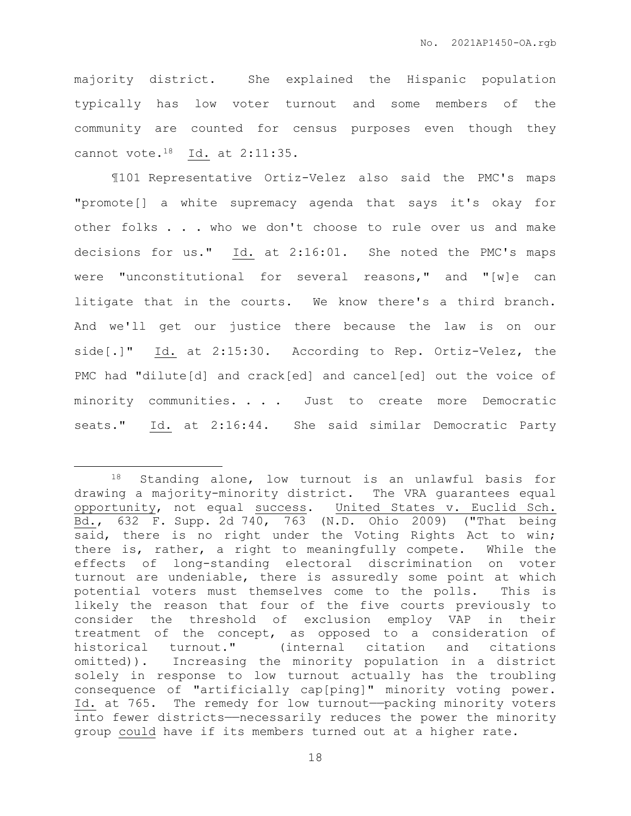majority district. She explained the Hispanic population typically has low voter turnout and some members of the community are counted for census purposes even though they cannot vote.18 Id. at 2:11:35.

¶101 Representative Ortiz-Velez also said the PMC's maps "promote[] a white supremacy agenda that says it's okay for other folks . . . who we don't choose to rule over us and make decisions for us." Id. at 2:16:01. She noted the PMC's maps were "unconstitutional for several reasons," and "[w]e can litigate that in the courts. We know there's a third branch. And we'll get our justice there because the law is on our side[.]" Id. at 2:15:30. According to Rep. Ortiz-Velez, the PMC had "dilute[d] and crack[ed] and cancel[ed] out the voice of minority communities. . . . Just to create more Democratic seats." Id. at 2:16:44. She said similar Democratic Party

 $\overline{a}$ 

<sup>18</sup> Standing alone, low turnout is an unlawful basis for drawing a majority-minority district. The VRA guarantees equal opportunity, not equal success. United States v. Euclid Sch. Bd., 632 F. Supp. 2d 740, 763 (N.D. Ohio 2009) ("That being said, there is no right under the Voting Rights Act to win; there is, rather, a right to meaningfully compete. While the effects of long-standing electoral discrimination on voter turnout are undeniable, there is assuredly some point at which potential voters must themselves come to the polls. This is likely the reason that four of the five courts previously to consider the threshold of exclusion employ VAP in their treatment of the concept, as opposed to a consideration of historical turnout." (internal citation and citations omitted)). Increasing the minority population in a district solely in response to low turnout actually has the troubling consequence of "artificially cap[ping]" minority voting power. Id. at 765. The remedy for low turnout——packing minority voters into fewer districts——necessarily reduces the power the minority group could have if its members turned out at a higher rate.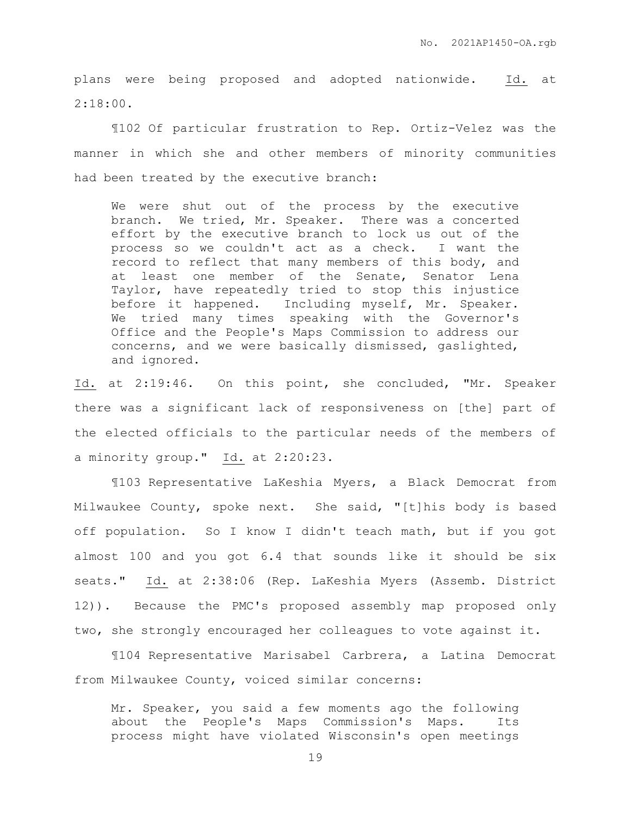plans were being proposed and adopted nationwide. Id. at 2:18:00.

¶102 Of particular frustration to Rep. Ortiz-Velez was the manner in which she and other members of minority communities had been treated by the executive branch:

We were shut out of the process by the executive branch. We tried, Mr. Speaker. There was a concerted effort by the executive branch to lock us out of the process so we couldn't act as a check. I want the record to reflect that many members of this body, and at least one member of the Senate, Senator Lena Taylor, have repeatedly tried to stop this injustice before it happened. Including myself, Mr. Speaker. We tried many times speaking with the Governor's Office and the People's Maps Commission to address our concerns, and we were basically dismissed, gaslighted, and ignored.

Id. at 2:19:46. On this point, she concluded, "Mr. Speaker there was a significant lack of responsiveness on [the] part of the elected officials to the particular needs of the members of a minority group." Id. at 2:20:23.

¶103 Representative LaKeshia Myers, a Black Democrat from Milwaukee County, spoke next. She said, "[t]his body is based off population. So I know I didn't teach math, but if you got almost 100 and you got 6.4 that sounds like it should be six seats." Id. at 2:38:06 (Rep. LaKeshia Myers (Assemb. District 12)). Because the PMC's proposed assembly map proposed only two, she strongly encouraged her colleagues to vote against it.

¶104 Representative Marisabel Carbrera, a Latina Democrat from Milwaukee County, voiced similar concerns:

Mr. Speaker, you said a few moments ago the following about the People's Maps Commission's Maps. Its process might have violated Wisconsin's open meetings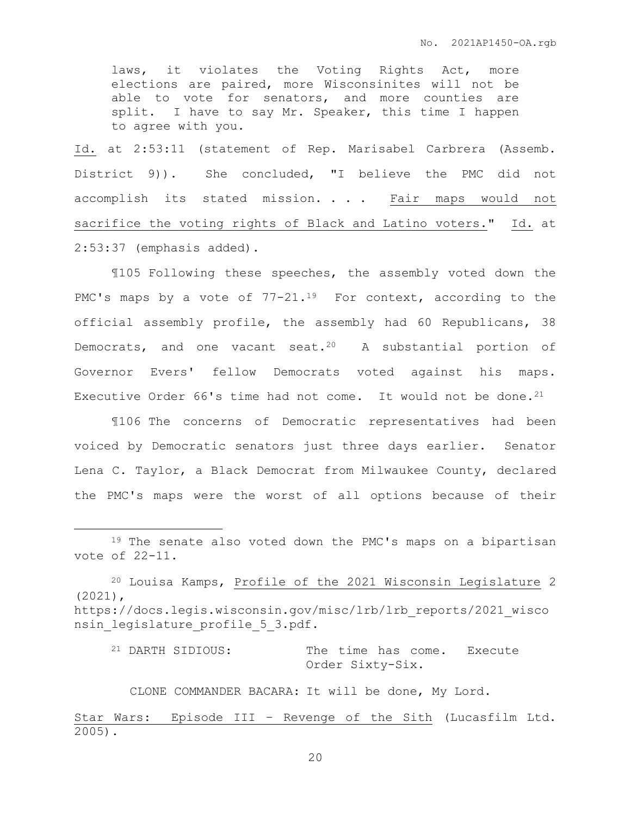laws, it violates the Voting Rights Act, more elections are paired, more Wisconsinites will not be able to vote for senators, and more counties are split. I have to say Mr. Speaker, this time I happen to agree with you.

Id. at 2:53:11 (statement of Rep. Marisabel Carbrera (Assemb. District 9)). She concluded, "I believe the PMC did not accomplish its stated mission. . . . Fair maps would not sacrifice the voting rights of Black and Latino voters." Id. at 2:53:37 (emphasis added).

¶105 Following these speeches, the assembly voted down the PMC's maps by a vote of 77-21.<sup>19</sup> For context, according to the official assembly profile, the assembly had 60 Republicans, 38 Democrats, and one vacant seat.<sup>20</sup> A substantial portion of Governor Evers' fellow Democrats voted against his maps. Executive Order 66's time had not come. It would not be done.<sup>21</sup>

¶106 The concerns of Democratic representatives had been voiced by Democratic senators just three days earlier. Senator Lena C. Taylor, a Black Democrat from Milwaukee County, declared the PMC's maps were the worst of all options because of their

 $\overline{a}$ 

<sup>21</sup> DARTH SIDIOUS: The time has come. Execute Order Sixty-Six.

CLONE COMMANDER BACARA: It will be done, My Lord.

Star Wars: Episode III – Revenge of the Sith (Lucasfilm Ltd. 2005).

<sup>&</sup>lt;sup>19</sup> The senate also voted down the PMC's maps on a bipartisan vote of 22-11.

<sup>20</sup> Louisa Kamps, Profile of the 2021 Wisconsin Legislature 2 (2021), https://docs.legis.wisconsin.gov/misc/lrb/lrb\_reports/2021\_wisco nsin legislature profile 5 3.pdf.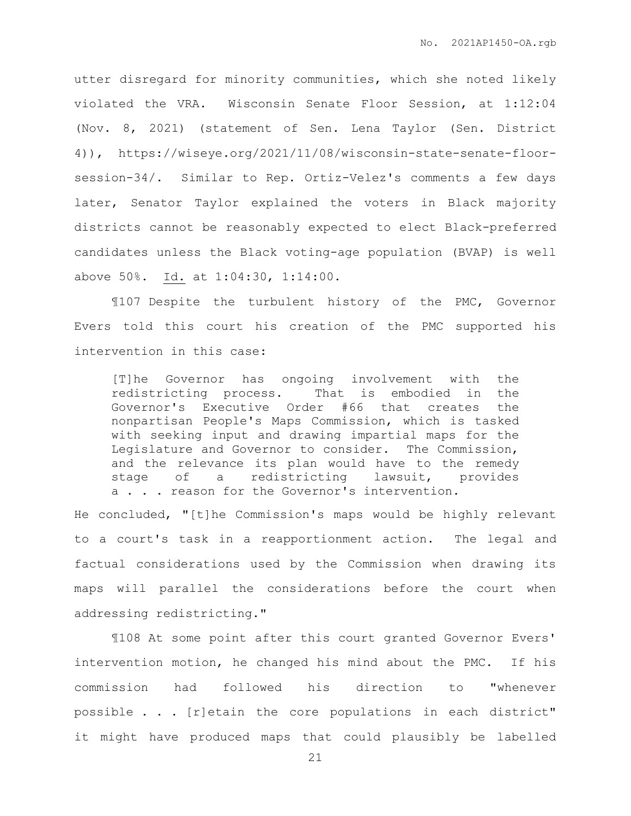utter disregard for minority communities, which she noted likely violated the VRA. Wisconsin Senate Floor Session, at 1:12:04 (Nov. 8, 2021) (statement of Sen. Lena Taylor (Sen. District 4)), https://wiseye.org/2021/11/08/wisconsin-state-senate-floorsession-34/. Similar to Rep. Ortiz-Velez's comments a few days later, Senator Taylor explained the voters in Black majority districts cannot be reasonably expected to elect Black-preferred candidates unless the Black voting-age population (BVAP) is well above 50%. Id. at 1:04:30, 1:14:00.

¶107 Despite the turbulent history of the PMC, Governor Evers told this court his creation of the PMC supported his intervention in this case:

[T]he Governor has ongoing involvement with the redistricting process. That is embodied in the Governor's Executive Order #66 that creates the nonpartisan People's Maps Commission, which is tasked with seeking input and drawing impartial maps for the Legislature and Governor to consider. The Commission, and the relevance its plan would have to the remedy stage of a redistricting lawsuit, provides a . . . reason for the Governor's intervention.

He concluded, "[t]he Commission's maps would be highly relevant to a court's task in a reapportionment action. The legal and factual considerations used by the Commission when drawing its maps will parallel the considerations before the court when addressing redistricting."

¶108 At some point after this court granted Governor Evers' intervention motion, he changed his mind about the PMC. If his commission had followed his direction to "whenever possible . . . [r]etain the core populations in each district" it might have produced maps that could plausibly be labelled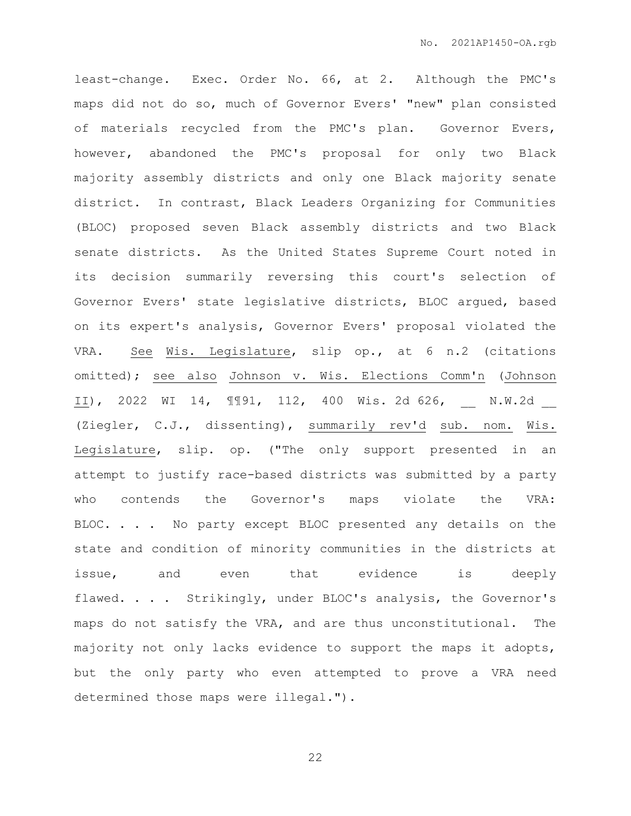least-change. Exec. Order No. 66, at 2. Although the PMC's maps did not do so, much of Governor Evers' "new" plan consisted of materials recycled from the PMC's plan. Governor Evers, however, abandoned the PMC's proposal for only two Black majority assembly districts and only one Black majority senate district. In contrast, Black Leaders Organizing for Communities (BLOC) proposed seven Black assembly districts and two Black senate districts. As the United States Supreme Court noted in its decision summarily reversing this court's selection of Governor Evers' state legislative districts, BLOC argued, based on its expert's analysis, Governor Evers' proposal violated the VRA. See Wis. Legislature, slip op., at 6 n.2 (citations omitted); see also Johnson v. Wis. Elections Comm'n (Johnson II), 2022 WI 14, ¶¶91, 112, 400 Wis. 2d 626, M.W.2d (Ziegler, C.J., dissenting), summarily rev'd sub. nom. Wis. Legislature, slip. op. ("The only support presented in an attempt to justify race-based districts was submitted by a party who contends the Governor's maps violate the VRA: BLOC. . . . No party except BLOC presented any details on the state and condition of minority communities in the districts at issue, and even that evidence is deeply flawed. . . . Strikingly, under BLOC's analysis, the Governor's maps do not satisfy the VRA, and are thus unconstitutional. The majority not only lacks evidence to support the maps it adopts, but the only party who even attempted to prove a VRA need determined those maps were illegal.").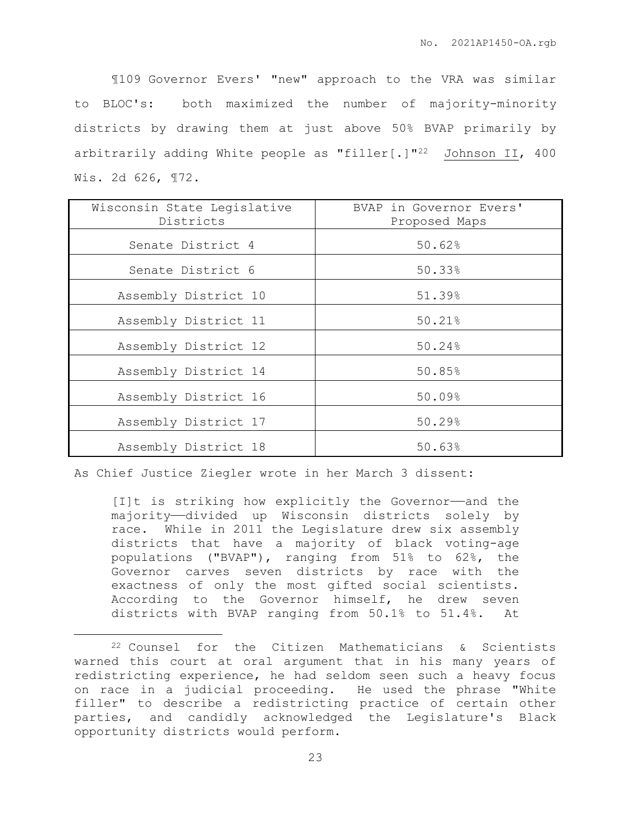¶109 Governor Evers' "new" approach to the VRA was similar to BLOC's: both maximized the number of majority-minority districts by drawing them at just above 50% BVAP primarily by arbitrarily adding White people as "filler[.]"<sup>22</sup> Johnson II, 400 Wis. 2d 626, ¶72.

| Wisconsin State Legislative<br>Districts | BVAP in Governor Evers'<br>Proposed Maps |
|------------------------------------------|------------------------------------------|
| Senate District 4                        | 50.62%                                   |
| Senate District 6                        | 50.33%                                   |
| Assembly District 10                     | 51.39%                                   |
| Assembly District 11                     | 50.21%                                   |
| Assembly District 12                     | 50.24%                                   |
| Assembly District 14                     | 50.85%                                   |
| Assembly District 16                     | 50.09%                                   |
| Assembly District 17                     | 50.29%                                   |
| Assembly District 18                     | 50.63%                                   |

As Chief Justice Ziegler wrote in her March 3 dissent:

 $\overline{a}$ 

[I]t is striking how explicitly the Governor——and the majority—divided up Wisconsin districts solely by race. While in 2011 the Legislature drew six assembly districts that have a majority of black voting-age populations ("BVAP"), ranging from 51% to 62%, the Governor carves seven districts by race with the exactness of only the most gifted social scientists. According to the Governor himself, he drew seven districts with BVAP ranging from 50.1% to 51.4%. At

<sup>22</sup> Counsel for the Citizen Mathematicians & Scientists warned this court at oral argument that in his many years of redistricting experience, he had seldom seen such a heavy focus on race in a judicial proceeding. He used the phrase "White filler" to describe a redistricting practice of certain other parties, and candidly acknowledged the Legislature's Black opportunity districts would perform.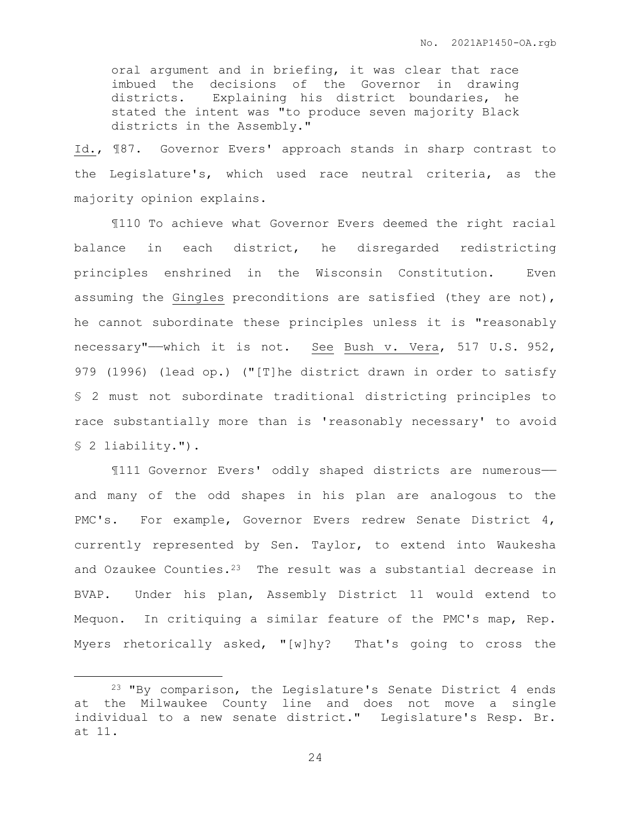oral argument and in briefing, it was clear that race imbued the decisions of the Governor in drawing districts. Explaining his district boundaries, he stated the intent was "to produce seven majority Black districts in the Assembly."

Id., ¶87. Governor Evers' approach stands in sharp contrast to the Legislature's, which used race neutral criteria, as the majority opinion explains.

¶110 To achieve what Governor Evers deemed the right racial balance in each district, he disregarded redistricting principles enshrined in the Wisconsin Constitution. Even assuming the Gingles preconditions are satisfied (they are not), he cannot subordinate these principles unless it is "reasonably necessary"——which it is not. See Bush v. Vera, 517 U.S. 952, 979 (1996) (lead op.) ("[T]he district drawn in order to satisfy § 2 must not subordinate traditional districting principles to race substantially more than is 'reasonably necessary' to avoid § 2 liability.").

¶111 Governor Evers' oddly shaped districts are numerous— and many of the odd shapes in his plan are analogous to the PMC's. For example, Governor Evers redrew Senate District 4, currently represented by Sen. Taylor, to extend into Waukesha and Ozaukee Counties. $2^3$  The result was a substantial decrease in BVAP. Under his plan, Assembly District 11 would extend to Mequon. In critiquing a similar feature of the PMC's map, Rep. Myers rhetorically asked, "[w]hy? That's going to cross the

 $\overline{a}$ 

<sup>23</sup> "By comparison, the Legislature's Senate District 4 ends at the Milwaukee County line and does not move a single individual to a new senate district." Legislature's Resp. Br. at 11.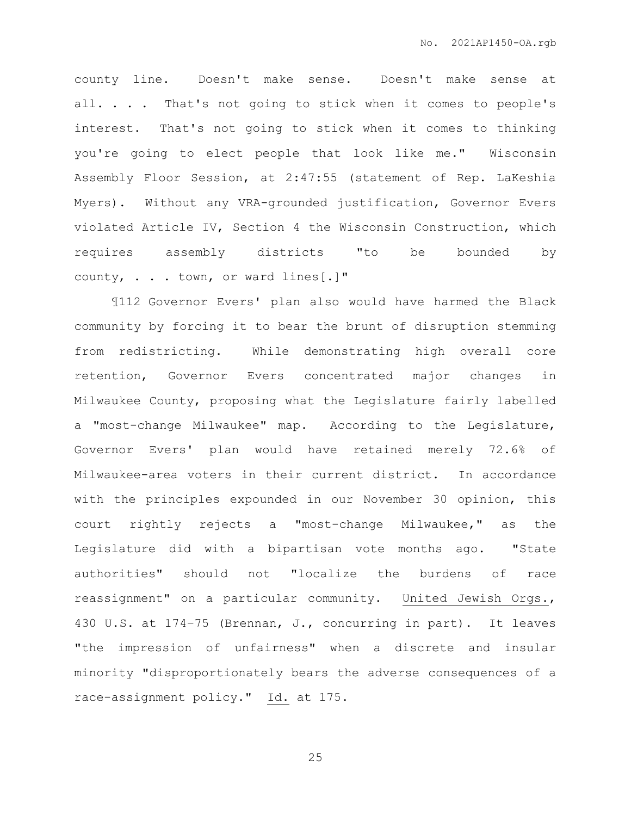county line. Doesn't make sense. Doesn't make sense at all. . . . That's not going to stick when it comes to people's interest. That's not going to stick when it comes to thinking you're going to elect people that look like me." Wisconsin Assembly Floor Session, at 2:47:55 (statement of Rep. LaKeshia Myers). Without any VRA-grounded justification, Governor Evers violated Article IV, Section 4 the Wisconsin Construction, which requires assembly districts "to be bounded by county, . . . town, or ward lines[.]"

¶112 Governor Evers' plan also would have harmed the Black community by forcing it to bear the brunt of disruption stemming from redistricting. While demonstrating high overall core retention, Governor Evers concentrated major changes in Milwaukee County, proposing what the Legislature fairly labelled a "most-change Milwaukee" map. According to the Legislature, Governor Evers' plan would have retained merely 72.6% of Milwaukee-area voters in their current district. In accordance with the principles expounded in our November 30 opinion, this court rightly rejects a "most-change Milwaukee," as the Legislature did with a bipartisan vote months ago. "State authorities" should not "localize the burdens of race reassignment" on a particular community. United Jewish Orgs., 430 U.S. at 174–75 (Brennan, J., concurring in part). It leaves "the impression of unfairness" when a discrete and insular minority "disproportionately bears the adverse consequences of a race-assignment policy." Id. at 175.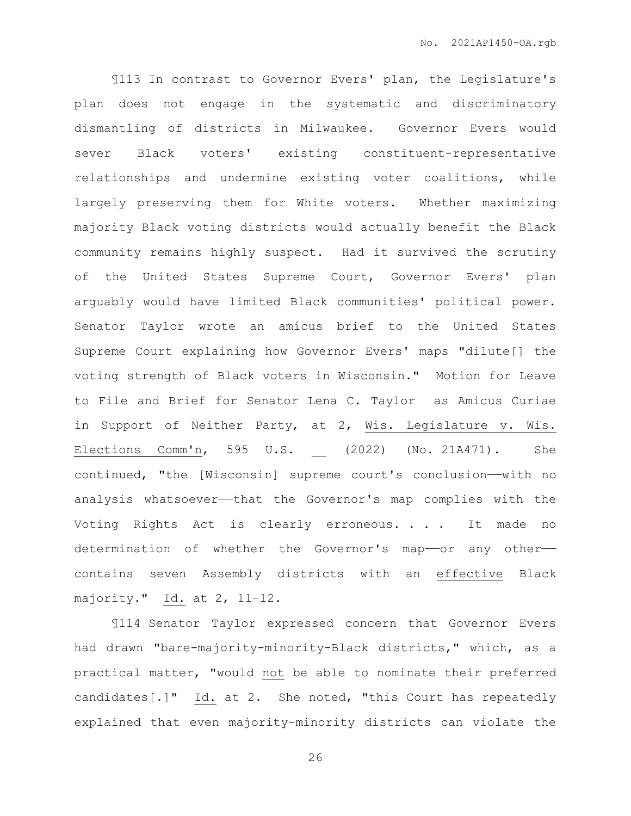¶113 In contrast to Governor Evers' plan, the Legislature's plan does not engage in the systematic and discriminatory dismantling of districts in Milwaukee. Governor Evers would sever Black voters' existing constituent-representative relationships and undermine existing voter coalitions, while largely preserving them for White voters. Whether maximizing majority Black voting districts would actually benefit the Black community remains highly suspect. Had it survived the scrutiny of the United States Supreme Court, Governor Evers' plan arguably would have limited Black communities' political power. Senator Taylor wrote an amicus brief to the United States Supreme Court explaining how Governor Evers' maps "dilute[] the voting strength of Black voters in Wisconsin." Motion for Leave to File and Brief for Senator Lena C. Taylor as Amicus Curiae in Support of Neither Party, at 2, Wis. Legislature v. Wis. Elections Comm'n, 595 U.S. (2022) (No. 21A471). She continued, "the [Wisconsin] supreme court's conclusion——with no analysis whatsoever-that the Governor's map complies with the Voting Rights Act is clearly erroneous. . . . It made no determination of whether the Governor's map-or any othercontains seven Assembly districts with an effective Black majority." Id. at 2, 11–12.

¶114 Senator Taylor expressed concern that Governor Evers had drawn "bare-majority-minority-Black districts," which, as a practical matter, "would not be able to nominate their preferred candidates[.]" Id. at 2. She noted, "this Court has repeatedly explained that even majority-minority districts can violate the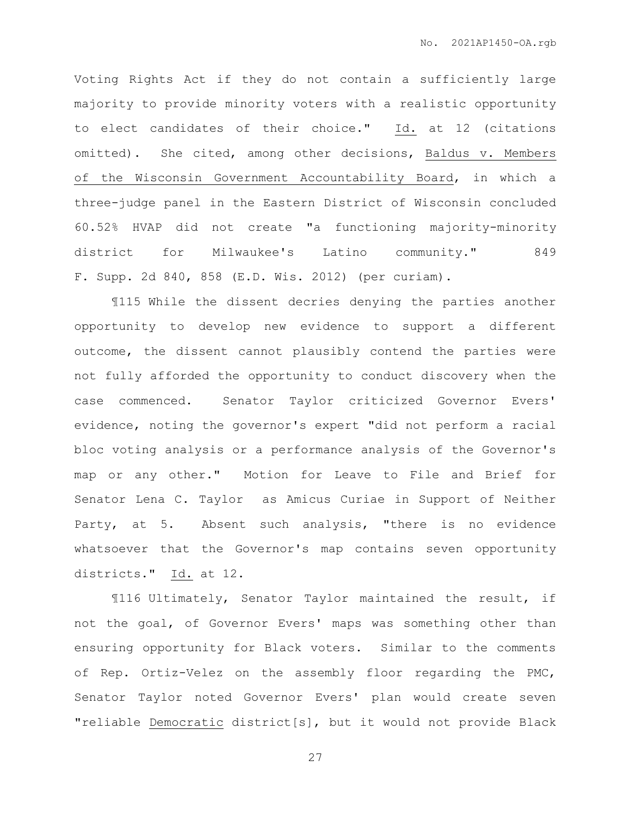Voting Rights Act if they do not contain a sufficiently large majority to provide minority voters with a realistic opportunity to elect candidates of their choice." Id. at 12 (citations omitted). She cited, among other decisions, Baldus v. Members of the Wisconsin Government Accountability Board, in which a three-judge panel in the Eastern District of Wisconsin concluded 60.52% HVAP did not create "a functioning majority-minority district for Milwaukee's Latino community." 849 F. Supp. 2d 840, 858 (E.D. Wis. 2012) (per curiam).

¶115 While the dissent decries denying the parties another opportunity to develop new evidence to support a different outcome, the dissent cannot plausibly contend the parties were not fully afforded the opportunity to conduct discovery when the case commenced. Senator Taylor criticized Governor Evers' evidence, noting the governor's expert "did not perform a racial bloc voting analysis or a performance analysis of the Governor's map or any other." Motion for Leave to File and Brief for Senator Lena C. Taylor as Amicus Curiae in Support of Neither Party, at 5. Absent such analysis, "there is no evidence whatsoever that the Governor's map contains seven opportunity districts." Id. at 12.

¶116 Ultimately, Senator Taylor maintained the result, if not the goal, of Governor Evers' maps was something other than ensuring opportunity for Black voters. Similar to the comments of Rep. Ortiz-Velez on the assembly floor regarding the PMC, Senator Taylor noted Governor Evers' plan would create seven "reliable Democratic district[s], but it would not provide Black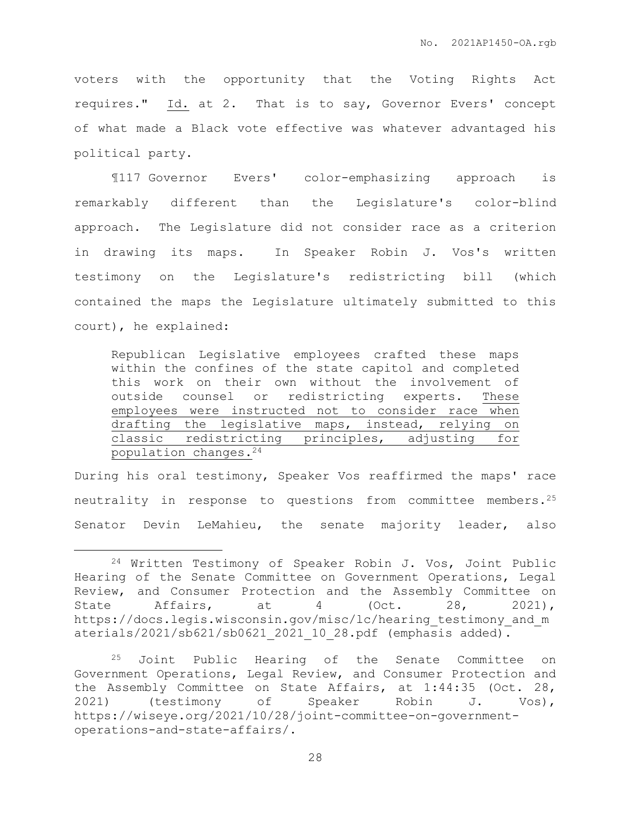voters with the opportunity that the Voting Rights Act requires." Id. at 2. That is to say, Governor Evers' concept of what made a Black vote effective was whatever advantaged his political party.

¶117 Governor Evers' color-emphasizing approach is remarkably different than the Legislature's color-blind approach. The Legislature did not consider race as a criterion in drawing its maps. In Speaker Robin J. Vos's written testimony on the Legislature's redistricting bill (which contained the maps the Legislature ultimately submitted to this court), he explained:

Republican Legislative employees crafted these maps within the confines of the state capitol and completed this work on their own without the involvement of outside counsel or redistricting experts. These employees were instructed not to consider race when drafting the legislative maps, instead, relying on classic redistricting principles, adjusting for population changes.<sup>24</sup>

During his oral testimony, Speaker Vos reaffirmed the maps' race neutrality in response to questions from committee members.<sup>25</sup> Senator Devin LeMahieu, the senate majority leader, also

 $\overline{a}$ 

<sup>24</sup> Written Testimony of Speaker Robin J. Vos, Joint Public Hearing of the Senate Committee on Government Operations, Legal Review, and Consumer Protection and the Assembly Committee on State Affairs, at 4 (Oct. 28, 2021), https://docs.legis.wisconsin.gov/misc/lc/hearing testimony and m aterials/2021/sb621/sb0621\_2021\_10\_28.pdf (emphasis added).

<sup>25</sup> Joint Public Hearing of the Senate Committee on Government Operations, Legal Review, and Consumer Protection and the Assembly Committee on State Affairs, at 1:44:35 (Oct. 28, 2021) (testimony of Speaker Robin J. Vos), https://wiseye.org/2021/10/28/joint-committee-on-governmentoperations-and-state-affairs/.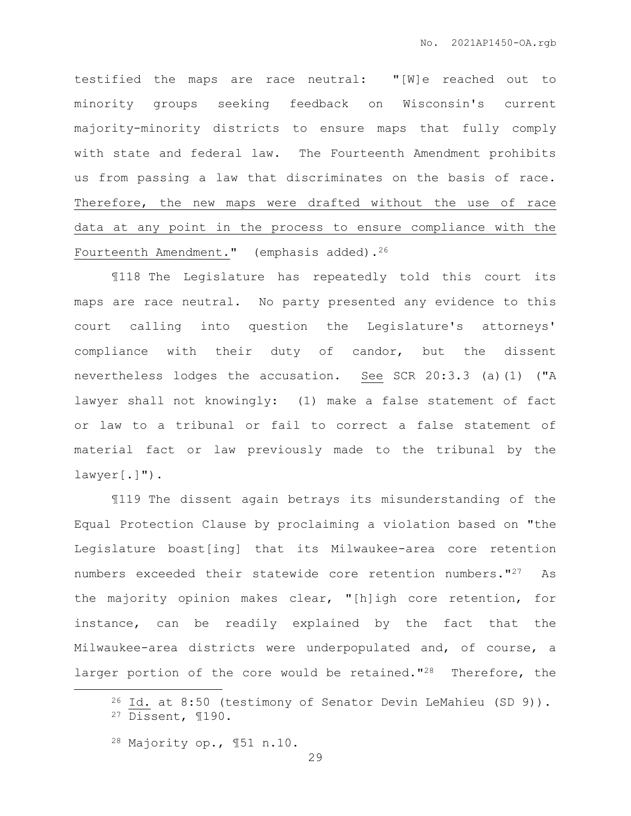testified the maps are race neutral: "[W]e reached out to minority groups seeking feedback on Wisconsin's current majority-minority districts to ensure maps that fully comply with state and federal law. The Fourteenth Amendment prohibits us from passing a law that discriminates on the basis of race. Therefore, the new maps were drafted without the use of race data at any point in the process to ensure compliance with the Fourteenth Amendment." (emphasis added).<sup>26</sup>

¶118 The Legislature has repeatedly told this court its maps are race neutral. No party presented any evidence to this court calling into question the Legislature's attorneys' compliance with their duty of candor, but the dissent nevertheless lodges the accusation. See SCR 20:3.3 (a)(1) ("A lawyer shall not knowingly: (1) make a false statement of fact or law to a tribunal or fail to correct a false statement of material fact or law previously made to the tribunal by the lawyer[.]").

¶119 The dissent again betrays its misunderstanding of the Equal Protection Clause by proclaiming a violation based on "the Legislature boast[ing] that its Milwaukee-area core retention numbers exceeded their statewide core retention numbers."<sup>27</sup> As the majority opinion makes clear, "[h]igh core retention, for instance, can be readily explained by the fact that the Milwaukee-area districts were underpopulated and, of course, a larger portion of the core would be retained."<sup>28</sup> Therefore, the

 $\overline{a}$ 

<sup>26</sup> Id. at 8:50 (testimony of Senator Devin LeMahieu (SD 9)). <sup>27</sup> Dissent, ¶190.

<sup>28</sup> Majority op., ¶51 n.10.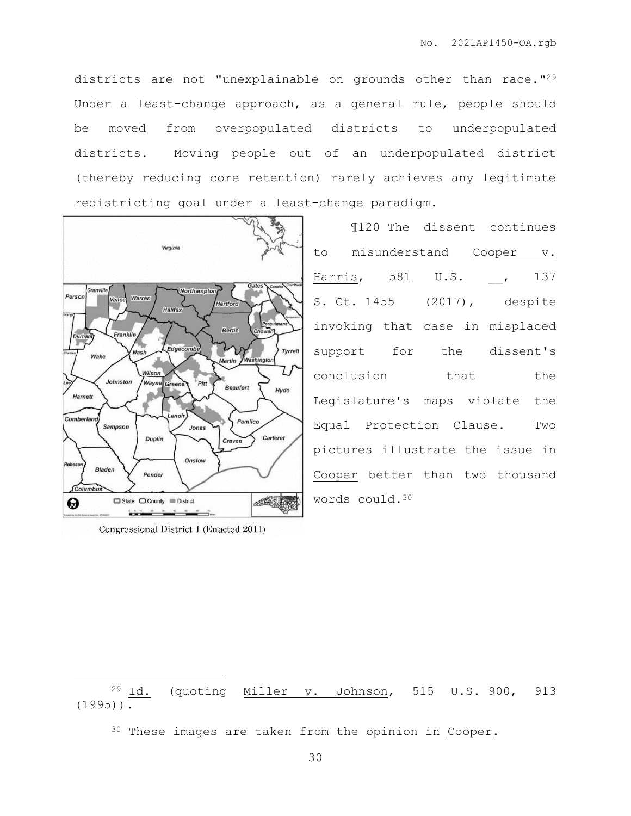districts are not "unexplainable on grounds other than race."<sup>29</sup> Under a least-change approach, as a general rule, people should be moved from overpopulated districts to underpopulated districts. Moving people out of an underpopulated district (thereby reducing core retention) rarely achieves any legitimate redistricting goal under a least-change paradigm.



Congressional District 1 (Enacted 2011)

 $\overline{a}$ 

¶120 The dissent continues to misunderstand Cooper v. Harris, 581 U.S. , 137 S. Ct. 1455 (2017), despite invoking that case in misplaced support for the dissent's conclusion that the Legislature's maps violate the Equal Protection Clause. Two pictures illustrate the issue in Cooper better than two thousand words could.<sup>30</sup>

<sup>29</sup> Id. (quoting Miller v. Johnson, 515 U.S. 900, 913 (1995)).

<sup>30</sup> These images are taken from the opinion in Cooper.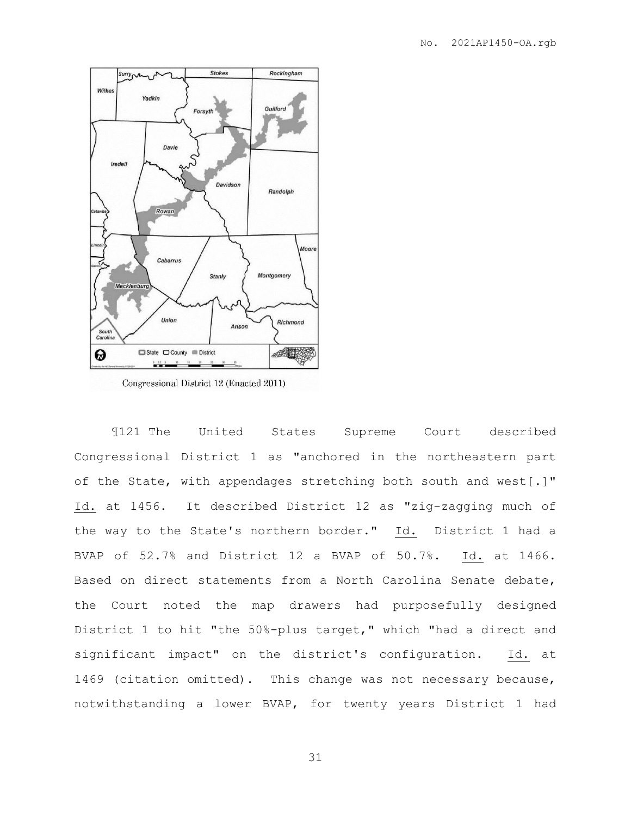

¶121 The United States Supreme Court described Congressional District 1 as "anchored in the northeastern part of the State, with appendages stretching both south and west[.]" Id. at 1456. It described District 12 as "zig-zagging much of the way to the State's northern border." Id. District 1 had a BVAP of 52.7% and District 12 a BVAP of 50.7%. Id. at 1466. Based on direct statements from a North Carolina Senate debate, the Court noted the map drawers had purposefully designed District 1 to hit "the 50%-plus target," which "had a direct and significant impact" on the district's configuration. Id. at 1469 (citation omitted). This change was not necessary because, notwithstanding a lower BVAP, for twenty years District 1 had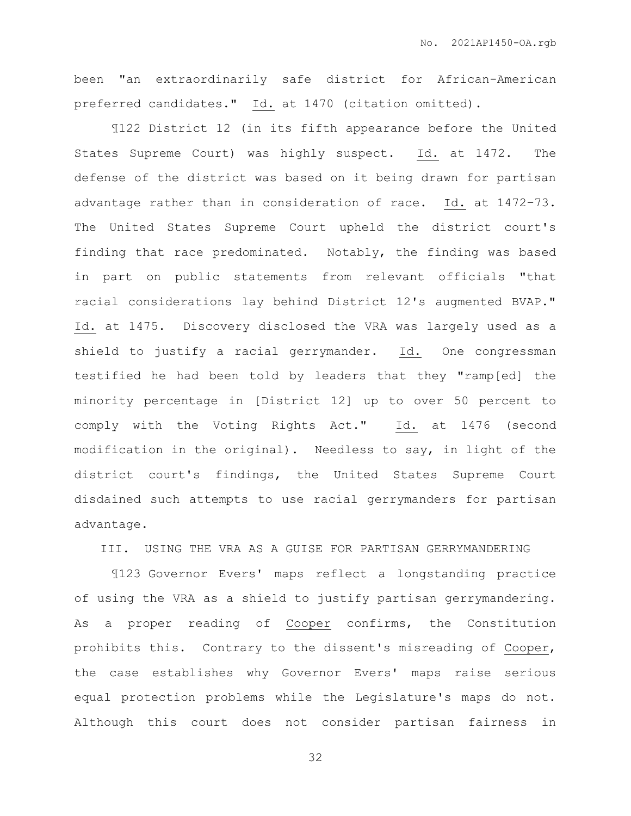been "an extraordinarily safe district for African-American preferred candidates." Id. at 1470 (citation omitted).

¶122 District 12 (in its fifth appearance before the United States Supreme Court) was highly suspect. Id. at 1472. The defense of the district was based on it being drawn for partisan advantage rather than in consideration of race. Id. at 1472–73. The United States Supreme Court upheld the district court's finding that race predominated. Notably, the finding was based in part on public statements from relevant officials "that racial considerations lay behind District 12's augmented BVAP." Id. at 1475. Discovery disclosed the VRA was largely used as a shield to justify a racial gerrymander. Id. One congressman testified he had been told by leaders that they "ramp[ed] the minority percentage in [District 12] up to over 50 percent to comply with the Voting Rights Act." Id. at 1476 (second modification in the original). Needless to say, in light of the district court's findings, the United States Supreme Court disdained such attempts to use racial gerrymanders for partisan advantage.

III. USING THE VRA AS A GUISE FOR PARTISAN GERRYMANDERING

¶123 Governor Evers' maps reflect a longstanding practice of using the VRA as a shield to justify partisan gerrymandering. As a proper reading of Cooper confirms, the Constitution prohibits this. Contrary to the dissent's misreading of Cooper, the case establishes why Governor Evers' maps raise serious equal protection problems while the Legislature's maps do not. Although this court does not consider partisan fairness in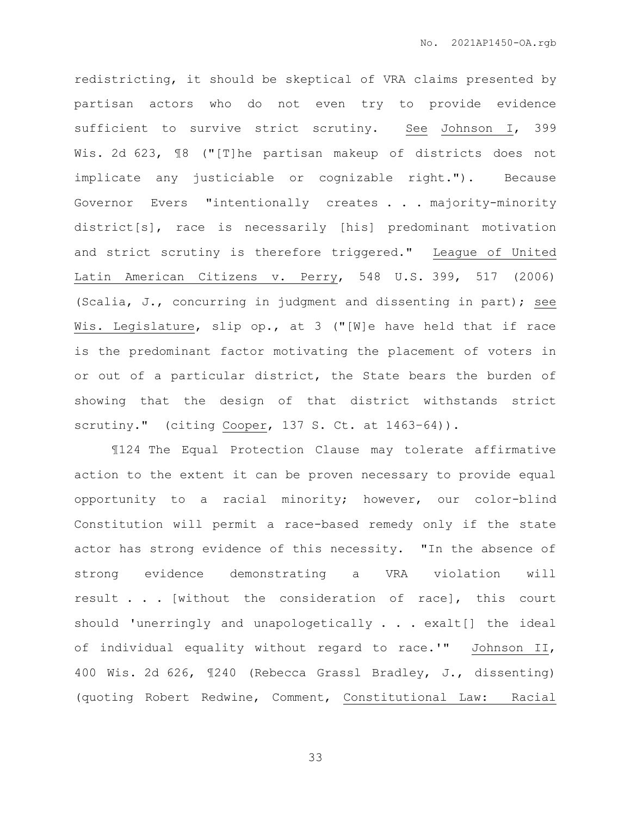redistricting, it should be skeptical of VRA claims presented by partisan actors who do not even try to provide evidence sufficient to survive strict scrutiny. See Johnson I, 399 Wis. 2d 623, ¶8 ("[T]he partisan makeup of districts does not implicate any justiciable or cognizable right."). Because Governor Evers "intentionally creates . . . majority-minority district[s], race is necessarily [his] predominant motivation and strict scrutiny is therefore triggered." League of United Latin American Citizens v. Perry, 548 U.S. 399, 517 (2006) (Scalia, J., concurring in judgment and dissenting in part); see Wis. Legislature, slip op., at 3 ("[W]e have held that if race is the predominant factor motivating the placement of voters in or out of a particular district, the State bears the burden of showing that the design of that district withstands strict scrutiny." (citing Cooper, 137 S. Ct. at 1463-64)).

¶124 The Equal Protection Clause may tolerate affirmative action to the extent it can be proven necessary to provide equal opportunity to a racial minority; however, our color-blind Constitution will permit a race-based remedy only if the state actor has strong evidence of this necessity. "In the absence of strong evidence demonstrating a VRA violation will result . . . [without the consideration of race], this court should 'unerringly and unapologetically . . . exalt[] the ideal of individual equality without regard to race.'" Johnson II, 400 Wis. 2d 626, ¶240 (Rebecca Grassl Bradley, J., dissenting) (quoting Robert Redwine, Comment, Constitutional Law: Racial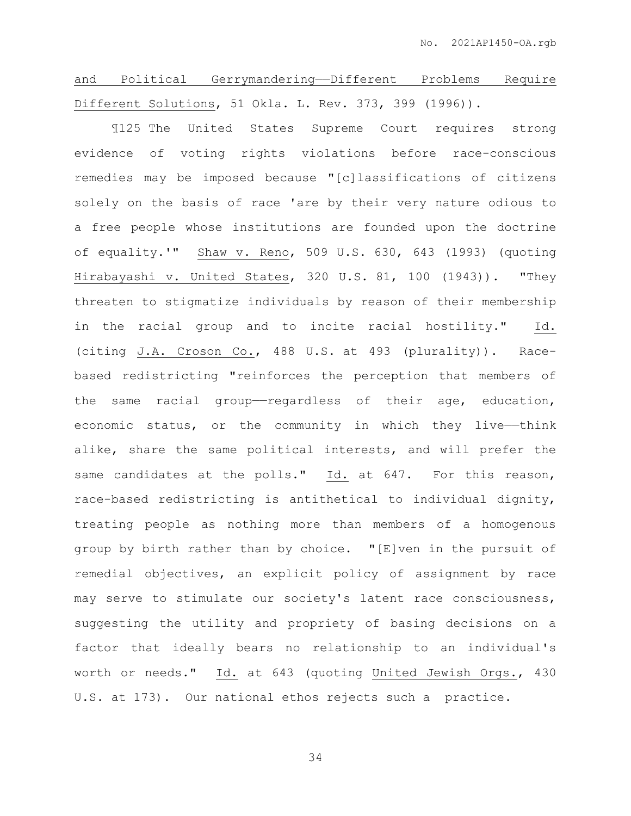and Political Gerrymandering——Different Problems Require Different Solutions, 51 Okla. L. Rev. 373, 399 (1996)).

¶125 The United States Supreme Court requires strong evidence of voting rights violations before race-conscious remedies may be imposed because "[c]lassifications of citizens solely on the basis of race 'are by their very nature odious to a free people whose institutions are founded upon the doctrine of equality.'" Shaw v. Reno, 509 U.S. 630, 643 (1993) (quoting Hirabayashi v. United States, 320 U.S. 81, 100 (1943)). "They threaten to stigmatize individuals by reason of their membership in the racial group and to incite racial hostility." Id. (citing J.A. Croson Co., 488 U.S. at 493 (plurality)). Racebased redistricting "reinforces the perception that members of the same racial group-regardless of their age, education, economic status, or the community in which they live--think alike, share the same political interests, and will prefer the same candidates at the polls." Id. at 647. For this reason, race-based redistricting is antithetical to individual dignity, treating people as nothing more than members of a homogenous group by birth rather than by choice. "[E]ven in the pursuit of remedial objectives, an explicit policy of assignment by race may serve to stimulate our society's latent race consciousness, suggesting the utility and propriety of basing decisions on a factor that ideally bears no relationship to an individual's worth or needs." Id. at 643 (quoting United Jewish Orgs., 430 U.S. at 173). Our national ethos rejects such a practice.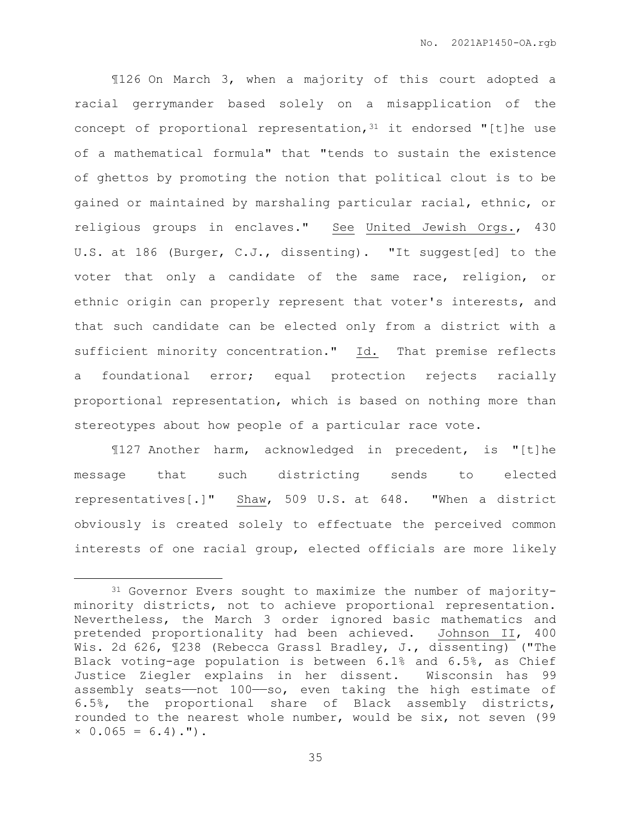¶126 On March 3, when a majority of this court adopted a racial gerrymander based solely on a misapplication of the concept of proportional representation,  $31$  it endorsed "[t]he use of a mathematical formula" that "tends to sustain the existence of ghettos by promoting the notion that political clout is to be gained or maintained by marshaling particular racial, ethnic, or religious groups in enclaves." See United Jewish Orgs., 430 U.S. at 186 (Burger, C.J., dissenting). "It suggest[ed] to the voter that only a candidate of the same race, religion, or ethnic origin can properly represent that voter's interests, and that such candidate can be elected only from a district with a sufficient minority concentration." Id. That premise reflects a foundational error; equal protection rejects racially proportional representation, which is based on nothing more than stereotypes about how people of a particular race vote.

¶127 Another harm, acknowledged in precedent, is "[t]he message that such districting sends to elected representatives[.]" Shaw, 509 U.S. at 648. "When a district obviously is created solely to effectuate the perceived common interests of one racial group, elected officials are more likely

 $\overline{a}$ 

<sup>31</sup> Governor Evers sought to maximize the number of majorityminority districts, not to achieve proportional representation. Nevertheless, the March 3 order ignored basic mathematics and pretended proportionality had been achieved. Johnson II, 400 Wis. 2d 626, ¶238 (Rebecca Grassl Bradley, J., dissenting) ("The Black voting-age population is between 6.1% and 6.5%, as Chief Justice Ziegler explains in her dissent. Wisconsin has 99 assembly seats——not 100——so, even taking the high estimate of 6.5%, the proportional share of Black assembly districts, rounded to the nearest whole number, would be six, not seven (99  $\times$  0.065 = 6.4).").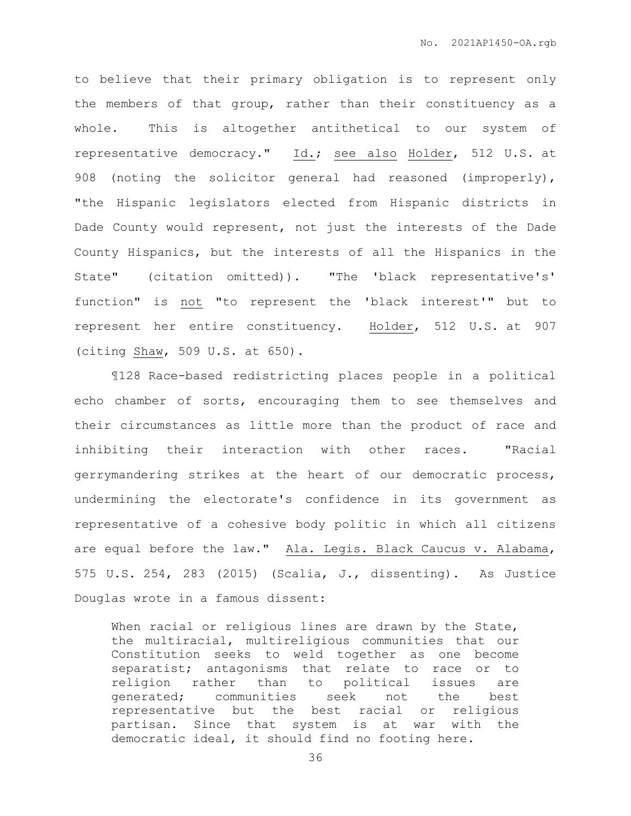to believe that their primary obligation is to represent only the members of that group, rather than their constituency as a whole. This is altogether antithetical to our system of representative democracy." Id.; see also Holder, 512 U.S. at 908 (noting the solicitor general had reasoned (improperly), "the Hispanic legislators elected from Hispanic districts in Dade County would represent, not just the interests of the Dade County Hispanics, but the interests of all the Hispanics in the State" (citation omitted)). "The 'black representative's' function" is not "to represent the 'black interest'" but to represent her entire constituency. Holder, 512 U.S. at 907 (citing Shaw, 509 U.S. at 650).

¶128 Race-based redistricting places people in a political echo chamber of sorts, encouraging them to see themselves and their circumstances as little more than the product of race and inhibiting their interaction with other races. "Racial gerrymandering strikes at the heart of our democratic process, undermining the electorate's confidence in its government as representative of a cohesive body politic in which all citizens are equal before the law." Ala. Legis. Black Caucus v. Alabama, 575 U.S. 254, 283 (2015) (Scalia, J., dissenting). As Justice Douglas wrote in a famous dissent:

When racial or religious lines are drawn by the State, the multiracial, multireligious communities that our Constitution seeks to weld together as one become separatist; antagonisms that relate to race or to religion rather than to political issues are generated; communities seek not the best representative but the best racial or religious partisan. Since that system is at war with the democratic ideal, it should find no footing here.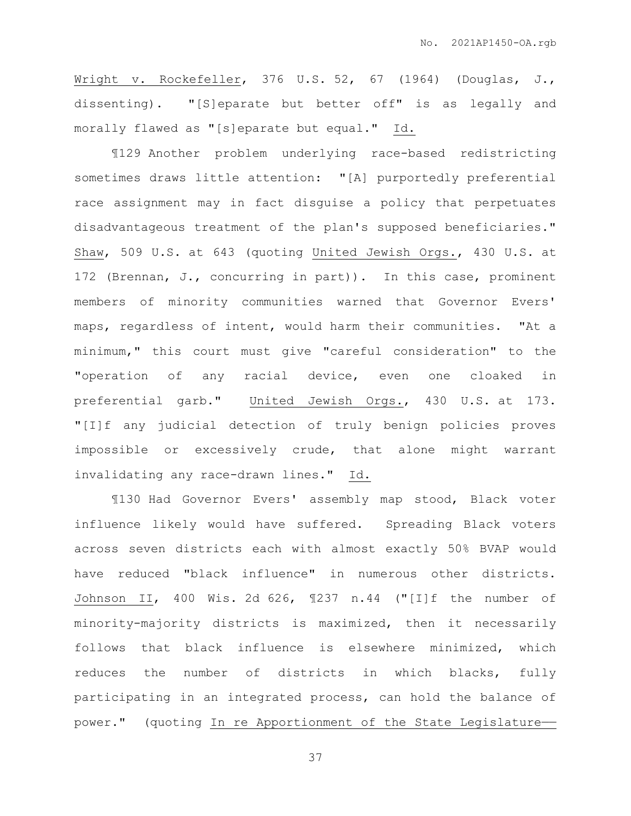Wright v. Rockefeller, 376 U.S. 52, 67 (1964) (Douglas, J., dissenting). "[S]eparate but better off" is as legally and morally flawed as "[s]eparate but equal." Id.

¶129 Another problem underlying race-based redistricting sometimes draws little attention: "[A] purportedly preferential race assignment may in fact disguise a policy that perpetuates disadvantageous treatment of the plan's supposed beneficiaries." Shaw, 509 U.S. at 643 (quoting United Jewish Orgs., 430 U.S. at 172 (Brennan, J., concurring in part)). In this case, prominent members of minority communities warned that Governor Evers' maps, regardless of intent, would harm their communities. "At a minimum," this court must give "careful consideration" to the "operation of any racial device, even one cloaked in preferential garb." United Jewish Orgs., 430 U.S. at 173. "[I]f any judicial detection of truly benign policies proves impossible or excessively crude, that alone might warrant invalidating any race-drawn lines." Id.

¶130 Had Governor Evers' assembly map stood, Black voter influence likely would have suffered. Spreading Black voters across seven districts each with almost exactly 50% BVAP would have reduced "black influence" in numerous other districts. Johnson II, 400 Wis. 2d 626, ¶237 n.44 ("[I]f the number of minority-majority districts is maximized, then it necessarily follows that black influence is elsewhere minimized, which reduces the number of districts in which blacks, fully participating in an integrated process, can hold the balance of power." (quoting In re Apportionment of the State Legislature-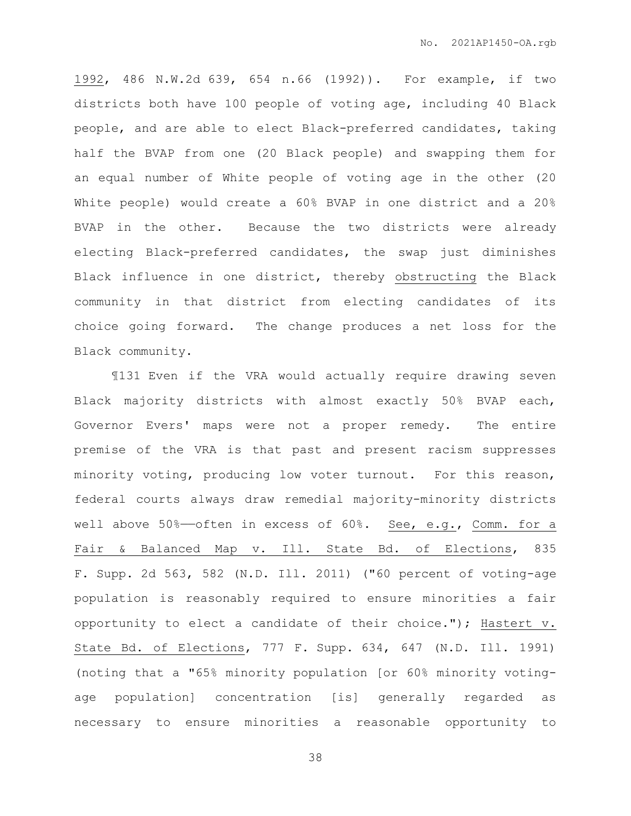1992, 486 N.W.2d 639, 654 n.66 (1992)). For example, if two districts both have 100 people of voting age, including 40 Black people, and are able to elect Black-preferred candidates, taking half the BVAP from one (20 Black people) and swapping them for an equal number of White people of voting age in the other (20 White people) would create a 60% BVAP in one district and a 20% BVAP in the other. Because the two districts were already electing Black-preferred candidates, the swap just diminishes Black influence in one district, thereby obstructing the Black community in that district from electing candidates of its choice going forward. The change produces a net loss for the Black community.

¶131 Even if the VRA would actually require drawing seven Black majority districts with almost exactly 50% BVAP each, Governor Evers' maps were not a proper remedy. The entire premise of the VRA is that past and present racism suppresses minority voting, producing low voter turnout. For this reason, federal courts always draw remedial majority-minority districts well above 50%-often in excess of 60%. See, e.g., Comm. for a Fair & Balanced Map v. Ill. State Bd. of Elections, 835 F. Supp. 2d 563, 582 (N.D. Ill. 2011) ("60 percent of voting-age population is reasonably required to ensure minorities a fair opportunity to elect a candidate of their choice."); Hastert v. State Bd. of Elections, 777 F. Supp. 634, 647 (N.D. Ill. 1991) (noting that a "65% minority population [or 60% minority votingage population] concentration [is] generally regarded as necessary to ensure minorities a reasonable opportunity to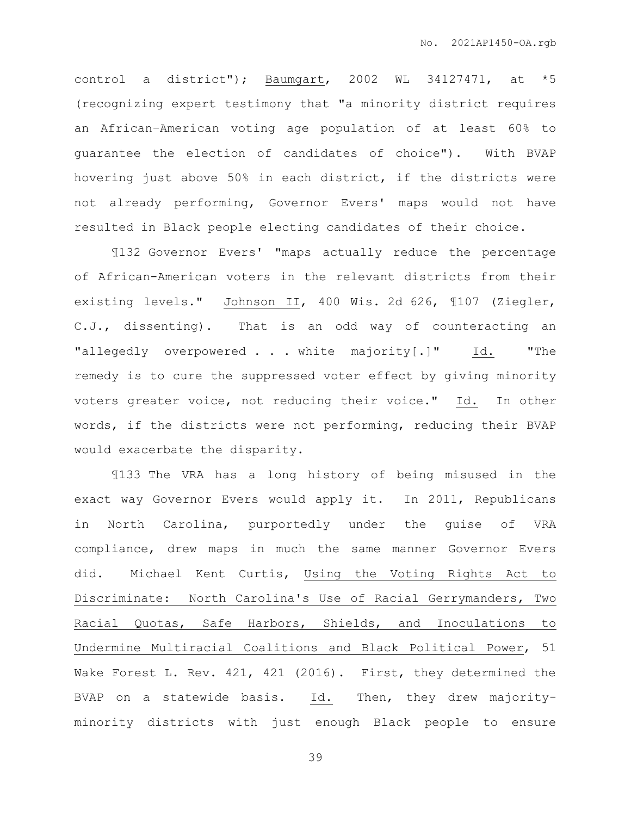control a district"); Baumgart, 2002 WL 34127471, at \*5 (recognizing expert testimony that "a minority district requires an African–American voting age population of at least 60% to guarantee the election of candidates of choice"). With BVAP hovering just above 50% in each district, if the districts were not already performing, Governor Evers' maps would not have resulted in Black people electing candidates of their choice.

¶132 Governor Evers' "maps actually reduce the percentage of African-American voters in the relevant districts from their existing levels." Johnson II, 400 Wis. 2d 626, ¶107 (Ziegler, C.J., dissenting). That is an odd way of counteracting an "allegedly overpowered . . . white majority[.]" Id. "The remedy is to cure the suppressed voter effect by giving minority voters greater voice, not reducing their voice." Id. In other words, if the districts were not performing, reducing their BVAP would exacerbate the disparity.

¶133 The VRA has a long history of being misused in the exact way Governor Evers would apply it. In 2011, Republicans in North Carolina, purportedly under the guise of VRA compliance, drew maps in much the same manner Governor Evers did. Michael Kent Curtis, Using the Voting Rights Act to Discriminate: North Carolina's Use of Racial Gerrymanders, Two Racial Quotas, Safe Harbors, Shields, and Inoculations to Undermine Multiracial Coalitions and Black Political Power, 51 Wake Forest L. Rev. 421, 421 (2016). First, they determined the BVAP on a statewide basis. Id. Then, they drew majorityminority districts with just enough Black people to ensure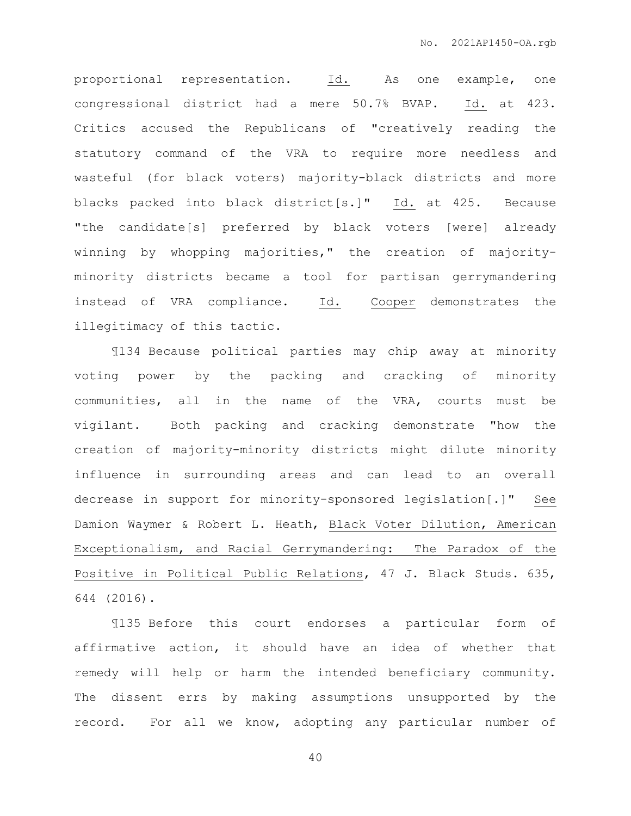proportional representation. Id. As one example, one congressional district had a mere 50.7% BVAP. Id. at 423. Critics accused the Republicans of "creatively reading the statutory command of the VRA to require more needless and wasteful (for black voters) majority-black districts and more blacks packed into black district[s.]" Id. at 425. Because "the candidate[s] preferred by black voters [were] already winning by whopping majorities," the creation of majorityminority districts became a tool for partisan gerrymandering instead of VRA compliance. Id. Cooper demonstrates the illegitimacy of this tactic.

¶134 Because political parties may chip away at minority voting power by the packing and cracking of minority communities, all in the name of the VRA, courts must be vigilant. Both packing and cracking demonstrate "how the creation of majority-minority districts might dilute minority influence in surrounding areas and can lead to an overall decrease in support for minority-sponsored legislation[.]" See Damion Waymer & Robert L. Heath, Black Voter Dilution, American Exceptionalism, and Racial Gerrymandering: The Paradox of the Positive in Political Public Relations, 47 J. Black Studs. 635, 644 (2016).

¶135 Before this court endorses a particular form of affirmative action, it should have an idea of whether that remedy will help or harm the intended beneficiary community. The dissent errs by making assumptions unsupported by the record. For all we know, adopting any particular number of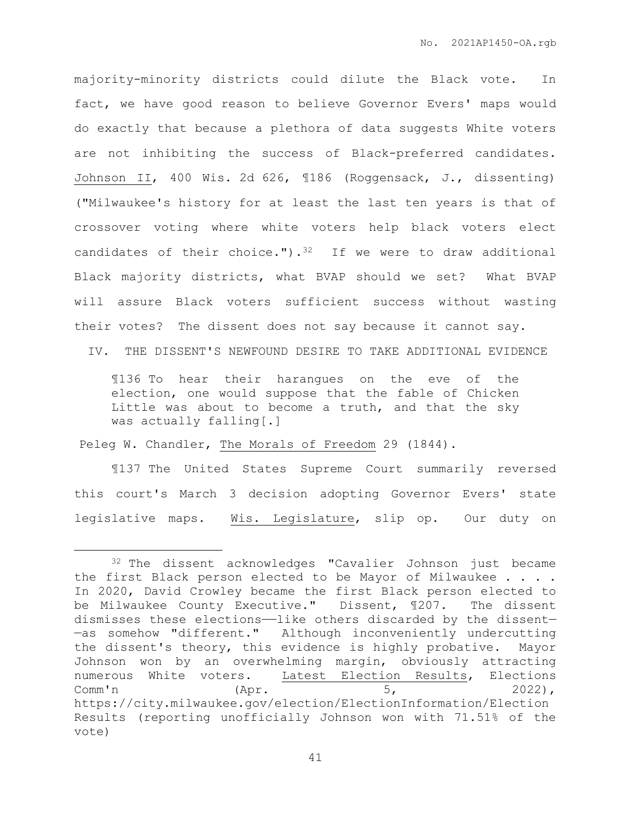majority-minority districts could dilute the Black vote. In fact, we have good reason to believe Governor Evers' maps would do exactly that because a plethora of data suggests White voters are not inhibiting the success of Black-preferred candidates. Johnson II, 400 Wis. 2d 626, ¶186 (Roggensack, J., dissenting) ("Milwaukee's history for at least the last ten years is that of crossover voting where white voters help black voters elect candidates of their choice.").<sup>32</sup> If we were to draw additional Black majority districts, what BVAP should we set? What BVAP will assure Black voters sufficient success without wasting their votes? The dissent does not say because it cannot say.

IV. THE DISSENT'S NEWFOUND DESIRE TO TAKE ADDITIONAL EVIDENCE

¶136 To hear their harangues on the eve of the election, one would suppose that the fable of Chicken Little was about to become a truth, and that the sky was actually falling[.]

Peleg W. Chandler, The Morals of Freedom 29 (1844).

 $\overline{a}$ 

¶137 The United States Supreme Court summarily reversed this court's March 3 decision adopting Governor Evers' state legislative maps. Wis. Legislature, slip op. Our duty on

<sup>32</sup> The dissent acknowledges "Cavalier Johnson just became the first Black person elected to be Mayor of Milwaukee . . . . In 2020, David Crowley became the first Black person elected to be Milwaukee County Executive." Dissent, ¶207. The dissent dismisses these elections——like others discarded by the dissent— —as somehow "different." Although inconveniently undercutting the dissent's theory, this evidence is highly probative. Mayor Johnson won by an overwhelming margin, obviously attracting numerous White voters. Latest Election Results, Elections  $Comm'n$  (Apr.  $5,$  2022), https://city.milwaukee.gov/election/ElectionInformation/Election Results (reporting unofficially Johnson won with 71.51% of the vote)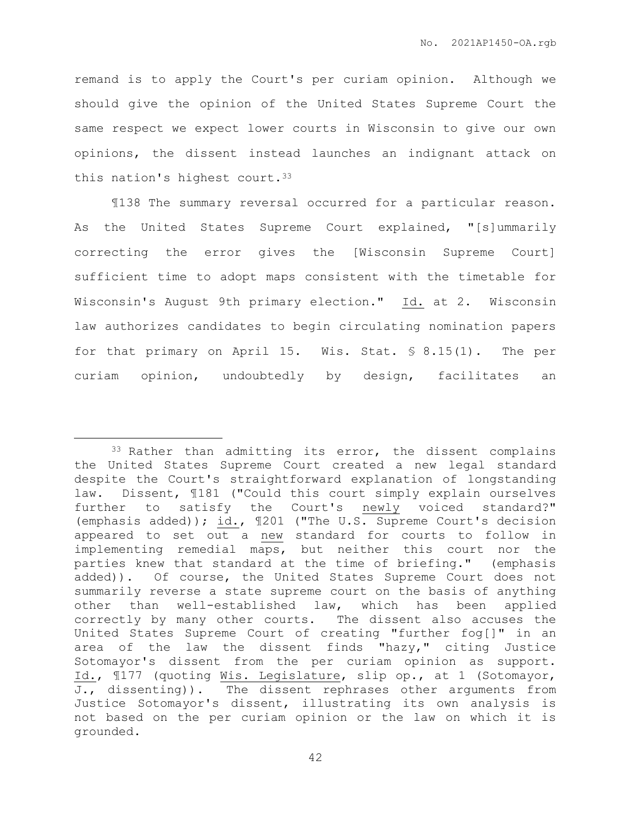remand is to apply the Court's per curiam opinion. Although we should give the opinion of the United States Supreme Court the same respect we expect lower courts in Wisconsin to give our own opinions, the dissent instead launches an indignant attack on this nation's highest court.<sup>33</sup>

¶138 The summary reversal occurred for a particular reason. As the United States Supreme Court explained, "[s]ummarily correcting the error gives the [Wisconsin Supreme Court] sufficient time to adopt maps consistent with the timetable for Wisconsin's August 9th primary election." Id. at 2. Wisconsin law authorizes candidates to begin circulating nomination papers for that primary on April 15. Wis. Stat. § 8.15(1). The per curiam opinion, undoubtedly by design, facilitates an

 $\overline{a}$ 

<sup>33</sup> Rather than admitting its error, the dissent complains the United States Supreme Court created a new legal standard despite the Court's straightforward explanation of longstanding law. Dissent, ¶181 ("Could this court simply explain ourselves further to satisfy the Court's newly voiced standard?" (emphasis added));  $\underline{\text{id.}}$ ,  $\P$ 201 ("The U.S. Supreme Court's decision appeared to set out a new standard for courts to follow in implementing remedial maps, but neither this court nor the parties knew that standard at the time of briefing." (emphasis added)). Of course, the United States Supreme Court does not summarily reverse a state supreme court on the basis of anything other than well-established law, which has been applied correctly by many other courts. The dissent also accuses the United States Supreme Court of creating "further fog[]" in an area of the law the dissent finds "hazy," citing Justice Sotomayor's dissent from the per curiam opinion as support. Id., ¶177 (quoting Wis. Legislature, slip op., at 1 (Sotomayor, J., dissenting)). The dissent rephrases other arguments from Justice Sotomayor's dissent, illustrating its own analysis is not based on the per curiam opinion or the law on which it is grounded.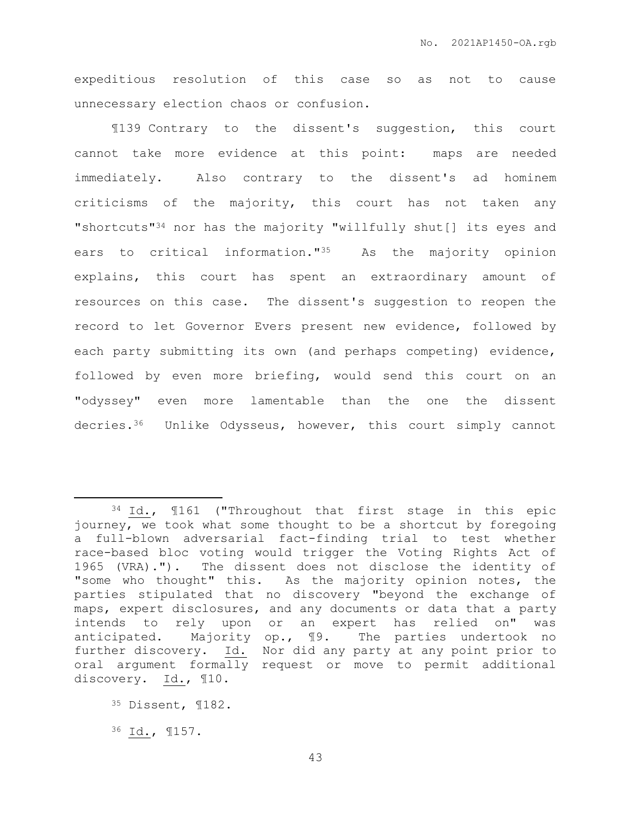expeditious resolution of this case so as not to cause unnecessary election chaos or confusion.

¶139 Contrary to the dissent's suggestion, this court cannot take more evidence at this point: maps are needed immediately. Also contrary to the dissent's ad hominem criticisms of the majority, this court has not taken any "shortcuts"<sup>34</sup> nor has the majority "willfully shut[] its eyes and ears to critical information."35 As the majority opinion explains, this court has spent an extraordinary amount of resources on this case. The dissent's suggestion to reopen the record to let Governor Evers present new evidence, followed by each party submitting its own (and perhaps competing) evidence, followed by even more briefing, would send this court on an "odyssey" even more lamentable than the one the dissent decries.36 Unlike Odysseus, however, this court simply cannot

 $\overline{a}$ 

<sup>34</sup> Id., ¶161 ("Throughout that first stage in this epic journey, we took what some thought to be a shortcut by foregoing a full-blown adversarial fact-finding trial to test whether race-based bloc voting would trigger the Voting Rights Act of 1965 (VRA)."). The dissent does not disclose the identity of "some who thought" this. As the majority opinion notes, the parties stipulated that no discovery "beyond the exchange of maps, expert disclosures, and any documents or data that a party intends to rely upon or an expert has relied on" was anticipated. Majority op., ¶9. The parties undertook no further discovery. Id. Nor did any party at any point prior to oral argument formally request or move to permit additional discovery. Id., ¶10.

<sup>35</sup> Dissent, ¶182.

<sup>36</sup> Id., ¶157.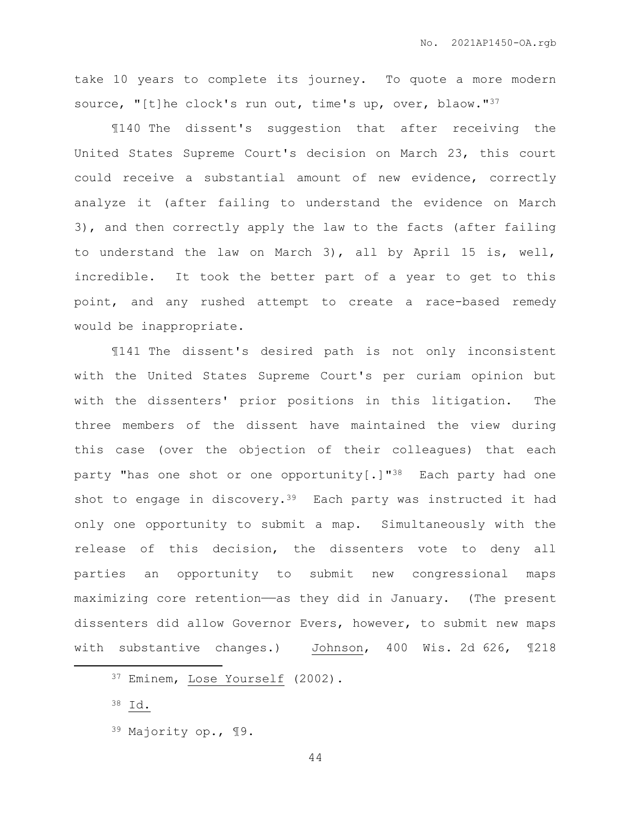take 10 years to complete its journey. To quote a more modern source, "[t]he clock's run out, time's up, over, blaow."37

¶140 The dissent's suggestion that after receiving the United States Supreme Court's decision on March 23, this court could receive a substantial amount of new evidence, correctly analyze it (after failing to understand the evidence on March 3), and then correctly apply the law to the facts (after failing to understand the law on March 3), all by April 15 is, well, incredible. It took the better part of a year to get to this point, and any rushed attempt to create a race-based remedy would be inappropriate.

¶141 The dissent's desired path is not only inconsistent with the United States Supreme Court's per curiam opinion but with the dissenters' prior positions in this litigation. The three members of the dissent have maintained the view during this case (over the objection of their colleagues) that each party "has one shot or one opportunity[.]" $^{38}$  Each party had one shot to engage in discovery.<sup>39</sup> Each party was instructed it had only one opportunity to submit a map. Simultaneously with the release of this decision, the dissenters vote to deny all parties an opportunity to submit new congressional maps maximizing core retention——as they did in January. (The present dissenters did allow Governor Evers, however, to submit new maps with substantive changes.) Johnson, 400 Wis. 2d 626, ¶218

 $\overline{a}$ 

<sup>37</sup> Eminem, Lose Yourself (2002).

<sup>38</sup> Id.

<sup>39</sup> Majority op., ¶9.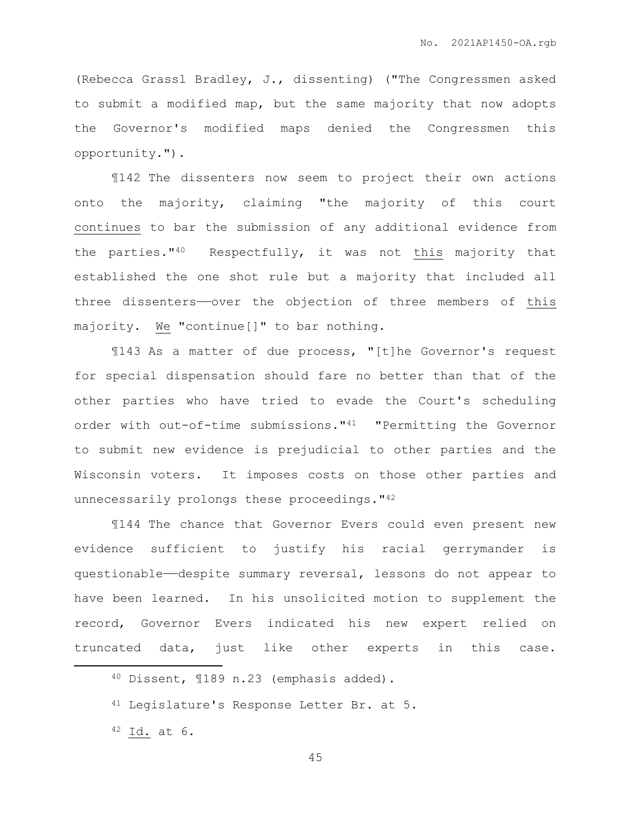(Rebecca Grassl Bradley, J., dissenting) ("The Congressmen asked to submit a modified map, but the same majority that now adopts the Governor's modified maps denied the Congressmen this opportunity.").

¶142 The dissenters now seem to project their own actions onto the majority, claiming "the majority of this court continues to bar the submission of any additional evidence from the parties." $40$  Respectfully, it was not this majority that established the one shot rule but a majority that included all three dissenters——over the objection of three members of this majority. We "continue[]" to bar nothing.

¶143 As a matter of due process, "[t]he Governor's request for special dispensation should fare no better than that of the other parties who have tried to evade the Court's scheduling order with out-of-time submissions."41 "Permitting the Governor to submit new evidence is prejudicial to other parties and the Wisconsin voters. It imposes costs on those other parties and unnecessarily prolongs these proceedings."<sup>42</sup>

¶144 The chance that Governor Evers could even present new evidence sufficient to justify his racial gerrymander is questionable——despite summary reversal, lessons do not appear to have been learned. In his unsolicited motion to supplement the record, Governor Evers indicated his new expert relied on truncated data, just like other experts in this case.

 $\overline{a}$ 

<sup>40</sup> Dissent, ¶189 n.23 (emphasis added).

<sup>&</sup>lt;sup>41</sup> Legislature's Response Letter Br. at 5.

<sup>42</sup> Id. at 6.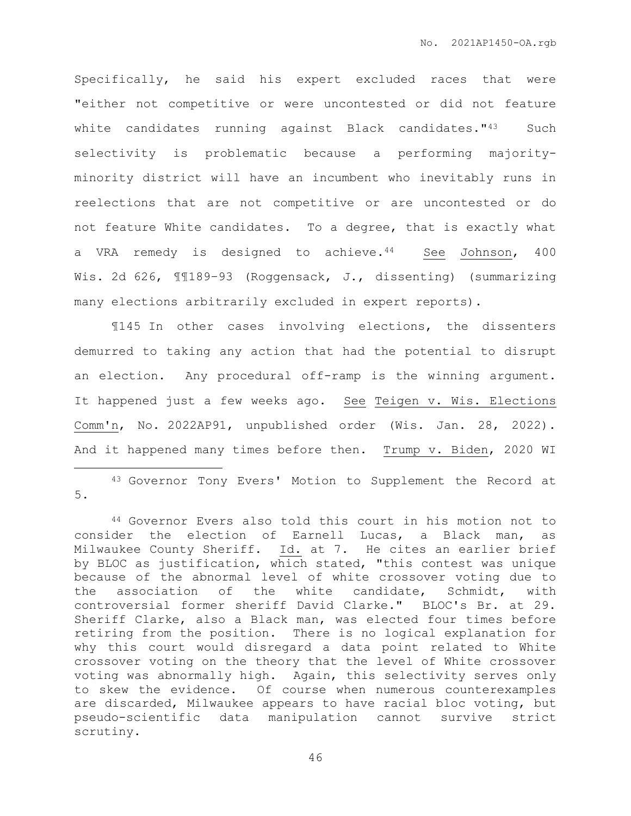Specifically, he said his expert excluded races that were "either not competitive or were uncontested or did not feature white candidates running against Black candidates."<sup>43</sup> Such selectivity is problematic because a performing majorityminority district will have an incumbent who inevitably runs in reelections that are not competitive or are uncontested or do not feature White candidates. To a degree, that is exactly what a VRA remedy is designed to achieve.<sup>44</sup> See Johnson, 400 Wis. 2d 626, ¶¶189–93 (Roggensack, J., dissenting) (summarizing many elections arbitrarily excluded in expert reports).

¶145 In other cases involving elections, the dissenters demurred to taking any action that had the potential to disrupt an election. Any procedural off-ramp is the winning argument. It happened just a few weeks ago. See Teigen v. Wis. Elections Comm'n, No. 2022AP91, unpublished order (Wis. Jan. 28, 2022). And it happened many times before then. Trump v. Biden, 2020 WI

<sup>43</sup> Governor Tony Evers' Motion to Supplement the Record at 5.

 $\overline{a}$ 

<sup>44</sup> Governor Evers also told this court in his motion not to consider the election of Earnell Lucas, a Black man, as Milwaukee County Sheriff. Id. at 7. He cites an earlier brief by BLOC as justification, which stated, "this contest was unique because of the abnormal level of white crossover voting due to the association of the white candidate, Schmidt, with controversial former sheriff David Clarke." BLOC's Br. at 29. Sheriff Clarke, also a Black man, was elected four times before retiring from the position. There is no logical explanation for why this court would disregard a data point related to White crossover voting on the theory that the level of White crossover voting was abnormally high. Again, this selectivity serves only to skew the evidence. Of course when numerous counterexamples are discarded, Milwaukee appears to have racial bloc voting, but pseudo-scientific data manipulation cannot survive strict scrutiny.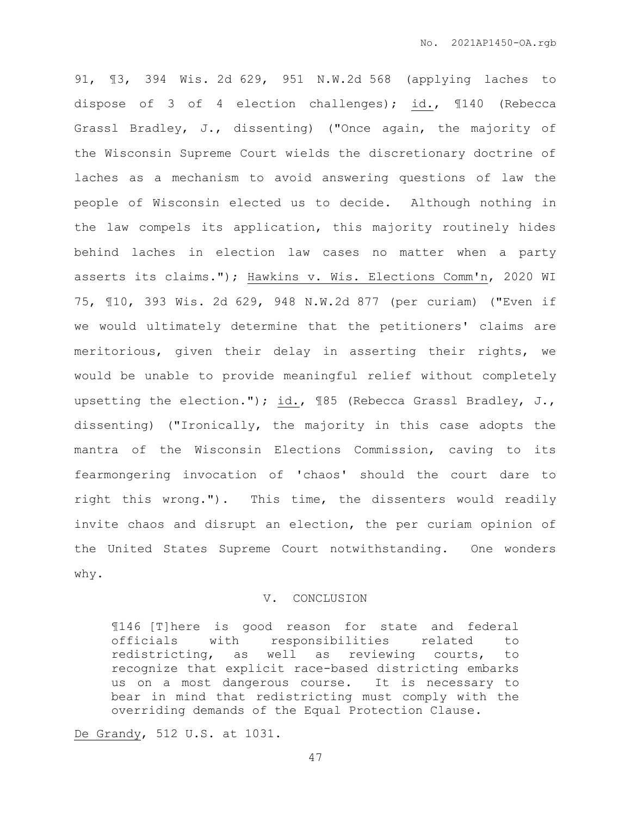91, ¶3, 394 Wis. 2d 629, 951 N.W.2d 568 (applying laches to dispose of 3 of 4 election challenges); id., ¶140 (Rebecca Grassl Bradley, J., dissenting) ("Once again, the majority of the Wisconsin Supreme Court wields the discretionary doctrine of laches as a mechanism to avoid answering questions of law the people of Wisconsin elected us to decide. Although nothing in the law compels its application, this majority routinely hides behind laches in election law cases no matter when a party asserts its claims."); Hawkins v. Wis. Elections Comm'n, 2020 WI 75, ¶10, 393 Wis. 2d 629, 948 N.W.2d 877 (per curiam) ("Even if we would ultimately determine that the petitioners' claims are meritorious, given their delay in asserting their rights, we would be unable to provide meaningful relief without completely upsetting the election."); id., ¶85 (Rebecca Grassl Bradley, J., dissenting) ("Ironically, the majority in this case adopts the mantra of the Wisconsin Elections Commission, caving to its fearmongering invocation of 'chaos' should the court dare to right this wrong."). This time, the dissenters would readily invite chaos and disrupt an election, the per curiam opinion of the United States Supreme Court notwithstanding. One wonders why.

## V. CONCLUSION

¶146 [T]here is good reason for state and federal officials with responsibilities related to redistricting, as well as reviewing courts, to recognize that explicit race-based districting embarks us on a most dangerous course. It is necessary to bear in mind that redistricting must comply with the overriding demands of the Equal Protection Clause.

De Grandy, 512 U.S. at 1031.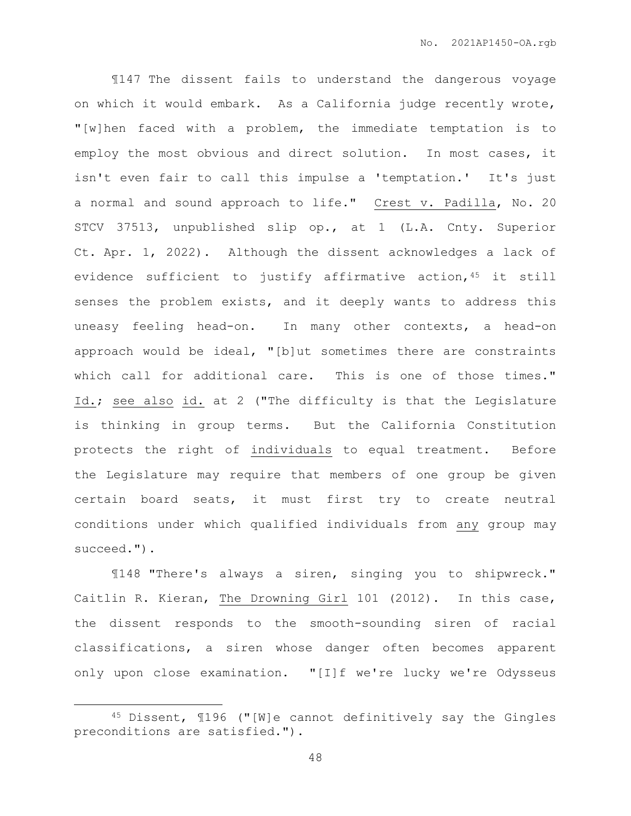¶147 The dissent fails to understand the dangerous voyage on which it would embark. As a California judge recently wrote, "[w]hen faced with a problem, the immediate temptation is to employ the most obvious and direct solution. In most cases, it isn't even fair to call this impulse a 'temptation.' It's just a normal and sound approach to life." Crest v. Padilla, No. 20 STCV 37513, unpublished slip op., at 1 (L.A. Cnty. Superior Ct. Apr. 1, 2022). Although the dissent acknowledges a lack of evidence sufficient to justify affirmative action, 45 it still senses the problem exists, and it deeply wants to address this uneasy feeling head-on. In many other contexts, a head-on approach would be ideal, "[b]ut sometimes there are constraints which call for additional care. This is one of those times." Id.; see also id. at 2 ("The difficulty is that the Legislature is thinking in group terms. But the California Constitution protects the right of individuals to equal treatment. Before the Legislature may require that members of one group be given certain board seats, it must first try to create neutral conditions under which qualified individuals from any group may succeed.").

¶148 "There's always a siren, singing you to shipwreck." Caitlin R. Kieran, The Drowning Girl 101 (2012). In this case, the dissent responds to the smooth-sounding siren of racial classifications, a siren whose danger often becomes apparent only upon close examination. "[I]f we're lucky we're Odysseus

 $\overline{a}$ 

<sup>45</sup> Dissent, ¶196 ("[W]e cannot definitively say the Gingles preconditions are satisfied.").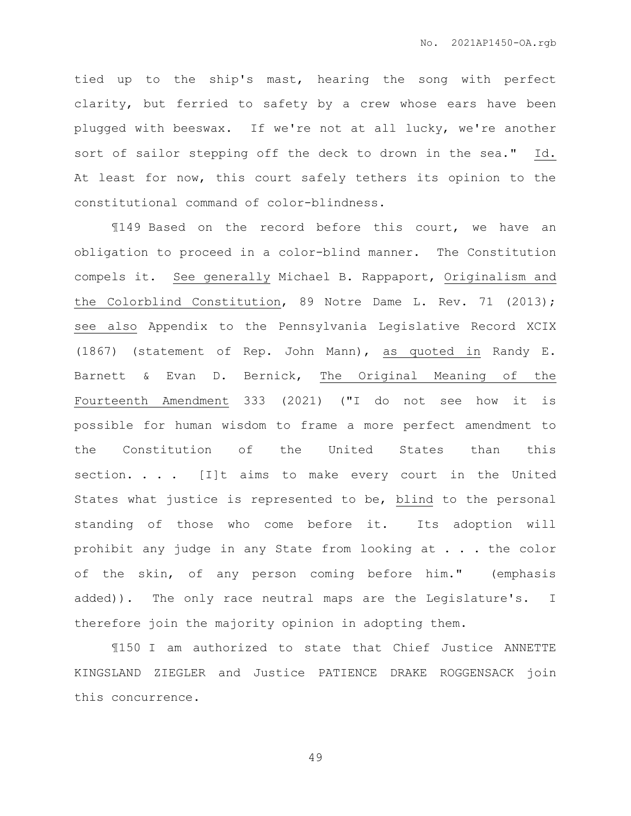tied up to the ship's mast, hearing the song with perfect clarity, but ferried to safety by a crew whose ears have been plugged with beeswax. If we're not at all lucky, we're another sort of sailor stepping off the deck to drown in the sea." Id. At least for now, this court safely tethers its opinion to the constitutional command of color-blindness.

¶149 Based on the record before this court, we have an obligation to proceed in a color-blind manner. The Constitution compels it. See generally Michael B. Rappaport, Originalism and the Colorblind Constitution, 89 Notre Dame L. Rev. 71 (2013); see also Appendix to the Pennsylvania Legislative Record XCIX (1867) (statement of Rep. John Mann), as quoted in Randy E. Barnett & Evan D. Bernick, The Original Meaning of the Fourteenth Amendment 333 (2021) ("I do not see how it is possible for human wisdom to frame a more perfect amendment to the Constitution of the United States than this section. . . . [I]t aims to make every court in the United States what justice is represented to be, blind to the personal standing of those who come before it. Its adoption will prohibit any judge in any State from looking at . . . the color of the skin, of any person coming before him." (emphasis added)). The only race neutral maps are the Legislature's. I therefore join the majority opinion in adopting them.

¶150 I am authorized to state that Chief Justice ANNETTE KINGSLAND ZIEGLER and Justice PATIENCE DRAKE ROGGENSACK join this concurrence.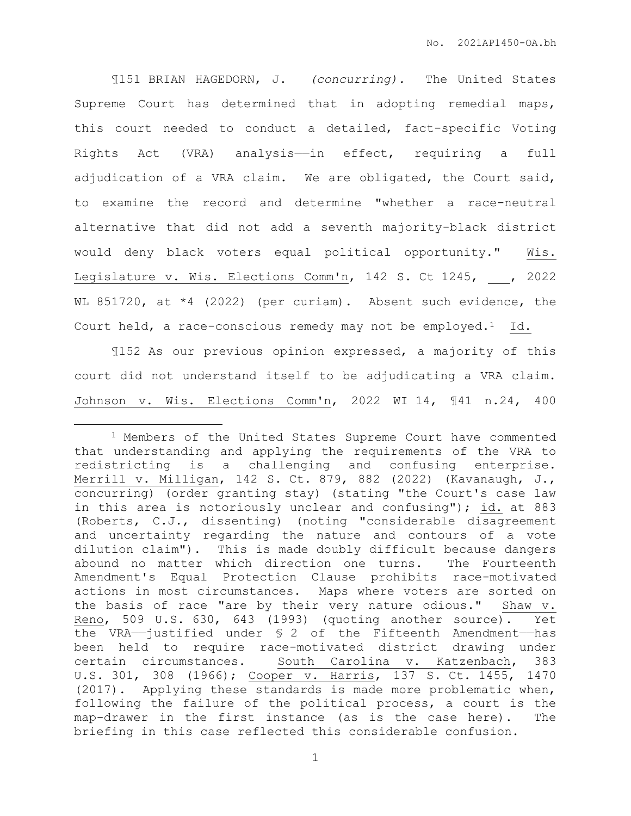¶151 BRIAN HAGEDORN, J. *(concurring).* The United States Supreme Court has determined that in adopting remedial maps, this court needed to conduct a detailed, fact-specific Voting Rights Act (VRA) analysis——in effect, requiring a full adjudication of a VRA claim. We are obligated, the Court said, to examine the record and determine "whether a race-neutral alternative that did not add a seventh majority-black district would deny black voters equal political opportunity." Wis. Legislature v. Wis. Elections Comm'n, 142 S. Ct 1245, , 2022 WL 851720, at \*4 (2022) (per curiam). Absent such evidence, the Court held, a race-conscious remedy may not be employed.<sup>1</sup> Id.

¶152 As our previous opinion expressed, a majority of this court did not understand itself to be adjudicating a VRA claim. Johnson v. Wis. Elections Comm'n, 2022 WI 14, ¶41 n.24, 400

 $\overline{a}$ 

<sup>1</sup> Members of the United States Supreme Court have commented that understanding and applying the requirements of the VRA to redistricting is a challenging and confusing enterprise. Merrill v. Milligan, 142 S. Ct. 879, 882 (2022) (Kavanaugh, J., concurring) (order granting stay) (stating "the Court's case law in this area is notoriously unclear and confusing"); id. at 883 (Roberts, C.J., dissenting) (noting "considerable disagreement and uncertainty regarding the nature and contours of a vote dilution claim"). This is made doubly difficult because dangers abound no matter which direction one turns. The Fourteenth Amendment's Equal Protection Clause prohibits race-motivated actions in most circumstances. Maps where voters are sorted on the basis of race "are by their very nature odious." Shaw v. Reno, 509 U.S. 630, 643 (1993) (quoting another source). Yet the VRA— $j$ ustified under  $\S$  2 of the Fifteenth Amendment—has been held to require race-motivated district drawing under certain circumstances. South Carolina v. Katzenbach, 383 U.S. 301, 308 (1966); Cooper v. Harris, 137 S. Ct. 1455, 1470 (2017). Applying these standards is made more problematic when, following the failure of the political process, a court is the map-drawer in the first instance (as is the case here). The briefing in this case reflected this considerable confusion.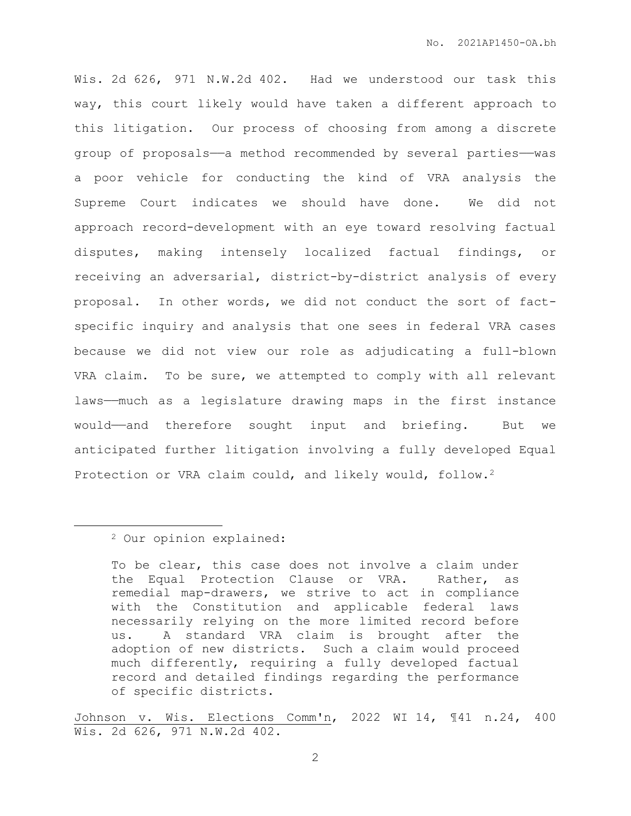Wis. 2d 626, 971 N.W.2d 402. Had we understood our task this way, this court likely would have taken a different approach to this litigation. Our process of choosing from among a discrete group of proposals—a method recommended by several parties—was a poor vehicle for conducting the kind of VRA analysis the Supreme Court indicates we should have done. We did not approach record-development with an eye toward resolving factual disputes, making intensely localized factual findings, or receiving an adversarial, district-by-district analysis of every proposal. In other words, we did not conduct the sort of factspecific inquiry and analysis that one sees in federal VRA cases because we did not view our role as adjudicating a full-blown VRA claim. To be sure, we attempted to comply with all relevant laws——much as a legislature drawing maps in the first instance would——and therefore sought input and briefing. But we anticipated further litigation involving a fully developed Equal Protection or VRA claim could, and likely would, follow.<sup>2</sup>

 $\overline{a}$ 

Johnson v. Wis. Elections Comm'n, 2022 WI 14, ¶41 n.24, 400 Wis. 2d 626, 971 N.W.2d 402.

<sup>2</sup> Our opinion explained:

To be clear, this case does not involve a claim under the Equal Protection Clause or VRA. Rather, as remedial map-drawers, we strive to act in compliance with the Constitution and applicable federal laws necessarily relying on the more limited record before us. A standard VRA claim is brought after the adoption of new districts. Such a claim would proceed much differently, requiring a fully developed factual record and detailed findings regarding the performance of specific districts.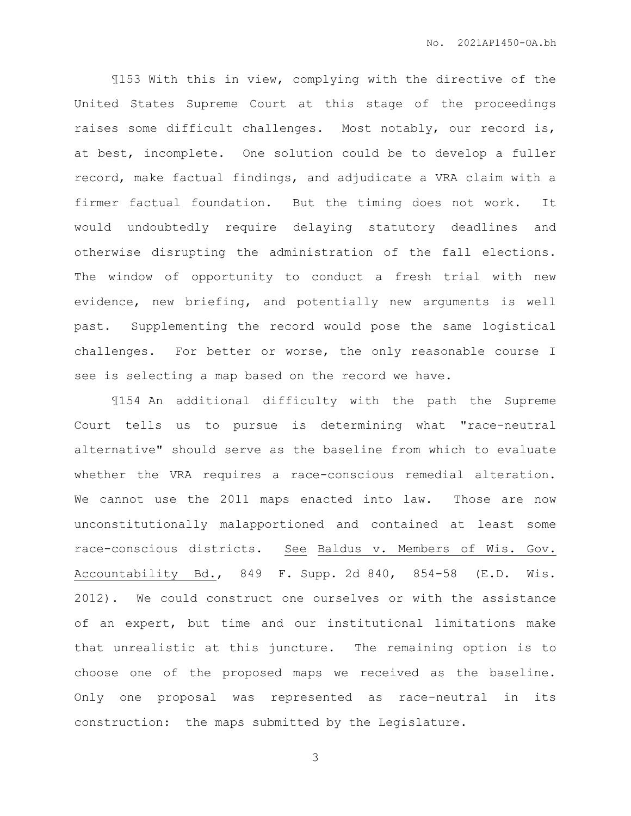¶153 With this in view, complying with the directive of the United States Supreme Court at this stage of the proceedings raises some difficult challenges. Most notably, our record is, at best, incomplete. One solution could be to develop a fuller record, make factual findings, and adjudicate a VRA claim with a firmer factual foundation. But the timing does not work. It would undoubtedly require delaying statutory deadlines and otherwise disrupting the administration of the fall elections. The window of opportunity to conduct a fresh trial with new evidence, new briefing, and potentially new arguments is well past. Supplementing the record would pose the same logistical challenges. For better or worse, the only reasonable course I see is selecting a map based on the record we have.

¶154 An additional difficulty with the path the Supreme Court tells us to pursue is determining what "race-neutral alternative" should serve as the baseline from which to evaluate whether the VRA requires a race-conscious remedial alteration. We cannot use the 2011 maps enacted into law. Those are now unconstitutionally malapportioned and contained at least some race-conscious districts. See Baldus v. Members of Wis. Gov. Accountability Bd., 849 F. Supp. 2d 840, 854-58 (E.D. Wis. 2012). We could construct one ourselves or with the assistance of an expert, but time and our institutional limitations make that unrealistic at this juncture. The remaining option is to choose one of the proposed maps we received as the baseline. Only one proposal was represented as race-neutral in its construction: the maps submitted by the Legislature.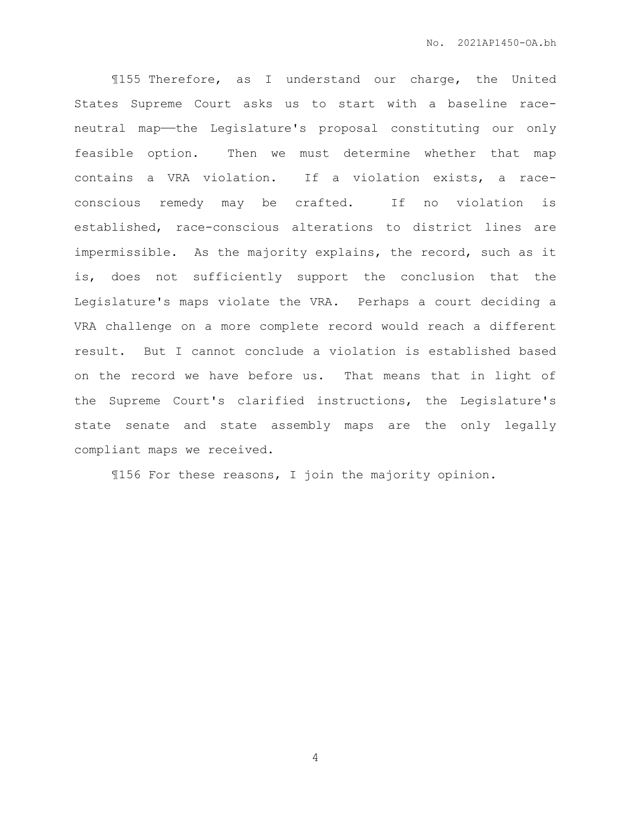¶155 Therefore, as I understand our charge, the United States Supreme Court asks us to start with a baseline raceneutral map—the Legislature's proposal constituting our only feasible option. Then we must determine whether that map contains a VRA violation. If a violation exists, a raceconscious remedy may be crafted. If no violation is established, race-conscious alterations to district lines are impermissible. As the majority explains, the record, such as it is, does not sufficiently support the conclusion that the Legislature's maps violate the VRA. Perhaps a court deciding a VRA challenge on a more complete record would reach a different result. But I cannot conclude a violation is established based on the record we have before us. That means that in light of the Supreme Court's clarified instructions, the Legislature's state senate and state assembly maps are the only legally compliant maps we received.

¶156 For these reasons, I join the majority opinion.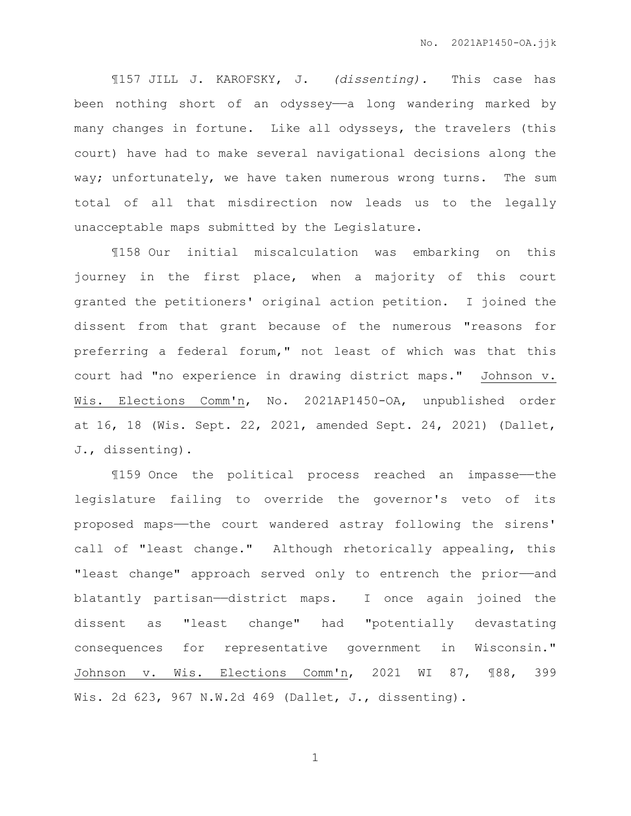¶157 JILL J. KAROFSKY, J. *(dissenting).* This case has been nothing short of an odyssey—a long wandering marked by many changes in fortune. Like all odysseys, the travelers (this court) have had to make several navigational decisions along the way; unfortunately, we have taken numerous wrong turns. The sum total of all that misdirection now leads us to the legally unacceptable maps submitted by the Legislature.

¶158 Our initial miscalculation was embarking on this journey in the first place, when a majority of this court granted the petitioners' original action petition. I joined the dissent from that grant because of the numerous "reasons for preferring a federal forum," not least of which was that this court had "no experience in drawing district maps." Johnson v. Wis. Elections Comm'n, No. 2021AP1450-OA, unpublished order at 16, 18 (Wis. Sept. 22, 2021, amended Sept. 24, 2021) (Dallet, J., dissenting).

¶159 Once the political process reached an impasse——the legislature failing to override the governor's veto of its proposed maps——the court wandered astray following the sirens' call of "least change." Although rhetorically appealing, this "least change" approach served only to entrench the prior-and blatantly partisan——district maps. I once again joined the dissent as "least change" had "potentially devastating consequences for representative government in Wisconsin." Johnson v. Wis. Elections Comm'n, 2021 WI 87, ¶88, 399 Wis. 2d 623, 967 N.W.2d 469 (Dallet, J., dissenting).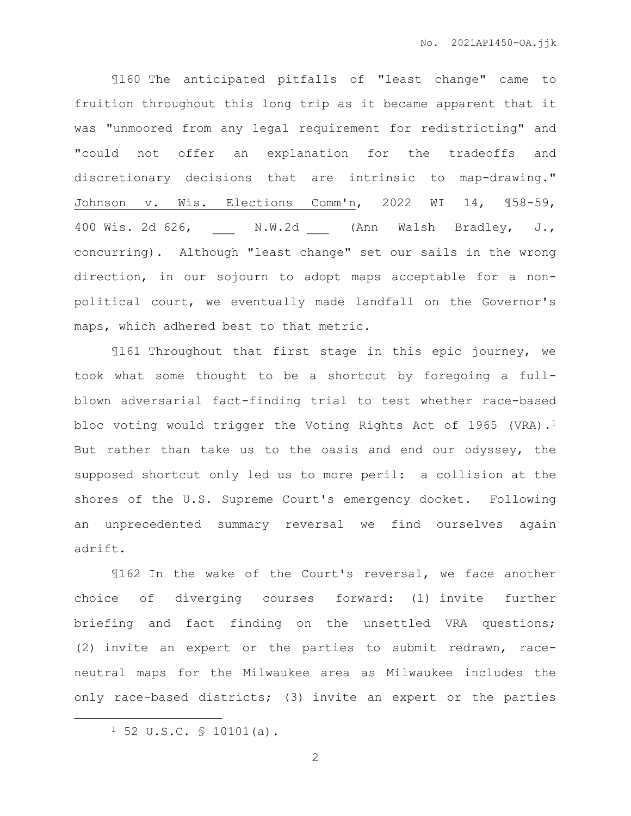¶160 The anticipated pitfalls of "least change" came to fruition throughout this long trip as it became apparent that it was "unmoored from any legal requirement for redistricting" and "could not offer an explanation for the tradeoffs and discretionary decisions that are intrinsic to map-drawing." Johnson v. Wis. Elections Comm'n, 2022 WI 14, ¶58-59, 400 Wis. 2d 626, M.W.2d (Ann Walsh Bradley, J., concurring). Although "least change" set our sails in the wrong direction, in our sojourn to adopt maps acceptable for a nonpolitical court, we eventually made landfall on the Governor's maps, which adhered best to that metric.

¶161 Throughout that first stage in this epic journey, we took what some thought to be a shortcut by foregoing a fullblown adversarial fact-finding trial to test whether race-based bloc voting would trigger the Voting Rights Act of 1965 (VRA).<sup>1</sup> But rather than take us to the oasis and end our odyssey, the supposed shortcut only led us to more peril: a collision at the shores of the U.S. Supreme Court's emergency docket. Following an unprecedented summary reversal we find ourselves again adrift.

¶162 In the wake of the Court's reversal, we face another choice of diverging courses forward: (1) invite further briefing and fact finding on the unsettled VRA questions; (2) invite an expert or the parties to submit redrawn, raceneutral maps for the Milwaukee area as Milwaukee includes the only race-based districts; (3) invite an expert or the parties

 $\overline{a}$ 

 $1\,52\,$  U.S.C.  $\,$   $\leq$  10101(a).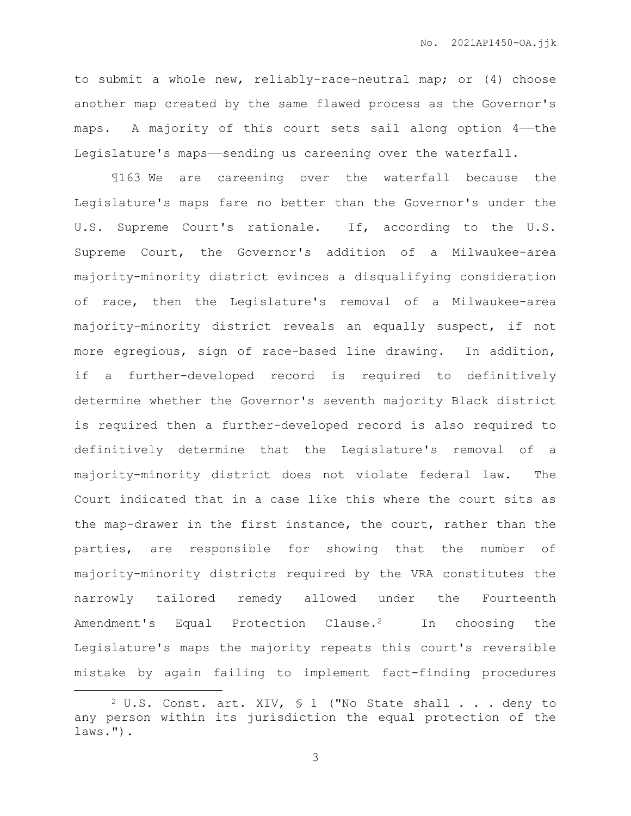to submit a whole new, reliably-race-neutral map; or (4) choose another map created by the same flawed process as the Governor's maps. A majority of this court sets sail along option 4-the Legislature's maps-sending us careening over the waterfall.

¶163 We are careening over the waterfall because the Legislature's maps fare no better than the Governor's under the U.S. Supreme Court's rationale. If, according to the U.S. Supreme Court, the Governor's addition of a Milwaukee-area majority-minority district evinces a disqualifying consideration of race, then the Legislature's removal of a Milwaukee-area majority-minority district reveals an equally suspect, if not more egregious, sign of race-based line drawing. In addition, if a further-developed record is required to definitively determine whether the Governor's seventh majority Black district is required then a further-developed record is also required to definitively determine that the Legislature's removal of a majority-minority district does not violate federal law. The Court indicated that in a case like this where the court sits as the map-drawer in the first instance, the court, rather than the parties, are responsible for showing that the number of majority-minority districts required by the VRA constitutes the narrowly tailored remedy allowed under the Fourteenth Amendment's Equal Protection Clause.2 In choosing the Legislature's maps the majority repeats this court's reversible mistake by again failing to implement fact-finding procedures

 $\overline{a}$ 

 $2$  U.S. Const. art. XIV,  $5$  1 ("No State shall . . . deny to any person within its jurisdiction the equal protection of the laws.").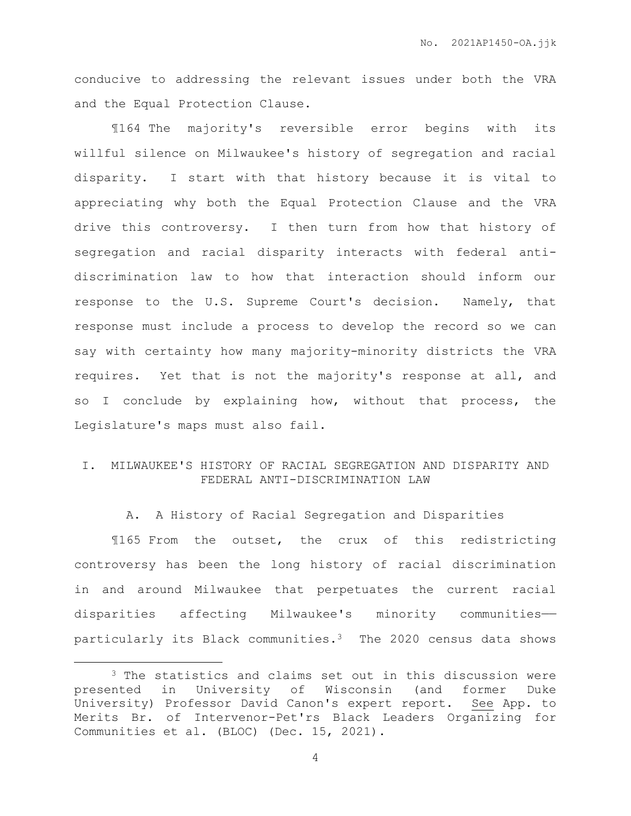conducive to addressing the relevant issues under both the VRA and the Equal Protection Clause.

¶164 The majority's reversible error begins with its willful silence on Milwaukee's history of segregation and racial disparity. I start with that history because it is vital to appreciating why both the Equal Protection Clause and the VRA drive this controversy. I then turn from how that history of segregation and racial disparity interacts with federal antidiscrimination law to how that interaction should inform our response to the U.S. Supreme Court's decision. Namely, that response must include a process to develop the record so we can say with certainty how many majority-minority districts the VRA requires. Yet that is not the majority's response at all, and so I conclude by explaining how, without that process, the Legislature's maps must also fail.

# I. MILWAUKEE'S HISTORY OF RACIAL SEGREGATION AND DISPARITY AND FEDERAL ANTI-DISCRIMINATION LAW

A. A History of Racial Segregation and Disparities

¶165 From the outset, the crux of this redistricting controversy has been the long history of racial discrimination in and around Milwaukee that perpetuates the current racial disparities affecting Milwaukee's minority communities— particularly its Black communities.3 The 2020 census data shows

<sup>3</sup> The statistics and claims set out in this discussion were presented in University of Wisconsin (and former Duke University) Professor David Canon's expert report. See App. to Merits Br. of Intervenor-Pet'rs Black Leaders Organizing for Communities et al. (BLOC) (Dec. 15, 2021).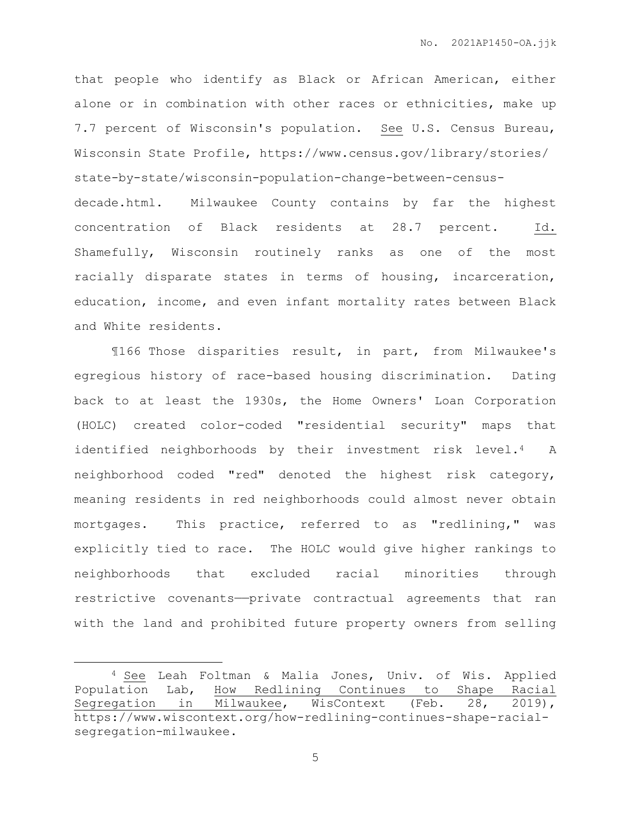that people who identify as Black or African American, either alone or in combination with other races or ethnicities, make up 7.7 percent of Wisconsin's population. See U.S. Census Bureau, Wisconsin State Profile, https://www.census.gov/library/stories/ state-by-state/wisconsin-population-change-between-censusdecade.html. Milwaukee County contains by far the highest concentration of Black residents at 28.7 percent. Id. Shamefully, Wisconsin routinely ranks as one of the most racially disparate states in terms of housing, incarceration, education, income, and even infant mortality rates between Black and White residents.

¶166 Those disparities result, in part, from Milwaukee's egregious history of race-based housing discrimination. Dating back to at least the 1930s, the Home Owners' Loan Corporation (HOLC) created color-coded "residential security" maps that identified neighborhoods by their investment risk level.4 A neighborhood coded "red" denoted the highest risk category, meaning residents in red neighborhoods could almost never obtain mortgages. This practice, referred to as "redlining," was explicitly tied to race. The HOLC would give higher rankings to neighborhoods that excluded racial minorities through restrictive covenants——private contractual agreements that ran with the land and prohibited future property owners from selling

 $\overline{a}$ 

<sup>4</sup> See Leah Foltman & Malia Jones, Univ. of Wis. Applied Population Lab, How Redlining Continues to Shape Racial Segregation in Milwaukee, WisContext (Feb. 28, 2019), https://www.wiscontext.org/how-redlining-continues-shape-racialsegregation-milwaukee.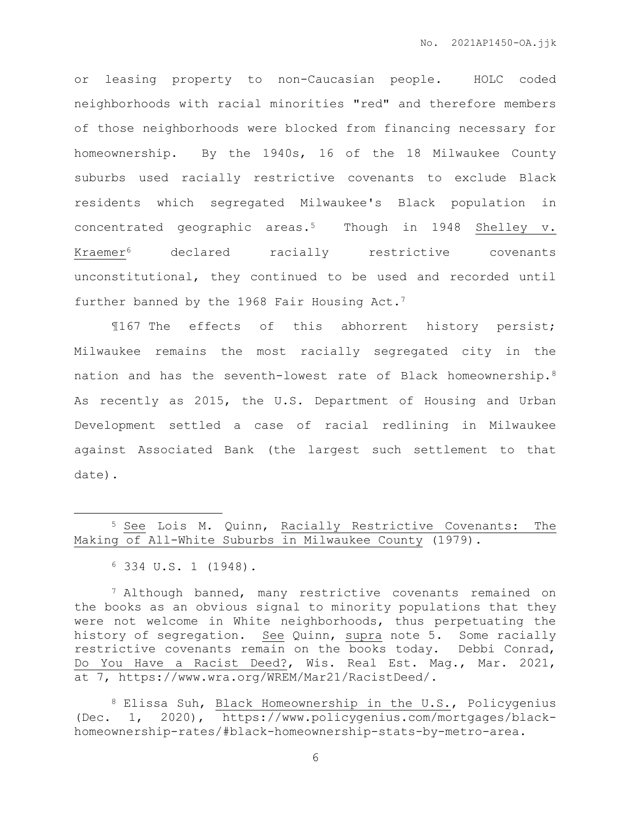or leasing property to non-Caucasian people. HOLC coded neighborhoods with racial minorities "red" and therefore members of those neighborhoods were blocked from financing necessary for homeownership. By the 1940s, 16 of the 18 Milwaukee County suburbs used racially restrictive covenants to exclude Black residents which segregated Milwaukee's Black population in concentrated geographic areas.5 Though in 1948 Shelley v. Kraemer<sup>6</sup> declared racially restrictive covenants unconstitutional, they continued to be used and recorded until further banned by the 1968 Fair Housing Act.<sup>7</sup>

¶167 The effects of this abhorrent history persist; Milwaukee remains the most racially segregated city in the nation and has the seventh-lowest rate of Black homeownership.<sup>8</sup> As recently as 2015, the U.S. Department of Housing and Urban Development settled a case of racial redlining in Milwaukee against Associated Bank (the largest such settlement to that date).

 $\overline{a}$ 

<sup>7</sup> Although banned, many restrictive covenants remained on the books as an obvious signal to minority populations that they were not welcome in White neighborhoods, thus perpetuating the history of segregation. See Quinn, supra note 5. Some racially restrictive covenants remain on the books today. Debbi Conrad, Do You Have a Racist Deed?, Wis. Real Est. Mag., Mar. 2021, at 7, https://www.wra.org/WREM/Mar21/RacistDeed/.

<sup>8</sup> Elissa Suh, Black Homeownership in the U.S., Policygenius (Dec. 1, 2020), https://www.policygenius.com/mortgages/blackhomeownership-rates/#black-homeownership-stats-by-metro-area.

<sup>5</sup> See Lois M. Quinn, Racially Restrictive Covenants: The Making of All-White Suburbs in Milwaukee County (1979).

<sup>6</sup> 334 U.S. 1 (1948).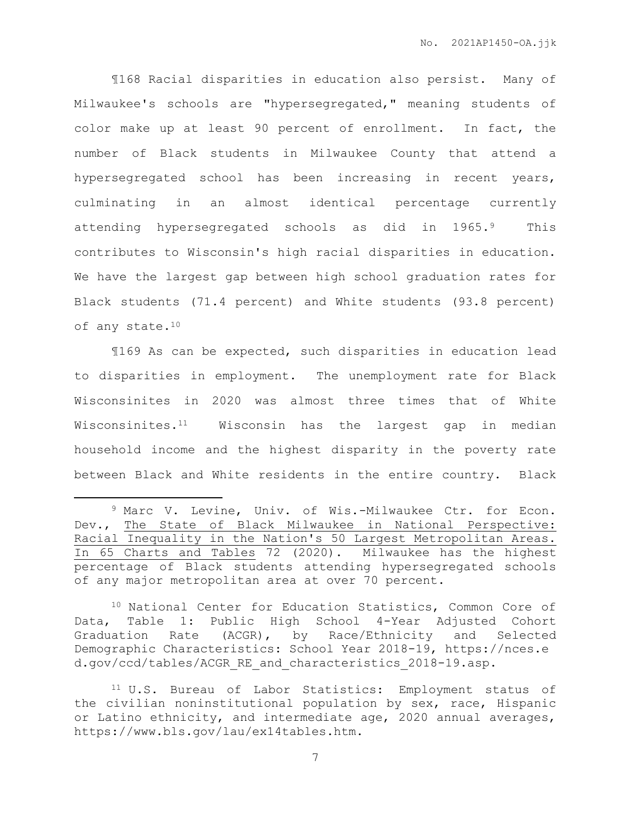¶168 Racial disparities in education also persist. Many of Milwaukee's schools are "hypersegregated," meaning students of color make up at least 90 percent of enrollment. In fact, the number of Black students in Milwaukee County that attend a hypersegregated school has been increasing in recent years, culminating in an almost identical percentage currently attending hypersegregated schools as did in 1965.9 This contributes to Wisconsin's high racial disparities in education. We have the largest gap between high school graduation rates for Black students (71.4 percent) and White students (93.8 percent) of any state.<sup>10</sup>

¶169 As can be expected, such disparities in education lead to disparities in employment. The unemployment rate for Black Wisconsinites in 2020 was almost three times that of White Wisconsinites.11 Wisconsin has the largest gap in median household income and the highest disparity in the poverty rate between Black and White residents in the entire country. Black

 $\overline{a}$ 

<sup>10</sup> National Center for Education Statistics, Common Core of Data, Table 1: Public High School 4-Year Adjusted Cohort Graduation Rate (ACGR), by Race/Ethnicity and Selected Demographic Characteristics: School Year 2018-19, https://nces.e d.gov/ccd/tables/ACGR\_RE\_and\_characteristics\_2018-19.asp.

<sup>9</sup> Marc V. Levine, Univ. of Wis.-Milwaukee Ctr. for Econ. Dev., The State of Black Milwaukee in National Perspective: Racial Inequality in the Nation's 50 Largest Metropolitan Areas. In 65 Charts and Tables 72 (2020). Milwaukee has the highest percentage of Black students attending hypersegregated schools of any major metropolitan area at over 70 percent.

<sup>11</sup> U.S. Bureau of Labor Statistics: Employment status of the civilian noninstitutional population by sex, race, Hispanic or Latino ethnicity, and intermediate age, 2020 annual averages, https://www.bls.gov/lau/ex14tables.htm.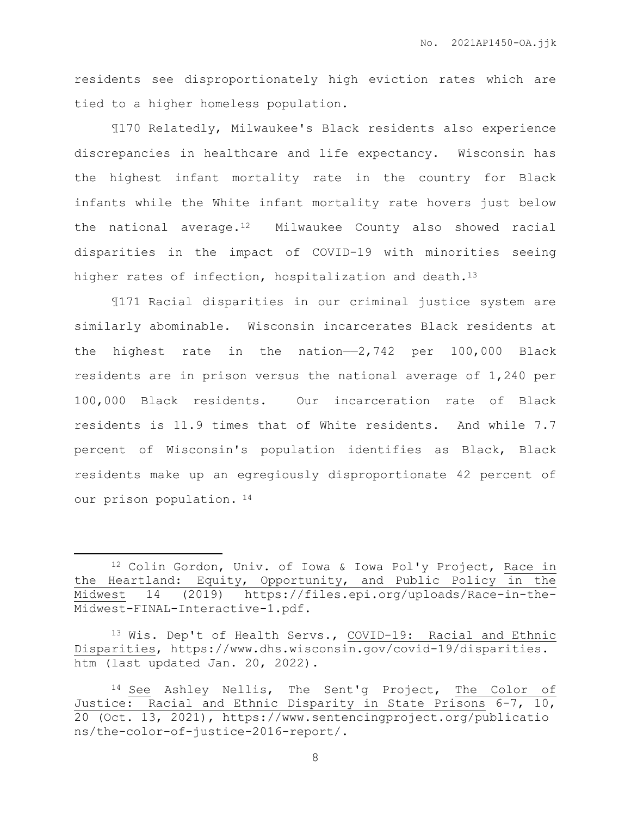residents see disproportionately high eviction rates which are tied to a higher homeless population.

¶170 Relatedly, Milwaukee's Black residents also experience discrepancies in healthcare and life expectancy. Wisconsin has the highest infant mortality rate in the country for Black infants while the White infant mortality rate hovers just below the national average.<sup>12</sup> Milwaukee County also showed racial disparities in the impact of COVID-19 with minorities seeing higher rates of infection, hospitalization and death.<sup>13</sup>

¶171 Racial disparities in our criminal justice system are similarly abominable. Wisconsin incarcerates Black residents at the highest rate in the nation- $-2,742$  per 100,000 Black residents are in prison versus the national average of 1,240 per 100,000 Black residents. Our incarceration rate of Black residents is 11.9 times that of White residents. And while 7.7 percent of Wisconsin's population identifies as Black, Black residents make up an egregiously disproportionate 42 percent of our prison population. <sup>14</sup>

 $\overline{a}$ 

<sup>12</sup> Colin Gordon, Univ. of Iowa & Iowa Pol'y Project, Race in the Heartland: Equity, Opportunity, and Public Policy in the Midwest 14 (2019) https://files.epi.org/uploads/Race-in-the-Midwest-FINAL-Interactive-1.pdf.

<sup>13</sup> Wis. Dep't of Health Servs., COVID-19: Racial and Ethnic Disparities, https://www.dhs.wisconsin.gov/covid-19/disparities. htm (last updated Jan. 20, 2022).

<sup>14</sup> See Ashley Nellis, The Sent'g Project, The Color of Justice: Racial and Ethnic Disparity in State Prisons 6-7, 10, 20 (Oct. 13, 2021), https://www.sentencingproject.org/publicatio ns/the-color-of-justice-2016-report/.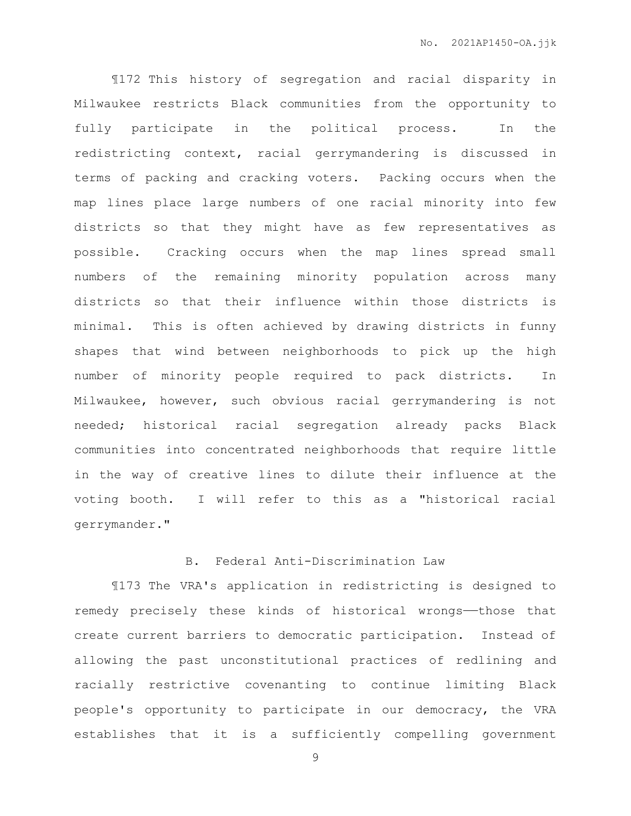¶172 This history of segregation and racial disparity in Milwaukee restricts Black communities from the opportunity to fully participate in the political process. In the redistricting context, racial gerrymandering is discussed in terms of packing and cracking voters. Packing occurs when the map lines place large numbers of one racial minority into few districts so that they might have as few representatives as possible. Cracking occurs when the map lines spread small numbers of the remaining minority population across many districts so that their influence within those districts is minimal. This is often achieved by drawing districts in funny shapes that wind between neighborhoods to pick up the high number of minority people required to pack districts. In Milwaukee, however, such obvious racial gerrymandering is not needed; historical racial segregation already packs Black communities into concentrated neighborhoods that require little in the way of creative lines to dilute their influence at the voting booth. I will refer to this as a "historical racial gerrymander."

## B. Federal Anti-Discrimination Law

¶173 The VRA's application in redistricting is designed to remedy precisely these kinds of historical wrongs—those that create current barriers to democratic participation. Instead of allowing the past unconstitutional practices of redlining and racially restrictive covenanting to continue limiting Black people's opportunity to participate in our democracy, the VRA establishes that it is a sufficiently compelling government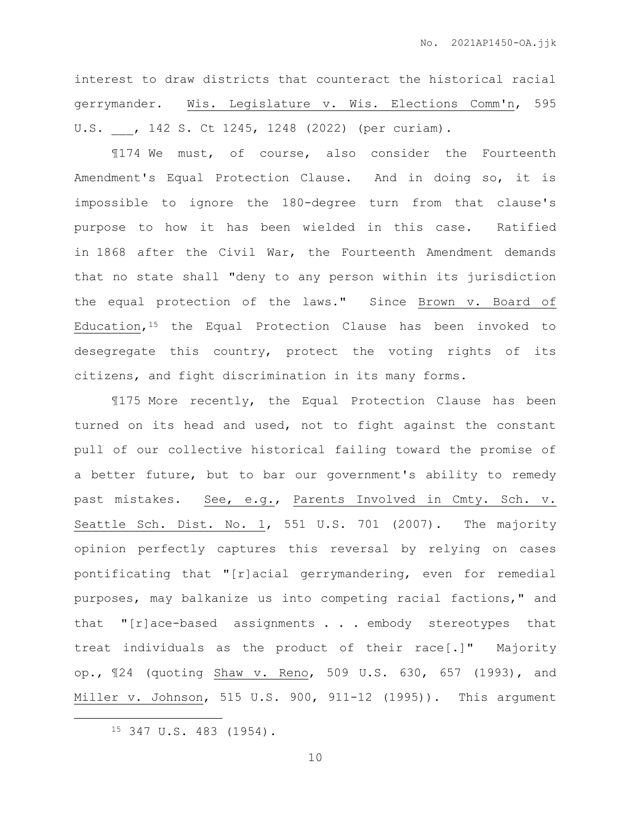interest to draw districts that counteract the historical racial gerrymander. Wis. Legislature v. Wis. Elections Comm'n, 595 U.S. , 142 S. Ct 1245, 1248 (2022) (per curiam).

¶174 We must, of course, also consider the Fourteenth Amendment's Equal Protection Clause. And in doing so, it is impossible to ignore the 180-degree turn from that clause's purpose to how it has been wielded in this case. Ratified in 1868 after the Civil War, the Fourteenth Amendment demands that no state shall "deny to any person within its jurisdiction the equal protection of the laws." Since Brown v. Board of Education,  $15$  the Equal Protection Clause has been invoked to desegregate this country, protect the voting rights of its citizens, and fight discrimination in its many forms.

¶175 More recently, the Equal Protection Clause has been turned on its head and used, not to fight against the constant pull of our collective historical failing toward the promise of a better future, but to bar our government's ability to remedy past mistakes. See, e.g., Parents Involved in Cmty. Sch. v. Seattle Sch. Dist. No. 1, 551 U.S. 701 (2007). The majority opinion perfectly captures this reversal by relying on cases pontificating that "[r]acial gerrymandering, even for remedial purposes, may balkanize us into competing racial factions," and that "[r]ace-based assignments . . . embody stereotypes that treat individuals as the product of their race[.]" Majority op., ¶24 (quoting Shaw v. Reno, 509 U.S. 630, 657 (1993), and Miller v. Johnson, 515 U.S. 900, 911-12 (1995)). This argument

<sup>15</sup> 347 U.S. 483 (1954).

 $\overline{a}$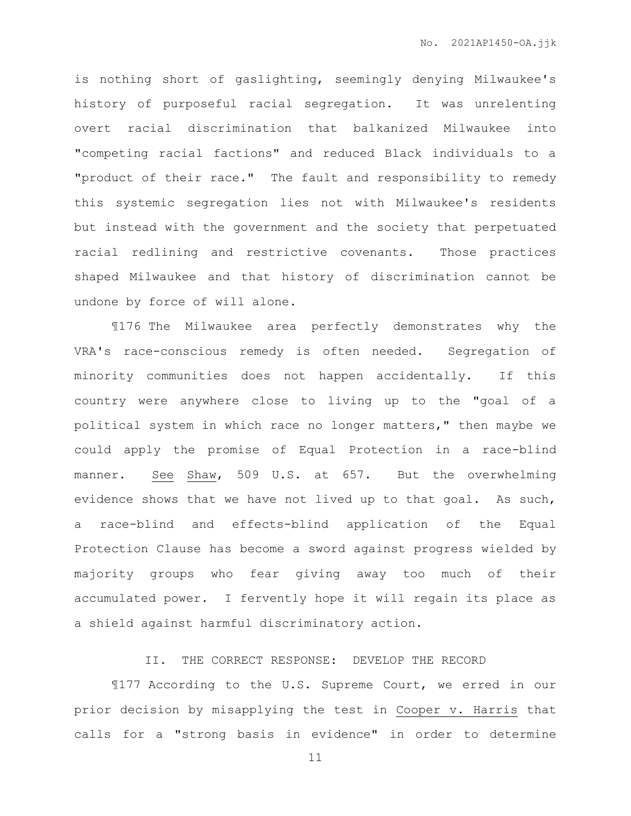is nothing short of gaslighting, seemingly denying Milwaukee's history of purposeful racial segregation. It was unrelenting overt racial discrimination that balkanized Milwaukee into "competing racial factions" and reduced Black individuals to a "product of their race." The fault and responsibility to remedy this systemic segregation lies not with Milwaukee's residents but instead with the government and the society that perpetuated racial redlining and restrictive covenants. Those practices shaped Milwaukee and that history of discrimination cannot be undone by force of will alone.

¶176 The Milwaukee area perfectly demonstrates why the VRA's race-conscious remedy is often needed. Segregation of minority communities does not happen accidentally. If this country were anywhere close to living up to the "goal of a political system in which race no longer matters," then maybe we could apply the promise of Equal Protection in a race-blind manner. See Shaw, 509 U.S. at 657. But the overwhelming evidence shows that we have not lived up to that goal. As such, a race-blind and effects-blind application of the Equal Protection Clause has become a sword against progress wielded by majority groups who fear giving away too much of their accumulated power. I fervently hope it will regain its place as a shield against harmful discriminatory action.

II. THE CORRECT RESPONSE: DEVELOP THE RECORD

¶177 According to the U.S. Supreme Court, we erred in our prior decision by misapplying the test in Cooper v. Harris that calls for a "strong basis in evidence" in order to determine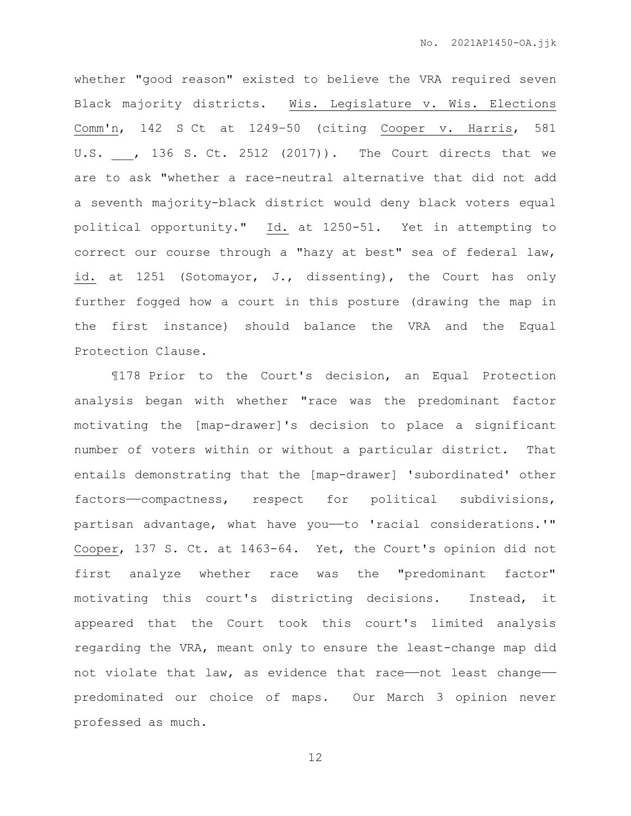whether "good reason" existed to believe the VRA required seven Black majority districts. Wis. Legislature v. Wis. Elections Comm'n, 142 S Ct at 1249–50 (citing Cooper v. Harris, 581 U.S. , 136 S. Ct. 2512 (2017)). The Court directs that we are to ask "whether a race-neutral alternative that did not add a seventh majority-black district would deny black voters equal political opportunity." Id. at 1250-51. Yet in attempting to correct our course through a "hazy at best" sea of federal law, id. at 1251 (Sotomayor, J., dissenting), the Court has only further fogged how a court in this posture (drawing the map in the first instance) should balance the VRA and the Equal Protection Clause.

¶178 Prior to the Court's decision, an Equal Protection analysis began with whether "race was the predominant factor motivating the [map-drawer]'s decision to place a significant number of voters within or without a particular district. That entails demonstrating that the [map-drawer] 'subordinated' other factors-compactness, respect for political subdivisions, partisan advantage, what have you——to 'racial considerations.'" Cooper, 137 S. Ct. at 1463-64. Yet, the Court's opinion did not first analyze whether race was the "predominant factor" motivating this court's districting decisions. Instead, it appeared that the Court took this court's limited analysis regarding the VRA, meant only to ensure the least-change map did not violate that law, as evidence that race——not least change— predominated our choice of maps. Our March 3 opinion never professed as much.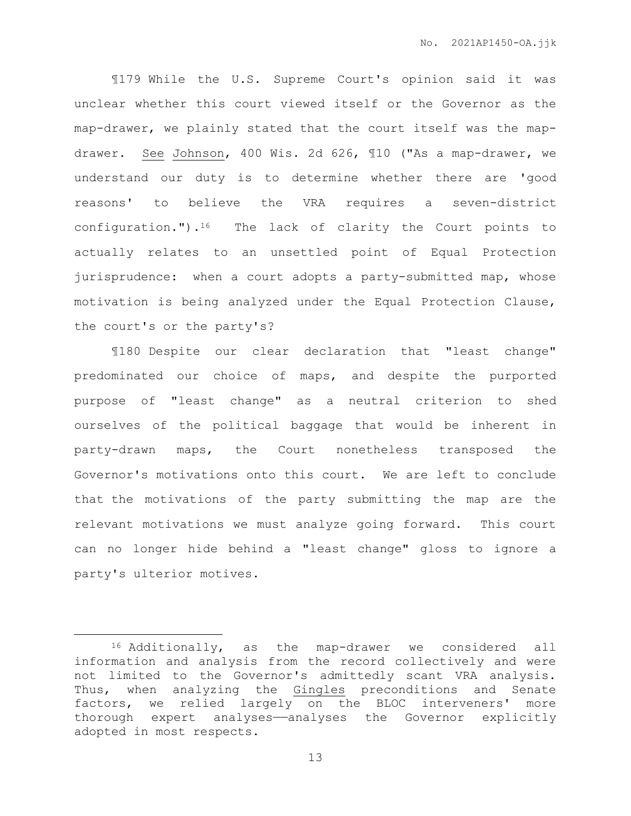¶179 While the U.S. Supreme Court's opinion said it was unclear whether this court viewed itself or the Governor as the map-drawer, we plainly stated that the court itself was the mapdrawer. See Johnson, 400 Wis. 2d 626, ¶10 ("As a map-drawer, we understand our duty is to determine whether there are 'good reasons' to believe the VRA requires a seven-district configuration.").<sup>16</sup> The lack of clarity the Court points to actually relates to an unsettled point of Equal Protection jurisprudence: when a court adopts a party-submitted map, whose motivation is being analyzed under the Equal Protection Clause, the court's or the party's?

¶180 Despite our clear declaration that "least change" predominated our choice of maps, and despite the purported purpose of "least change" as a neutral criterion to shed ourselves of the political baggage that would be inherent in party-drawn maps, the Court nonetheless transposed the Governor's motivations onto this court. We are left to conclude that the motivations of the party submitting the map are the relevant motivations we must analyze going forward. This court can no longer hide behind a "least change" gloss to ignore a party's ulterior motives.

 $\overline{a}$ 

<sup>16</sup> Additionally, as the map-drawer we considered all information and analysis from the record collectively and were not limited to the Governor's admittedly scant VRA analysis. Thus, when analyzing the Gingles preconditions and Senate factors, we relied largely on the BLOC interveners' more thorough expert analyses—analyses the Governor explicitly adopted in most respects.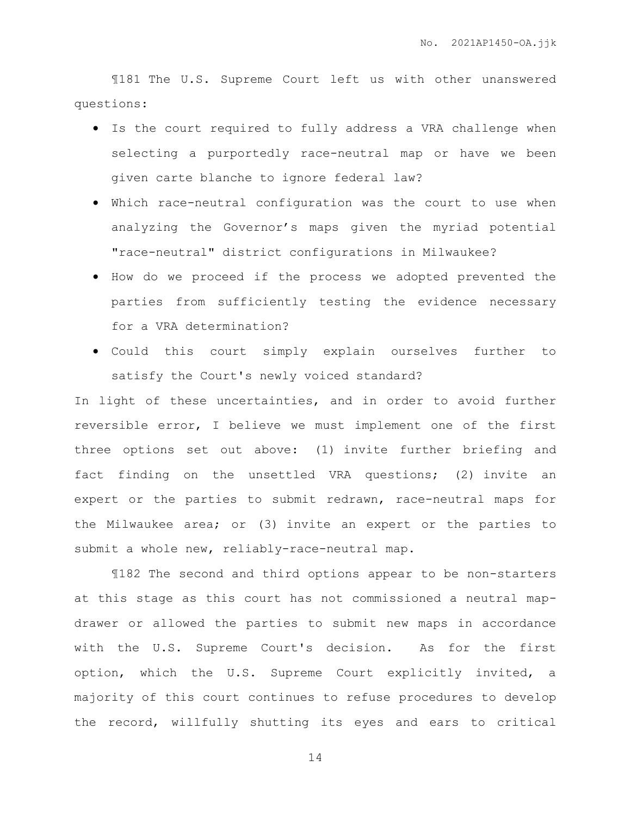¶181 The U.S. Supreme Court left us with other unanswered questions:

- Is the court required to fully address a VRA challenge when selecting a purportedly race-neutral map or have we been given carte blanche to ignore federal law?
- Which race-neutral configuration was the court to use when analyzing the Governor's maps given the myriad potential "race-neutral" district configurations in Milwaukee?
- How do we proceed if the process we adopted prevented the parties from sufficiently testing the evidence necessary for a VRA determination?
- Could this court simply explain ourselves further to satisfy the Court's newly voiced standard?

In light of these uncertainties, and in order to avoid further reversible error, I believe we must implement one of the first three options set out above: (1) invite further briefing and fact finding on the unsettled VRA questions; (2) invite an expert or the parties to submit redrawn, race-neutral maps for the Milwaukee area; or (3) invite an expert or the parties to submit a whole new, reliably-race-neutral map.

¶182 The second and third options appear to be non-starters at this stage as this court has not commissioned a neutral mapdrawer or allowed the parties to submit new maps in accordance with the U.S. Supreme Court's decision. As for the first option, which the U.S. Supreme Court explicitly invited, a majority of this court continues to refuse procedures to develop the record, willfully shutting its eyes and ears to critical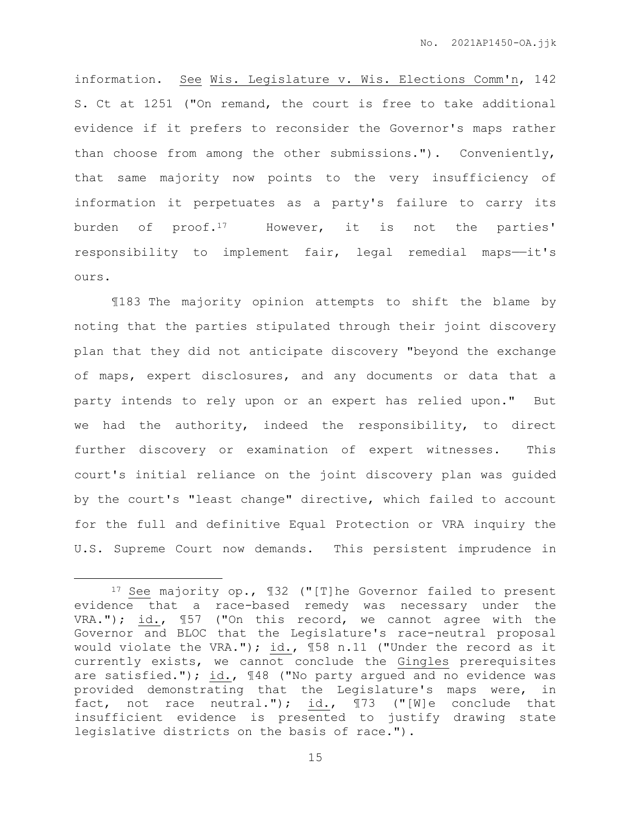information. See Wis. Legislature v. Wis. Elections Comm'n, 142 S. Ct at 1251 ("On remand, the court is free to take additional evidence if it prefers to reconsider the Governor's maps rather than choose from among the other submissions."). Conveniently, that same majority now points to the very insufficiency of information it perpetuates as a party's failure to carry its burden of proof.<sup>17</sup> However, it is not the parties' responsibility to implement fair, legal remedial maps--it's ours.

¶183 The majority opinion attempts to shift the blame by noting that the parties stipulated through their joint discovery plan that they did not anticipate discovery "beyond the exchange of maps, expert disclosures, and any documents or data that a party intends to rely upon or an expert has relied upon." But we had the authority, indeed the responsibility, to direct further discovery or examination of expert witnesses. This court's initial reliance on the joint discovery plan was guided by the court's "least change" directive, which failed to account for the full and definitive Equal Protection or VRA inquiry the U.S. Supreme Court now demands. This persistent imprudence in

 $\overline{a}$ 

<sup>17</sup> See majority op., ¶32 ("[T]he Governor failed to present evidence that a race-based remedy was necessary under the VRA."); id., ¶57 ("On this record, we cannot agree with the Governor and BLOC that the Legislature's race-neutral proposal would violate the VRA."); id., ¶58 n.11 ("Under the record as it currently exists, we cannot conclude the Gingles prerequisites are satisfied."); id., 148 ("No party argued and no evidence was provided demonstrating that the Legislature's maps were, in fact, not race neutral."); id., ¶73 ("[W]e conclude that insufficient evidence is presented to justify drawing state legislative districts on the basis of race.").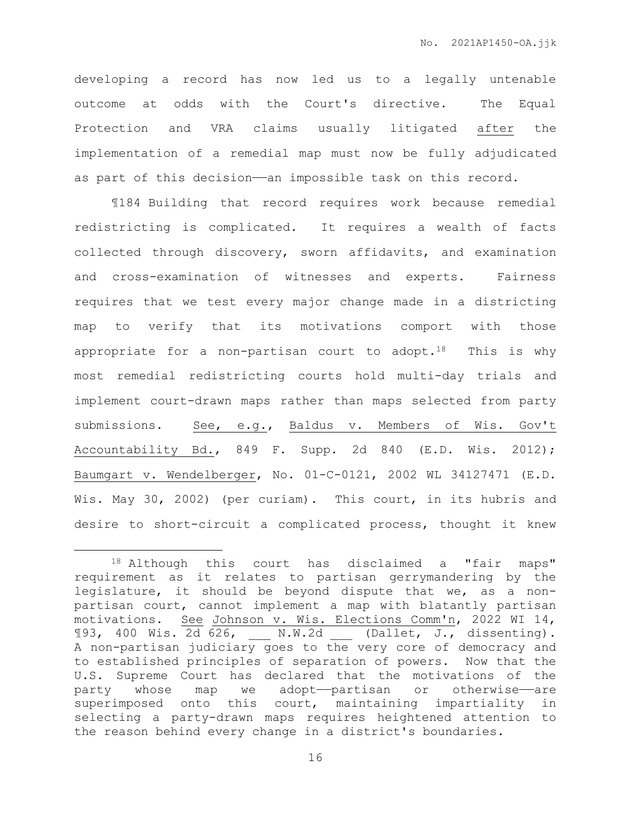developing a record has now led us to a legally untenable outcome at odds with the Court's directive. The Equal Protection and VRA claims usually litigated after the implementation of a remedial map must now be fully adjudicated as part of this decision—an impossible task on this record.

¶184 Building that record requires work because remedial redistricting is complicated. It requires a wealth of facts collected through discovery, sworn affidavits, and examination and cross-examination of witnesses and experts. Fairness requires that we test every major change made in a districting map to verify that its motivations comport with those appropriate for a non-partisan court to adopt.<sup>18</sup> This is why most remedial redistricting courts hold multi-day trials and implement court-drawn maps rather than maps selected from party submissions. See, e.g., Baldus v. Members of Wis. Gov't Accountability Bd., 849 F. Supp. 2d 840 (E.D. Wis. 2012); Baumgart v. Wendelberger, No. 01-C-0121, 2002 WL 34127471 (E.D. Wis. May 30, 2002) (per curiam). This court, in its hubris and desire to short-circuit a complicated process, thought it knew

 $\overline{a}$ 

<sup>18</sup> Although this court has disclaimed a "fair maps" requirement as it relates to partisan gerrymandering by the legislature, it should be beyond dispute that we, as a nonpartisan court, cannot implement a map with blatantly partisan motivations. See Johnson v. Wis. Elections Comm'n, 2022 WI 14, ¶93, 400 Wis. 2d 626, \_\_\_ N.W.2d \_\_\_ (Dallet, J., dissenting). A non-partisan judiciary goes to the very core of democracy and to established principles of separation of powers. Now that the U.S. Supreme Court has declared that the motivations of the party whose map we adopt—partisan or otherwise—are superimposed onto this court, maintaining impartiality in selecting a party-drawn maps requires heightened attention to the reason behind every change in a district's boundaries.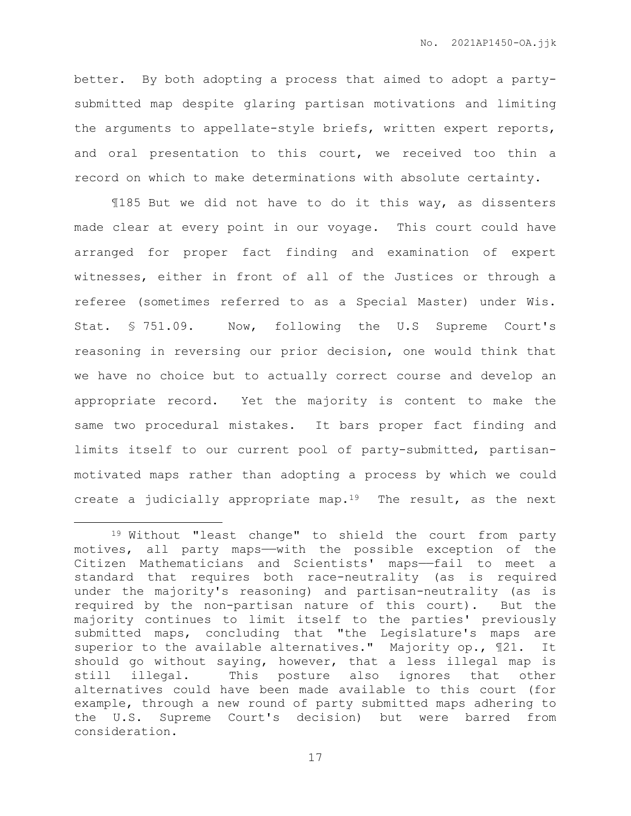better. By both adopting a process that aimed to adopt a partysubmitted map despite glaring partisan motivations and limiting the arguments to appellate-style briefs, written expert reports, and oral presentation to this court, we received too thin a record on which to make determinations with absolute certainty.

¶185 But we did not have to do it this way, as dissenters made clear at every point in our voyage. This court could have arranged for proper fact finding and examination of expert witnesses, either in front of all of the Justices or through a referee (sometimes referred to as a Special Master) under Wis. Stat. § 751.09. Now, following the U.S Supreme Court's reasoning in reversing our prior decision, one would think that we have no choice but to actually correct course and develop an appropriate record. Yet the majority is content to make the same two procedural mistakes. It bars proper fact finding and limits itself to our current pool of party-submitted, partisanmotivated maps rather than adopting a process by which we could create a judicially appropriate map.<sup>19</sup> The result, as the next

 $\overline{a}$ 

<sup>19</sup> Without "least change" to shield the court from party motives, all party maps——with the possible exception of the Citizen Mathematicians and Scientists' maps——fail to meet a standard that requires both race-neutrality (as is required under the majority's reasoning) and partisan-neutrality (as is required by the non-partisan nature of this court). But the majority continues to limit itself to the parties' previously submitted maps, concluding that "the Legislature's maps are superior to the available alternatives." Majority op., 121. It should go without saying, however, that a less illegal map is still illegal. This posture also ignores that other alternatives could have been made available to this court (for example, through a new round of party submitted maps adhering to the U.S. Supreme Court's decision) but were barred from consideration.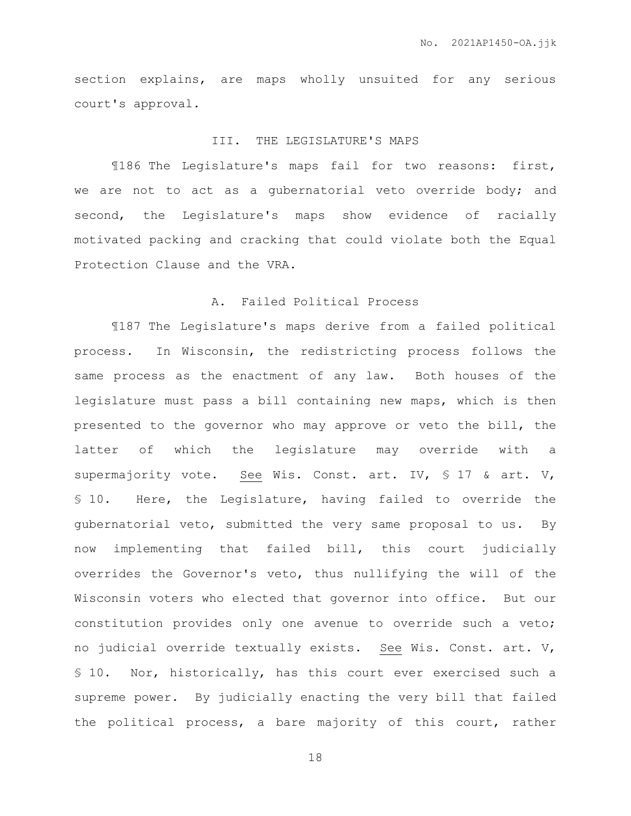section explains, are maps wholly unsuited for any serious court's approval.

#### III. THE LEGISLATURE'S MAPS

¶186 The Legislature's maps fail for two reasons: first, we are not to act as a gubernatorial veto override body; and second, the Legislature's maps show evidence of racially motivated packing and cracking that could violate both the Equal Protection Clause and the VRA.

## A. Failed Political Process

¶187 The Legislature's maps derive from a failed political process. In Wisconsin, the redistricting process follows the same process as the enactment of any law. Both houses of the legislature must pass a bill containing new maps, which is then presented to the governor who may approve or veto the bill, the latter of which the legislature may override with a supermajority vote. See Wis. Const. art. IV, § 17 & art. V, § 10. Here, the Legislature, having failed to override the gubernatorial veto, submitted the very same proposal to us. By now implementing that failed bill, this court judicially overrides the Governor's veto, thus nullifying the will of the Wisconsin voters who elected that governor into office. But our constitution provides only one avenue to override such a veto; no judicial override textually exists. See Wis. Const. art. V, § 10. Nor, historically, has this court ever exercised such a supreme power. By judicially enacting the very bill that failed the political process, a bare majority of this court, rather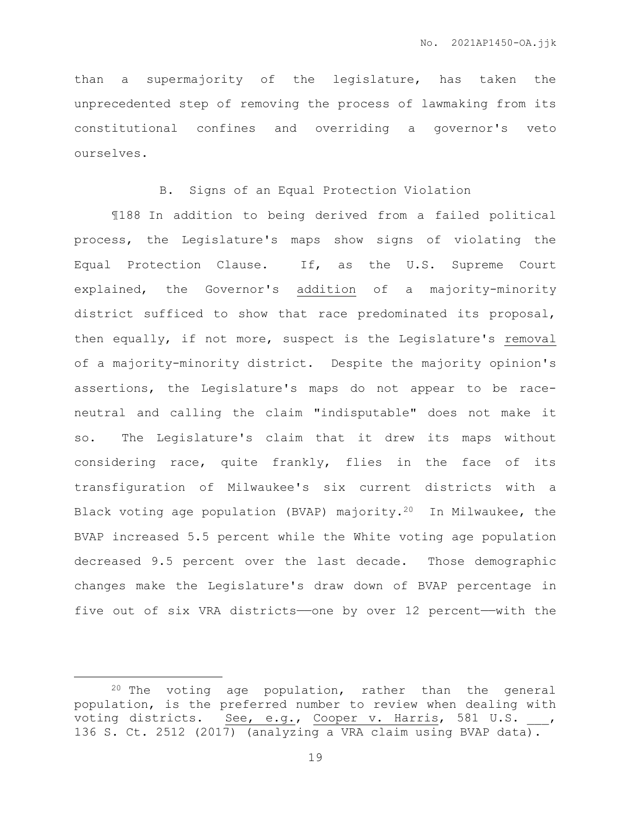than a supermajority of the legislature, has taken the unprecedented step of removing the process of lawmaking from its constitutional confines and overriding a governor's veto ourselves.

#### B. Signs of an Equal Protection Violation

¶188 In addition to being derived from a failed political process, the Legislature's maps show signs of violating the Equal Protection Clause. If, as the U.S. Supreme Court explained, the Governor's addition of a majority-minority district sufficed to show that race predominated its proposal, then equally, if not more, suspect is the Legislature's removal of a majority-minority district. Despite the majority opinion's assertions, the Legislature's maps do not appear to be raceneutral and calling the claim "indisputable" does not make it so. The Legislature's claim that it drew its maps without considering race, quite frankly, flies in the face of its transfiguration of Milwaukee's six current districts with a Black voting age population (BVAP) majority.20 In Milwaukee, the BVAP increased 5.5 percent while the White voting age population decreased 9.5 percent over the last decade. Those demographic changes make the Legislature's draw down of BVAP percentage in five out of six VRA districts—one by over 12 percent—with the

<sup>20</sup> The voting age population, rather than the general population, is the preferred number to review when dealing with voting districts. See, e.g., Cooper v. Harris, 581 U.S. 136 S. Ct. 2512 (2017) (analyzing a VRA claim using BVAP data).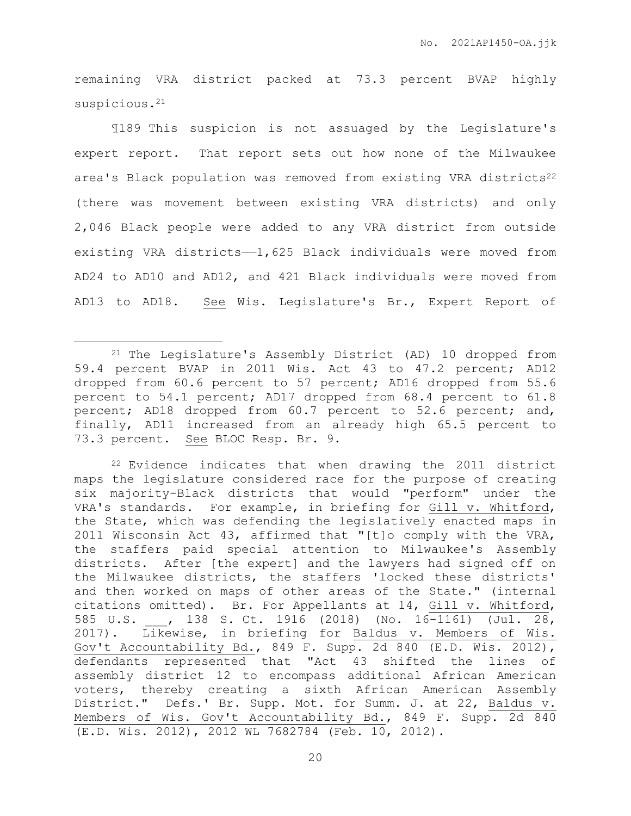remaining VRA district packed at 73.3 percent BVAP highly suspicious.<sup>21</sup>

¶189 This suspicion is not assuaged by the Legislature's expert report. That report sets out how none of the Milwaukee area's Black population was removed from existing VRA districts<sup>22</sup> (there was movement between existing VRA districts) and only 2,046 Black people were added to any VRA district from outside existing VRA districts——1,625 Black individuals were moved from AD24 to AD10 and AD12, and 421 Black individuals were moved from AD13 to AD18. See Wis. Legislature's Br., Expert Report of

<sup>21</sup> The Legislature's Assembly District (AD) 10 dropped from 59.4 percent BVAP in 2011 Wis. Act 43 to 47.2 percent; AD12 dropped from 60.6 percent to 57 percent; AD16 dropped from 55.6 percent to 54.1 percent; AD17 dropped from 68.4 percent to 61.8 percent; AD18 dropped from 60.7 percent to 52.6 percent; and, finally, AD11 increased from an already high 65.5 percent to 73.3 percent. See BLOC Resp. Br. 9.

<sup>22</sup> Evidence indicates that when drawing the 2011 district maps the legislature considered race for the purpose of creating six majority-Black districts that would "perform" under the VRA's standards. For example, in briefing for Gill v. Whitford, the State, which was defending the legislatively enacted maps in 2011 Wisconsin Act 43, affirmed that "[t]o comply with the VRA, the staffers paid special attention to Milwaukee's Assembly districts. After [the expert] and the lawyers had signed off on the Milwaukee districts, the staffers 'locked these districts' and then worked on maps of other areas of the State." (internal citations omitted). Br. For Appellants at 14, Gill v. Whitford, 585 U.S. \_\_\_, 138 S. Ct. 1916 (2018) (No. 16-1161) (Jul. 28, 2017). Likewise, in briefing for Baldus v. Members of Wis. Gov't Accountability Bd., 849 F. Supp. 2d 840 (E.D. Wis. 2012), defendants represented that "Act 43 shifted the lines of assembly district 12 to encompass additional African American voters, thereby creating a sixth African American Assembly District." Defs.' Br. Supp. Mot. for Summ. J. at 22, Baldus v. Members of Wis. Gov't Accountability Bd., 849 F. Supp. 2d 840 (E.D. Wis. 2012), 2012 WL 7682784 (Feb. 10, 2012).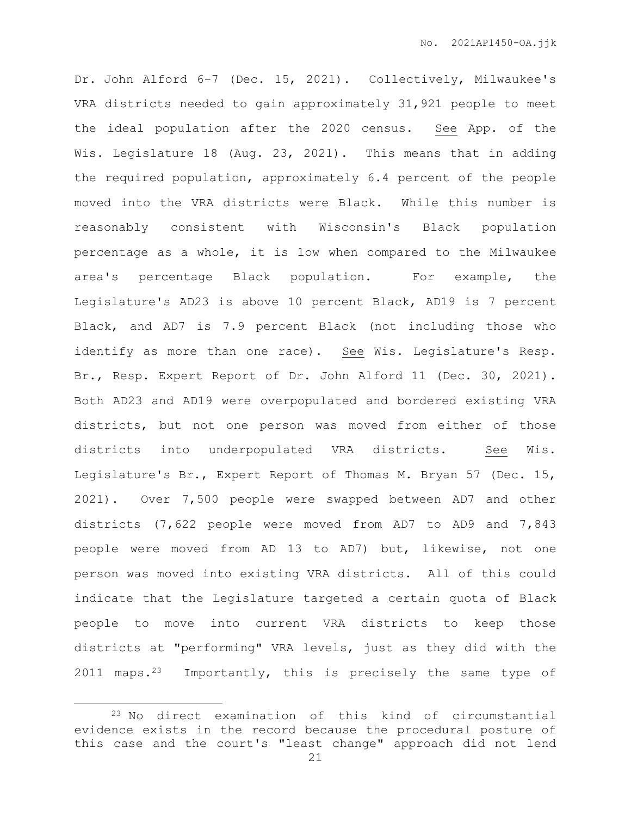Dr. John Alford 6-7 (Dec. 15, 2021). Collectively, Milwaukee's VRA districts needed to gain approximately 31,921 people to meet the ideal population after the 2020 census. See App. of the Wis. Legislature 18 (Aug. 23, 2021). This means that in adding the required population, approximately 6.4 percent of the people moved into the VRA districts were Black. While this number is reasonably consistent with Wisconsin's Black population percentage as a whole, it is low when compared to the Milwaukee area's percentage Black population. For example, the Legislature's AD23 is above 10 percent Black, AD19 is 7 percent Black, and AD7 is 7.9 percent Black (not including those who identify as more than one race). See Wis. Legislature's Resp. Br., Resp. Expert Report of Dr. John Alford 11 (Dec. 30, 2021). Both AD23 and AD19 were overpopulated and bordered existing VRA districts, but not one person was moved from either of those districts into underpopulated VRA districts. See Wis. Legislature's Br., Expert Report of Thomas M. Bryan 57 (Dec. 15, 2021). Over 7,500 people were swapped between AD7 and other districts (7,622 people were moved from AD7 to AD9 and 7,843 people were moved from AD 13 to AD7) but, likewise, not one person was moved into existing VRA districts. All of this could indicate that the Legislature targeted a certain quota of Black people to move into current VRA districts to keep those districts at "performing" VRA levels, just as they did with the 2011 maps.23 Importantly, this is precisely the same type of

<sup>23</sup> No direct examination of this kind of circumstantial evidence exists in the record because the procedural posture of this case and the court's "least change" approach did not lend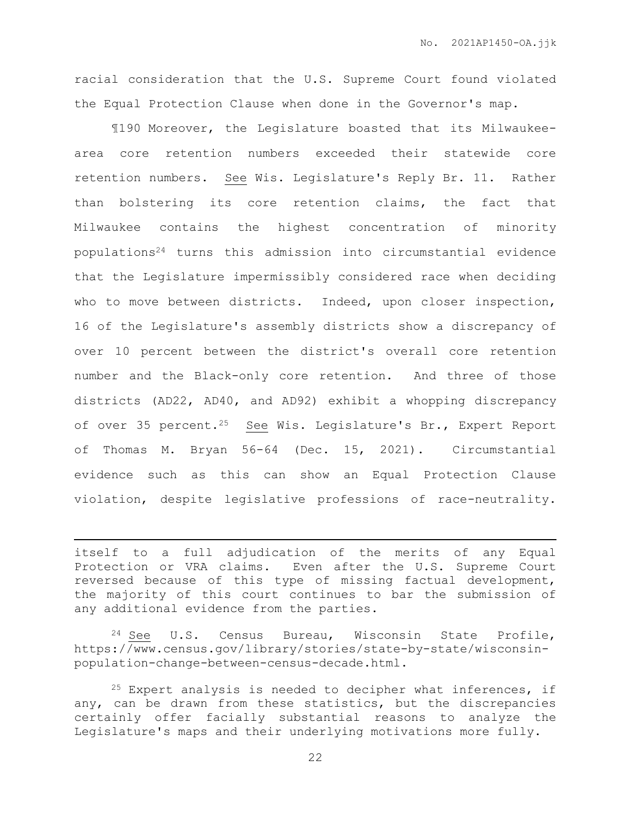racial consideration that the U.S. Supreme Court found violated the Equal Protection Clause when done in the Governor's map.

¶190 Moreover, the Legislature boasted that its Milwaukeearea core retention numbers exceeded their statewide core retention numbers. See Wis. Legislature's Reply Br. 11. Rather than bolstering its core retention claims, the fact that Milwaukee contains the highest concentration of minority populations<sup>24</sup> turns this admission into circumstantial evidence that the Legislature impermissibly considered race when deciding who to move between districts. Indeed, upon closer inspection, 16 of the Legislature's assembly districts show a discrepancy of over 10 percent between the district's overall core retention number and the Black-only core retention. And three of those districts (AD22, AD40, and AD92) exhibit a whopping discrepancy of over 35 percent.<sup>25</sup> See Wis. Legislature's Br., Expert Report of Thomas M. Bryan 56-64 (Dec. 15, 2021). Circumstantial evidence such as this can show an Equal Protection Clause violation, despite legislative professions of race-neutrality.

itself to a full adjudication of the merits of any Equal Protection or VRA claims. Even after the U.S. Supreme Court reversed because of this type of missing factual development, the majority of this court continues to bar the submission of any additional evidence from the parties.

 $\overline{a}$ 

 $24$  See U.S. Census Bureau, Wisconsin State Profile, https://www.census.gov/library/stories/state-by-state/wisconsinpopulation-change-between-census-decade.html.

 $25$  Expert analysis is needed to decipher what inferences, if any, can be drawn from these statistics, but the discrepancies certainly offer facially substantial reasons to analyze the Legislature's maps and their underlying motivations more fully.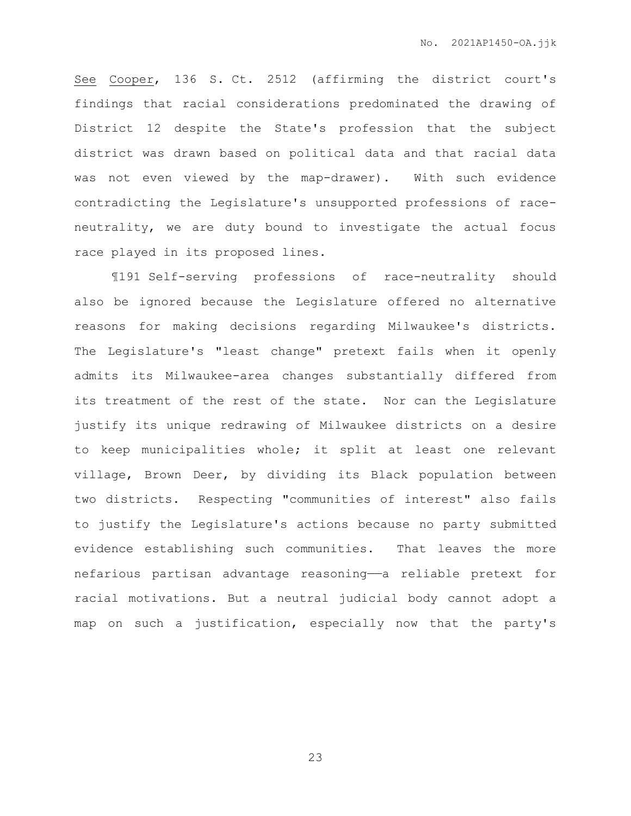See Cooper, 136 S. Ct. 2512 (affirming the district court's findings that racial considerations predominated the drawing of District 12 despite the State's profession that the subject district was drawn based on political data and that racial data was not even viewed by the map-drawer). With such evidence contradicting the Legislature's unsupported professions of raceneutrality, we are duty bound to investigate the actual focus race played in its proposed lines.

¶191 Self-serving professions of race-neutrality should also be ignored because the Legislature offered no alternative reasons for making decisions regarding Milwaukee's districts. The Legislature's "least change" pretext fails when it openly admits its Milwaukee-area changes substantially differed from its treatment of the rest of the state. Nor can the Legislature justify its unique redrawing of Milwaukee districts on a desire to keep municipalities whole; it split at least one relevant village, Brown Deer, by dividing its Black population between two districts. Respecting "communities of interest" also fails to justify the Legislature's actions because no party submitted evidence establishing such communities. That leaves the more nefarious partisan advantage reasoning—a reliable pretext for racial motivations. But a neutral judicial body cannot adopt a map on such a justification, especially now that the party's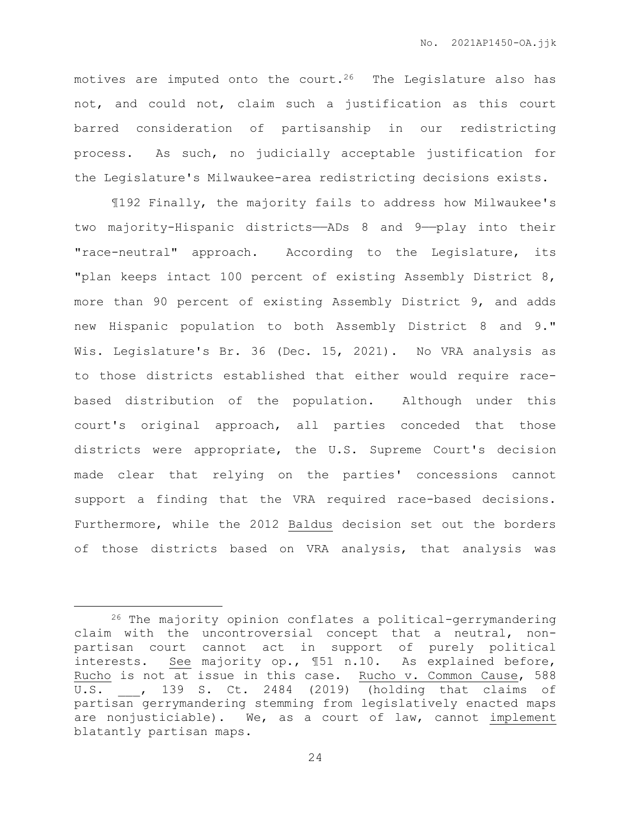motives are imputed onto the court.<sup>26</sup> The Legislature also has not, and could not, claim such a justification as this court barred consideration of partisanship in our redistricting process. As such, no judicially acceptable justification for the Legislature's Milwaukee-area redistricting decisions exists.

¶192 Finally, the majority fails to address how Milwaukee's two majority-Hispanic districts——ADs 8 and 9——play into their "race-neutral" approach. According to the Legislature, its "plan keeps intact 100 percent of existing Assembly District 8, more than 90 percent of existing Assembly District 9, and adds new Hispanic population to both Assembly District 8 and 9." Wis. Legislature's Br. 36 (Dec. 15, 2021). No VRA analysis as to those districts established that either would require racebased distribution of the population. Although under this court's original approach, all parties conceded that those districts were appropriate, the U.S. Supreme Court's decision made clear that relying on the parties' concessions cannot support a finding that the VRA required race-based decisions. Furthermore, while the 2012 Baldus decision set out the borders of those districts based on VRA analysis, that analysis was

<sup>26</sup> The majority opinion conflates a political-gerrymandering claim with the uncontroversial concept that a neutral, nonpartisan court cannot act in support of purely political interests. See majority op., ¶51 n.10. As explained before, Rucho is not at issue in this case. Rucho v. Common Cause, 588 U.S. , 139 S. Ct. 2484 (2019) (holding that claims of partisan gerrymandering stemming from legislatively enacted maps are nonjusticiable). We, as a court of law, cannot implement blatantly partisan maps.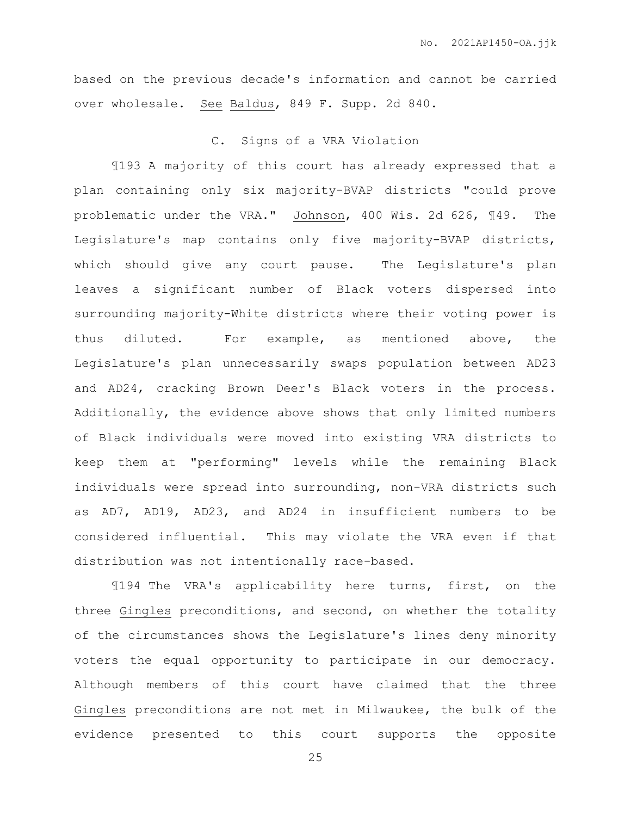based on the previous decade's information and cannot be carried over wholesale. See Baldus, 849 F. Supp. 2d 840.

### C. Signs of a VRA Violation

¶193 A majority of this court has already expressed that a plan containing only six majority-BVAP districts "could prove problematic under the VRA." Johnson, 400 Wis. 2d 626, ¶49. The Legislature's map contains only five majority-BVAP districts, which should give any court pause. The Legislature's plan leaves a significant number of Black voters dispersed into surrounding majority-White districts where their voting power is thus diluted. For example, as mentioned above, the Legislature's plan unnecessarily swaps population between AD23 and AD24, cracking Brown Deer's Black voters in the process. Additionally, the evidence above shows that only limited numbers of Black individuals were moved into existing VRA districts to keep them at "performing" levels while the remaining Black individuals were spread into surrounding, non-VRA districts such as AD7, AD19, AD23, and AD24 in insufficient numbers to be considered influential. This may violate the VRA even if that distribution was not intentionally race-based.

¶194 The VRA's applicability here turns, first, on the three Gingles preconditions, and second, on whether the totality of the circumstances shows the Legislature's lines deny minority voters the equal opportunity to participate in our democracy. Although members of this court have claimed that the three Gingles preconditions are not met in Milwaukee, the bulk of the evidence presented to this court supports the opposite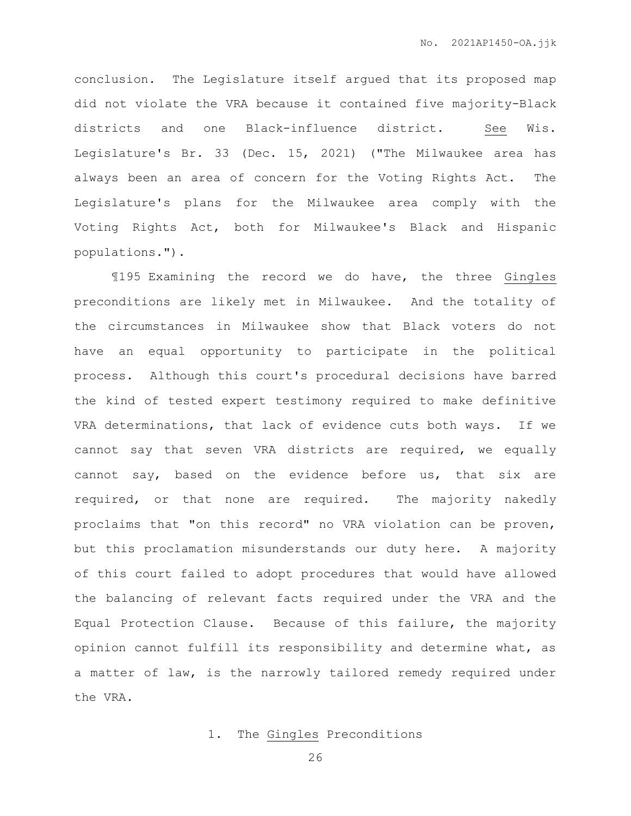conclusion. The Legislature itself argued that its proposed map did not violate the VRA because it contained five majority-Black districts and one Black-influence district. See Wis. Legislature's Br. 33 (Dec. 15, 2021) ("The Milwaukee area has always been an area of concern for the Voting Rights Act. The Legislature's plans for the Milwaukee area comply with the Voting Rights Act, both for Milwaukee's Black and Hispanic populations.").

¶195 Examining the record we do have, the three Gingles preconditions are likely met in Milwaukee. And the totality of the circumstances in Milwaukee show that Black voters do not have an equal opportunity to participate in the political process. Although this court's procedural decisions have barred the kind of tested expert testimony required to make definitive VRA determinations, that lack of evidence cuts both ways. If we cannot say that seven VRA districts are required, we equally cannot say, based on the evidence before us, that six are required, or that none are required. The majority nakedly proclaims that "on this record" no VRA violation can be proven, but this proclamation misunderstands our duty here. A majority of this court failed to adopt procedures that would have allowed the balancing of relevant facts required under the VRA and the Equal Protection Clause. Because of this failure, the majority opinion cannot fulfill its responsibility and determine what, as a matter of law, is the narrowly tailored remedy required under the VRA.

#### 1. The Gingles Preconditions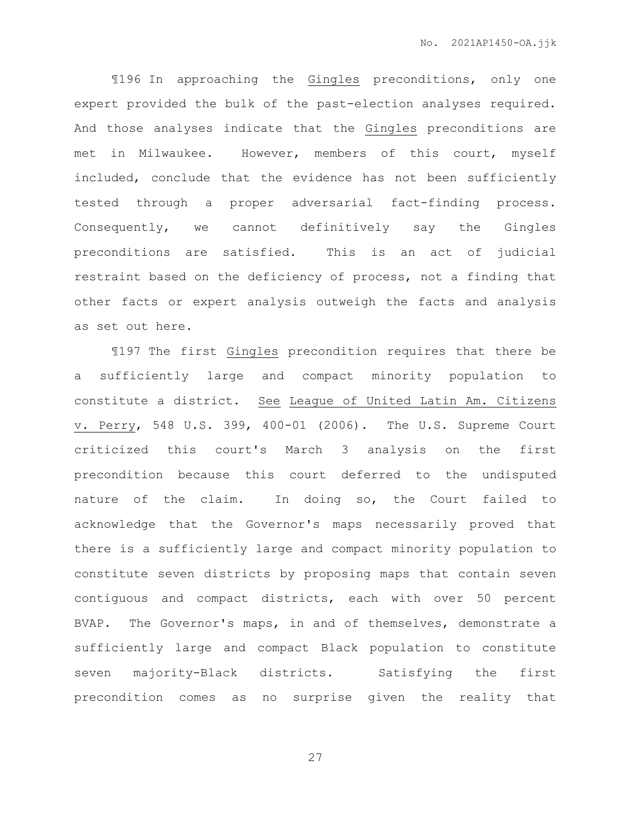¶196 In approaching the Gingles preconditions, only one expert provided the bulk of the past-election analyses required. And those analyses indicate that the Gingles preconditions are met in Milwaukee. However, members of this court, myself included, conclude that the evidence has not been sufficiently tested through a proper adversarial fact-finding process. Consequently, we cannot definitively say the Gingles preconditions are satisfied. This is an act of judicial restraint based on the deficiency of process, not a finding that other facts or expert analysis outweigh the facts and analysis as set out here.

¶197 The first Gingles precondition requires that there be a sufficiently large and compact minority population to constitute a district. See League of United Latin Am. Citizens v. Perry, 548 U.S. 399, 400-01 (2006). The U.S. Supreme Court criticized this court's March 3 analysis on the first precondition because this court deferred to the undisputed nature of the claim. In doing so, the Court failed to acknowledge that the Governor's maps necessarily proved that there is a sufficiently large and compact minority population to constitute seven districts by proposing maps that contain seven contiguous and compact districts, each with over 50 percent BVAP. The Governor's maps, in and of themselves, demonstrate a sufficiently large and compact Black population to constitute seven majority-Black districts. Satisfying the first precondition comes as no surprise given the reality that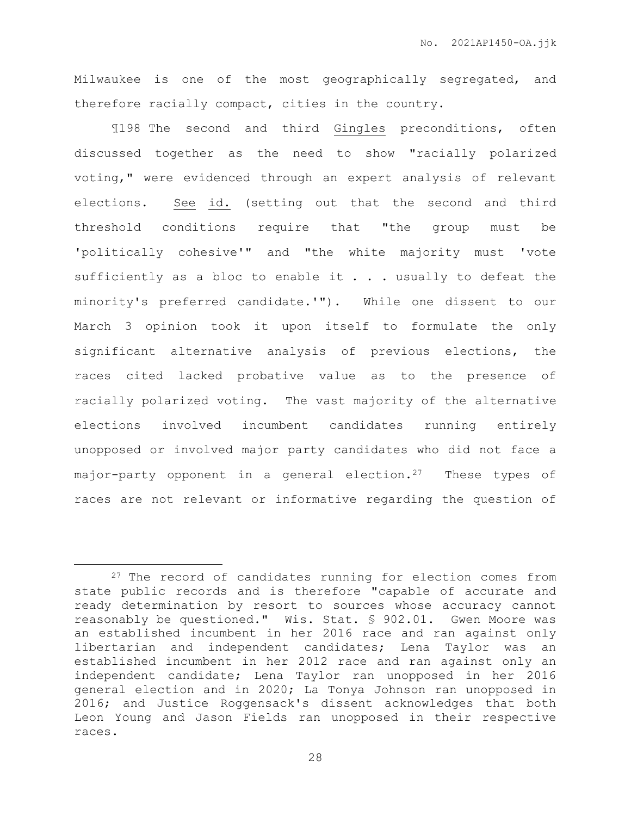Milwaukee is one of the most geographically segregated, and therefore racially compact, cities in the country.

¶198 The second and third Gingles preconditions, often discussed together as the need to show "racially polarized voting," were evidenced through an expert analysis of relevant elections. See id. (setting out that the second and third threshold conditions require that "the group must be 'politically cohesive'" and "the white majority must 'vote sufficiently as a bloc to enable it . . . usually to defeat the minority's preferred candidate.'"). While one dissent to our March 3 opinion took it upon itself to formulate the only significant alternative analysis of previous elections, the races cited lacked probative value as to the presence of racially polarized voting. The vast majority of the alternative elections involved incumbent candidates running entirely unopposed or involved major party candidates who did not face a major-party opponent in a general election.<sup>27</sup> These types of races are not relevant or informative regarding the question of

<sup>&</sup>lt;sup>27</sup> The record of candidates running for election comes from state public records and is therefore "capable of accurate and ready determination by resort to sources whose accuracy cannot reasonably be questioned." Wis. Stat. § 902.01. Gwen Moore was an established incumbent in her 2016 race and ran against only libertarian and independent candidates; Lena Taylor was an established incumbent in her 2012 race and ran against only an independent candidate; Lena Taylor ran unopposed in her 2016 general election and in 2020; La Tonya Johnson ran unopposed in 2016; and Justice Roggensack's dissent acknowledges that both Leon Young and Jason Fields ran unopposed in their respective races.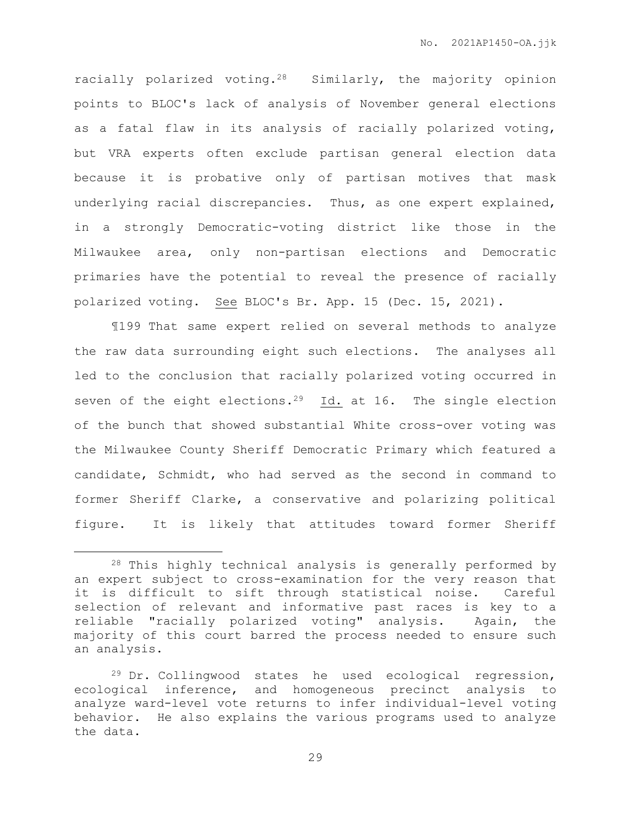racially polarized voting.28 Similarly, the majority opinion points to BLOC's lack of analysis of November general elections as a fatal flaw in its analysis of racially polarized voting, but VRA experts often exclude partisan general election data because it is probative only of partisan motives that mask underlying racial discrepancies. Thus, as one expert explained, in a strongly Democratic-voting district like those in the Milwaukee area, only non-partisan elections and Democratic primaries have the potential to reveal the presence of racially polarized voting. See BLOC's Br. App. 15 (Dec. 15, 2021).

¶199 That same expert relied on several methods to analyze the raw data surrounding eight such elections. The analyses all led to the conclusion that racially polarized voting occurred in seven of the eight elections.<sup>29</sup> Id. at 16. The single election of the bunch that showed substantial White cross-over voting was the Milwaukee County Sheriff Democratic Primary which featured a candidate, Schmidt, who had served as the second in command to former Sheriff Clarke, a conservative and polarizing political figure. It is likely that attitudes toward former Sheriff

 $\overline{a}$ 

<sup>28</sup> This highly technical analysis is generally performed by an expert subject to cross-examination for the very reason that it is difficult to sift through statistical noise. Careful selection of relevant and informative past races is key to a reliable "racially polarized voting" analysis. Again, the majority of this court barred the process needed to ensure such an analysis.

<sup>29</sup> Dr. Collingwood states he used ecological regression, ecological inference, and homogeneous precinct analysis to analyze ward-level vote returns to infer individual-level voting behavior. He also explains the various programs used to analyze the data.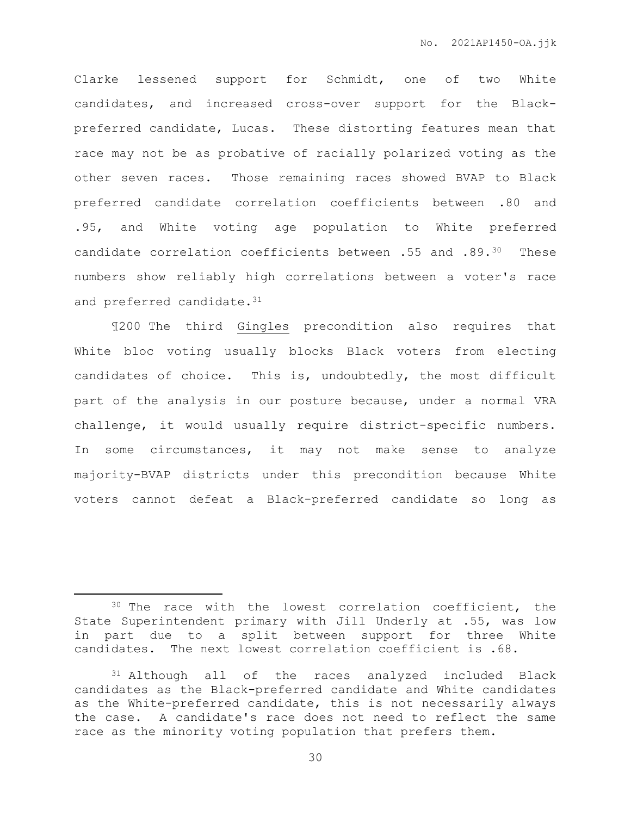Clarke lessened support for Schmidt, one of two White candidates, and increased cross-over support for the Blackpreferred candidate, Lucas. These distorting features mean that race may not be as probative of racially polarized voting as the other seven races. Those remaining races showed BVAP to Black preferred candidate correlation coefficients between .80 and .95, and White voting age population to White preferred candidate correlation coefficients between .55 and .89.30 These numbers show reliably high correlations between a voter's race and preferred candidate.<sup>31</sup>

¶200 The third Gingles precondition also requires that White bloc voting usually blocks Black voters from electing candidates of choice. This is, undoubtedly, the most difficult part of the analysis in our posture because, under a normal VRA challenge, it would usually require district-specific numbers. In some circumstances, it may not make sense to analyze majority-BVAP districts under this precondition because White voters cannot defeat a Black-preferred candidate so long as

<sup>&</sup>lt;sup>30</sup> The race with the lowest correlation coefficient, the State Superintendent primary with Jill Underly at .55, was low in part due to a split between support for three White candidates. The next lowest correlation coefficient is .68.

<sup>31</sup> Although all of the races analyzed included Black candidates as the Black-preferred candidate and White candidates as the White-preferred candidate, this is not necessarily always the case. A candidate's race does not need to reflect the same race as the minority voting population that prefers them.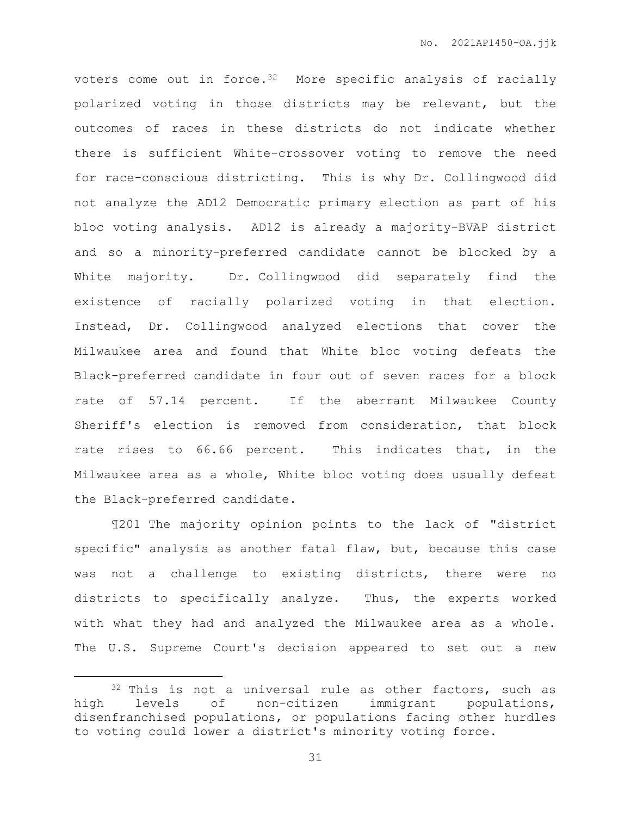voters come out in force.<sup>32</sup> More specific analysis of racially polarized voting in those districts may be relevant, but the outcomes of races in these districts do not indicate whether there is sufficient White-crossover voting to remove the need for race-conscious districting. This is why Dr. Collingwood did not analyze the AD12 Democratic primary election as part of his bloc voting analysis. AD12 is already a majority-BVAP district and so a minority-preferred candidate cannot be blocked by a White majority. Dr. Collingwood did separately find the existence of racially polarized voting in that election. Instead, Dr. Collingwood analyzed elections that cover the Milwaukee area and found that White bloc voting defeats the Black-preferred candidate in four out of seven races for a block rate of 57.14 percent. If the aberrant Milwaukee County Sheriff's election is removed from consideration, that block rate rises to 66.66 percent. This indicates that, in the Milwaukee area as a whole, White bloc voting does usually defeat the Black-preferred candidate.

¶201 The majority opinion points to the lack of "district specific" analysis as another fatal flaw, but, because this case was not a challenge to existing districts, there were no districts to specifically analyze. Thus, the experts worked with what they had and analyzed the Milwaukee area as a whole. The U.S. Supreme Court's decision appeared to set out a new

<sup>&</sup>lt;sup>32</sup> This is not a universal rule as other factors, such as high levels of non-citizen immigrant populations, disenfranchised populations, or populations facing other hurdles to voting could lower a district's minority voting force.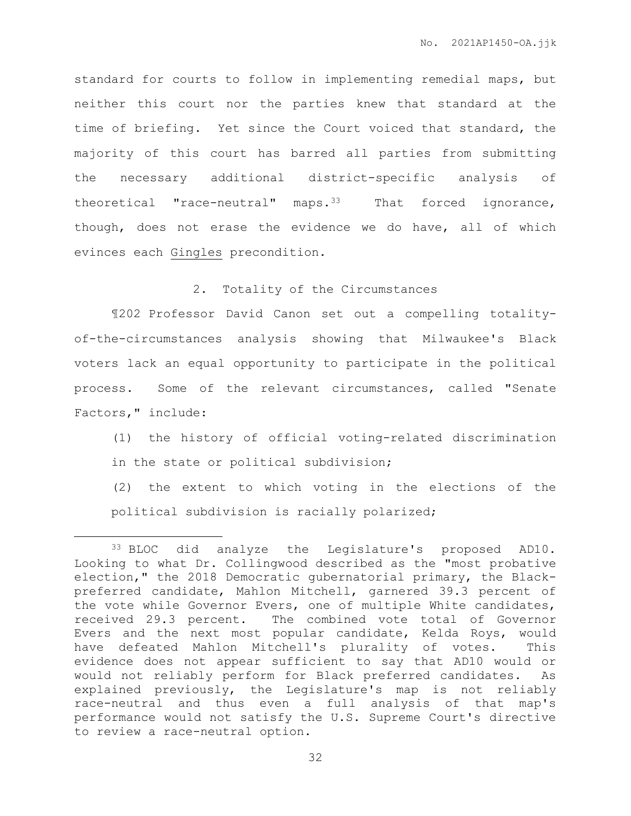standard for courts to follow in implementing remedial maps, but neither this court nor the parties knew that standard at the time of briefing. Yet since the Court voiced that standard, the majority of this court has barred all parties from submitting the necessary additional district-specific analysis of theoretical "race-neutral" maps.<sup>33</sup> That forced ignorance, though, does not erase the evidence we do have, all of which evinces each Gingles precondition.

2. Totality of the Circumstances

¶202 Professor David Canon set out a compelling totalityof-the-circumstances analysis showing that Milwaukee's Black voters lack an equal opportunity to participate in the political process. Some of the relevant circumstances, called "Senate Factors," include:

(1) the history of official voting-related discrimination in the state or political subdivision;

(2) the extent to which voting in the elections of the political subdivision is racially polarized;

<sup>33</sup> BLOC did analyze the Legislature's proposed AD10. Looking to what Dr. Collingwood described as the "most probative election," the 2018 Democratic gubernatorial primary, the Blackpreferred candidate, Mahlon Mitchell, garnered 39.3 percent of the vote while Governor Evers, one of multiple White candidates, received 29.3 percent. The combined vote total of Governor Evers and the next most popular candidate, Kelda Roys, would have defeated Mahlon Mitchell's plurality of votes. This evidence does not appear sufficient to say that AD10 would or would not reliably perform for Black preferred candidates. As explained previously, the Legislature's map is not reliably race-neutral and thus even a full analysis of that map's performance would not satisfy the U.S. Supreme Court's directive to review a race-neutral option.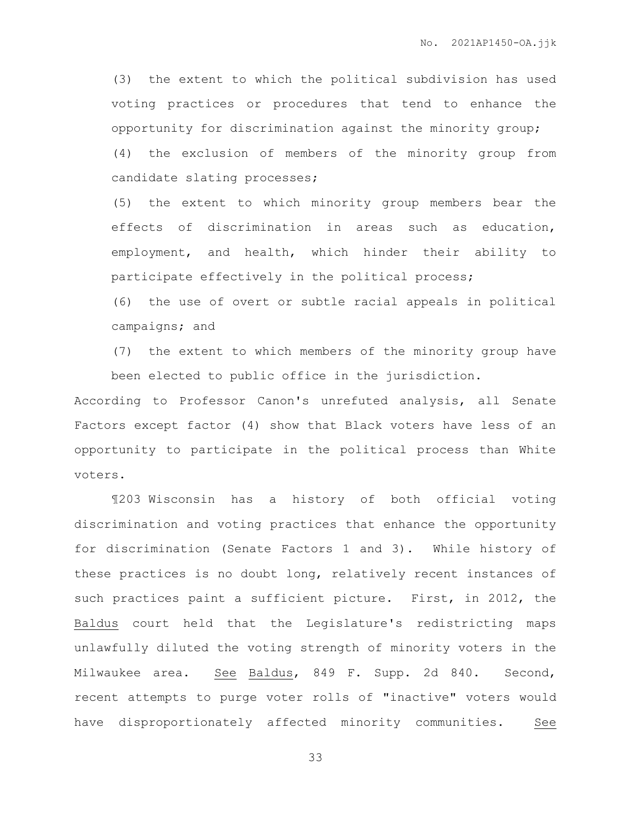(3) the extent to which the political subdivision has used voting practices or procedures that tend to enhance the opportunity for discrimination against the minority group; (4) the exclusion of members of the minority group from candidate slating processes;

(5) the extent to which minority group members bear the effects of discrimination in areas such as education, employment, and health, which hinder their ability to participate effectively in the political process;

(6) the use of overt or subtle racial appeals in political campaigns; and

(7) the extent to which members of the minority group have been elected to public office in the jurisdiction.

According to Professor Canon's unrefuted analysis, all Senate Factors except factor (4) show that Black voters have less of an opportunity to participate in the political process than White voters.

¶203 Wisconsin has a history of both official voting discrimination and voting practices that enhance the opportunity for discrimination (Senate Factors 1 and 3). While history of these practices is no doubt long, relatively recent instances of such practices paint a sufficient picture. First, in 2012, the Baldus court held that the Legislature's redistricting maps unlawfully diluted the voting strength of minority voters in the Milwaukee area. See Baldus, 849 F. Supp. 2d 840. Second, recent attempts to purge voter rolls of "inactive" voters would have disproportionately affected minority communities. See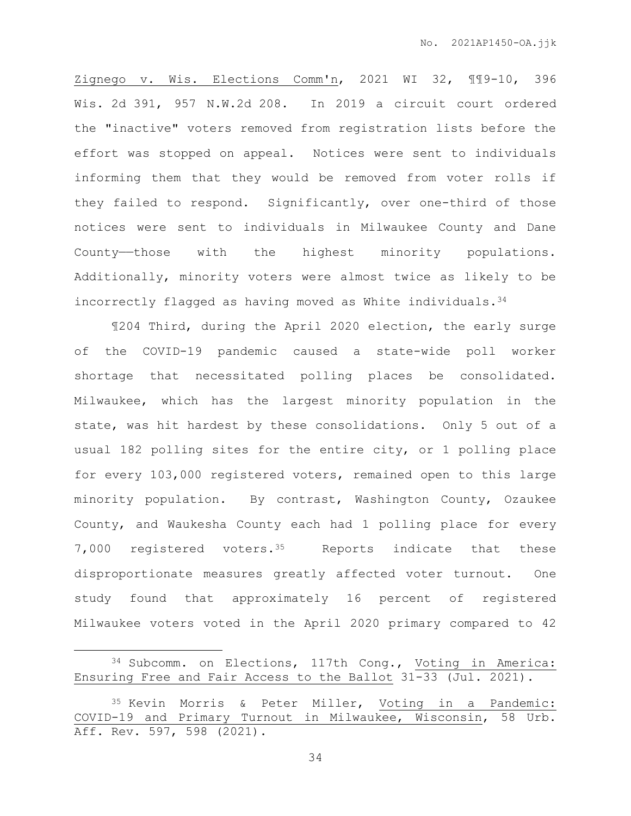Zignego v. Wis. Elections Comm'n, 2021 WI 32, ¶¶9-10, 396 Wis. 2d 391, 957 N.W.2d 208. In 2019 a circuit court ordered the "inactive" voters removed from registration lists before the effort was stopped on appeal. Notices were sent to individuals informing them that they would be removed from voter rolls if they failed to respond. Significantly, over one-third of those notices were sent to individuals in Milwaukee County and Dane County——those with the highest minority populations. Additionally, minority voters were almost twice as likely to be incorrectly flagged as having moved as White individuals.<sup>34</sup>

¶204 Third, during the April 2020 election, the early surge of the COVID-19 pandemic caused a state-wide poll worker shortage that necessitated polling places be consolidated. Milwaukee, which has the largest minority population in the state, was hit hardest by these consolidations. Only 5 out of a usual 182 polling sites for the entire city, or 1 polling place for every 103,000 registered voters, remained open to this large minority population. By contrast, Washington County, Ozaukee County, and Waukesha County each had 1 polling place for every 7,000 registered voters.35 Reports indicate that these disproportionate measures greatly affected voter turnout. One study found that approximately 16 percent of registered Milwaukee voters voted in the April 2020 primary compared to 42

 $\overline{a}$ 

<sup>34</sup> Subcomm. on Elections, 117th Cong., Voting in America: Ensuring Free and Fair Access to the Ballot 31-33 (Jul. 2021).

<sup>35</sup> Kevin Morris & Peter Miller, Voting in a Pandemic: COVID-19 and Primary Turnout in Milwaukee, Wisconsin, 58 Urb. Aff. Rev. 597, 598 (2021).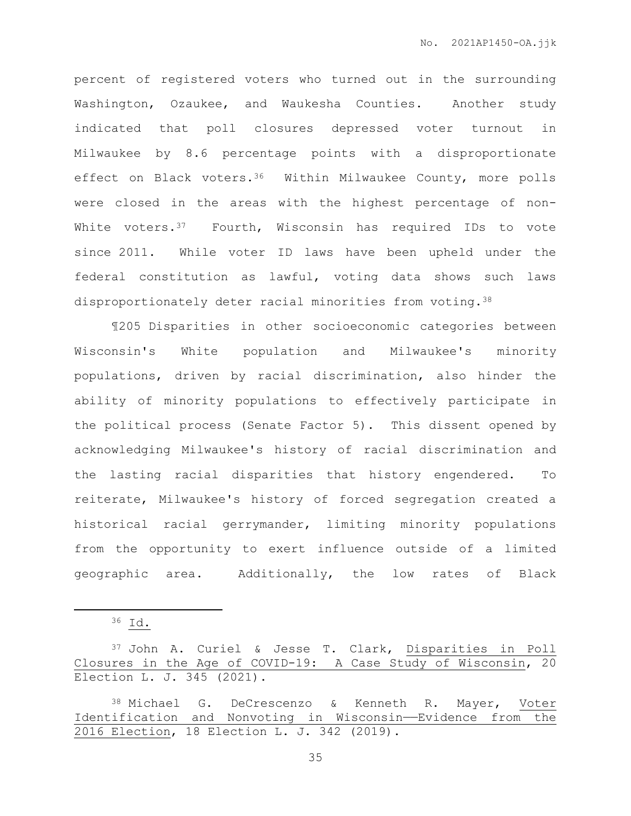percent of registered voters who turned out in the surrounding Washington, Ozaukee, and Waukesha Counties. Another study indicated that poll closures depressed voter turnout in Milwaukee by 8.6 percentage points with a disproportionate effect on Black voters.<sup>36</sup> Within Milwaukee County, more polls were closed in the areas with the highest percentage of non-White voters. $37$  Fourth, Wisconsin has required IDs to vote since 2011. While voter ID laws have been upheld under the federal constitution as lawful, voting data shows such laws disproportionately deter racial minorities from voting.<sup>38</sup>

¶205 Disparities in other socioeconomic categories between Wisconsin's White population and Milwaukee's minority populations, driven by racial discrimination, also hinder the ability of minority populations to effectively participate in the political process (Senate Factor 5). This dissent opened by acknowledging Milwaukee's history of racial discrimination and the lasting racial disparities that history engendered. To reiterate, Milwaukee's history of forced segregation created a historical racial gerrymander, limiting minority populations from the opportunity to exert influence outside of a limited geographic area. Additionally, the low rates of Black

<sup>36</sup> Id.

<sup>37</sup> John A. Curiel & Jesse T. Clark, Disparities in Poll Closures in the Age of COVID-19: A Case Study of Wisconsin, 20 Election L. J. 345 (2021).

<sup>38</sup> Michael G. DeCrescenzo & Kenneth R. Mayer, Voter Identification and Nonvoting in Wisconsin——Evidence from the 2016 Election, 18 Election L. J. 342 (2019).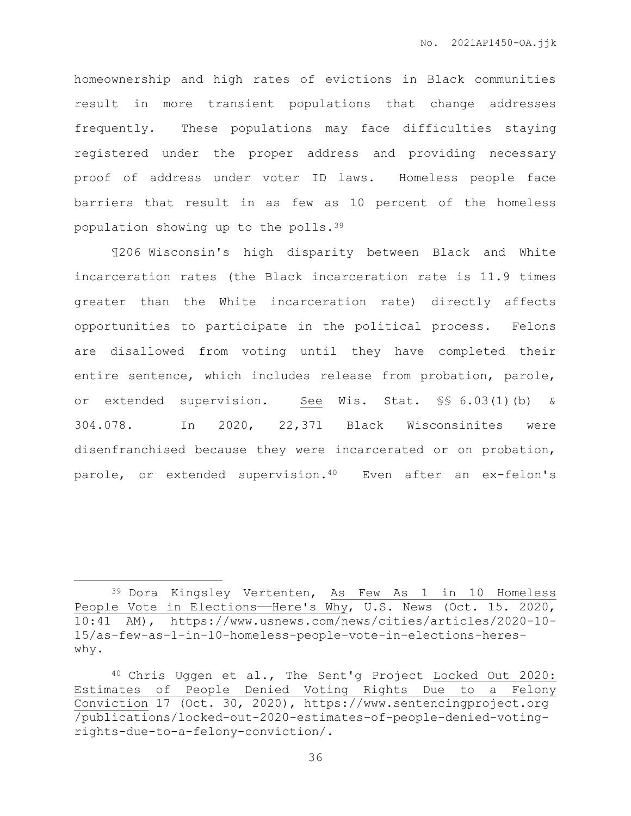homeownership and high rates of evictions in Black communities result in more transient populations that change addresses frequently. These populations may face difficulties staying registered under the proper address and providing necessary proof of address under voter ID laws. Homeless people face barriers that result in as few as 10 percent of the homeless population showing up to the polls.<sup>39</sup>

¶206 Wisconsin's high disparity between Black and White incarceration rates (the Black incarceration rate is 11.9 times greater than the White incarceration rate) directly affects opportunities to participate in the political process. Felons are disallowed from voting until they have completed their entire sentence, which includes release from probation, parole, or extended supervision. See Wis. Stat. §§ 6.03(1)(b) & 304.078. In 2020, 22,371 Black Wisconsinites were disenfranchised because they were incarcerated or on probation, parole, or extended supervision.<sup>40</sup> Even after an ex-felon's

<sup>39</sup> Dora Kingsley Vertenten, As Few As 1 in 10 Homeless People Vote in Elections—Here's Why, U.S. News (Oct. 15. 2020, 10:41 AM), https://www.usnews.com/news/cities/articles/2020-10- 15/as-few-as-1-in-10-homeless-people-vote-in-elections-hereswhy.

<sup>40</sup> Chris Uggen et al., The Sent'g Project Locked Out 2020: Estimates of People Denied Voting Rights Due to a Felony Conviction 17 (Oct. 30, 2020), https://www.sentencingproject.org /publications/locked-out-2020-estimates-of-people-denied-votingrights-due-to-a-felony-conviction/.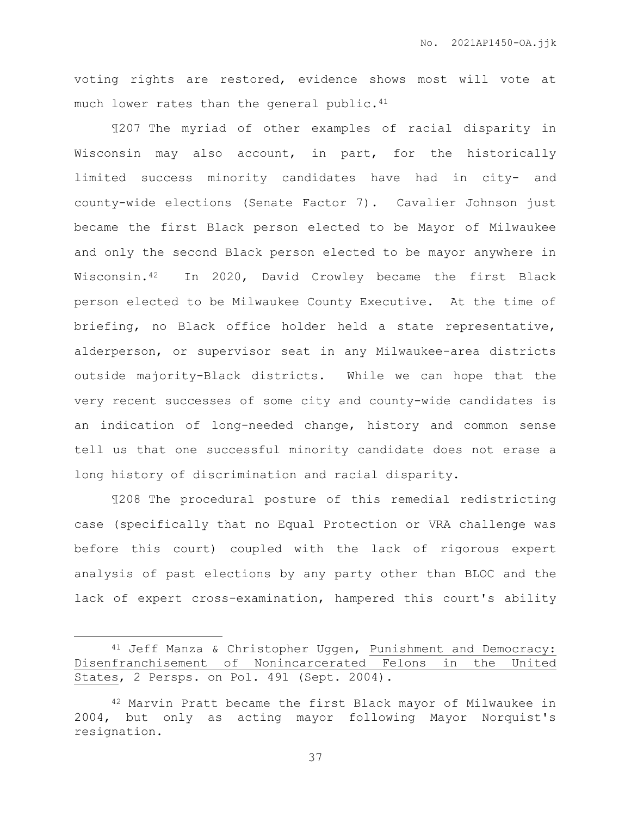voting rights are restored, evidence shows most will vote at much lower rates than the general public.<sup>41</sup>

¶207 The myriad of other examples of racial disparity in Wisconsin may also account, in part, for the historically limited success minority candidates have had in city- and county-wide elections (Senate Factor 7). Cavalier Johnson just became the first Black person elected to be Mayor of Milwaukee and only the second Black person elected to be mayor anywhere in Wisconsin.42 In 2020, David Crowley became the first Black person elected to be Milwaukee County Executive. At the time of briefing, no Black office holder held a state representative, alderperson, or supervisor seat in any Milwaukee-area districts outside majority-Black districts. While we can hope that the very recent successes of some city and county-wide candidates is an indication of long-needed change, history and common sense tell us that one successful minority candidate does not erase a long history of discrimination and racial disparity.

¶208 The procedural posture of this remedial redistricting case (specifically that no Equal Protection or VRA challenge was before this court) coupled with the lack of rigorous expert analysis of past elections by any party other than BLOC and the lack of expert cross-examination, hampered this court's ability

 $\overline{a}$ 

<sup>41</sup> Jeff Manza & Christopher Uggen, Punishment and Democracy: Disenfranchisement of Nonincarcerated Felons in the United States, 2 Persps. on Pol. 491 (Sept. 2004).

<sup>42</sup> Marvin Pratt became the first Black mayor of Milwaukee in 2004, but only as acting mayor following Mayor Norquist's resignation.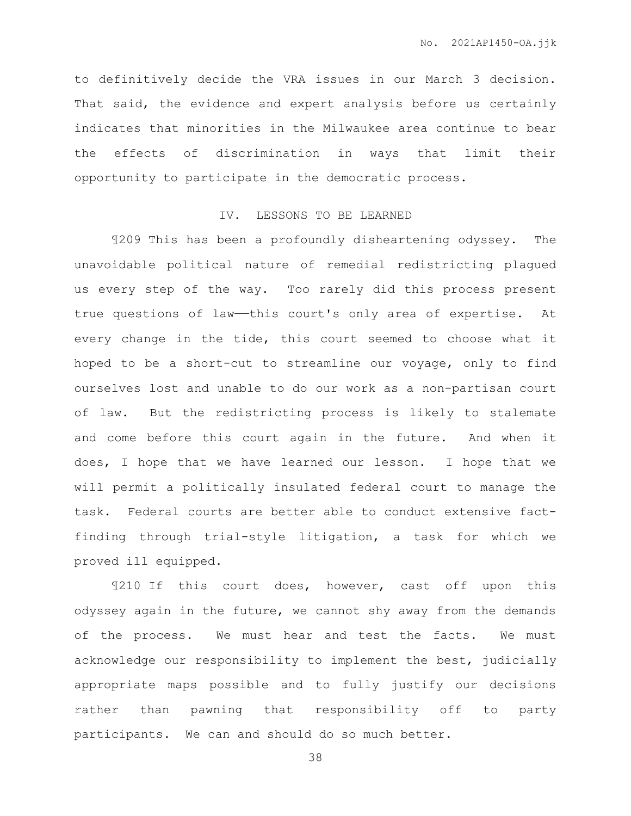to definitively decide the VRA issues in our March 3 decision. That said, the evidence and expert analysis before us certainly indicates that minorities in the Milwaukee area continue to bear the effects of discrimination in ways that limit their opportunity to participate in the democratic process.

## IV. LESSONS TO BE LEARNED

¶209 This has been a profoundly disheartening odyssey. The unavoidable political nature of remedial redistricting plagued us every step of the way. Too rarely did this process present true questions of law-this court's only area of expertise. At every change in the tide, this court seemed to choose what it hoped to be a short-cut to streamline our voyage, only to find ourselves lost and unable to do our work as a non-partisan court of law. But the redistricting process is likely to stalemate and come before this court again in the future. And when it does, I hope that we have learned our lesson. I hope that we will permit a politically insulated federal court to manage the task. Federal courts are better able to conduct extensive factfinding through trial-style litigation, a task for which we proved ill equipped.

¶210 If this court does, however, cast off upon this odyssey again in the future, we cannot shy away from the demands of the process. We must hear and test the facts. We must acknowledge our responsibility to implement the best, judicially appropriate maps possible and to fully justify our decisions rather than pawning that responsibility off to party participants. We can and should do so much better.

38